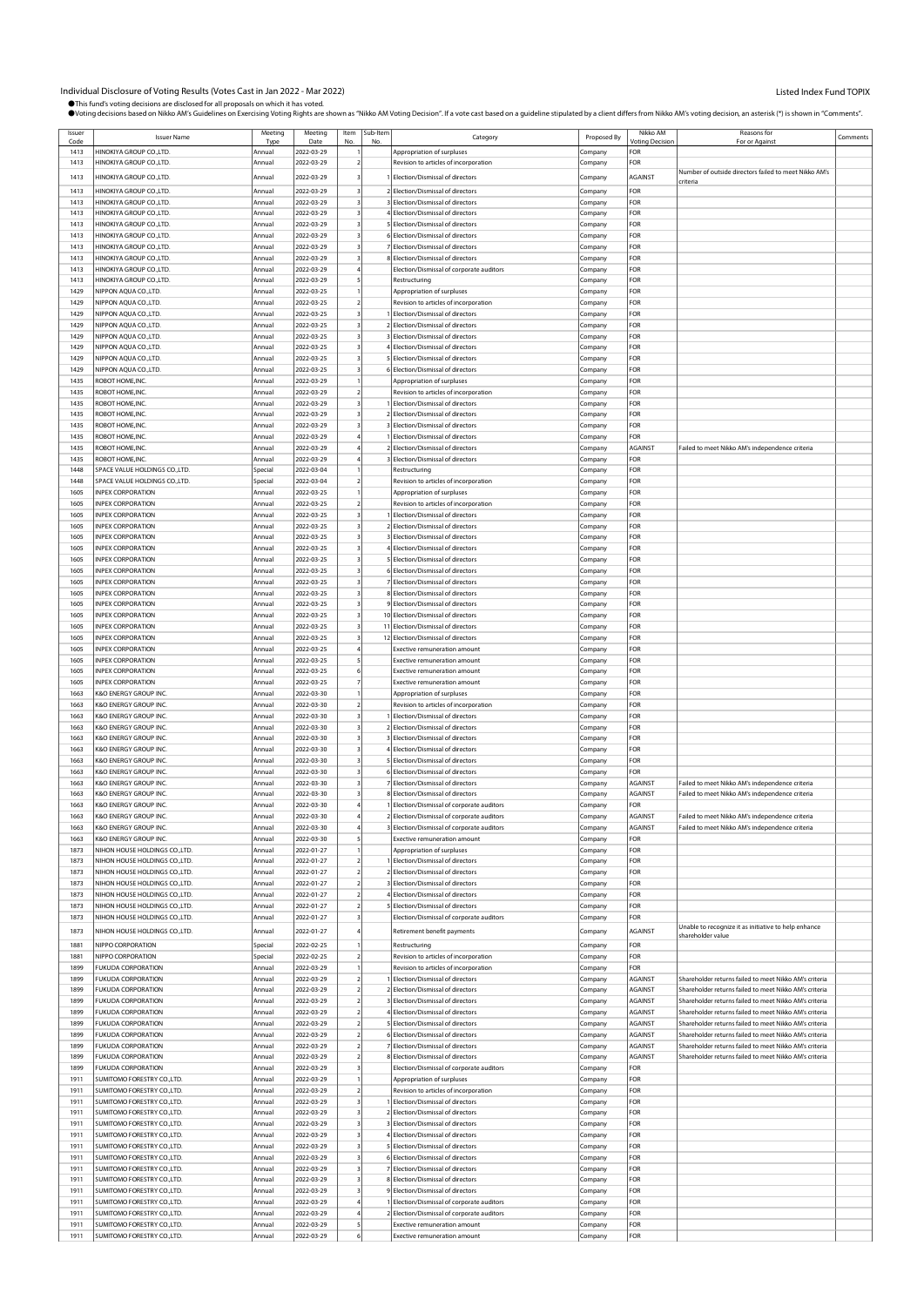●This fund's voting decisions are disclosed for all proposals on which it has voted.<br>●Voting decisions based on Nikko AM's Guidelines on Exercising Voting Rights are s n as "Nikko AM Voting Decision". If a vote cast based on a guideline stipulated by a client differs from Nikko AM's voting decision, an asterisk (\*) is shown in "Comments"

Issuer Ssuer Issuer Name Meeting<br>Code Type Type Meeting Date<br>Date<br>2022-03-29 Item No. Sub-Item b-Item<br>No. No. Category Category Proposed By Nikko AM Voting Decision Reasons for<br>
For or Against Comments 1413 HINOKIYA GROUP CO.,LTD. **Annual 2022-03-29 1** Appropriation of surpluses Company 1413 HINOKIYA GROUP CO.,LTD. Annual 2022-03-29 2 Revision to articles of incorporation Company FOR 1413 HINOKIYA GROUP CO.,LTD. Annual 2022-03-29 3 1 Election/Dismissal of directors Company AGAINST Number of outside directors failed to meet Nikko AM's criteria 1413 |HINOKIYA GROUP CO.,LTD. Annual |2022-03-29 | 3| 2 Election/Dismissal of directors Company |FOR 1413 HINOKIYA GROUP CO.,LTD. Annual 2022-03-29 3 3 Election/Dismissal of directors Company FOR nual 2022-03-29 3 4 Election/Dismissal of directors Company FOR 1413 HINOKIYA GROUP CO.,LTD. Annual 2022-03-29 3 5 Election/Dismissal of directors Company FOR 1413 HINOKIYA GROUP CO.,LTD.<br>1413 HINOKIYA GROUP CO.,LTD. Annual 2022-03-29 3 6 Election/Dismissal of directors Company FOR<br>1413 HINOKIYA GROUP CO.,LTD. Annual 2022-03-29 3 7 Election/Dismissal of directors Company FOR 1413 Hection/Dismissal of directors **Company For the Company Formula** 2023-03-29 3  $\sim$ 1413 HINOKIYA GROUP CO.,LTD. Annual 2022-03-29 3 8 Election/Dismissal of directors Company FOR 1413 HINOKIYA GROUP CO.,LTD. Annual 2022-03-29 4 Election/Dismissal of corporate auditors Company FOR 1413 HINOKIYA GROUP CO.,LTD. Annual 2022-03-29 5 Restructuring Company FOR 1429 NIPPON AQUA CO.,LTD. Annual 2022-03-25 1 Appropriation of surpluses Company FOR 1429 NIPPON AQUA CO.,LTD.<br>1429 NIPPON AQUA CO.,LTD. Annual 2022-03-25 3 1 Revision to articles of incorporation Company FOR<br>1429 NIPPON AQUA CO.,LTD. Company FOR 1429 Niection/Dismissal of directors **Company FOR** 1429 NIPPON AQUA CO.,LTD. Annual 2022-03-25 3 2 Election/Dismissal of directors Company FOR 1429 NIPPON AQUA CO.,LTD. **Annual 2022-03-25 3** 3 Election/Dismissal of directors **Company** FOR 1429 NIPPON AQUA CO.,LTD. Annual 2022-03-25 3 4 Election/Dismissal of directors Company FOR 1429 NIPPON AQUA CO.,LTD. **Annual 2022-03-25** 3 5 Election/Dismissal of directors Company FOR<br>1429 NIPPON AQUA CO.JTD. Annual 2022-03-25 3 6 Election/Dismissal of directors Company FOR 1429 NIPPON AQUA CO.,LTD. Annual 2022-03-25 3 6 Election/Dismissal of directors Company FOR 1435 ROBOT HOME, INC. COMPANY COMPANY Annual 2022-03-29 1 Appropriation of surpluses Company FOR<br>1435 ROBOT HOME, INC. Annual 2022-03-29 2 Revision to articles of incorporation Company FOR vision to articles of incorporation **For an annual 2023** Company 1435 ROBOT HOME,INC. **Annual 2022-03-29 3** 1 Election/Dismissal of directors **Company** FOR 1435 ROBOT HOME, INC. **Annual 2022-03-29** 3 2 Election/Dismissal of directors Company FOR 1435 ROBOT HOME,INC. Annual 2022-03-29 3 3 Election/Dismissal of directors Company FOR 1435 ROBOT HOME, INC. Company FOR Annual 2022-03-29 4 1 Election/Dismissal of directors Company FOR Company FOR<br>1435 ROBOT HOME INC Annual 2022-03-29 4 2 Flection/Dismissal of directors Company AGAINS new AGAINST Failed to meet Nikko AM's independence criteria<br>Company AGAINST Failed to meet Nikko AM's independence criteria 1435 ROBOT HOME, INC. COMPANY COMPANY COMPANY Annual 2022-03-29 4 3 Election/Dismissal of directors Company FOR<br>1448 SPACE VALUE HOLDINGS CO.,LTD. Special 2022-03-04 1 Restructuring Company FOR 1448 Special 2022-03-04 1 Restructuring Company For Company For Special 2022-03-04 1 Restructuring Company For 1448 SPACE VALUE HOLDINGS CO.,LTD. Special 2022-03-04 2 Revision to articles of incorporation Company FOR 1605 INPEX CORPORATION **Annual 2022-03-25** 1 Appropriation of surpluses Company FOR<br>1605 INPEX CORPORATION **Annual 2022-03-25** 2 **Revision to attribus of incorporation** Company FOR 1605 |INPEX CORPORATION | Annual 2022-03-25 | 2 | Revision to articles of incorporation | Company |FOR 1605 INPEX CORPORATION **Annual 2022-03-25** 3 1 Election/Dismissal of directors Company FOR 1605 INPEX CORPORATION COMPORATION Annual 2022-03-25 3 2 Election/Dismissal of directors Company FOR 1605 INPEX CORPORATION COMPANY Annual 2022-03-25 3 3 3 Election/Dismissal of directors Company FOR<br>1605 INPEX CORPORATION Annual 2022-03-25 3 4 Election/Dismissal of directors Company FOR **1605 Incremental 2023-03-25 2023-04-25 2023-04-25 2023-04-25 2023-04-25 2023-04-25 2023-04-25 2023-04-25 2023-0** 1605 INPEX CORPORATION COMPANY CONSULTER Annual 2022-03-25 3 5 Election/Dismissal of directors Company FOR<br>1605 INPEX CORPORATION Annual 2022-03-25 3 6 Election/Dismissal of directors Company FOR 1605 INPEX CORPORATION Annual 2022-03-25 3 6 Election/Dismissal of directors Company FOR<br>1605 INPEX CORPORATION Annual 2002-03-25 3 7 Election/Dismissal of directors Company FOR 1605 INPEX CORPORATION Annual 2022-03-25 3 7 Election/Dismissal of directors Company FOR 1605 INPEX CORPORATION COMPANY CONTROL Annual 2022-03-25 3 8 Election/Dismissal of directors Company FOR<br>1605 INPEX CORPORATION COMPANY Annual 2022-03-25 3 9 Election/Dismissal of directors Company FOR extion/Dismissal of directors **Company FOR** 1605 INPEX CORPORATION Annual 2022-03-25 3 10 Election/Dismissal of directors Company FOR 1605 INPEX CORPORATION Annual 2022-03-25 3 11 Election/Dismissal of directors Company FOR 1605 INPEX CORPORATION Annual 2022-03-25 3 12 Election/Dismissal of directors Company FOR 1605 INPEX CORPORATION **Annual 2022-03-25** 4 Exective remuneration amount Company FOR 1605 |INPEX CORPORATION | Annual 2022-03-25 | 5 Exective remuneration amount | Company |FOR 1605 INPEX CORPORATION COMPANY Annual 2022-03-25 6 Exective remuneration amount Company 1605 INPEX CORPORATION Annual 2022-03-25 7 Exective remuneration amount Company FOR 1663 K&O ENERGY GROUP INC.<br>1663 K&O ENERGY GROUP INC. Annual 2022-03-30 1 Appropriation of surpluses Company FOR<br>1663 K&O ENERGY GROUP INC. Annual 2022-03-30 2 Revision to articles of incorporation nnual 2022-03-30 2 Revision to articles of incorporation Company FOR 1663 K&O ENERGY GROUP INC.<br>1663 K&O ENERGY GROUP INC. Annual 2022-03-30 3 1 Election/Dismissal of directors Company FOR<br>1663 K&O ENERGY GROUP INC. Annual 2022-03-30 3 2 Election/Dismissal of directors Company FOR 1663 K&O ENERGY GROUP INC. Annual 2022-03-30 3 2 Election/Dismissal of directors Company FOR 1663 K&O ENERGY GROUP INC. Annual 2022-03-30 3 3 Election/Dismissal of directors Company FOR 1663 K&O ENERGY GROUP INC. Annual 2022-03-30 3 4 Election/Dismissal of directors Company FOR 1663 K&O ENERGY GROUP INC. Annual 2022-03-30 3 5 Election/Dismissal of directors Company FOR 1663 K&O ENERGY GROUP INC.<br>1663 K&O ENERGY GROUP INC. Annual 2022-03-30 3 6 Election/Dismissal of directors Company FOR<br>1663 K&O ENERGY GROUP INC 1663 K&O ENERGY GROUP INC. Notice that the section and the criteria and the section of the section of the section of the section of the section of the section of the section of the section of the section of the section of 1663 K&O ENERGY GROUP INC. Annual 2022-03-30 3 8 Election/Dismissal of directors Company AGAINST Failed to meet Nikko AM's independence criteria<br>1663 K&O ENERGY GROUP INC. Annual 2022-03-30 4 1 Election/Dismissal of corpor nnual 2022-03-30 4 1 Election/Dismissal of corporate auditors Company FOR 1663 K&O ENERGY GROUP INC. COMPOSITION CONTROLLED Annual 2022-03-30 4 2 Election/Dismissal of corporate auditors Company AGAINST Failed to meet Nikko AM's independence criteria 1663 K&O ENERGY GROUP INC. Annual 2022-03-30 4 3 Election/Dismissal of corporate auditors Company AGAINST Failed to meet Nikko AM's independence criteria<br>1663 K&O ENERGY GROUP INC Annual 2022-03-30 5 Evertive remuneration Exective remuneration amount Company FORES 1873 NIHON HOUSE HOLDINGS CO.,LTD. Annual 2022-01-27 1 Appropriation of surpluses Company FOR<br>1873 NIHON HOUSE HOLDINGS CO.LTD. Annual 2022-01-27 2 1 Election/Dismissal of directors Company FOR 1873 NIHON HOUSE HOLDINGS CO.,LTD. Annual 2022-01-27 2 1 Election/Dismissal of directors Company FOR 1873 NIHON HOUSE HOLDINGS CO.,LTD. Annual 2022-01-27 2 Election/Dismissal of directors Company FOR 1873 NIHON HOUSE HOLDINGS CO.,LTD. Annual 2022-01-27 2 3 Election/Dismissal of directors Company FOR 1873 NIHON HOUSE HOLDINGS CO.,LTD. Annual 2022-01-27 2 4 Election/Dismissal of directors Company FOR<br>1873 NIHON HOUSE HOLDINGS CO.,LTD. Annual 2022-01-27 2 5 Election/Dismissal of directors Company FOR 1873 NIHON HOUSE HOLDINGS CO.,LTD. Annual 2022-01-27 2 5 Election/Dismissal of directors Company FOR 1873 NIHON HOUSE HOLDINGS CO.,LTD. Annual 2022-01-27 3 Election/Dismissal of corporate auditors Company FOR 1873 NIHON HOUSE HOLDINGS CO.,LTD. Annual 2022-01-27 4 Retirement benefit payments Company AGAINST Unable to recognize it as initiative to help enhance hareholder value 1881 NIPPO CORPORATION Special Special 2022-02-25 1 1 Restructuring Special Company FOR 1881 NIPPO CORPORATION Special 2022-02-25 2 Revision to articles of incorporation Company FOR 1899 FUKUDA CORPORATION **1899 FUKUDA CORPORATION CORPORATION** Annual 2022-03-29 1 Revision to articles of incorporation Company FOR<br>1899 FUKUDA CORPORATION Annual 2022-03-29 2 1 Election/Dismissal of directors Company AGAI new Published Corporation Corporation Corporation Company AGAINST Shareholder returns failed to meet Nikko AM's criteria 1899 FUKUDA CORPORATION Annual 2022-03-29 2 Election/Dismissal of directors Company AGAINST Shareholder returns failed to meet Nikko AM's criteria annual 2022-03-29 2 Election/Dismissal of directors Company AGAINST Shareho 1899 FUKUDA CORPORATION **Annual** 2022-03-29 2 3 Election/Dismissal of directors Company AGAINST Shareholder returns failed to meet Nikko AM's criteria 1899 FUKUDA CORPORATION Annual 2022-03-29 2 4 Election/Dismissal of directors Company AGAINST Shareholder returns failed to meet Nikko AM's criteria<br>1899 FUKUDA CORPORATION Annual 2022-03-29 2 5 Election/Dismissal of direc 1899 FUKUDA CORPORATION **Annual 2022-03-29 2** 5 Election/Dismissal of directors Company AGAINST Shareholder returns failed to meet Nikko AM's criteria 1899 FUKUDA CORPORATION 1999 Annual 2022-03-29 2 6 Election/Dismissal of directors Company AGAINST Shareholder returns failed to meet Nikko AM's criterial of the Company AGAINST Shareholder returns failed to meet Nikko AM' nection/Dismissal of directors **Function Company Company AGAINST** Shareholder returns failed to meet Nikko AM's criteria. 1899 FUKUDA CORPORATION Annual 2022-03-29 2 8 Election/Dismissal of directors Company AGAINST Shareholder returns failed to meet Nikko AM's criteria 1899 FUKUDA CORPORATION COMPANY COLLED Annual 2022-03-29 3 Election/Dismissal of corporate auditors Company FOR<br>1911 SUMITOMO FORESTRY COLLTD. Annual 2022-03-29 1 Appropriation of surpluses Company FOR 1911 SUMITOMO FORESTRY CO.,LTD. Annual 2022-03-29 1 Appropriation of surpluses Company FOR 1911 SUMITOMO FORESTRY CO.,LTD. <br>1911 SUMITOMO FORESTRY CO.,LTD. Annual 2022-03-29 3 1 Revision to articles of incorporation Company FOR<br>1911 SUMITOMO FORESTRY CO.,LTD. Annual 2022-03-29 3 1 Rection/Dismissal of directors 1911 Superior Co., LTD. Annual 2023-03-29 3 1 Election/Dismissal of directors Company FORESTRY FOR DISPONDING 1911 SUMITOMO FORESTRY CO.,LTD. Annual 2022-03-29 3 2 Election/Dismissal of directors Company FOR 1911 SUMITOMO FORESTRY CO.,LTD. Annual 2022-03-29 3 3 Election/Dismissal of directors Company FOR 1911 SUMITOMO FORESTRY CO.,LTD. **Annual 2022-03-29 3** 3 4 Election/Dismissal of directors Company FOR 1911 SUMITOMO FORESTRY CO.,LTD. Annual 2022-03-29 3 5 Election/Dismissal of directors Company FOR<br>1911 SUMITOMO FORESTRY CO.,LTD. Annual 2022-03-29 3 6 Election/Dismissal of directors Company FOR 1911 SUMITOMO FORESTRY CO.,LTD. Annual 2022-03-29 3 6 Election/Dismissal of directors Company FOR 1911 SUMITOMO FORESTRY CO.,LTD. <br>1911 SUMITOMO FORESTRY CO.,LTD. Annual 2022-03-29 3 8 Election/Dismissal of directors Company FOR 1911 SUMITOMO FORESTRY CO.,LTD. Annual 2022-03-29 3 8 Election/Dismissal of directors Company FOR 1911 SUMITOMO FORESTRY CO.,LTD. Annual 2022-03-29 3 9 Election/Dismissal of directors Company FOR 1911 SUMITOMO FORESTRY CO.,LTD. Annual 2022-03-29 4 1 Election/Dismissal of corporate auditors Company FOR<br>1911 SUMITOMO FORESTRY CO. LTD. Annual 2002-03-29 4 2 Election/Dismissal of corporate auditors Company FOR Election/Dismissal of corporate auditors Company FORESTRY Company 1911 SUMITOMO FORESTRY CO.,LTD. Annual 2022-03-29 5 Exective remuneration amount Company FOR 1911 SUMITOMO FORESTRY CO.,LTD. Annual 2022-03-29 6 Exective remuneration amount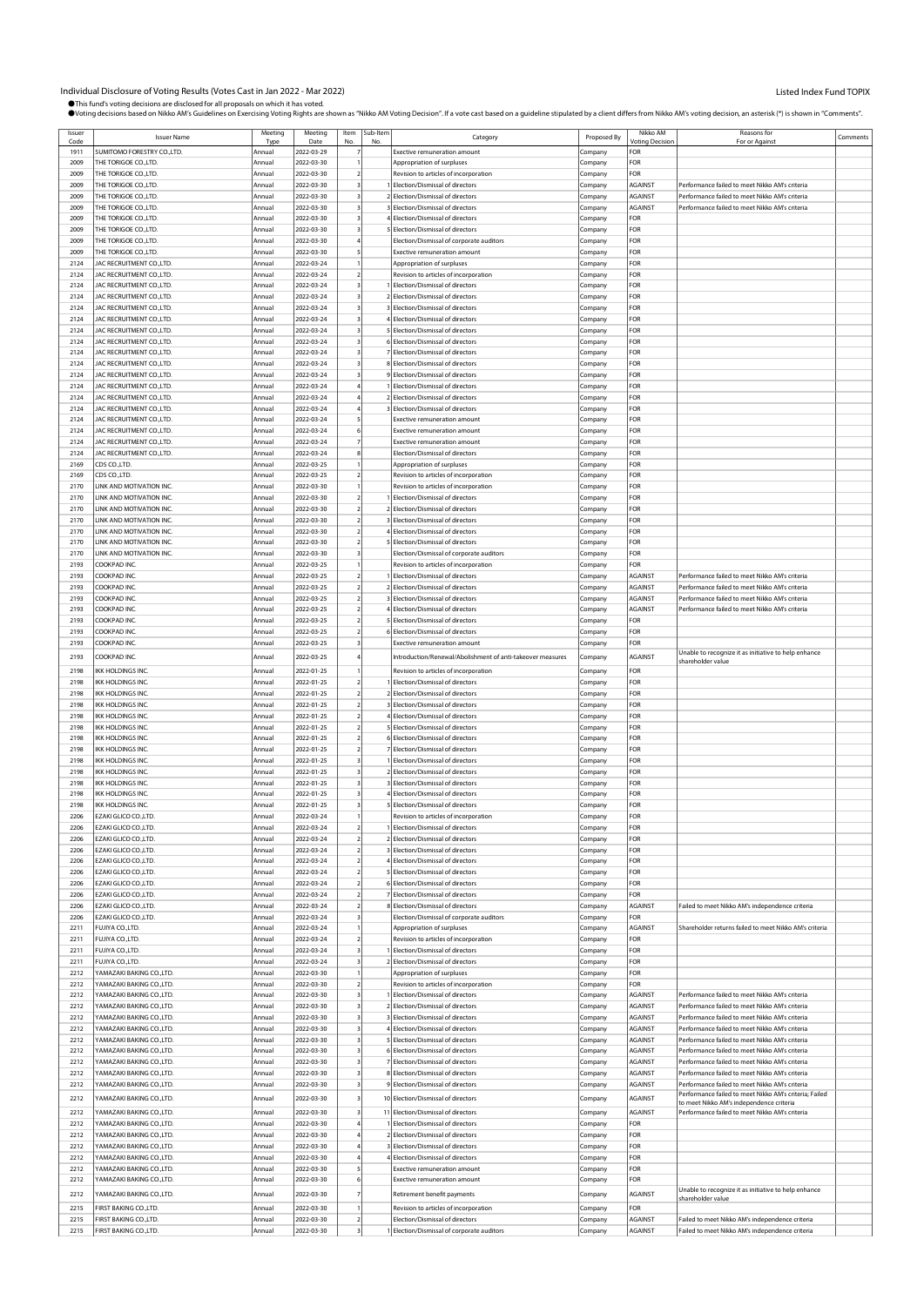| Issuer<br>Code | <b>Issuer Name</b>               | Meetinc<br>Type | Meeting<br>Date          | Item<br>No. | Sub-Item<br>No          | Category                                                                          | Proposed By        | Nikko AM<br><b>/oting Decision</b> | Reasons for<br>For or Against                                                                      | Comments |
|----------------|----------------------------------|-----------------|--------------------------|-------------|-------------------------|-----------------------------------------------------------------------------------|--------------------|------------------------------------|----------------------------------------------------------------------------------------------------|----------|
| 1911           | SUMITOMO FORESTRY CO.,LTD.       | Annual          | 2022-03-29               |             |                         | xective remuneration amount                                                       | Company            | FOR                                |                                                                                                    |          |
| 2009           | THE TORIGOE CO., LTD.            | Annual          | 2022-03-30               |             |                         | Appropriation of surpluses                                                        | Company            | FOR                                |                                                                                                    |          |
| 2009           | THE TORIGOE CO.,LTD.             | Annual          | 2022-03-30               |             |                         | Revision to articles of incorporation                                             | Company            | FOR                                |                                                                                                    |          |
| 2009           | THE TORIGOE CO., LTD.            | Annual          | 2022-03-30               |             |                         | Election/Dismissal of directors                                                   | Company            | <b>AGAINST</b>                     | Performance failed to meet Nikko AM's criteria                                                     |          |
| 2009           | THE TORIGOE CO., LTD.            | Annual          | 2022-03-30               |             |                         | Election/Dismissal of directors                                                   | Company            | <b>AGAINST</b>                     | Performance failed to meet Nikko AM's criteria                                                     |          |
| 2009           | THE TORIGOE CO. LTD.             | Annual          | 2022-03-30               |             | $\overline{\mathbf{3}}$ | <b>Flection/Dismissal of directors</b>                                            | Company            | AGAINST                            | Performance failed to meet Nikko AM's criteria                                                     |          |
| 2009           | THE TORIGOE CO., LTD.            | Annual          | 2022-03-30               |             |                         | <b>Flection/Dismissal of directors</b>                                            | Company            | FOR                                |                                                                                                    |          |
| 2009           | THE TORIGOE CO.,LTD.             | Annual          | 2022-03-30               |             |                         | Flection/Dismissal of directors                                                   | Company            | FOR                                |                                                                                                    |          |
| 2009           | THE TORIGOE CO., LTD.            | Annual          | 2022-03-30               |             |                         | Election/Dismissal of corporate auditors                                          | Company            | FOR                                |                                                                                                    |          |
| 2009           | THE TORIGOE CO., LTD.            | Annual          | 2022-03-30               |             |                         | xective remuneration amount                                                       | Company            | FOR                                |                                                                                                    |          |
| 2124           | JAC RECRUITMENT CO., LTD.        | Annual          | 2022-03-24               |             |                         | Appropriation of surpluses                                                        | Company            | FOR                                |                                                                                                    |          |
| 2124           | JAC RECRUITMENT CO., LTD.        | Annual          | 2022-03-24               |             |                         | Revision to articles of incorporation                                             | Company            | FOR                                |                                                                                                    |          |
| 2124           | AC RECRUITMENT CO., LTD.         | Annual          | 2022-03-24               |             |                         | <b>Election/Dismissal of directors</b>                                            | Company            | FOR                                |                                                                                                    |          |
| 2124           | AC RECRUITMENT CO., LTD.         | Annual          | 2022-03-24               |             |                         | Election/Dismissal of directors                                                   | Company            | FOR                                |                                                                                                    |          |
| 2124           | JAC RECRUITMENT CO.,LTD.         | Annual          | 2022-03-24               |             |                         | Election/Dismissal of directors                                                   | Company            | FOR                                |                                                                                                    |          |
| 2124           | <b>IAC RECRUITMENT CO.J TD.</b>  | Annual          | 2022-03-24               |             |                         | <b>Election/Dismissal of directors</b>                                            | Company            | FOR                                |                                                                                                    |          |
| 2124           | JAC RECRUITMENT CO., LTD.        | Annual          | 2022-03-24               |             |                         | 5 Election/Dismissal of directors                                                 | Company            | FOR                                |                                                                                                    |          |
| 2124           | AC RECRUITMENT CO., LTD.         | Annual          | 2022-03-24               |             |                         | <b>Election/Dismissal of directors</b>                                            | Company            | FOR                                |                                                                                                    |          |
| 2124           | JAC RECRUITMENT CO.,LTD.         | Annual          | 2022-03-24               |             | 7                       | Election/Dismissal of directors                                                   | Company            | FOR                                |                                                                                                    |          |
| 2124           | JAC RECRUITMENT CO.,LTD.         | Annual          | 2022-03-24               |             | $\mathbf{a}$            | Election/Dismissal of directors                                                   | Company            | FOR                                |                                                                                                    |          |
| 2124           | JAC RECRUITMENT CO.,LTD          | Annual          | 2022-03-24               |             | 9                       | Election/Dismissal of directors                                                   | Company            | FOR                                |                                                                                                    |          |
| 2124           | JAC RECRUITMENT CO., LTD.        | Annual          | 2022-03-24               |             |                         | Election/Dismissal of directors                                                   | Company            | FOR                                |                                                                                                    |          |
| 2124           | JAC RECRUITMENT CO., LTD.        | Annual          | 2022-03-24               |             | $\mathcal{P}$           | <b>Election/Dismissal of directors</b>                                            | Company            | FOR                                |                                                                                                    |          |
| 2124           | JAC RECRUITMENT CO., LTD.        | Annual          | 2022-03-24               |             |                         | 3 Election/Dismissal of directors                                                 | Company            | FOR                                |                                                                                                    |          |
| 2124           | JAC RECRUITMENT CO., LTD.        | Annual          | 2022-03-24               |             |                         | xective remuneration amount                                                       | Company            | FOR                                |                                                                                                    |          |
| 2124           | <b>IAC RECRUITMENT CO.JTD.</b>   | Annual          | 2022-03-24               |             |                         | <b>Exective remuneration amount</b>                                               | Company            | FOR                                |                                                                                                    |          |
| 2124           | JAC RECRUITMENT CO., LTD.        | Annual          | 2022-03-24               |             |                         | Exective remuneration amount                                                      | Company            | FOR                                |                                                                                                    |          |
| 2124           | AC RECRUITMENT CO., LTD.         | Annual          | 2022-03-24               |             |                         | Flection/Dismissal of directors                                                   | Company            | FOR                                |                                                                                                    |          |
| 2169           | CDS CO.,LTD.                     | Annual          | 2022-03-25               |             |                         | Appropriation of surpluses                                                        | Company            | FOR                                |                                                                                                    |          |
| 2169           | CDS CO.,LTD.                     | Annual          | 2022-03-25               |             |                         | Revision to articles of incorporation                                             | Company            | FOR                                |                                                                                                    |          |
| 2170           | <b>I INK AND MOTIVATION INC.</b> | Annual          | 2022-03-30               |             |                         | Revision to articles of incorporation                                             |                    | FOR                                |                                                                                                    |          |
| 2170           | LINK AND MOTIVATION INC.         | Annual          | 2022-03-30               |             |                         | 1 Election/Dismissal of directors                                                 | Company            | FOR                                |                                                                                                    |          |
| 2170           | INK AND MOTIVATION INC.          | Annual          | 2022-03-30               |             |                         | <b>Election/Dismissal of directors</b>                                            | Company<br>Company | FOR                                |                                                                                                    |          |
| 2170           | <b>INK AND MOTIVATION INC.</b>   |                 |                          |             |                         |                                                                                   |                    | FOR                                |                                                                                                    |          |
|                | LINK AND MOTIVATION INC.         | Annual          | 2022-03-30               |             |                         | 3 Election/Dismissal of directors                                                 | Company            |                                    |                                                                                                    |          |
| 2170           | <b>INK AND MOTIVATION INC.</b>   | Annual          | 2022-03-30               |             |                         | Election/Dismissal of directors<br>Election/Dismissal of directors                | Company            | FOR<br>FOR                         |                                                                                                    |          |
| 2170<br>2170   | LINK AND MOTIVATION INC.         | Annual          | 2022-03-30<br>2022-03-30 |             | $\mathbf{5}$            |                                                                                   | Company            | FOR                                |                                                                                                    |          |
|                |                                  | Annual          |                          |             |                         | Election/Dismissal of corporate auditors<br>Revision to articles of incorporation | Company            |                                    |                                                                                                    |          |
| 2193           | COOKPAD INC.                     | Annual          | 2022-03-25               |             |                         |                                                                                   | Company            | FOR                                |                                                                                                    |          |
| 2193           | COOKPAD INC                      | Annual          | 2022-03-25               |             |                         | Election/Dismissal of directors                                                   | Company            | <b>AGAINST</b>                     | Performance failed to meet Nikko AM's criteria                                                     |          |
| 2193           | COOKPAD INC.                     | Annual          | 2022-03-25               |             | $\mathcal{P}$           | Election/Dismissal of directors                                                   | Company            | AGAINST                            | Performance failed to meet Nikko AM's criteria                                                     |          |
| 2193           | COOKPAD INC.                     | Annual          | 2022-03-25               |             | $\overline{\mathbf{3}}$ | <b>Election/Dismissal of directors</b>                                            | Company            | <b>AGAINST</b>                     | Performance failed to meet Nikko AM's criteria                                                     |          |
| 2193           | COOKPAD INC.                     | Annual          | 2022-03-25               |             |                         | Election/Dismissal of directors                                                   | Company            | AGAINST                            | Performance failed to meet Nikko AM's criteria                                                     |          |
| 2193           | COOKPAD INC.                     | Annual          | 2022-03-25               |             |                         | <b>Election/Dismissal of directors</b>                                            | Company            | <b>OR</b>                          |                                                                                                    |          |
| 2193           | COOKPAD INC                      | Annual          | 2022-03-25               |             | 6                       | Election/Dismissal of directors                                                   | Company            | FOR                                |                                                                                                    |          |
| 2193           | COOKPAD INC.                     | Annual          | 2022-03-25               |             |                         | xective remuneration amount                                                       | Company            | FOR                                |                                                                                                    |          |
| 2193           | COOKPAD INC.                     | Annual          | 2022-03-25               |             |                         | ntroduction/Renewal/Abolishment of anti-takeover measures                         | Company            | AGAINST                            | Unable to recognize it as initiative to help enhance<br>shareholder value                          |          |
| 2198           | <b>IKK HOLDINGS INC.</b>         | Annual          | 2022-01-25               |             |                         | Revision to articles of incorporation                                             | Company            | FOR                                |                                                                                                    |          |
| 2198           | IKK HOLDINGS INC                 | Annual          | 2022-01-25               |             |                         | Election/Dismissal of directors                                                   | Company            | FOR                                |                                                                                                    |          |
| 2198           | <b>IKK HOLDINGS INC.</b>         | Annual          | 2022-01-25               |             | $\mathcal{D}$           | Election/Dismissal of directors                                                   | Company            | FOR                                |                                                                                                    |          |
| 2198           | IKK HOLDINGS INC.                | Annual          | 2022-01-25               |             |                         | <b>Election/Dismissal of directors</b>                                            | Company            | FOR                                |                                                                                                    |          |
| 2198           | <b>IKK HOLDINGS INC</b>          | Annual          | 2022-01-25               |             |                         | Election/Dismissal of directors                                                   | Company            | FOR                                |                                                                                                    |          |
| 2198           | <b>IKK HOLDINGS INC.</b>         | Annual          | 2022-01-25               |             |                         | lection/Dismissal of directors                                                    | Company            | FOR                                |                                                                                                    |          |
| 2198           | IKK HOLDINGS INC                 | Annual          | 2022-01-25               |             |                         | Election/Dismissal of directors                                                   | Company            | FOR                                |                                                                                                    |          |
| 2198           | <b>IKK HOLDINGS INC</b>          | Annual          | 2022-01-25               |             |                         | Election/Dismissal of directors                                                   | Company            | FOR                                |                                                                                                    |          |
| 2198           | IKK HOLDINGS INC.                | Annual          | 2022-01-25               |             |                         | <b>Election/Dismissal of directors</b>                                            | Company            | FOR                                |                                                                                                    |          |
| 2198           | <b>IKK HOLDINGS INC</b>          | Annual          | 2022-01-25               |             |                         | <b>Election/Dismissal of directors</b>                                            | Company            | FOR                                |                                                                                                    |          |
| 2198           | IKK HOLDINGS INC.                | Annual          | 2022-01-25               |             |                         | lection/Dismissal of directors                                                    | Company            | <b>OR</b>                          |                                                                                                    |          |
| 2198           | IKK HOLDINGS INC                 | Annual          | 2022-01-25               |             |                         | Election/Dismissal of directors                                                   | Company            | FOR                                |                                                                                                    |          |
| 2198           | IKK HOLDINGS INC.                | Annual          | 2022-01-25               |             |                         | 5 Election/Dismissal of directors                                                 |                    | FOR                                |                                                                                                    |          |
| 2206           |                                  |                 |                          |             |                         |                                                                                   | Company            | ٠OR                                |                                                                                                    |          |
|                | EZAKI GLICO CO.,LTD.             | Annual          | 2022-03-24               |             |                         | levision to articles of incorporation                                             | Lompany            |                                    |                                                                                                    |          |
| 2206<br>2206   | EZAKI GLICO CO.,LTD.             | Annual          | 2022-03-24               |             |                         | 1 Election/Dismissal of directors                                                 | Company            | FOR                                |                                                                                                    |          |
|                | EZAKI GLICO CO.,LTD.             | Annual          | 2022-03-24               |             | $\overline{\mathbf{2}}$ | Election/Dismissal of directors                                                   | Company            | FOR                                |                                                                                                    |          |
| 2206           | EZAKI GLICO CO.,LTD.             | Annual          | 2022-03-24               |             |                         | 3 Election/Dismissal of directors                                                 | Company            | FOR                                |                                                                                                    |          |
| 2206           | EZAKI GLICO CO.,LTD.             | Annual          | 2022-03-24               |             |                         | 4 Election/Dismissal of directors                                                 | Company            | FOR                                |                                                                                                    |          |
| 2206           | EZAKI GLICO CO.,LTD.             | Annual          | 2022-03-24               |             | $\mathbf{5}$            | Election/Dismissal of directors                                                   | Company            | FOR                                |                                                                                                    |          |
| 2206           | EZAKI GLICO CO.,LTD.             | Annual          | 2022-03-24               |             |                         | 6 Election/Dismissal of directors                                                 | Company            | FOR                                |                                                                                                    |          |
| 2206           | EZAKI GLICO CO.,LTD.             | Annual          | 2022-03-24               |             |                         | Election/Dismissal of directors                                                   | Company            | FOR                                |                                                                                                    |          |
| 2206           | EZAKI GLICO CO.,LTD.             | Annual          | 2022-03-24               |             |                         | 8 Election/Dismissal of directors                                                 | Company            | AGAINST                            | Failed to meet Nikko AM's independence criteria                                                    |          |
| 2206           | EZAKI GLICO CO.,LTD.             | Annual          | 2022-03-24               |             |                         | Election/Dismissal of corporate auditors                                          | Company            | FOR                                |                                                                                                    |          |
| 2211           | FUJIYA CO.,LTD.                  | Annual          | 2022-03-24               |             |                         | Appropriation of surpluses                                                        | Company            | AGAINST                            | Shareholder returns failed to meet Nikko AM's criteria                                             |          |
| 2211           | FUJIYA CO.,LTD.                  | Annual          | 2022-03-24               |             |                         | Revision to articles of incorporation                                             | Company            | FOR                                |                                                                                                    |          |
| 2211           | FUJIYA CO.,LTD.                  | Annual          | 2022-03-24               |             |                         | Election/Dismissal of directors                                                   | Company            | FOR                                |                                                                                                    |          |
| 2211           | FUJIYA CO.,LTD.                  | Annual          | 2022-03-24               |             |                         | 2 Election/Dismissal of directors                                                 | Company            | FOR                                |                                                                                                    |          |
| 2212           | YAMAZAKI BAKING CO.,LTD.         | Annual          | 2022-03-30               |             |                         | Appropriation of surpluses                                                        | Company            | FOR                                |                                                                                                    |          |
| 2212           | YAMAZAKI BAKING CO.,LTD.         | Annual          | 2022-03-30               |             |                         | Revision to articles of incorporation                                             | Company            | FOR                                |                                                                                                    |          |
| 2212           | YAMAZAKI BAKING CO.,LTD.         | Annual          | 2022-03-30               |             |                         | 1 Election/Dismissal of directors                                                 | Company            | <b>AGAINST</b>                     | Performance failed to meet Nikko AM's criteria                                                     |          |
| 2212           | AMAZAKI BAKING CO.,LTD.          | Annual          | 2022-03-30               |             |                         | Election/Dismissal of directors                                                   | Company            | <b>AGAINST</b>                     | Performance failed to meet Nikko AM's criteria                                                     |          |
| 2212           | YAMAZAKI BAKING CO.,LTD.         | Annual          | 2022-03-30               |             |                         | 3 Election/Dismissal of directors                                                 | Company            | AGAINST                            | Performance failed to meet Nikko AM's criteria                                                     |          |
| 2212           | YAMAZAKI BAKING CO.,LTD.         | Annual          | 2022-03-30               |             |                         | 4 Election/Dismissal of directors                                                 | Company            | <b>AGAINST</b>                     | Performance failed to meet Nikko AM's criteria                                                     |          |
| 2212           | YAMAZAKI BAKING CO.,LTD.         | Annual          | 2022-03-30               |             |                         | 5 Election/Dismissal of directors                                                 | Company            | <b>AGAINST</b>                     | Performance failed to meet Nikko AM's criteria                                                     |          |
| 2212           | YAMAZAKI BAKING CO.,LTD.         | Annual          | 2022-03-30               |             |                         | 6 Election/Dismissal of directors                                                 | Company            | <b>AGAINST</b>                     | Performance failed to meet Nikko AM's criteria                                                     |          |
| 2212           | AMAZAKI BAKING CO.,LTD.          | Annual          | 2022-03-30               |             |                         | Election/Dismissal of directors                                                   | Company            | <b>GAINST</b>                      | Performance failed to meet Nikko AM's criteria                                                     |          |
| 2212           | YAMAZAKI BAKING CO.,LTD.         | Annual          | 2022-03-30               |             |                         | 8 Election/Dismissal of directors                                                 | Company            | AGAINST                            | Performance failed to meet Nikko AM's criteria                                                     |          |
| 2212           | YAMAZAKI BAKING CO.,LTD.         | Annual          | 2022-03-30               |             |                         | 9 Election/Dismissal of directors                                                 | Company            | AGAINST                            | Performance failed to meet Nikko AM's criteria                                                     |          |
| 2212           | YAMAZAKI BAKING CO.,LTD.         | Annual          | 2022-03-30               |             |                         | 10 Election/Dismissal of directors                                                | Company            | AGAINST                            | Performance failed to meet Nikko AM's criteria; Failed<br>to meet Nikko AM's independence criteria |          |
| 2212           | AMAZAKI BAKING CO.,LTD.          | Annual          | 2022-03-30               |             |                         | 11 Election/Dismissal of directors                                                | Company            | AGAINST                            | Performance failed to meet Nikko AM's criteria                                                     |          |
| 2212           | YAMAZAKI BAKING CO.,LTD.         | Annual          | 2022-03-30               |             |                         | Election/Dismissal of directors                                                   | Company            | FOR                                |                                                                                                    |          |
| 2212           | YAMAZAKI BAKING CO.,LTD.         | Annual          | 2022-03-30               |             |                         | 2 Election/Dismissal of directors                                                 | Company            | FOR                                |                                                                                                    |          |
| 2212           | AMAZAKI BAKING CO.,LTD.          | Annual          | 2022-03-30               |             | $\mathbf{3}$            | Election/Dismissal of directors                                                   | Company            | FOR                                |                                                                                                    |          |
| 2212           | AMAZAKI BAKING CO.,LTD.          | Annual          | 2022-03-30               |             |                         | 4 Election/Dismissal of directors                                                 | Company            | FOR                                |                                                                                                    |          |
| 2212           | YAMAZAKI BAKING CO.,LTD.         | Annual          | 2022-03-30               |             |                         | xective remuneration amount                                                       | Company            | FOR                                |                                                                                                    |          |
| 2212           | YAMAZAKI BAKING CO.,LTD.         | Annual          | 2022-03-30               |             |                         | <b>Exective remuneration amount</b>                                               | Company            | FOR                                |                                                                                                    |          |
|                |                                  |                 |                          |             |                         |                                                                                   |                    |                                    | Jnable to recognize it as initiative to help enhance                                               |          |
| 2212           | YAMAZAKI BAKING CO.,LTD.         | Annual          | 2022-03-30               |             |                         | Retirement benefit payments                                                       | Company            | AGAINST                            | shareholder value                                                                                  |          |
| 2215           | FIRST BAKING CO.,LTD.            | Annual          | 2022-03-30               |             |                         | Revision to articles of incorporation                                             | Company            | FOR                                |                                                                                                    |          |
| 2215           | FIRST BAKING CO., LTD.           | Annual          | 2022-03-30               |             |                         | Election/Dismissal of directors                                                   | Company            | <b>AGAINST</b>                     | Failed to meet Nikko AM's independence criteria                                                    |          |
| 2215           | FIRST BAKING CO., LTD.           | Annual          | 2022-03-30               |             |                         | Election/Dismissal of corporate auditors                                          | Company            | AGAINST                            | Failed to meet Nikko AM's independence criteria                                                    |          |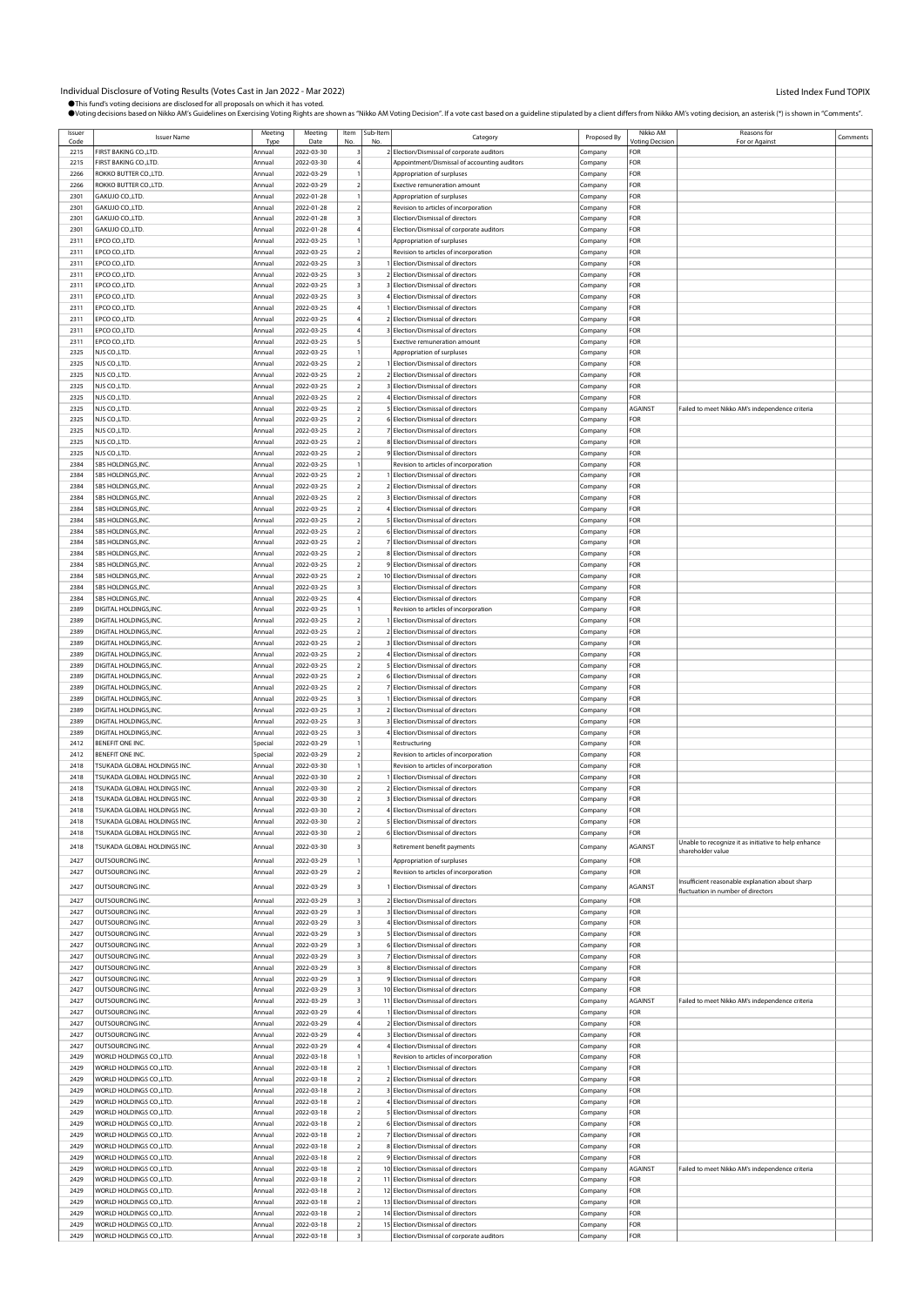| Issuer<br>Code | <b>Issuer Name</b>                  | Meeting<br>Type | Meeting<br>Date | Item | Sub-Item<br>No | Category                                     | Proposed By | Nikko AM<br><b>Voting Decision</b> | Reasons for<br>For or Against                        | Comment: |
|----------------|-------------------------------------|-----------------|-----------------|------|----------------|----------------------------------------------|-------------|------------------------------------|------------------------------------------------------|----------|
| 2215           | <b>IRST BAKING CO.,LTD.</b>         | Annual          | 2022-03-30      |      |                | 2 Election/Dismissal of corporate auditors   | Company     | FOR                                |                                                      |          |
| 2215           | <b>IRST BAKING CO.,LTD.</b>         | Annual          | 2022-03-30      |      |                | Appointment/Dismissal of accounting auditors | Company     | <b>OR</b>                          |                                                      |          |
|                |                                     |                 |                 |      |                |                                              |             |                                    |                                                      |          |
| 2266           | ROKKO BUTTER CO.,LTD.               | Annual          | 2022-03-29      |      |                | Appropriation of surpluses                   | Company     | FOR                                |                                                      |          |
| 2266           | ROKKO BUTTER CO.,LTD.               | Annual          | 2022-03-29      |      |                | xective remuneration amount                  | Company     | FOR                                |                                                      |          |
| 2301           | GAKUJO CO.,LTD.                     | Annual          | 2022-01-28      |      |                | Appropriation of surpluses                   | Company     | FOR                                |                                                      |          |
| 2301           | GAKUJO CO.,LTD.                     | Annual          | 2022-01-28      |      |                | Revision to articles of incorporation        | Company     | FOR                                |                                                      |          |
| 2301           | GAKUJO CO.,LTD.                     | Annual          | 2022-01-28      |      |                | lection/Dismissal of directors               | Company     | ЮR                                 |                                                      |          |
| 2301           | GAKUJO CO.,LTD.                     | Annual          | 2022-01-28      |      |                | Election/Dismissal of corporate auditors     | Company     | FOR                                |                                                      |          |
| 2311           | EPCO CO.,LTD.                       | Annual          | 2022-03-25      |      |                | Appropriation of surpluses                   | Company     | FOR                                |                                                      |          |
| 2311           | EPCO CO.,LTD.                       | Annual          | 2022-03-25      |      |                | Revision to articles of incorporation        | Company     | FOR                                |                                                      |          |
| 2311           | EPCO CO.,LTD.                       | Annual          | 2022-03-25      |      |                | 1 Election/Dismissal of directors            | Company     | FOR                                |                                                      |          |
|                |                                     |                 |                 |      |                |                                              |             |                                    |                                                      |          |
| 2311           | EPCO CO.,LTD.                       | Annual          | 2022-03-25      |      |                | Election/Dismissal of directors              | Company     | FOR                                |                                                      |          |
| 2311           | EPCO CO.,LTD.                       | Annual          | 2022-03-25      |      |                | 3 Election/Dismissal of directors            | Company     | FOR                                |                                                      |          |
| 2311           | EPCO CO.,LTD.                       | Annual          | 2022-03-25      |      |                | 4 Election/Dismissal of directors            | Company     | FOR                                |                                                      |          |
| 2311           | EPCO CO.,LTD.                       | Annual          | 2022-03-25      |      |                | <b>Flection/Dismissal of directors</b>       | Company     | FOR                                |                                                      |          |
| 2311           | EPCO CO.,LTD.                       | Annual          | 2022-03-25      |      |                | 2 Election/Dismissal of directors            | Company     | FOR                                |                                                      |          |
| 2311           | EPCO CO.,LTD.                       | Annual          | 2022-03-25      |      |                | Election/Dismissal of directors              | Company     | FOR                                |                                                      |          |
| 2311           | EPCO CO.,LTD.                       | Annual          | 2022-03-25      |      |                | <b>Exective remuneration amount</b>          | Company     | FOR                                |                                                      |          |
| 2325           | NJS CO.,LTD.                        | Annual          | 2022-03-25      |      |                | ppropriation of surpluses                    |             | FOR                                |                                                      |          |
|                |                                     |                 |                 |      |                |                                              | Company     | FOR                                |                                                      |          |
| 2325           | NJS CO.,LTD.                        | Annual          | 2022-03-25      |      |                | Election/Dismissal of directors              | Company     |                                    |                                                      |          |
| 2325           | NJS CO., LTD.                       | Annual          | 2022-03-25      |      |                | 2 Election/Dismissal of directors            | Company     | FOR                                |                                                      |          |
| 2325           | NJS CO.,LTD.                        | Annual          | 2022-03-25      |      |                | Election/Dismissal of directors              | Company     | FOR                                |                                                      |          |
| 2325           | NJS CO.,LTD.                        | Annual          | 2022-03-25      |      |                | 4 Election/Dismissal of directors            | Company     | FOR                                |                                                      |          |
| 2325           | NJS CO.,LTD.                        | Annual          | 2022-03-25      |      |                | Election/Dismissal of directors              | Company     | Against                            | ailed to meet Nikko AM's independence criteria       |          |
| 2325           | NJS CO.,LTD.                        | Annual          | 2022-03-25      |      |                | 6 Election/Dismissal of directors            | Company     | FOR                                |                                                      |          |
| 2325           | NJS CO., LTD.                       | Annual          | 2022-03-25      |      |                | 7 Election/Dismissal of directors            | Company     | FOR                                |                                                      |          |
|                | NJS CO.,LTD.                        |                 |                 |      |                |                                              |             |                                    |                                                      |          |
| 2325           |                                     | Annual          | 2022-03-25      |      | 8              | Election/Dismissal of directors              | Company     | ЮR                                 |                                                      |          |
| 2325           | NJS CO.,LTD.                        | Annual          | 2022-03-25      |      |                | 9 Election/Dismissal of directors            | Company     | FOR                                |                                                      |          |
| 2384           | SBS HOLDINGS, INC.                  | Annual          | 2022-03-25      |      |                | Revision to articles of incorporation        | Company     | FOR                                |                                                      |          |
| 2384           | SBS HOLDINGS, INC.                  | Annual          | 2022-03-25      |      |                | Election/Dismissal of directors              | Company     | FOR                                |                                                      |          |
| 2384           | <b>SBS HOLDINGS, INC.</b>           | Annual          | 2022-03-25      |      |                | 2 Election/Dismissal of directors            | Company     | FOR                                |                                                      |          |
| 2384           | SBS HOLDINGS, INC.                  | Annual          | 2022-03-25      |      |                | Election/Dismissal of directors              | Company     | OR:                                |                                                      |          |
| 2384           | SBS HOLDINGS, INC.                  | Annual          | 2022-03-25      |      |                | 4 Election/Dismissal of directors            | Company     | FOR                                |                                                      |          |
| 2384           | SBS HOLDINGS, INC.                  | Annual          | 2022-03-25      |      |                | Election/Dismissal of directors              |             | FOR                                |                                                      |          |
|                |                                     |                 |                 |      |                |                                              | Company     |                                    |                                                      |          |
| 2384           | SBS HOLDINGS, INC.                  | Annual          | 2022-03-25      |      |                | 6 Election/Dismissal of directors            | Company     | FOR                                |                                                      |          |
| 2384           | SBS HOLDINGS, INC.                  | Annual          | 2022-03-25      |      |                | 7 Election/Dismissal of directors            | Company     | FOR                                |                                                      |          |
| 2384           | SBS HOLDINGS, INC.                  | Annual          | 2022-03-25      |      |                | Election/Dismissal of directors              | Company     | OR:                                |                                                      |          |
| 2384           | SBS HOLDINGS, INC.                  | Annual          | 2022-03-25      |      |                | 9 Election/Dismissal of directors            | Company     | FOR                                |                                                      |          |
| 2384           | SBS HOLDINGS, INC.                  | Annual          | 2022-03-25      |      |                | 10 Election/Dismissal of directors           | Company     | FOR                                |                                                      |          |
| 2384           | SBS HOLDINGS, INC.                  | Annual          | 2022-03-25      |      |                | Election/Dismissal of directors              | Company     | FOR                                |                                                      |          |
| 2384           | <b>SBS HOLDINGS, INC.</b>           | Annual          | 2022-03-25      |      |                | Election/Dismissal of directors              | Company     | FOR                                |                                                      |          |
| 2389           | DIGITAL HOLDINGS, INC.              | Annual          | 2022-03-25      |      |                | Revision to articles of incorporation        | Company     | <b>OR</b>                          |                                                      |          |
|                |                                     |                 |                 |      |                |                                              |             |                                    |                                                      |          |
| 2389           | DIGITAL HOLDINGS, INC.              | Annual          | 2022-03-25      |      |                | 1 Election/Dismissal of directors            | Company     | FOR                                |                                                      |          |
| 2389           | DIGITAL HOLDINGS, INC.              | Annual          | 2022-03-25      |      |                | 2 Election/Dismissal of directors            | Company     | FOR                                |                                                      |          |
| 2389           | DIGITAL HOLDINGS, INC.              | Annual          | 2022-03-25      |      |                | 3 Election/Dismissal of directors            | Company     | FOR                                |                                                      |          |
| 2389           | DIGITAL HOLDINGS, INC.              | Annual          | 2022-03-25      |      |                | 4 Election/Dismissal of directors            | Company     | FOR                                |                                                      |          |
| 2389           | DIGITAL HOLDINGS, INC.              | Annual          | 2022-03-25      |      |                | 5 Election/Dismissal of directors            | Company     | <b>OR</b>                          |                                                      |          |
| 2389           | DIGITAL HOLDINGS, INC.              | Annual          | 2022-03-25      |      |                | 6 Election/Dismissal of directors            | Company     | FOR                                |                                                      |          |
| 2389           | DIGITAL HOLDINGS, INC.              | Annual          | 2022-03-25      |      |                | 7 Election/Dismissal of directors            | Company     | FOR                                |                                                      |          |
|                |                                     |                 |                 |      |                |                                              |             | OR-                                |                                                      |          |
| 2389           | DIGITAL HOLDINGS, INC.              | Annual          | 2022-03-25      |      |                | Election/Dismissal of directors              | Company     |                                    |                                                      |          |
| 2389           | DIGITAL HOLDINGS, INC.              | Annual          | 2022-03-25      |      |                | 2 Election/Dismissal of directors            | Company     | FOR                                |                                                      |          |
| 2389           | DIGITAL HOLDINGS, INC.              | Annual          | 2022-03-25      |      |                | 3 Election/Dismissal of directors            | Company     | <b>OR</b>                          |                                                      |          |
| 2389           | DIGITAL HOLDINGS, INC.              | Annual          | 2022-03-25      |      |                | 4 Election/Dismissal of directors            | Company     | FOR                                |                                                      |          |
| 2412           | BENEFIT ONE INC.                    | Special         | 2022-03-29      |      |                | Restructuring                                | Company     | FOR                                |                                                      |          |
| 2412           | <b>BENFFIT ONF INC.</b>             | Special         | 2022-03-29      |      |                | Revision to articles of incorporation        | Company     | FOR                                |                                                      |          |
| 2418           | TSUKADA GLOBAL HOLDINGS INC.        | Annual          | 2022-03-30      |      |                | Revision to articles of incorporation        | Company     | FOR                                |                                                      |          |
| 2418           | <b>TSUKADA GLOBAL HOLDINGS INC.</b> | Annual          | 2022-03-30      |      |                | Election/Dismissal of directors              | Company     | <b>OR</b>                          |                                                      |          |
|                | TSUKADA GLOBAL HOLDINGS INC         |                 | 2022-03-30      |      |                | 2 Election/Dismissal of directors            |             | FOR                                |                                                      |          |
| 2418           |                                     | Annual          |                 |      |                |                                              | Company     |                                    |                                                      |          |
| 2418           | TSUKADA GLOBAL HOLDINGS INC.        | Annual          | 2022-03-30      |      |                | 3 Election/Dismissal of directors            | Company     | FOR                                |                                                      |          |
| 2418           | TSUKADA GLOBAL HOLDINGS INC.        | Annual          | 2022-03-30      |      |                | 4 Election/Dismissal of directors            | Company     | OR-                                |                                                      |          |
| 2418           | <b>FSUKADA GLOBAL HOLDINGS INC.</b> | Annual          | 2022-03-30      |      |                | 5 Election/Dismissal of directors            | Company     | FOR                                |                                                      |          |
| 2418           | TSUKADA GLOBAL HOLDINGS INC.        | Annual          | 2022-03-30      |      |                | 6 Election/Dismissal of directors            | Company     | FOR                                |                                                      |          |
| 2418           | TSUKADA GLOBAL HOLDINGS INC.        | Annual          | 2022-03-30      |      |                | Retirement benefit payments                  | Company     | <b>AGAINST</b>                     | Unable to recognize it as initiative to help enhance |          |
|                |                                     |                 |                 |      |                |                                              |             |                                    | shareholder value                                    |          |
| 2427           | OUTSOURCING INC.                    | Annual          | 2022-03-29      |      |                | Appropriation of surpluses                   | Company     | FOR                                |                                                      |          |
| 2427           | OUTSOURCING INC.                    | Annual          | 2022-03-29      |      |                | Revision to articles of incorporation        | Company     | FOR                                |                                                      |          |
| 2427           | OUTSOURCING INC.                    | Annual          | 2022-03-29      |      |                | 1 Election/Dismissal of directors            | Company     | AGAINST                            | Insufficient reasonable explanation about sharp      |          |
|                |                                     |                 |                 |      |                |                                              |             |                                    | fluctuation in number of directors                   |          |
| 2427           | OUTSOURCING INC.                    | Annual          | 2022-03-29      |      |                | 2 Election/Dismissal of directors            | Company     | FOR                                |                                                      |          |
| 2427           | OUTSOURCING INC.                    | Annual          | 2022-03-29      |      |                | 3 Election/Dismissal of directors            | Company     | FOR                                |                                                      |          |
| 2427           | OUTSOURCING INC.                    | Annual          | 2022-03-29      |      |                | 4 Election/Dismissal of directors            | Company     | FOR                                |                                                      |          |
| 2427           | OUTSOURCING INC.                    | Annual          | 2022-03-29      |      |                | 5 Election/Dismissal of directors            | Company     | FOR                                |                                                      |          |
| 2427           | OUTSOURCING INC.                    | Annual          | 2022-03-29      |      |                | 6 Election/Dismissal of directors            | Company     | FOR                                |                                                      |          |
| 2427           | OUTSOURCING INC.                    | Annual          | 2022-03-29      |      |                | 7 Election/Dismissal of directors            | Company     | FOR                                |                                                      |          |
| 2427           | OUTSOURCING INC.                    | Annual          | 2022-03-29      |      |                | 8 Election/Dismissal of directors            | Company     | FOR                                |                                                      |          |
|                |                                     |                 |                 |      |                |                                              |             |                                    |                                                      |          |
| 2427           | OUTSOURCING INC.                    | Annual          | 2022-03-29      |      |                | 9 Election/Dismissal of directors            | Company     | FOR                                |                                                      |          |
| 2427           | OUTSOURCING INC.                    | Annual          | 2022-03-29      |      |                | 10 Election/Dismissal of directors           | Company     | FOR                                |                                                      |          |
| 2427           | OUTSOURCING INC.                    | Annual          | 2022-03-29      |      |                | 11 Election/Dismissal of directors           | Company     | <b>AGAINST</b>                     | Failed to meet Nikko AM's independence criteria      |          |
| 2427           | OUTSOURCING INC.                    | Annual          | 2022-03-29      |      |                | 1 Election/Dismissal of directors            | Company     | FOR                                |                                                      |          |
| 2427           | OUTSOURCING INC.                    | Annual          | 2022-03-29      |      |                | 2 Election/Dismissal of directors            | Company     | FOR                                |                                                      |          |
| 2427           | OUTSOURCING INC.                    | Annual          | 2022-03-29      |      |                | 3 Election/Dismissal of directors            | Company     | FOR                                |                                                      |          |
| 2427           | OUTSOURCING INC.                    | Annual          | 2022-03-29      |      |                | 4 Election/Dismissal of directors            | Company     | FOR                                |                                                      |          |
| 2429           | WORLD HOLDINGS CO.,LTD.             | Annual          | 2022-03-18      |      |                |                                              |             | FOR                                |                                                      |          |
|                |                                     |                 |                 |      |                | Revision to articles of incorporation        | Company     |                                    |                                                      |          |
| 2429           | WORLD HOLDINGS CO., LTD.            | Annual          | 2022-03-18      |      |                | 1 Election/Dismissal of directors            | Company     | FOR                                |                                                      |          |
| 2429           | WORLD HOLDINGS CO.,LTD.             | Annual          | 2022-03-18      |      |                | 2 Election/Dismissal of directors            | Company     | FOR                                |                                                      |          |
| 2429           | WORLD HOLDINGS CO., LTD.            | Annual          | 2022-03-18      |      |                | 3 Election/Dismissal of directors            | Company     | FOR                                |                                                      |          |
| 2429           | WORLD HOLDINGS CO.,LTD.             | Annual          | 2022-03-18      |      |                | 4 Election/Dismissal of directors            | Company     | FOR                                |                                                      |          |
| 2429           | WORLD HOLDINGS CO., LTD.            | Annual          | 2022-03-18      |      |                | 5 Election/Dismissal of directors            | Company     | OR-                                |                                                      |          |
| 2429           | WORLD HOLDINGS CO., LTD.            | Annual          | 2022-03-18      |      |                | 6 Election/Dismissal of directors            | Company     | FOR                                |                                                      |          |
| 2429           | WORLD HOLDINGS CO.,LTD.             | Annual          | 2022-03-18      |      |                | 7 Election/Dismissal of directors            | Company     | FOR                                |                                                      |          |
|                |                                     |                 |                 |      |                |                                              |             |                                    |                                                      |          |
| 2429           | WORLD HOLDINGS CO., LTD.            | Annual          | 2022-03-18      |      |                | 8 Election/Dismissal of directors            | Company     | FOR                                |                                                      |          |
| 2429           | WORLD HOLDINGS CO.,LTD.             | Annual          | 2022-03-18      |      |                | 9 Election/Dismissal of directors            | Company     | FOR                                |                                                      |          |
| 2429           | WORLD HOLDINGS CO., LTD.            | Annual          | 2022-03-18      |      |                | 10 Election/Dismissal of directors           | Company     | AGAINST                            | Failed to meet Nikko AM's independence criteria      |          |
| 2429           | WORLD HOLDINGS CO., LTD.            | Annual          | 2022-03-18      |      |                | 11 Election/Dismissal of directors           | Company     | FOR                                |                                                      |          |
| 2429           | WORLD HOLDINGS CO.,LTD.             | Annual          | 2022-03-18      |      |                | 12 Election/Dismissal of directors           | Company     | FOR                                |                                                      |          |
| 2429           | WORLD HOLDINGS CO.,LTD.             | Annual          | 2022-03-18      |      |                | 13 Election/Dismissal of directors           | Company     | FOR                                |                                                      |          |
| 2429           | WORLD HOLDINGS CO.,LTD.             | Annual          | 2022-03-18      |      |                | 14 Election/Dismissal of directors           | Company     | FOR                                |                                                      |          |
| 2429           | WORLD HOLDINGS CO., LTD.            | Annual          | 2022-03-18      |      |                | 15 Election/Dismissal of directors           | Company     | FOR                                |                                                      |          |
| 2429           | WORLD HOLDINGS CO., LTD.            | Annual          | 2022-03-18      |      |                | Election/Dismissal of corporate auditors     | Company     | FOR                                |                                                      |          |
|                |                                     |                 |                 |      |                |                                              |             |                                    |                                                      |          |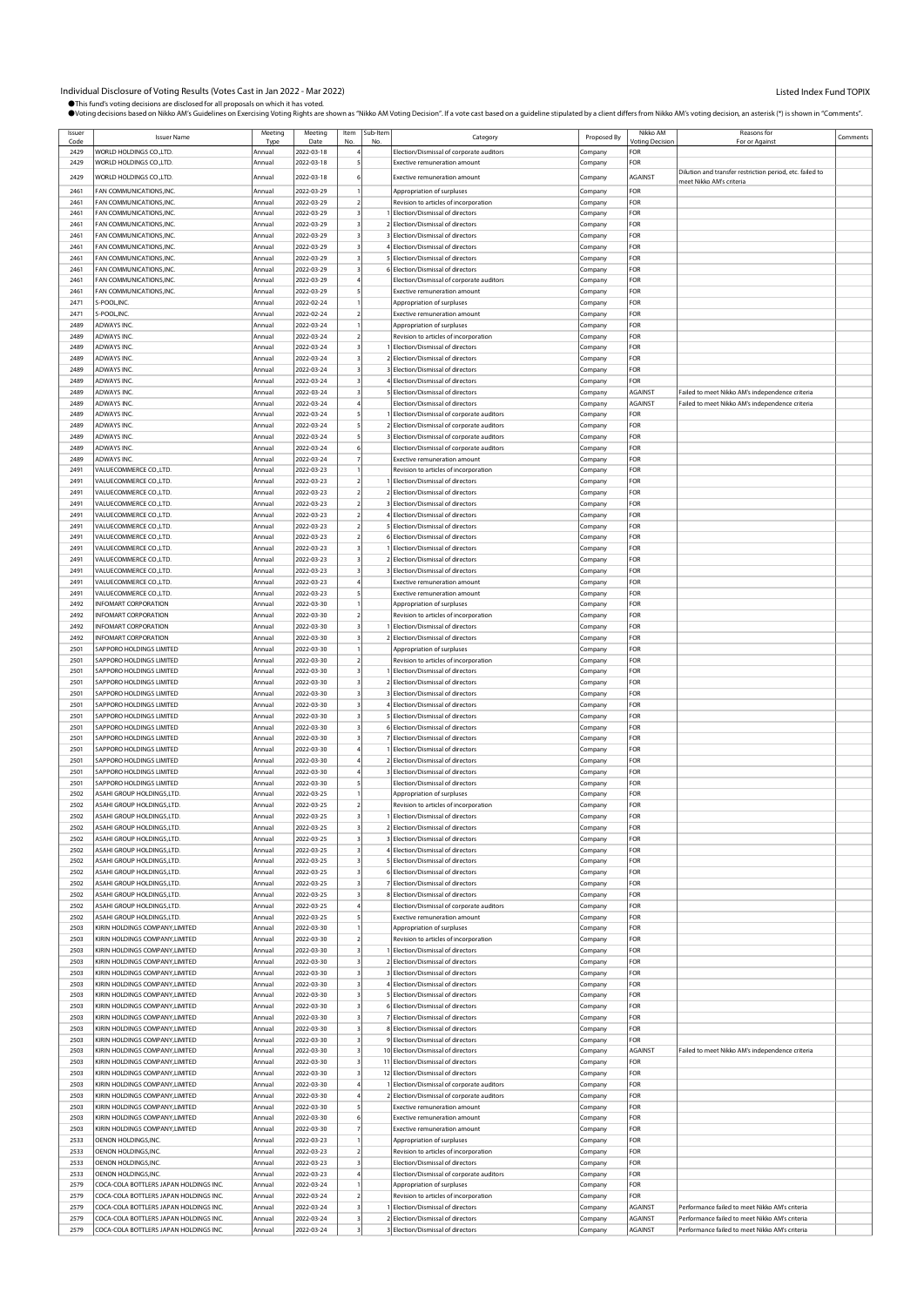| Issuer<br>Code | <b>Issuer Name</b>                                                 | Meeting<br>Type  | Meeting<br>Date          | Item<br>No. | Sub-Item<br>No | Category                                                                      | Proposed By        | Nikko AM<br><b>Voting Decision</b> | Reasons for<br>For or Against                            | Comments |
|----------------|--------------------------------------------------------------------|------------------|--------------------------|-------------|----------------|-------------------------------------------------------------------------------|--------------------|------------------------------------|----------------------------------------------------------|----------|
| 2429           | WORLD HOLDINGS CO.,LTD.                                            | Annual           | 2022-03-18               |             |                | Election/Dismissal of corporate auditors                                      | Company            | FOR                                |                                                          |          |
| 2429           | WORLD HOLDINGS CO., LTD.                                           | Annual           | 2022-03-18               |             |                | <b>Exective remuneration amount</b>                                           | Company            | FOR                                |                                                          |          |
| 2429           | WORLD HOLDINGS CO., LTD.                                           | Annual           | 2022-03-18               |             |                | <b>Exective remuneration amount</b>                                           | Company            | <b>AGAINST</b>                     | Dilution and transfer restriction period, etc. failed to |          |
| 2461           | FAN COMMUNICATIONS, INC                                            | Annual           | 2022-03-29               |             |                | Appropriation of surpluses                                                    | Company            | FOR                                | meet Nikko AM's criteria                                 |          |
| 2461           | FAN COMMUNICATIONS INC.                                            | Annual           | 2022-03-29               |             |                | Revision to articles of incorporation                                         | Company            | FOR                                |                                                          |          |
| 2461           | FAN COMMUNICATIONS, INC.                                           | Annual           | 2022-03-29               |             |                | I Election/Dismissal of directors                                             | Company            | FOR                                |                                                          |          |
| 2461           | - AN COMMUNICATIONS, INC.                                          | Annual           | 2022-03-29               |             |                | Election/Dismissal of directors                                               | Company            | FOR                                |                                                          |          |
| 2461           | FAN COMMUNICATIONS, INC.                                           | Annual           | 2022-03-29               |             |                | Election/Dismissal of directors                                               | Company            | FOR                                |                                                          |          |
| 2461           | FAN COMMUNICATIONS, INC.                                           | Annual           | 2022-03-29               |             |                | 4 Election/Dismissal of directors                                             | Company            | FOR                                |                                                          |          |
| 2461           | FAN COMMUNICATIONS.INC                                             | Annual           | 2022-03-29               |             |                | Election/Dismissal of directors                                               | Company            | FOR                                |                                                          |          |
| 2461           | <b>FAN COMMUNICATIONS.INC</b>                                      | Annual           | 2022-03-29               |             |                | 6 Election/Dismissal of directors                                             | Company            | FOR                                |                                                          |          |
| 2461           | AN COMMUNICATIONS, INC.                                            | Annual           | 2022-03-29               |             |                | lection/Dismissal of corporate auditors                                       | Company            | FOR                                |                                                          |          |
| 2461           | FAN COMMUNICATIONS, INC.                                           | Annual           | 2022-03-29               |             |                | Exective remuneration amount                                                  | Company            | FOR                                |                                                          |          |
| 2471           | S-POOL, INC.                                                       | Annual           | 2022-02-24               |             |                | Appropriation of surpluses                                                    | Company            | FOR                                |                                                          |          |
| 2471           | -POOL, INC.                                                        | Annual           | 2022-02-24               |             |                | <b>Exective remuneration amount</b>                                           | Company            | FOR                                |                                                          |          |
| 2489           | ADWAYS INC.                                                        | Annual           | 2022-03-24               |             |                | Appropriation of surpluses                                                    | Company            | FOR                                |                                                          |          |
| 2489           | ADWAYS INC.                                                        | Annual           | 2022-03-24               |             |                | Revision to articles of incorporation                                         | Company            | FOR                                |                                                          |          |
| 2489           | ADWAYS INC.                                                        | Annual           | 2022-03-24               |             |                | Election/Dismissal of directors                                               | Company            | FOR                                |                                                          |          |
| 2489           | ADWAYS INC.                                                        | Annual           | 2022-03-24               |             |                | 2 Election/Dismissal of directors                                             | Company            | FOR                                |                                                          |          |
| 2489           | ADWAYS INC.                                                        | Annual           | 2022-03-24               |             |                | Election/Dismissal of directors                                               | Company            | FOR                                |                                                          |          |
| 2489           | ADWAYS INC.                                                        | Annual           | 2022-03-24               |             |                | 4 Election/Dismissal of directors                                             | Company            | FOR                                |                                                          |          |
| 2489           | ADWAYS INC.                                                        | Annual           | 2022-03-24               |             |                | Election/Dismissal of directors                                               | Company            | <b>AGAINST</b>                     | Failed to meet Nikko AM's independence criteria          |          |
| 2489<br>2489   | ADWAYS INC.<br>ADWAYS INC.                                         | Annual<br>Annual | 2022-03-24<br>2022-03-24 |             |                | Election/Dismissal of directors<br>1 Election/Dismissal of corporate auditors | Company            | AGAINST<br>FOR                     | Failed to meet Nikko AM's independence criteria          |          |
| 2489           | ADWAYS INC.                                                        | Annual           | 2022-03-24               |             |                | Election/Dismissal of corporate auditors                                      | Company<br>Company | FOR                                |                                                          |          |
| 2489           | ADWAYS INC.                                                        | Annual           | 2022-03-24               |             |                | 3 Election/Dismissal of corporate auditors                                    | Company            | FOR                                |                                                          |          |
| 2489           | ADWAYS INC.                                                        | Annual           | 2022-03-24               |             |                | lection/Dismissal of corporate auditors                                       | Company            | FOR                                |                                                          |          |
| 2489           | ADWAYS INC.                                                        | Annual           | 2022-03-24               |             |                | Exective remuneration amount                                                  | Company            | FOR                                |                                                          |          |
| 2491           | VALUECOMMERCE CO.,LTD.                                             | Annual           | 2022-03-23               |             |                | Revision to articles of incorporation                                         | Company            | FOR                                |                                                          |          |
| 2491           | VALUECOMMERCE CO.,LTD.                                             | Annual           | 2022-03-23               |             |                | <b>Flection/Dismissal of directors</b>                                        | Company            | FOR                                |                                                          |          |
| 2491           | VALUECOMMERCE CO.,LTD                                              | Annual           | 2022-03-23               |             |                | 2 Election/Dismissal of directors                                             | Company            | FOR                                |                                                          |          |
| 2491           | VALUECOMMERCE CO.,LTD.                                             | Annual           | 2022-03-23               |             |                | Election/Dismissal of directors                                               | Company            | FOR                                |                                                          |          |
| 2491           | VALUECOMMERCE CO.,LTD.                                             | Annual           | 2022-03-23               |             |                | Election/Dismissal of directors                                               | Company            | FOR                                |                                                          |          |
| 2491           | VALUECOMMERCE CO., LTD.                                            | Annual           | 2022-03-23               |             |                | 5 Election/Dismissal of directors                                             | Company            | FOR                                |                                                          |          |
| 2491           | VALUECOMMERCE CO.,LTD.                                             | Annual           | 2022-03-23               |             |                | <b>Flection/Dismissal of directors</b>                                        | Company            | FOR                                |                                                          |          |
| 2491           | VALUECOMMERCE CO., LTD.                                            | Annual           | 2022-03-23               |             |                | 1 Election/Dismissal of directors                                             | Company            | FOR                                |                                                          |          |
| 2491           | VALUECOMMERCE CO.,LTD.                                             | Annual           | 2022-03-23               |             |                | Election/Dismissal of directors                                               | Company            | FOR                                |                                                          |          |
| 2491           | VALUECOMMERCE CO.,LTD.                                             | Annual           | 2022-03-23               |             |                | 3 Election/Dismissal of directors                                             | Company            | FOR                                |                                                          |          |
| 2491           | VALUECOMMERCE CO., LTD.                                            | Annual           | 2022-03-23               |             |                | xective remuneration amount                                                   | Company            | FOR                                |                                                          |          |
| 2491           | VALUECOMMERCE CO., LTD.                                            | Annual           | 2022-03-23               |             |                | <b>Exective remuneration amount</b>                                           | Company            | FOR                                |                                                          |          |
| 2492           | <b>INFOMART CORPORATION</b>                                        | Annual           | 2022-03-30               |             |                | Appropriation of surpluses                                                    | Company            | FOR                                |                                                          |          |
| 2492           | <b>INFOMART CORPORATION</b>                                        | Annual           | 2022-03-30               |             |                | Revision to articles of incorporation                                         | Company            | ЮR                                 |                                                          |          |
| 2492<br>2492   | <b>INFOMART CORPORATION</b><br><b>INFOMART CORPORATION</b>         | Annual           | 2022-03-30<br>2022-03-30 |             |                | Election/Dismissal of directors                                               | Company            | FOR<br>FOR                         |                                                          |          |
| 2501           | <b>SAPPORO HOLDINGS LIMITED</b>                                    | Annual<br>Annual | 2022-03-30               |             |                | 2 Election/Dismissal of directors<br>Appropriation of surpluses               | Company            | FOR                                |                                                          |          |
| 2501           | SAPPORO HOLDINGS LIMITED                                           | Annual           | 2022-03-30               |             |                | Revision to articles of incorporation                                         | Company<br>Company | FOR                                |                                                          |          |
| 2501           | <b>SAPPORO HOLDINGS LIMITED</b>                                    | Annual           | 2022-03-30               |             |                | Election/Dismissal of directors                                               | Company            | FOR                                |                                                          |          |
| 2501           | SAPPORO HOLDINGS LIMITED                                           | Annual           | 2022-03-30               |             |                | Election/Dismissal of directors                                               | Company            | FOR                                |                                                          |          |
| 2501           | SAPPORO HOLDINGS LIMITED                                           | Annual           | 2022-03-30               |             |                | 3 Election/Dismissal of directors                                             | Company            | FOR                                |                                                          |          |
| 2501           | SAPPORO HOLDINGS LIMITED                                           | Annual           | 2022-03-30               |             |                | 4 Election/Dismissal of directors                                             | Company            | FOR                                |                                                          |          |
| 2501           | SAPPORO HOLDINGS LIMITED                                           | Annual           | 2022-03-30               |             |                | 5 Election/Dismissal of directors                                             | Company            | FOR                                |                                                          |          |
| 2501           | <b>SAPPORO HOLDINGS LIMITED</b>                                    | Annual           | 2022-03-30               |             |                | Election/Dismissal of directors                                               | Company            | <b>OR</b>                          |                                                          |          |
| 2501           | SAPPORO HOLDINGS LIMITED                                           | Annual           | 2022-03-30               |             |                | Election/Dismissal of directors                                               | Company            | FOR                                |                                                          |          |
| 2501           | SAPPORO HOLDINGS LIMITED                                           | Annual           | 2022-03-30               |             |                | 1 Election/Dismissal of directors                                             | Company            | FOR                                |                                                          |          |
| 2501           | SAPPORO HOLDINGS LIMITED                                           | Annual           | 2022-03-30               |             |                | <b>Flection/Dismissal of directors</b>                                        | Company            | FOR                                |                                                          |          |
| 2501           | SAPPORO HOLDINGS LIMITED                                           | Annual           | 2022-03-30               |             |                | 3 Election/Dismissal of directors                                             | Company            | FOR                                |                                                          |          |
| 2501           | <b>SAPPORO HOLDINGS LIMITED</b>                                    | Annual           | 2022-03-30               |             |                | lection/Dismissal of directors                                                | Company            | <b>OR</b>                          |                                                          |          |
| 2502           | ASAHI GROUP HOLDINGS,LTD.                                          | Annual           | 2022-03-25               |             |                | Appropriation of surpluses                                                    | Company            | <b>OR</b>                          |                                                          |          |
| 2502           | ASAHI GROUP HOLDINGS, LTD.                                         | Annual           | 2022-03-25               |             |                | Revision to articles of incorporation                                         | Company            | FOR                                |                                                          |          |
| 2502<br>2502   | ASAHI GROUP HOLDINGS,LTD.<br>ASAHI GROUP HOLDINGS,LTD.             | Annual<br>Annual | 2022-03-25               |             |                | Election/Dismissal of directors                                               | Lompany            | ΟR<br>FOR                          |                                                          |          |
| 2502           | ASAHI GROUP HOLDINGS,LTD.                                          | Annual           | 2022-03-25<br>2022-03-25 |             |                | 2 Election/Dismissal of directors<br>Election/Dismissal of directors          | Company<br>Company | FOR                                |                                                          |          |
| 2502           | ASAHI GROUP HOLDINGS, LTD.                                         | Annual           | 2022-03-25               |             |                | 4 Election/Dismissal of directors                                             | Company            | FOR                                |                                                          |          |
| 2502           | ASAHI GROUP HOLDINGS, LTD.                                         | Annual           | 2022-03-25               |             |                | 5 Election/Dismissal of directors                                             | Company            | FOR                                |                                                          |          |
| 2502           | ASAHI GROUP HOLDINGS,LTD.                                          | Annual           | 2022-03-25               |             |                | 6 Election/Dismissal of directors                                             | Company            | FOR                                |                                                          |          |
| 2502           | ASAHI GROUP HOLDINGS, LTD.                                         | Annual           | 2022-03-25               |             |                | 7 Election/Dismissal of directors                                             | Company            | FOR                                |                                                          |          |
| 2502           | ASAHI GROUP HOLDINGS,LTD.                                          | Annual           | 2022-03-25               |             |                | 8 Election/Dismissal of directors                                             | Company            | FOR                                |                                                          |          |
| 2502           | ASAHI GROUP HOLDINGS, LTD.                                         | Annual           | 2022-03-25               |             |                | Election/Dismissal of corporate auditors                                      | Company            | FOR                                |                                                          |          |
| 2502           | ASAHI GROUP HOLDINGS, LTD.                                         | Annual           | 2022-03-25               |             |                | Exective remuneration amount                                                  | Company            | FOR                                |                                                          |          |
| 2503           | KIRIN HOLDINGS COMPANY, LIMITED                                    | Annual           | 2022-03-30               |             |                | Appropriation of surpluses                                                    | Company            | FOR                                |                                                          |          |
| 2503           | KIRIN HOLDINGS COMPANY, LIMITED                                    | Annual           | 2022-03-30               |             |                | Revision to articles of incorporation                                         | Company            | FOR                                |                                                          |          |
| 2503           | KIRIN HOLDINGS COMPANY, LIMITED                                    | Annual           | 2022-03-30               |             |                | Election/Dismissal of directors                                               | Company            | FOR                                |                                                          |          |
| 2503           | KIRIN HOLDINGS COMPANY, LIMITED                                    | Annual           | 2022-03-30               |             |                | 2 Election/Dismissal of directors                                             | Company            | FOR                                |                                                          |          |
| 2503           | KIRIN HOLDINGS COMPANY, LIMITED                                    | Annual           | 2022-03-30               |             |                | 3 Election/Dismissal of directors                                             | Company            | FOR                                |                                                          |          |
| 2503<br>2503   | KIRIN HOLDINGS COMPANY, LIMITED<br>KIRIN HOLDINGS COMPANY, LIMITED | Annual<br>Annual | 2022-03-30<br>2022-03-30 |             |                | 4 Election/Dismissal of directors<br>5 Election/Dismissal of directors        | Company            | FOR<br>FOR                         |                                                          |          |
| 2503           | KIRIN HOLDINGS COMPANY, LIMITED                                    | Annual           | 2022-03-30               |             |                | Election/Dismissal of directors                                               | Company<br>Company | FOR                                |                                                          |          |
| 2503           | KIRIN HOLDINGS COMPANY, LIMITED                                    | Annual           | 2022-03-30               |             |                | 7 Election/Dismissal of directors                                             | Company            | FOR                                |                                                          |          |
| 2503           | KIRIN HOLDINGS COMPANY,LIMITED                                     | Annual           | 2022-03-30               |             |                | 8 Election/Dismissal of directors                                             | Company            | FOR                                |                                                          |          |
| 2503           | KIRIN HOLDINGS COMPANY, LIMITED                                    | Annual           | 2022-03-30               |             |                | 9 Election/Dismissal of directors                                             | Company            | FOR                                |                                                          |          |
| 2503           | KIRIN HOLDINGS COMPANY, LIMITED                                    | Annual           | 2022-03-30               |             |                | 10 Election/Dismissal of directors                                            | Company            | AGAINST                            | Failed to meet Nikko AM's independence criteria          |          |
| 2503           | KIRIN HOLDINGS COMPANY, LIMITED                                    | Annual           | 2022-03-30               |             |                | 11 Election/Dismissal of directors                                            | Company            | FOR                                |                                                          |          |
| 2503           | KIRIN HOLDINGS COMPANY, LIMITED                                    | Annual           | 2022-03-30               |             |                | 12 Election/Dismissal of directors                                            | Company            | FOR                                |                                                          |          |
| 2503           | KIRIN HOLDINGS COMPANY, LIMITED                                    | Annual           | 2022-03-30               |             |                | 1 Election/Dismissal of corporate auditors                                    | Company            | FOR                                |                                                          |          |
| 2503           | KIRIN HOLDINGS COMPANY, LIMITED                                    | Annual           | 2022-03-30               |             |                | 2 Election/Dismissal of corporate auditors                                    | Company            | FOR                                |                                                          |          |
| 2503           | KIRIN HOLDINGS COMPANY, LIMITED                                    | Annual           | 2022-03-30               |             |                | Exective remuneration amount                                                  | Company            | FOR                                |                                                          |          |
| 2503           | KIRIN HOLDINGS COMPANY, LIMITED                                    | Annual           | 2022-03-30               |             |                | xective remuneration amount                                                   | Company            | FOR                                |                                                          |          |
| 2503           | KIRIN HOLDINGS COMPANY, LIMITED                                    | Annual           | 2022-03-30               |             |                | <b>Exective remuneration amount</b>                                           | Company            | FOR                                |                                                          |          |
| 2533           | OENON HOLDINGS, INC.                                               | Annual           | 2022-03-23               |             |                | Appropriation of surpluses                                                    | Company            | FOR                                |                                                          |          |
| 2533<br>2533   | OENON HOLDINGS, INC.                                               | Annual           | 2022-03-23               |             |                | Revision to articles of incorporation                                         | Company            | FOR<br>FOR                         |                                                          |          |
| 2533           | OENON HOLDINGS, INC.<br>OENON HOLDINGS, INC.                       | Annual<br>Annual | 2022-03-23<br>2022-03-23 |             |                | Election/Dismissal of directors<br>Election/Dismissal of corporate auditors   | Company<br>Company | FOR                                |                                                          |          |
| 2579           | COCA-COLA BOTTLERS JAPAN HOLDINGS INC.                             | Annual           | 2022-03-24               |             |                | Appropriation of surpluses                                                    | Company            | FOR                                |                                                          |          |
| 2579           | COCA-COLA BOTTLERS JAPAN HOLDINGS INC.                             | Annual           | 2022-03-24               |             |                | Revision to articles of incorporation                                         | Company            | FOR                                |                                                          |          |
| 2579           | COCA-COLA BOTTLERS JAPAN HOLDINGS INC.                             | Annual           | 2022-03-24               |             |                | Election/Dismissal of directors                                               | Company            | AGAINST                            | Performance failed to meet Nikko AM's criteria           |          |
| 2579           | COCA-COLA BOTTLERS JAPAN HOLDINGS INC.                             | Annual           | 2022-03-24               |             |                | 2 Election/Dismissal of directors                                             | Company            | AGAINST                            | Performance failed to meet Nikko AM's criteria           |          |
| 2579           | COCA-COLA BOTTLERS JAPAN HOLDINGS INC.                             | Annual           | 2022-03-24               |             |                | lection/Dismissal of directors                                                | Company            | AGAINST                            | Performance failed to meet Nikko AM's criteria           |          |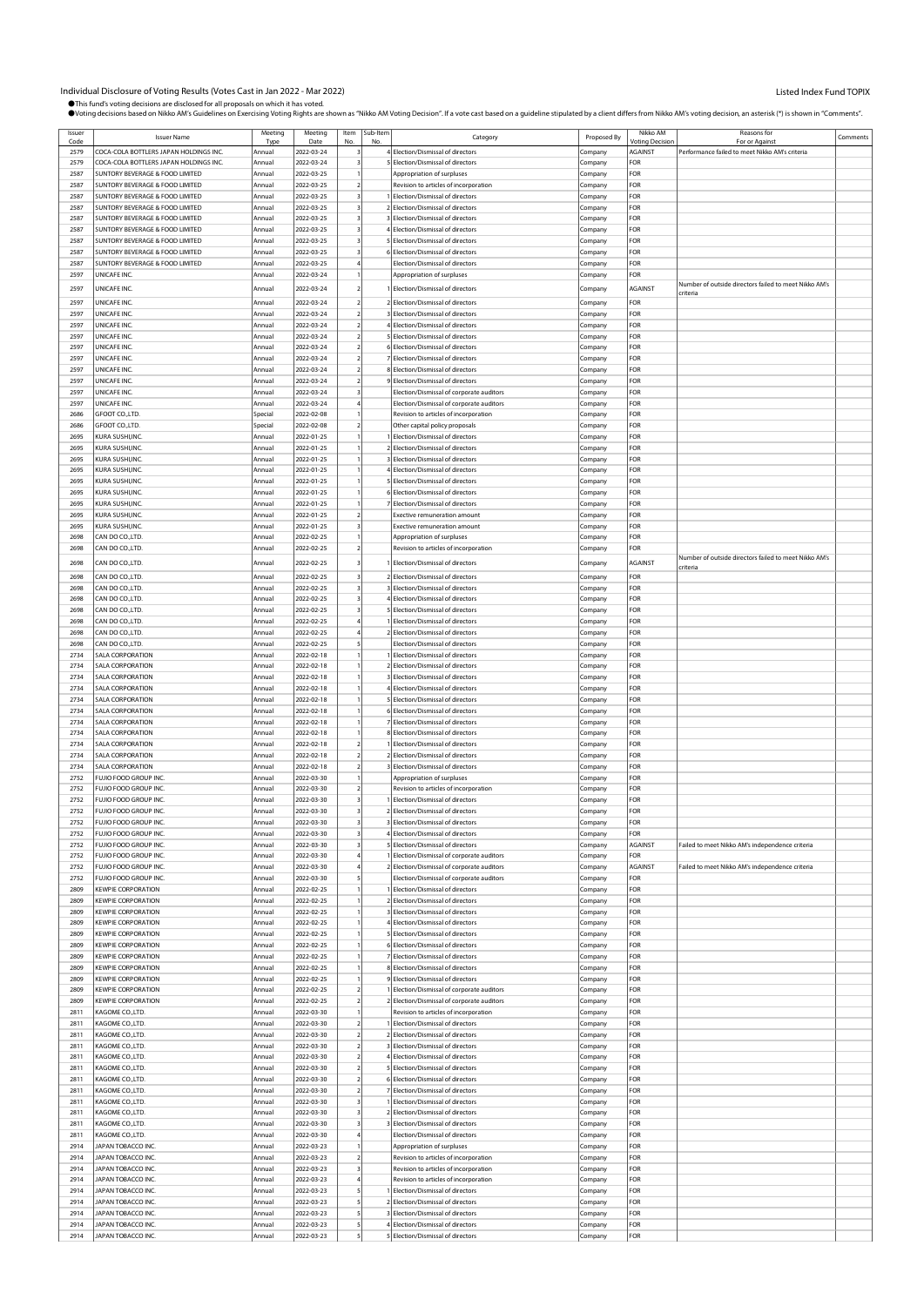| Issuer | <b>Issuer Name</b>                             | Meeting | Meeting    | Item | Sub-Item | Category                                   | Proposed By | Nikko AM               | Reasons for                                           | Comments |
|--------|------------------------------------------------|---------|------------|------|----------|--------------------------------------------|-------------|------------------------|-------------------------------------------------------|----------|
| Code   |                                                | Type    | Date       | No.  | No       |                                            |             | <b>Voting Decision</b> | For or Against                                        |          |
| 2579   | COCA-COLA BOTTLERS JAPAN HOLDINGS INC.         | Annual  | 2022-03-24 |      |          | Election/Dismissal of directors            | Company     | <b>GAINST</b>          | Performance failed to meet Nikko AM's criteria        |          |
| 2579   | COCA-COLA BOTTLERS JAPAN HOLDINGS INC.         | Annual  | 2022-03-24 |      |          | 5 Election/Dismissal of directors          | Company     | <b>OR</b>              |                                                       |          |
| 2587   | <b>SUNTORY BEVERAGE &amp; FOOD LIMITED</b>     | Annual  | 2022-03-25 |      |          | Appropriation of surpluses                 | Company     | ЮR                     |                                                       |          |
| 2587   | SUNTORY BEVERAGE & FOOD LIMITED                | Annual  | 2022-03-25 |      |          | Revision to articles of incorporation      | Company     | FOR                    |                                                       |          |
| 2587   | SUNTORY BEVERAGE & FOOD LIMITED                | Annual  | 2022-03-25 |      |          | Election/Dismissal of directors            | Company     | OR:                    |                                                       |          |
| 2587   | SUNTORY BEVERAGE & FOOD LIMITED                | Annual  | 2022-03-25 |      |          | Election/Dismissal of directors            | Company     | <b>OR</b>              |                                                       |          |
| 2587   | SUNTORY BEVERAGE & FOOD LIMITED                | Annual  | 2022-03-25 |      |          | 3 Election/Dismissal of directors          | Company     | FOR                    |                                                       |          |
|        | <b>SUNTORY BEVERAGE &amp; FOOD LIMITED</b>     | Annual  | 2022-03-25 |      |          |                                            |             | <b>OR</b>              |                                                       |          |
| 2587   |                                                |         |            |      |          | Election/Dismissal of directors            | Company     |                        |                                                       |          |
| 2587   | SUNTORY BEVERAGE & FOOD LIMITED                | Annual  | 2022-03-25 |      |          | Election/Dismissal of directors            | Company     | FOR                    |                                                       |          |
| 2587   | SUNTORY BEVERAGE & FOOD LIMITED                | Annual  | 2022-03-25 |      |          | Election/Dismissal of directors            | Company     | ЮR                     |                                                       |          |
| 2587   | SUNTORY BEVERAGE & FOOD LIMITED                | Annual  | 2022-03-25 |      |          | Election/Dismissal of directors            | Company     | FOR                    |                                                       |          |
| 2597   | UNICAFE INC.                                   | Annual  | 2022-03-24 |      |          | Appropriation of surpluses                 | Company     | FOR                    |                                                       |          |
|        |                                                |         |            |      |          |                                            |             |                        | Number of outside directors failed to meet Nikko AM's |          |
| 2597   | JNICAFE INC.                                   | Annual  | 2022-03-24 |      |          | 1 Election/Dismissal of directors          | Company     | <b>AGAINST</b>         | criteria                                              |          |
| 2597   | JNICAFE INC.                                   | Annual  | 2022-03-24 |      |          | 2 Election/Dismissal of directors          | Company     | FOR                    |                                                       |          |
| 2597   | JNICAFE INC.                                   | Annual  | 2022-03-24 |      |          | Election/Dismissal of directors            |             | <b>OR</b>              |                                                       |          |
|        |                                                |         |            |      |          |                                            | Company     |                        |                                                       |          |
| 2597   | JNICAFE INC.                                   | Annual  | 2022-03-24 |      |          | 4 Election/Dismissal of directors          | Company     | FOR                    |                                                       |          |
| 2597   | JNICAFE INC.                                   | Annual  | 2022-03-24 |      |          | Election/Dismissal of directors            | Company     | ЮR                     |                                                       |          |
| 2597   | JNICAFE INC.                                   | Annual  | 2022-03-24 |      |          | Election/Dismissal of directors            | Company     | ЮR                     |                                                       |          |
| 2597   | JNICAFE INC.                                   | Annual  | 2022-03-24 |      |          | 7 Election/Dismissal of directors          | Company     | FOR                    |                                                       |          |
| 2597   | JNICAFE INC.                                   | Annual  | 2022-03-24 |      |          | Election/Dismissal of directors            | Company     | <b>OR</b>              |                                                       |          |
| 2597   | JNICAFE INC.                                   | Annual  | 2022-03-24 |      |          | 9 Election/Dismissal of directors          | Company     | FOR                    |                                                       |          |
|        |                                                |         |            |      |          |                                            |             |                        |                                                       |          |
| 2597   | JNICAFE INC.                                   | Annual  | 2022-03-24 |      |          | Election/Dismissal of corporate auditors   | Company     | <b>OR</b>              |                                                       |          |
| 2597   | JNICAFE INC.                                   | Annual  | 2022-03-24 |      |          | Election/Dismissal of corporate auditors   | Company     | ЮR                     |                                                       |          |
| 2686   | GFOOT CO.,LTD.                                 | Special | 2022-02-08 |      |          | Revision to articles of incorporation      | Company     | FOR                    |                                                       |          |
| 2686   | GFOOT CO.,LTD.                                 | Special | 2022-02-08 |      |          | Other capital policy proposals             | Company     | <b>OR</b>              |                                                       |          |
| 2695   | KURA SUSHI, INC.                               | Annual  | 2022-01-25 |      |          | Election/Dismissal of directors            | Company     | FOR                    |                                                       |          |
|        | (URA SUSHI, INC.                               |         |            |      |          |                                            |             |                        |                                                       |          |
| 2695   |                                                | Annual  | 2022-01-25 |      |          | Election/Dismissal of directors            | Company     | ЮR                     |                                                       |          |
| 2695   | KURA SUSHI, INC.                               | Annual  | 2022-01-25 |      |          | Election/Dismissal of directors            | Company     | ЮR                     |                                                       |          |
| 2695   | KURA SUSHI, INC.                               | Annual  | 2022-01-25 |      |          | 4 Election/Dismissal of directors          | Company     | FOR                    |                                                       |          |
| 2695   | (URA SUSHI.INC.                                | Annual  | 2022-01-25 |      |          | Election/Dismissal of directors            | Company     | <b>OR</b>              |                                                       |          |
| 2695   | KURA SUSHI, INC.                               | Annual  | 2022-01-25 |      |          | 6 Election/Dismissal of directors          | Company     | FOR                    |                                                       |          |
|        |                                                |         |            |      |          |                                            |             |                        |                                                       |          |
| 2695   | (URA SUSHI,INC.                                | Annual  | 2022-01-25 |      |          | Election/Dismissal of directors            | Company     | ЮR                     |                                                       |          |
| 2695   | KURA SUSHI, INC.                               | Annual  | 2022-01-25 |      |          | xective remuneration amount                | Company     | ЮR                     |                                                       |          |
| 2695   | KURA SUSHI,INC.                                | Annual  | 2022-01-25 |      |          | <b>Exective remuneration amount</b>        | Company     | FOR                    |                                                       |          |
| 2698   | CAN DO CO.,LTD.                                | Annual  | 2022-02-25 |      |          | Appropriation of surpluses                 | Company     | <b>OR</b>              |                                                       |          |
| 2698   | CAN DO CO.,LTD.                                | Annual  | 2022-02-25 |      |          | Revision to articles of incorporation      | Company     | FOR                    |                                                       |          |
|        |                                                |         |            |      |          |                                            |             |                        | Number of outside directors failed to meet Nikko AM's |          |
| 2698   | CAN DO CO., LTD.                               | Annual  | 2022-02-25 |      |          | 1 Election/Dismissal of directors          | Company     | <b>AGAINST</b>         | criteria                                              |          |
| 2698   | CAN DO CO.,LTD.                                | Annual  | 2022-02-25 |      |          | 2 Election/Dismissal of directors          | Company     | FOR                    |                                                       |          |
| 2698   | CAN DO CO.,LTD.                                | Annual  | 2022-02-25 |      |          | Election/Dismissal of directors            | Company     | <b>OR</b>              |                                                       |          |
|        |                                                |         |            |      |          |                                            |             |                        |                                                       |          |
| 2698   | CAN DO CO.,LTD.                                | Annual  | 2022-02-25 |      |          | Election/Dismissal of directors            | Company     | FOR                    |                                                       |          |
| 2698   | CAN DO CO.,LTD.                                | Annual  | 2022-02-25 |      |          | Election/Dismissal of directors            | Company     | ЮR                     |                                                       |          |
| 2698   | CAN DO CO.,LTD.                                | Annual  | 2022-02-25 |      |          | Election/Dismissal of directors            | Company     | FOR                    |                                                       |          |
| 2698   | CAN DO CO., LTD.                               | Annual  | 2022-02-25 |      |          | 2 Election/Dismissal of directors          | Company     | FOR                    |                                                       |          |
| 2698   | CAN DO CO.,LTD.                                | Annual  | 2022-02-25 |      |          | lection/Dismissal of directors             | Company     | ЮR                     |                                                       |          |
| 2734   |                                                |         | 2022-02-18 |      |          |                                            |             | ЮR                     |                                                       |          |
|        | <b>SALA CORPORATION</b>                        | Annual  |            |      |          | 1 Election/Dismissal of directors          | Company     |                        |                                                       |          |
| 2734   | <b>ALA CORPORATION</b>                         | Annual  | 2022-02-18 |      |          | Election/Dismissal of directors            | Company     | FOR                    |                                                       |          |
| 2734   | <b>SALA CORPORATION</b>                        | Annual  | 2022-02-18 |      |          | Election/Dismissal of directors            | Company     | FOR                    |                                                       |          |
| 2734   | <b>ALA CORPORATION</b>                         | Annual  | 2022-02-18 |      |          | 4 Election/Dismissal of directors          | Company     | FOR                    |                                                       |          |
| 2734   | ALA CORPORATION                                | Annual  | 2022-02-18 |      |          | Election/Dismissal of directors            | Company     | <b>OR</b>              |                                                       |          |
| 2734   | <b>SALA CORPORATION</b>                        | Annual  | 2022-02-18 |      |          | 6 Election/Dismissal of directors          | Company     | <b>OR</b>              |                                                       |          |
|        |                                                |         |            |      |          |                                            |             |                        |                                                       |          |
| 2734   | <b>ALA CORPORATION</b>                         | Annual  | 2022-02-18 |      |          | Election/Dismissal of directors            | Company     | ЮR                     |                                                       |          |
| 2734   | <b>SALA CORPORATION</b>                        | Annual  | 2022-02-18 |      |          | Election/Dismissal of directors            | Company     | FOR                    |                                                       |          |
| 2734   | <b>SALA CORPORATION</b>                        | Annual  | 2022-02-18 |      |          | 1 Election/Dismissal of directors          | Company     | FOR                    |                                                       |          |
| 2734   | ALA CORPORATION                                | Annual  | 2022-02-18 |      |          | Election/Dismissal of directors            | Company     | <b>OR</b>              |                                                       |          |
| 2734   | <b>SALA CORPORATION</b>                        | Annual  | 2022-02-18 |      |          | 3 Election/Dismissal of directors          | Company     | ЮR                     |                                                       |          |
|        |                                                |         |            |      |          |                                            |             |                        |                                                       |          |
| 2752   | UJIO FOOD GROUP INC.                           | Annual  | 2022-03-30 |      |          | Appropriation of surpluses                 | Company     | ЮR                     |                                                       |          |
| 2752   | FUJIO FOOD GROUP INC                           | Annual  | 2022-03-30 |      |          | Revision to articles of incorporation      | Company     | FOR                    |                                                       |          |
| 2752   | FUJIO FOOD GROUP INC.                          | Annual  | 2022-03-30 |      |          | 1 Election/Dismissal of directors          | Company     | FOR                    |                                                       |          |
| 2752   | FUJIO FOOD GROUP INC.                          | Annual  | 2022-03-30 |      |          | 2 Election/Dismissal of directors          | Company     | FOR                    |                                                       |          |
| 2752   | FUJIO FOOD GROUP INC.                          | Annual  | 2022-03-30 |      |          | 3 Election/Dismissal of directors          | Company     | FOR                    |                                                       |          |
|        |                                                |         | 2022-03-30 |      |          |                                            |             | OR:                    |                                                       |          |
| 2752   | FUJIO FOOD GROUP INC.<br>FUJIO FOOD GROUP INC. | Annual  |            |      |          | Election/Dismissal of directors            | Company     |                        |                                                       |          |
| 2752   |                                                | Annual  | 2022-03-30 |      |          | 5 Election/Dismissal of directors          | Company     | <b>AGAINST</b>         | Failed to meet Nikko AM's independence criteria       |          |
| 2752   | FUJIO FOOD GROUP INC.                          | Annual  | 2022-03-30 |      |          | 1 Election/Dismissal of corporate auditors | Company     | FOR                    |                                                       |          |
| 2752   | FUJIO FOOD GROUP INC.                          | Annual  | 2022-03-30 |      |          | 2 Election/Dismissal of corporate auditors | Company     | AGAINST                | Failed to meet Nikko AM's independence criteria       |          |
| 2752   | FUJIO FOOD GROUP INC.                          | Annual  | 2022-03-30 |      |          | Election/Dismissal of corporate auditors   | Company     | FOR                    |                                                       |          |
| 2809   | <b>KEWPIE CORPORATION</b>                      | Annual  | 2022-02-25 |      |          | Election/Dismissal of directors            | Company     | FOR                    |                                                       |          |
| 2809   | <b>KEWPIE CORPORATION</b>                      | Annual  | 2022-02-25 |      |          | 2 Election/Dismissal of directors          | Company     | FOR                    |                                                       |          |
| 2809   | <b>KEWPIE CORPORATION</b>                      | Annual  | 2022-02-25 |      |          | 3 Election/Dismissal of directors          |             | FOR                    |                                                       |          |
|        |                                                |         |            |      |          |                                            | Company     |                        |                                                       |          |
| 2809   | <b>KEWPIE CORPORATION</b>                      | Annual  | 2022-02-25 |      |          | 4 Election/Dismissal of directors          | Company     | <b>OR</b>              |                                                       |          |
| 2809   | <b>KEWPIE CORPORATION</b>                      | Annual  | 2022-02-25 |      |          | 5 Election/Dismissal of directors          | Company     | FOR                    |                                                       |          |
| 2809   | <b>KEWPIE CORPORATION</b>                      | Annual  | 2022-02-25 |      |          | 6 Election/Dismissal of directors          | Company     | FOR                    |                                                       |          |
| 2809   | <b>KEWPIE CORPORATION</b>                      | Annual  | 2022-02-25 |      |          | 7 Election/Dismissal of directors          | Company     | FOR                    |                                                       |          |
| 2809   | <b>KEWPIE CORPORATION</b>                      | Annual  | 2022-02-25 |      |          | 8 Election/Dismissal of directors          | Company     | FOR                    |                                                       |          |
| 2809   | <b>KEWPIE CORPORATION</b>                      | Annual  | 2022-02-25 |      |          | 9 Election/Dismissal of directors          | Company     | <b>OR</b>              |                                                       |          |
| 2809   | <b>KEWPIE CORPORATION</b>                      |         |            |      |          |                                            |             |                        |                                                       |          |
|        |                                                | Annual  | 2022-02-25 |      |          | 1 Election/Dismissal of corporate auditors | Company     | FOR                    |                                                       |          |
| 2809   | <b>KEWPIE CORPORATION</b>                      | Annual  | 2022-02-25 |      |          | 2 Election/Dismissal of corporate auditors | Company     | FOR                    |                                                       |          |
| 2811   | KAGOME CO.,LTD.                                | Annual  | 2022-03-30 |      |          | Revision to articles of incorporation      | Company     | FOR                    |                                                       |          |
| 2811   | KAGOME CO.,LTD.                                | Annual  | 2022-03-30 |      |          | 1 Election/Dismissal of directors          | Company     | FOR                    |                                                       |          |
| 2811   | KAGOME CO.,LTD.                                | Annual  | 2022-03-30 |      |          | 2 Election/Dismissal of directors          | Company     | <b>OR</b>              |                                                       |          |
| 2811   | KAGOME CO.,LTD.                                | Annual  | 2022-03-30 |      |          | 3 Election/Dismissal of directors          | Company     | FOR                    |                                                       |          |
|        |                                                |         |            |      |          |                                            |             | FOR                    |                                                       |          |
| 2811   | KAGOME CO.,LTD.                                | Annual  | 2022-03-30 |      |          | 4 Election/Dismissal of directors          | Company     |                        |                                                       |          |
| 2811   | KAGOME CO.,LTD.                                | Annual  | 2022-03-30 |      |          | 5 Election/Dismissal of directors          | Company     | FOR                    |                                                       |          |
| 2811   | KAGOME CO.,LTD.                                | Annual  | 2022-03-30 |      |          | 6 Election/Dismissal of directors          | Company     | FOR                    |                                                       |          |
| 2811   | KAGOME CO.,LTD.                                | Annual  | 2022-03-30 |      |          | Election/Dismissal of directors            | Company     | <b>OR</b>              |                                                       |          |
| 2811   | KAGOME CO.,LTD.                                | Annual  | 2022-03-30 |      |          | 1 Election/Dismissal of directors          | Company     | FOR                    |                                                       |          |
|        |                                                |         |            |      |          |                                            |             | FOR                    |                                                       |          |
| 2811   | KAGOME CO.,LTD.                                | Annual  | 2022-03-30 |      |          | 2 Election/Dismissal of directors          | Company     |                        |                                                       |          |
| 2811   | KAGOME CO.,LTD.                                | Annual  | 2022-03-30 |      |          | 3 Election/Dismissal of directors          | Company     | FOR                    |                                                       |          |
| 2811   | KAGOME CO.,LTD.                                | Annual  | 2022-03-30 |      |          | Election/Dismissal of directors            | Company     | FOR                    |                                                       |          |
| 2914   | APAN TOBACCO INC.                              | Annual  | 2022-03-23 |      |          | Appropriation of surpluses                 | Company     | <b>OR</b>              |                                                       |          |
| 2914   | APAN TOBACCO INC.                              | Annual  | 2022-03-23 |      |          | Revision to articles of incorporation      | Company     | FOR                    |                                                       |          |
| 2914   | JAPAN TOBACCO INC.                             | Annual  | 2022-03-23 |      |          | Revision to articles of incorporation      |             | FOR                    |                                                       |          |
|        |                                                |         |            |      |          |                                            | Company     |                        |                                                       |          |
| 2914   | <b>JAPAN TOBACCO INC.</b>                      | Annual  | 2022-03-23 |      |          | Revision to articles of incorporation      | Company     | FOR                    |                                                       |          |
| 2914   | JAPAN TOBACCO INC.                             | Annual  | 2022-03-23 |      |          | 1 Election/Dismissal of directors          | Company     | FOR                    |                                                       |          |
| 2914   | APAN TOBACCO INC.                              | Annual  | 2022-03-23 |      |          | Election/Dismissal of directors            | Company     | <b>OR</b>              |                                                       |          |
| 2914   | APAN TOBACCO INC.                              | Annual  | 2022-03-23 |      |          | 3 Election/Dismissal of directors          | Company     | FOR                    |                                                       |          |
| 2914   | JAPAN TOBACCO INC.                             | Annual  | 2022-03-23 |      |          | 4 Election/Dismissal of directors          | Company     | FOR                    |                                                       |          |
| 2914   | JAPAN TOBACCO INC.                             | Annual  | 2022-03-23 |      |          | 5 Election/Dismissal of directors          | Company     | FOR                    |                                                       |          |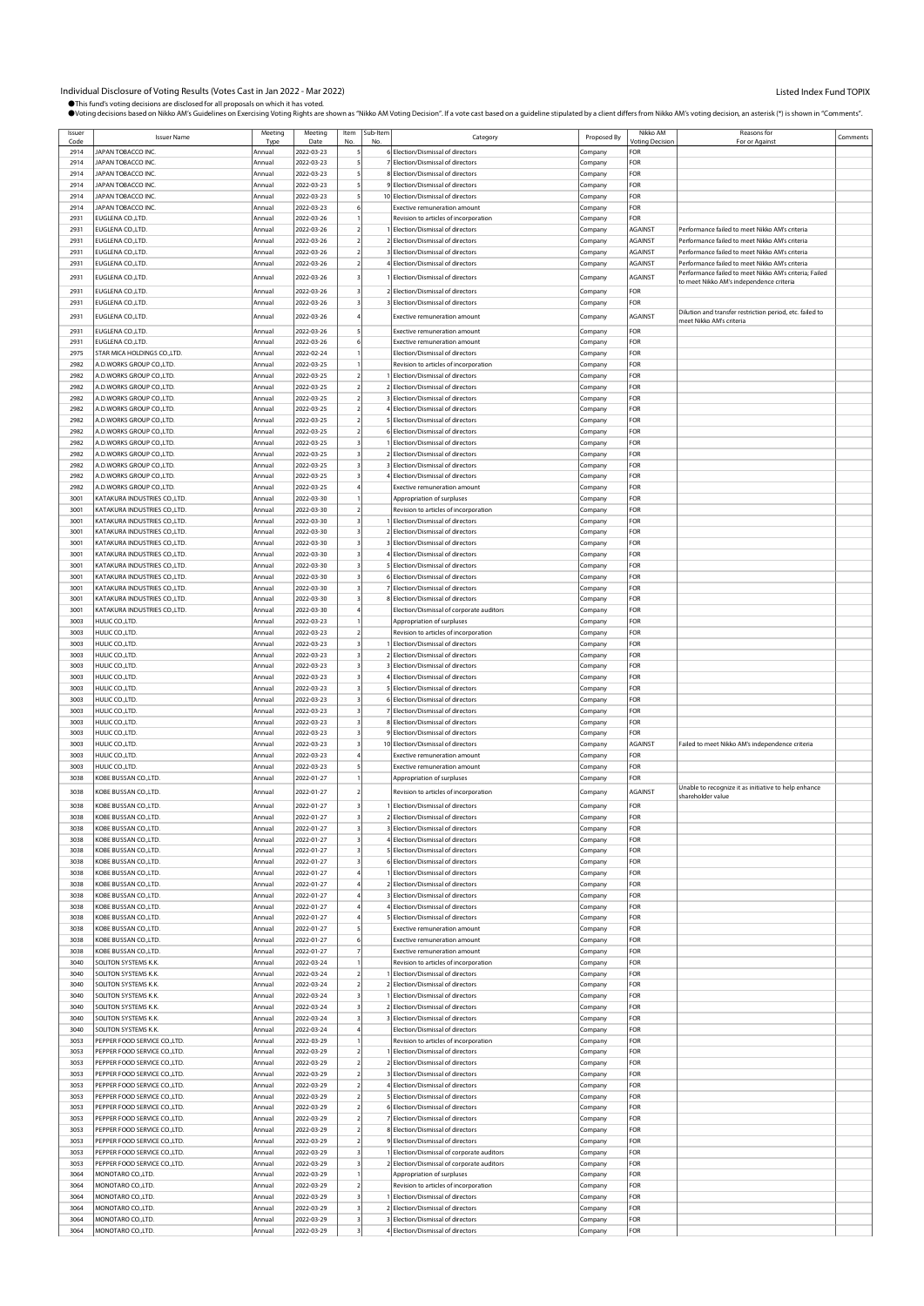| Issuer       | <b>Issuer Name</b>                     | Meeting | Meeting                  | Item | Sub-Item                | Category                                   | Proposed By | Nikko AM<br><b>Voting Decision</b> | Reasons for                                                                          | Comments |
|--------------|----------------------------------------|---------|--------------------------|------|-------------------------|--------------------------------------------|-------------|------------------------------------|--------------------------------------------------------------------------------------|----------|
| Code<br>2914 | APAN TOBACCO INC.                      | Type    | Date                     | No.  | No.                     |                                            |             | FOR                                | For or Against                                                                       |          |
|              |                                        | Annual  | 2022-03-23               |      |                         | 6 Election/Dismissal of directors          | Company     | FOR                                |                                                                                      |          |
| 2914<br>2914 | APAN TOBACCO INC.<br>APAN TOBACCO INC. | Annual  | 2022-03-23               |      | 8                       | Election/Dismissal of directors            | Company     | FOR                                |                                                                                      |          |
|              |                                        | Annual  | 2022-03-23               |      |                         | Election/Dismissal of directors            | Company     |                                    |                                                                                      |          |
| 2914         | JAPAN TOBACCO INC.                     | Annual  | 2022-03-23<br>2022-03-23 |      |                         | Election/Dismissal of directors            | Company     | FOR                                |                                                                                      |          |
| 2914         | JAPAN TOBACCO INC.                     | Annual  |                          |      |                         | 10 Election/Dismissal of directors         | Company     | FOR                                |                                                                                      |          |
| 2914         | JAPAN TOBACCO INC.                     | Annual  | 2022-03-23               |      |                         | xective remuneration amount                | Company     | FOR                                |                                                                                      |          |
| 2931         | EUGLENA CO., LTD.                      | Annual  | 2022-03-26               |      |                         | Revision to articles of incorporation      | Company     | FOR                                |                                                                                      |          |
| 2931         | EUGLENA CO., LTD.                      | Annual  | 2022-03-26               |      |                         | Election/Dismissal of directors            | Company     | AGAINST                            | Performance failed to meet Nikko AM's criteria                                       |          |
| 2931         | EUGLENA CO., LTD.                      | Annual  | 2022-03-26               |      | $\mathcal{P}$           | Election/Dismissal of directors            | Company     | AGAINST                            | Performance failed to meet Nikko AM's criteria                                       |          |
| 2931         | EUGLENA CO., LTD.                      | Annual  | 2022-03-26               |      | $\overline{\mathbf{3}}$ | <b>Election/Dismissal of directors</b>     | Company     | <b>AGAINST</b>                     | Performance failed to meet Nikko AM's criteria                                       |          |
| 2931         | EUGLENA CO., LTD.                      | Annual  | 2022-03-26               |      |                         | Election/Dismissal of directors            | Company     | <b>AGAINST</b>                     | Performance failed to meet Nikko AM's criteria                                       |          |
| 2931         | EUGLENA CO.,LTD.                       | Annual  | 2022-03-26               |      |                         | 1 Election/Dismissal of directors          | Company     | AGAINST                            | Performance failed to meet Nikko AM's criteria: Failed                               |          |
|              |                                        |         |                          |      |                         |                                            |             |                                    | to meet Nikko AM's independence criteria                                             |          |
| 2931         | EUGLENA CO.,LTD.                       | Annual  | 2022-03-26               |      |                         | <b>Flection/Dismissal of directors</b>     | Company     | FOR                                |                                                                                      |          |
| 2931         | EUGLENA CO., LTD.                      | Annual  | 2022-03-26               |      |                         | Election/Dismissal of directors            | Company     | FOR                                |                                                                                      |          |
| 2931         | EUGLENA CO., LTD.                      | Annual  | 2022-03-26               |      |                         | xective remuneration amount                | Company     | <b>AGAINST</b>                     | Dilution and transfer restriction period, etc. failed to<br>neet Nikko AM's criteria |          |
| 2931         | EUGLENA CO., LTD.                      | Annual  | 2022-03-26               |      |                         | exective remuneration amount               | Company     | FOR                                |                                                                                      |          |
| 2931         | EUGLENA CO.,LTD.                       | Annual  | 2022-03-26               |      |                         | <b>Exective remuneration amount</b>        | Company     | FOR                                |                                                                                      |          |
|              |                                        |         |                          |      |                         |                                            |             | FOR                                |                                                                                      |          |
| 2975<br>2982 | STAR MICA HOLDINGS CO., LTD.           | Annual  | 2022-02-24               |      |                         | Election/Dismissal of directors            | Company     | FOR                                |                                                                                      |          |
|              | A.D.WORKS GROUP CO.,LTD.               | Annual  | 2022-03-25               |      |                         | Revision to articles of incorporation      | Company     |                                    |                                                                                      |          |
| 2982         | A.D.WORKS GROUP CO.,LTD.               | Annual  | 2022-03-25               |      |                         | 1 Election/Dismissal of directors          | Company     | FOR                                |                                                                                      |          |
| 2982         | <b>I.D.WORKS GROUP CO.,LTD.</b>        | Annual  | 2022-03-25               |      |                         | <b>Election/Dismissal of directors</b>     | Company     | FOR                                |                                                                                      |          |
| 2982         | A.D.WORKS GROUP CO.,LTD                | Annual  | 2022-03-25               |      |                         | Election/Dismissal of directors            | Company     | FOR                                |                                                                                      |          |
| 2982         | A.D.WORKS GROUP CO.,LTD.               | Annual  | 2022-03-25               |      |                         | Election/Dismissal of directors            | Company     | FOR                                |                                                                                      |          |
| 2982         | A.D.WORKS GROUP CO.,LTD.               | Annual  | 2022-03-25               |      | 51                      | Election/Dismissal of directors            | Company     | FOR                                |                                                                                      |          |
| 2982         | A.D.WORKS GROUP CO.,LTD.               | Annual  | 2022-03-25               |      |                         | 6 Election/Dismissal of directors          | Company     | FOR                                |                                                                                      |          |
| 2982         | <b>I.D.WORKS GROUP CO.,LTD.</b>        | Annual  | 2022-03-25               |      |                         | <b>Election/Dismissal of directors</b>     | Company     | FOR                                |                                                                                      |          |
| 2982         | A.D.WORKS GROUP CO.,LTD.               | Annual  | 2022-03-25               |      |                         | Election/Dismissal of directors            | Company     | FOR                                |                                                                                      |          |
| 2982         | A.D.WORKS GROUP CO.,LTD.               | Annual  | 2022-03-25               |      |                         | Election/Dismissal of directors            | Company     | FOR                                |                                                                                      |          |
| 2982         | A D WORKS GROUP CO. LTD                | Annual  | 2022-03-25               |      |                         | Election/Dismissal of directors            | Company     | FOR                                |                                                                                      |          |
| 2982         | A.D.WORKS GROUP CO.,LTD.               | Annual  | 2022-03-25               |      |                         | <b>Exective remuneration amount</b>        | Company     | FOR                                |                                                                                      |          |
|              | KATAKURA INDUSTRIES CO. LTD            |         |                          |      |                         |                                            |             |                                    |                                                                                      |          |
| 3001         |                                        | Annual  | 2022-03-30               |      |                         | Appropriation of surpluses                 | Company     | FOR                                |                                                                                      |          |
| 3001         | KATAKURA INDUSTRIES CO.,LTD.           | Annual  | 2022-03-30               |      |                         | Revision to articles of incorporation      | Company     | FOR                                |                                                                                      |          |
| 3001         | KATAKURA INDUSTRIES CO., LTD.          | Annual  | 2022-03-30               |      |                         | Election/Dismissal of directors            | Company     | FOR                                |                                                                                      |          |
| 3001         | KATAKURA INDUSTRIES CO., LTD.          | Annual  | 2022-03-30               |      | $\overline{2}$          | Election/Dismissal of directors            | Company     | FOR                                |                                                                                      |          |
| 3001         | KATAKURA INDUSTRIES CO.,LTD.           | Annual  | 2022-03-30               |      |                         | Election/Dismissal of directors            | Company     | FOR                                |                                                                                      |          |
| 3001         | KATAKURA INDUSTRIES CO.,LTD.           | Annual  | 2022-03-30               |      |                         | <b>Election/Dismissal of directors</b>     | Company     | FOR                                |                                                                                      |          |
| 3001         | KATAKURA INDUSTRIES CO.,LTD.           | Annual  | 2022-03-30               |      |                         | Election/Dismissal of directors            | Company     | FOR                                |                                                                                      |          |
| 3001         | KATAKURA INDUSTRIES CO.,LTD.           | Annual  | 2022-03-30               |      |                         | Election/Dismissal of directors            | Company     | FOR                                |                                                                                      |          |
| 3001         | KATAKURA INDUSTRIES CO., LTD.          | Annual  | 2022-03-30               |      | $\overline{7}$          | Election/Dismissal of directors            | Company     | FOR                                |                                                                                      |          |
| 3001         | KATAKURA INDUSTRIES CO., LTD.          | Annual  | 2022-03-30               |      | 8                       | Election/Dismissal of directors            |             | FOR                                |                                                                                      |          |
| 3001         | KATAKURA INDUSTRIES CO.,LTD.           |         | 2022-03-30               |      |                         |                                            | Company     | <b>OR</b>                          |                                                                                      |          |
|              |                                        | Annual  |                          |      |                         | lection/Dismissal of corporate auditors    | Company     |                                    |                                                                                      |          |
| 3003         | HULIC CO., LTD.                        | Annual  | 2022-03-23               |      |                         | Appropriation of surpluses                 | Company     | FOR                                |                                                                                      |          |
| 3003         | HULIC CO., LTD.                        | Annual  | 2022-03-23               |      |                         | Revision to articles of incorporation      | Company     | FOR                                |                                                                                      |          |
| 3003         | HULIC CO., LTD.                        | Annual  | 2022-03-23               |      |                         | Election/Dismissal of directors            | Company     | FOR                                |                                                                                      |          |
| 3003         | HULIC CO., LTD.                        | Annual  | 2022-03-23               |      |                         | Election/Dismissal of directors            | Company     | FOR                                |                                                                                      |          |
| 3003         | HULIC CO.,LTD                          | Annual  | 2022-03-23               |      | 3                       | <b>Election/Dismissal of directors</b>     | Company     | FOR                                |                                                                                      |          |
| 3003         | HULIC CO., LTD.                        | Annual  | 2022-03-23               |      |                         | Election/Dismissal of directors            | Company     | FOR                                |                                                                                      |          |
| 3003         | HULIC CO., LTD.                        | Annual  | 2022-03-23               |      |                         | Election/Dismissal of directors            | Company     | FOR                                |                                                                                      |          |
| 3003         | HULIC CO., LTD.                        | Annual  | 2022-03-23               |      | 6                       | Election/Dismissal of directors            | Company     | FOR                                |                                                                                      |          |
| 3003         | HULIC CO., LTD.                        | Annual  | 2022-03-23               |      |                         | Election/Dismissal of directors            | Company     | FOR                                |                                                                                      |          |
| 3003         | HULIC CO., LTD.                        | Annual  | 2022-03-23               |      | 8                       | <b>Election/Dismissal of directors</b>     | Company     | <b>OR</b>                          |                                                                                      |          |
| 3003         | HULIC CO., LTD.                        | Annual  | 2022-03-23               |      |                         | Election/Dismissal of directors            |             | FOR                                |                                                                                      |          |
|              |                                        |         |                          |      |                         |                                            | Company     |                                    |                                                                                      |          |
| 3003         | HULIC CO., LTD.                        | Annual  | 2022-03-23               |      |                         | 10 Election/Dismissal of directors         | Company     | AGAINST                            | Failed to meet Nikko AM's independence criteria                                      |          |
| 3003         | HULIC CO., LTD.                        | Annual  | 2022-03-23               |      |                         | xective remuneration amount                | Company     | FOR                                |                                                                                      |          |
| 3003         | HULIC CO., LTD.                        | Annual  | 2022-03-23               |      |                         | <b>Exective remuneration amount</b>        | Company     | FOR                                |                                                                                      |          |
| 3038         | KOBE BUSSAN CO.,LTD.                   | Annual  | 2022-01-27               |      |                         | Appropriation of surpluses                 | Company     | FOR                                |                                                                                      |          |
| 3038         | KOBE BUSSAN CO., LTD.                  | Annual  | 2022-01-27               |      |                         | Revision to articles of incorporation      | Company     | <b>AGAINST</b>                     | Unable to recognize it as initiative to help enhance<br>shareholder value            |          |
| 3038         | KOBE BUSSAN CO.,LTD.                   | Annual  | 2022-01-27               |      |                         | Election/Dismissal of directors            |             | FOR                                |                                                                                      |          |
| 3038         |                                        |         | 2022-01-27               |      |                         |                                            | Company     | FOR                                |                                                                                      |          |
|              | KOBE BUSSAN CO.,LTD.                   | Annual  |                          |      |                         | 2 Election/Dismissal of directors          | Company     |                                    |                                                                                      |          |
| 3038         | KOBE BUSSAN CO.,LTD.                   | Annual  | 2022-01-27               |      |                         | Election/Dismissal of directors            | Company     | FOR                                |                                                                                      |          |
| 3038         | KOBE BUSSAN CO., LTD.                  | Annual  | 2022-01-27               |      |                         | Election/Dismissal of directors            | Company     | FOR                                |                                                                                      |          |
| 3038         | KOBE BUSSAN CO., LTD.                  | Annual  | 2022-01-27               |      |                         | 5 Election/Dismissal of directors          | Company     | FOR                                |                                                                                      |          |
| 3038         | KOBE BUSSAN CO.,LTD.                   | Annual  | 2022-01-27               |      |                         | 6 Election/Dismissal of directors          | Company     | FOR                                |                                                                                      |          |
| 3038         | KOBE BUSSAN CO., LTD.                  | Annual  | 2022-01-27               |      |                         | 1 Election/Dismissal of directors          | Company     | FOR                                |                                                                                      |          |
| 3038         | KOBE BUSSAN CO.,LTD.                   | Annual  | 2022-01-27               |      |                         | Election/Dismissal of directors            | Company     | FOR                                |                                                                                      |          |
| 3038         | KOBE BUSSAN CO.,LTD.                   | Annual  | 2022-01-27               |      |                         | 3 Election/Dismissal of directors          | Company     | FOR                                |                                                                                      |          |
| 3038         | KOBE BUSSAN CO.,LTD.                   | Annual  | 2022-01-27               |      |                         | Election/Dismissal of directors            | Company     | FOR                                |                                                                                      |          |
| 3038         | KOBE BUSSAN CO., LTD.                  | Annual  | 2022-01-27               |      |                         | 5 Election/Dismissal of directors          | Company     | FOR                                |                                                                                      |          |
| 3038         | KOBE BUSSAN CO.,LTD.                   | Annual  | 2022-01-27               |      |                         | <b>Exective remuneration amount</b>        | Company     | FOR                                |                                                                                      |          |
| 3038         | KOBE BUSSAN CO.,LTD.                   | Annual  | 2022-01-27               |      |                         | xective remuneration amount                | Company     | FOR                                |                                                                                      |          |
| 3038         | KOBE BUSSAN CO., LTD.                  | Annual  | 2022-01-27               |      |                         | <b>Exective remuneration amount</b>        | Company     | FOR                                |                                                                                      |          |
| 3040         | SOLITON SYSTEMS K.K.                   | Annual  | 2022-03-24               |      |                         | Revision to articles of incorporation      | Company     | FOR                                |                                                                                      |          |
| 3040         | SOLITON SYSTEMS K.K.                   | Annual  | 2022-03-24               |      |                         | Election/Dismissal of directors            | Company     | FOR                                |                                                                                      |          |
| 3040         | SOLITON SYSTEMS K.K.                   | Annual  | 2022-03-24               |      |                         | 2 Election/Dismissal of directors          |             | FOR                                |                                                                                      |          |
| 3040         |                                        |         |                          |      |                         |                                            | Company     |                                    |                                                                                      |          |
|              | SOLITON SYSTEMS K.K.                   | Annual  | 2022-03-24               |      |                         | Election/Dismissal of directors            | Company     | FOR                                |                                                                                      |          |
| 3040         | SOLITON SYSTEMS K.K.                   | Annual  | 2022-03-24               |      |                         | 2 Election/Dismissal of directors          | Company     | FOR                                |                                                                                      |          |
| 3040         | SOLITON SYSTEMS K.K.                   | Annual  | 2022-03-24               |      |                         | 3 Election/Dismissal of directors          | Company     | FOR                                |                                                                                      |          |
| 3040         | SOLITON SYSTEMS K.K.                   | Annual  | 2022-03-24               |      |                         | Election/Dismissal of directors            | Company     | FOR                                |                                                                                      |          |
| 3053         | PEPPER FOOD SERVICE CO., LTD.          | Annual  | 2022-03-29               |      |                         | Revision to articles of incorporation      | Company     | FOR                                |                                                                                      |          |
| 3053         | PEPPER FOOD SERVICE CO., LTD.          | Annual  | 2022-03-29               |      |                         | Election/Dismissal of directors            | Company     | FOR                                |                                                                                      |          |
| 3053         | PEPPER FOOD SERVICE CO., LTD.          | Annual  | 2022-03-29               |      |                         | 2 Election/Dismissal of directors          | Company     | FOR                                |                                                                                      |          |
| 3053         | PEPPER FOOD SERVICE CO., LTD.          | Annual  | 2022-03-29               |      |                         | 3 Election/Dismissal of directors          | Company     | FOR                                |                                                                                      |          |
| 3053         | PEPPER FOOD SERVICE CO., LTD.          | Annual  | 2022-03-29               |      |                         | Election/Dismissal of directors            | Company     | FOR                                |                                                                                      |          |
| 3053         | PEPPER FOOD SERVICE CO., LTD.          | Annual  | 2022-03-29               |      |                         | 5 Election/Dismissal of directors          | Company     | FOR                                |                                                                                      |          |
| 3053         | PEPPER FOOD SERVICE CO., LTD.          | Annual  | 2022-03-29               |      |                         | Election/Dismissal of directors            | Company     | FOR                                |                                                                                      |          |
| 3053         | PEPPER FOOD SERVICE CO., LTD.          | Annual  | 2022-03-29               |      |                         | 7 Election/Dismissal of directors          | Company     | FOR                                |                                                                                      |          |
| 3053         | PEPPER FOOD SERVICE CO., LTD.          | Annual  | 2022-03-29               |      |                         | 8 Election/Dismissal of directors          |             | FOR                                |                                                                                      |          |
|              |                                        |         |                          |      |                         |                                            | Company     |                                    |                                                                                      |          |
| 3053         | PEPPER FOOD SERVICE CO., LTD.          | Annual  | 2022-03-29               |      | $\mathbf{Q}$            | Election/Dismissal of directors            | Company     | FOR                                |                                                                                      |          |
| 3053         | PEPPER FOOD SERVICE CO., LTD.          | Annual  | 2022-03-29               |      |                         | 1 Election/Dismissal of corporate auditors | Company     | FOR                                |                                                                                      |          |
| 3053         | PEPPER FOOD SERVICE CO., LTD.          | Annual  | 2022-03-29               |      |                         | 2 Election/Dismissal of corporate auditors | Company     | FOR                                |                                                                                      |          |
| 3064         | MONOTARO CO.,LTD.                      | Annual  | 2022-03-29               |      |                         | Appropriation of surpluses                 | Company     | FOR                                |                                                                                      |          |
| 3064         | MONOTARO CO.,LTD.                      | Annual  | 2022-03-29               |      |                         | Revision to articles of incorporation      | Company     | FOR                                |                                                                                      |          |
| 3064         | MONOTARO CO.,LTD.                      | Annual  | 2022-03-29               |      |                         | Election/Dismissal of directors            | Company     | FOR                                |                                                                                      |          |
| 3064         | MONOTARO CO.,LTD.                      | Annual  | 2022-03-29               |      |                         | 2 Election/Dismissal of directors          | Company     | FOR                                |                                                                                      |          |
| 3064         | MONOTARO CO.,LTD.                      | Annual  | 2022-03-29               |      |                         | Election/Dismissal of directors            | Company     | FOR                                |                                                                                      |          |
| 3064         | MONOTARO CO.,LTD.                      | Annual  | 2022-03-29               |      |                         | 4 Election/Dismissal of directors          | Company     | FOR                                |                                                                                      |          |
|              |                                        |         |                          |      |                         |                                            |             |                                    |                                                                                      |          |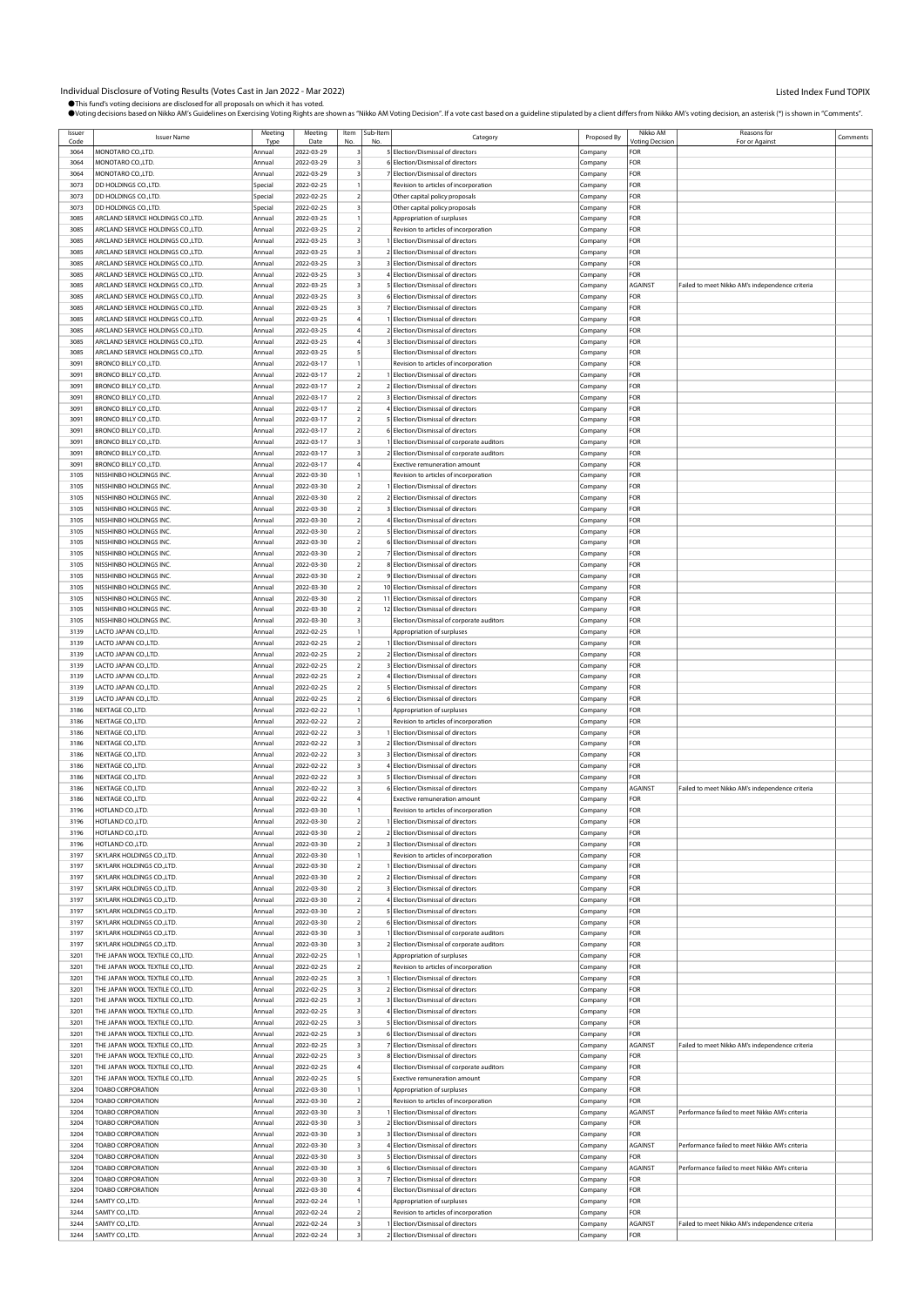| Issuer       |                                                                        | Meeting          |                          |      |                          |                                                                            |                    | Nikko AM               | Reasons for                                     |          |
|--------------|------------------------------------------------------------------------|------------------|--------------------------|------|--------------------------|----------------------------------------------------------------------------|--------------------|------------------------|-------------------------------------------------|----------|
| Code         | <b>Issuer Name</b>                                                     | Type             | Meeting<br>Date          | Item | Sub-Item<br>No           | Category                                                                   | Proposed By        | <b>Votina Decision</b> | For or Against                                  | Comments |
| 3064         | MONOTARO CO.,LTD.                                                      | Annual           | 2022-03-29               |      |                          | Election/Dismissal of directors                                            | Company            | FOR                    |                                                 |          |
| 3064         | MONOTARO CO.,LTD.                                                      | Annual           | 2022-03-29               |      |                          | 6 Election/Dismissal of directors                                          | Company            | FOR                    |                                                 |          |
| 3064         | MONOTARO CO.,LTD.                                                      | Annual           | 2022-03-29               |      |                          | 7 Election/Dismissal of directors                                          | Company            | FOR                    |                                                 |          |
| 3073         | DD HOLDINGS CO., LTD.                                                  | Special          | 2022-02-25               |      |                          | Revision to articles of incorporation                                      | Company            | FOR                    |                                                 |          |
| 3073         | DD HOLDINGS CO., LTD.                                                  | Special          | 2022-02-25               |      |                          | Other capital policy proposals                                             | Company            | FOR                    |                                                 |          |
| 3073         | DD HOLDINGS CO.,LTD.                                                   | Special          | 2022-02-25               |      |                          | Other capital policy proposals                                             | Company            | FOR                    |                                                 |          |
| 3085         | ARCLAND SERVICE HOLDINGS CO.,LTD.                                      | Annual           | 2022-03-25<br>2022-03-25 |      |                          | Appropriation of surpluses                                                 | Company            | FOR<br>FOR             |                                                 |          |
| 3085         | ARCLAND SERVICE HOLDINGS CO.,LTD.                                      | Annual           |                          |      |                          | Revision to articles of incorporation                                      | Company            | FOR                    |                                                 |          |
| 3085<br>3085 | ARCLAND SERVICE HOLDINGS CO.,LTD.<br>ARCLAND SERVICE HOLDINGS CO.,LTD. | Annual<br>Annual | 2022-03-25               |      |                          | Election/Dismissal of directors<br>Election/Dismissal of directors         | Company            | FOR                    |                                                 |          |
| 3085         | ARCLAND SERVICE HOLDINGS CO., LTD.                                     | Annual           | 2022-03-25<br>2022-03-25 |      | $\overline{\mathbf{3}}$  | <b>Election/Dismissal of directors</b>                                     | Company            | FOR                    |                                                 |          |
| 3085         | ARCLAND SERVICE HOLDINGS CO.,LTD.                                      | Annual           | 2022-03-25               |      |                          | Election/Dismissal of directors                                            | Company<br>Company | FOR                    |                                                 |          |
| 3085         | ARCLAND SERVICE HOLDINGS CO.,LTD.                                      | Annual           | 2022-03-25               |      |                          | lection/Dismissal of directors                                             | Company            | AGAINST                | Failed to meet Nikko AM's independence criteria |          |
| 3085         | ARCLAND SERVICE HOLDINGS CO., LTD.                                     | Annual           | 2022-03-25               |      |                          | Election/Dismissal of directors                                            | Company            | FOR                    |                                                 |          |
| 3085         | ARCLAND SERVICE HOLDINGS CO., LTD.                                     | Annual           | 2022-03-25               |      |                          | 7 Flection/Dismissal of directors                                          | Company            | FOR                    |                                                 |          |
| 3085         | ARCLAND SERVICE HOLDINGS CO.,LTD.                                      | Annual           | 2022-03-25               |      |                          | <b>Election/Dismissal of directors</b>                                     | Company            | FOR                    |                                                 |          |
| 3085         | ARCLAND SERVICE HOLDINGS CO.,LTD.                                      | Annual           | 2022-03-25               |      |                          | Election/Dismissal of directors                                            | Company            | FOR                    |                                                 |          |
| 3085         | ARCLAND SERVICE HOLDINGS CO.,LTD.                                      | Annual           | 2022-03-25               |      |                          | Election/Dismissal of directors                                            | Company            | FOR                    |                                                 |          |
| 3085         | ARCLAND SERVICE HOLDINGS CO.,LTD.                                      | Annual           | 2022-03-25               |      |                          | Election/Dismissal of directors                                            | Company            | FOR                    |                                                 |          |
| 3091         | <b>BRONCO BILLY CO., LTD.</b>                                          | Annual           | 2022-03-17               |      |                          | Revision to articles of incorporation                                      | Company            | FOR                    |                                                 |          |
| 3091         | BRONCO BILLY CO., LTD.                                                 | Annual           | 2022-03-17               |      |                          | Election/Dismissal of directors                                            | Company            | FOR                    |                                                 |          |
| 3091         | <b>BRONCO BILLY CO., LTD.</b>                                          | Annual           | 2022-03-17               |      |                          | Election/Dismissal of directors                                            | Company            | FOR                    |                                                 |          |
| 3091         | BRONCO BILLY CO., LTD.                                                 | Annual           | 2022-03-17               |      |                          | Election/Dismissal of directors                                            | Company            | FOR                    |                                                 |          |
| 3091         | BRONCO BILLY CO., LTD.                                                 | Annual           | 2022-03-17               |      |                          | Election/Dismissal of directors                                            | Company            | FOR                    |                                                 |          |
| 3091         | BRONCO BILLY CO., LTD.                                                 | Annual           | 2022-03-17               |      | 51                       | Election/Dismissal of directors                                            | Company            | FOR                    |                                                 |          |
| 3091         | BRONCO BILLY CO., LTD.                                                 | Annual           | 2022-03-17               |      | 6                        | <b>Election/Dismissal of directors</b>                                     | Company            | FOR                    |                                                 |          |
| 3091         | <b>BRONCO BILLY CO., LTD.</b>                                          | Annual           | 2022-03-17               |      |                          | Election/Dismissal of corporate auditors                                   | Company            | FOR                    |                                                 |          |
| 3091         | BRONCO BILLY CO., LTD.                                                 | Annual           | 2022-03-17               |      |                          | Election/Dismissal of corporate auditors                                   | Company            | FOR                    |                                                 |          |
| 3091         | BRONCO BILLY CO., LTD.                                                 | Annual           | 2022-03-17               |      |                          | <b>Exective remuneration amount</b>                                        | Company            | FOR                    |                                                 |          |
| 3105         | NISSHINBO HOLDINGS INC.                                                | Annual           | 2022-03-30               |      |                          | Revision to articles of incorporation                                      | Company            | FOR                    |                                                 |          |
| 3105         | NISSHINBO HOLDINGS INC.                                                | Annual           | 2022-03-30               |      |                          | <b>Flection/Dismissal of directors</b>                                     | Company            | FOR                    |                                                 |          |
| 3105         | NISSHINBO HOLDINGS INC.                                                | Annual           | 2022-03-30               |      |                          | Election/Dismissal of directors                                            | Company            | FOR                    |                                                 |          |
| 3105         | NISSHINBO HOLDINGS INC.                                                | Annual           | 2022-03-30               |      |                          | Election/Dismissal of directors                                            | Company            | FOR                    |                                                 |          |
| 3105         | NISSHINBO HOLDINGS INC.                                                | Annual           | 2022-03-30               |      |                          | Election/Dismissal of directors                                            | Company            | FOR                    |                                                 |          |
| 3105         | NISSHINBO HOLDINGS INC.                                                | Annual           | 2022-03-30               |      | 5                        | Election/Dismissal of directors                                            | Company            | FOR                    |                                                 |          |
| 3105         | NISSHINBO HOLDINGS INC.                                                | Annual           | 2022-03-30               |      |                          | <b>Election/Dismissal of directors</b>                                     | Company            | FOR                    |                                                 |          |
| 3105         | NISSHINBO HOLDINGS INC.                                                | Annual           | 2022-03-30               |      | 7                        | Election/Dismissal of directors                                            | Company            | FOR                    |                                                 |          |
| 3105         | NISSHINBO HOLDINGS INC.                                                | Annual           | 2022-03-30               |      | 8                        | Election/Dismissal of directors                                            | Company            | FOR                    |                                                 |          |
| 3105         | NISSHINBO HOLDINGS INC.                                                | Annual           | 2022-03-30               |      | 9                        | Election/Dismissal of directors                                            | Company            | FOR                    |                                                 |          |
| 3105         | NISSHINBO HOLDINGS INC.                                                | Annual           | 2022-03-30               |      |                          | 10 Election/Dismissal of directors                                         | Company            | FOR                    |                                                 |          |
| 3105         | NISSHINBO HOLDINGS INC.                                                | Annual           | 2022-03-30               |      | 11                       | Election/Dismissal of directors                                            | Company            | FOR                    |                                                 |          |
| 3105         | NISSHINBO HOLDINGS INC.                                                | Annual           | 2022-03-30               |      | 12                       | Election/Dismissal of directors                                            | Company            | FOR                    |                                                 |          |
| 3105         | NISSHINBO HOLDINGS INC.                                                | Annual           | 2022-03-30               |      |                          | lection/Dismissal of corporate auditors                                    | Company            | FOR                    |                                                 |          |
| 3139         | LACTO JAPAN CO.,LTD.                                                   | Annual           | 2022-02-25               |      |                          | Appropriation of surpluses                                                 | Company            | FOR                    |                                                 |          |
| 3139         | LACTO JAPAN CO.,LTD.                                                   | Annual           | 2022-02-25               |      |                          | Election/Dismissal of directors                                            | Company            | FOR                    |                                                 |          |
| 3139         | LACTO JAPAN CO.,LTD.                                                   | Annual           | 2022-02-25               |      | $\overline{2}$           | Election/Dismissal of directors                                            | Company            | FOR                    |                                                 |          |
| 3139         | LACTO JAPAN CO.,LTD.                                                   | Annual           | 2022-02-25               |      | $\overline{3}$           | Election/Dismissal of directors                                            | Company            | FOR                    |                                                 |          |
| 3139<br>3139 | ACTO JAPAN CO.,LTD.<br>LACTO JAPAN CO.,LTD.                            | Annual<br>Annual | 2022-02-25<br>2022-02-25 |      | 5                        | Election/Dismissal of directors<br>Election/Dismissal of directors         | Company            | FOR<br>FOR             |                                                 |          |
| 3139         | LACTO JAPAN CO.,LTD.                                                   | Annual           | 2022-02-25               |      | 61                       | Election/Dismissal of directors                                            | Company<br>Company | FOR                    |                                                 |          |
| 3186         | NEXTAGE CO., LTD.                                                      | Annual           | 2022-02-22               |      |                          | Appropriation of surpluses                                                 | Company            | FOR                    |                                                 |          |
| 3186         | NEXTAGE CO., LTD.                                                      | Annual           | 2022-02-22               |      |                          | Revision to articles of incorporation                                      | Company            | FOR                    |                                                 |          |
| 3186         | NEXTAGE CO.,LTD.                                                       | Annual           | 2022-02-22               |      |                          | Election/Dismissal of directors                                            | Company            | FOR                    |                                                 |          |
| 3186         | NEXTAGE CO., LTD.                                                      | Annual           | 2022-02-22               |      | $\mathcal{D}$            | Election/Dismissal of directors                                            | Company            | FOR                    |                                                 |          |
| 3186         | NEXTAGE CO., LTD.                                                      | Annual           | 2022-02-22               |      | $\mathbf{R}$             | Election/Dismissal of directors                                            | Company            | FOR                    |                                                 |          |
| 3186         | NEXTAGE CO., LTD.                                                      | Annual           | 2022-02-22               |      |                          | <b>Election/Dismissal of directors</b>                                     | Company            | FOR                    |                                                 |          |
| 3186         | NEXTAGE CO., LTD.                                                      | Annual           | 2022-02-22               |      | 5                        | <b>Flection/Dismissal of directors</b>                                     | Company            | FOR                    |                                                 |          |
| 3186         | NEXTAGE CO.,LTD.                                                       | Annual           | 022-02-22                |      |                          | lection/Dismissal of directors                                             | Company            | <b>AGAINST</b>         | Failed to meet Nikko AM's independence criteria |          |
| 3186         | NEXTAGE CO., LTD.                                                      | Annual           | 2022-02-22               |      |                          | <b>Exective remuneration amount</b>                                        | Company            | FOR                    |                                                 |          |
| 3196         | HOTLAND CO., LTD.                                                      | Annual           | 2022-03-30               |      |                          | Revision to articles of incorporation                                      | Company            | FOR                    |                                                 |          |
| 3196         | HOTLAND CO., LTD.                                                      | Annual           | 2022-03-30               |      |                          | 1 Election/Dismissal of directors                                          | Company            | FOR                    |                                                 |          |
| 3196         | HOTLAND CO., LTD.                                                      | Annual           | 2022-03-30               |      | $\overline{\phantom{a}}$ | Election/Dismissal of directors                                            | Company            | FOR                    |                                                 |          |
| 3196         | HOTLAND CO.,LTD.                                                       | Annual           | 2022-03-30               |      | $\frac{3}{2}$            | Election/Dismissal of directors                                            | Company            | FOR                    |                                                 |          |
| 3197         | SKYLARK HOLDINGS CO., LTD.                                             | Annual           | 2022-03-30               |      |                          | Revision to articles of incorporation                                      | Company            | FOR                    |                                                 |          |
| 3197         | SKYLARK HOLDINGS CO., LTD.                                             | Annual           | 2022-03-30               |      |                          | 1 Election/Dismissal of directors                                          | Company            | FOR                    |                                                 |          |
| 3197         | SKYLARK HOLDINGS CO., LTD.                                             | Annual           | 2022-03-30               |      |                          | 2 Election/Dismissal of directors                                          | Company            | FOR                    |                                                 |          |
| 3197         | SKYLARK HOLDINGS CO., LTD.                                             | Annual           | 2022-03-30               |      |                          | 3 Election/Dismissal of directors                                          | Company            | FOR                    |                                                 |          |
| 3197         | SKYLARK HOLDINGS CO.,LTD.                                              | Annual           | 2022-03-30               |      |                          | Election/Dismissal of directors                                            | Company            | FOR                    |                                                 |          |
| 3197         | SKYLARK HOLDINGS CO., LTD.                                             | Annual           | 2022-03-30               |      |                          | 5 Election/Dismissal of directors                                          | Company            | FOR                    |                                                 |          |
| 3197         | SKYLARK HOLDINGS CO., LTD.                                             | Annual           | 2022-03-30               |      |                          | 6 Election/Dismissal of directors                                          | Company            | FOR                    |                                                 |          |
| 3197         | SKYLARK HOLDINGS CO., LTD.                                             | Annual           | 2022-03-30               |      |                          | Election/Dismissal of corporate auditors                                   | Company            | FOR                    |                                                 |          |
| 3197         | SKYLARK HOLDINGS CO., LTD.                                             | Annual           | 2022-03-30               |      |                          | 2 Election/Dismissal of corporate auditors                                 | Company            | FOR                    |                                                 |          |
| 3201         | THE JAPAN WOOL TEXTILE CO., LTD.                                       | Annual           | 2022-02-25               |      |                          | Appropriation of surpluses                                                 | Company            | FOR                    |                                                 |          |
| 3201         | THE JAPAN WOOL TEXTILE CO.,LTD.<br>THE JAPAN WOOL TEXTILE CO., LTD.    | Annual           | 2022-02-25               |      |                          | Revision to articles of incorporation<br>1 Election/Dismissal of directors | Company            | FOR<br>FOR             |                                                 |          |
| 3201<br>3201 | THE JAPAN WOOL TEXTILE CO., LTD.                                       | Annual<br>Annual | 2022-02-25<br>2022-02-25 |      |                          | 2 Election/Dismissal of directors                                          | Company            | FOR                    |                                                 |          |
| 3201         | THE JAPAN WOOL TEXTILE CO.,LTD.                                        | Annual           | 2022-02-25               |      |                          | 3 Election/Dismissal of directors                                          | Company            | FOR                    |                                                 |          |
| 3201         | THE JAPAN WOOL TEXTILE CO.,LTD.                                        | Annual           | 2022-02-25               |      |                          | Election/Dismissal of directors                                            | Company<br>Company | FOR                    |                                                 |          |
| 3201         | THE JAPAN WOOL TEXTILE CO.,LTD.                                        | Annual           | 2022-02-25               |      |                          | 5 Election/Dismissal of directors                                          | Company            | FOR                    |                                                 |          |
| 3201         | THE JAPAN WOOL TEXTILE CO., LTD.                                       | Annual           | 2022-02-25               |      |                          | 6 Election/Dismissal of directors                                          | Company            | FOR                    |                                                 |          |
| 3201         | THE JAPAN WOOL TEXTILE CO., LTD.                                       | Annual           | 2022-02-25               |      |                          | 7 Election/Dismissal of directors                                          | Company            | AGAINST                | Failed to meet Nikko AM's independence criteria |          |
| 3201         | THE JAPAN WOOL TEXTILE CO., LTD.                                       | Annual           | 2022-02-25               |      |                          | 8 Election/Dismissal of directors                                          | Company            | FOR                    |                                                 |          |
| 3201         | THE JAPAN WOOL TEXTILE CO.,LTD.                                        | Annual           | 2022-02-25               |      |                          | lection/Dismissal of corporate auditors                                    | Company            | FOR                    |                                                 |          |
| 3201         | THE JAPAN WOOL TEXTILE CO.,LTD.                                        | Annual           | 2022-02-25               |      |                          | <b>Exective remuneration amount</b>                                        | Company            | FOR                    |                                                 |          |
| 3204         | <b>TOABO CORPORATION</b>                                               | Annual           | 2022-03-30               |      |                          | Appropriation of surpluses                                                 | Company            | FOR                    |                                                 |          |
| 3204         | <b>TOABO CORPORATION</b>                                               | Annual           | 2022-03-30               |      |                          | Revision to articles of incorporation                                      | Company            | FOR                    |                                                 |          |
| 3204         | TOABO CORPORATION                                                      | Annual           | 2022-03-30               |      |                          | 1 Election/Dismissal of directors                                          | Company            | <b>AGAINST</b>         | Performance failed to meet Nikko AM's criteria  |          |
| 3204         | TOABO CORPORATION                                                      | Annual           | 2022-03-30               |      |                          | Election/Dismissal of directors                                            | Company            | FOR                    |                                                 |          |
| 3204         | <b>TOABO CORPORATION</b>                                               | Annual           | 2022-03-30               |      |                          | 3 Election/Dismissal of directors                                          | Company            | FOR                    |                                                 |          |
| 3204         | <b>TOABO CORPORATION</b>                                               | Annual           | 2022-03-30               |      |                          | 4 Election/Dismissal of directors                                          | Company            | AGAINST                | Performance failed to meet Nikko AM's criteria  |          |
| 3204         | <b>TOABO CORPORATION</b>                                               | Annual           | 2022-03-30               |      |                          | 5 Election/Dismissal of directors                                          | Company            | FOR                    |                                                 |          |
| 3204         | TOABO CORPORATION                                                      | Annual           | 2022-03-30               |      |                          | 6 Election/Dismissal of directors                                          | Company            | <b>AGAINST</b>         | Performance failed to meet Nikko AM's criteria  |          |
| 3204         | TOABO CORPORATION                                                      | Annual           | 2022-03-30               |      |                          | Election/Dismissal of directors                                            | Company            | FOR                    |                                                 |          |
| 3204         | <b>TOABO CORPORATION</b>                                               | Annual           | 2022-03-30               |      |                          | Election/Dismissal of directors                                            | Company            | FOR                    |                                                 |          |
| 3244         | SAMTY CO.,LTD.                                                         | Annual           | 2022-02-24               |      |                          | Appropriation of surpluses                                                 | Company            | FOR                    |                                                 |          |
| 3244         | SAMTY CO.,LTD.                                                         | Annual           | 2022-02-24               |      |                          | Revision to articles of incorporation                                      | Company            | FOR                    |                                                 |          |
| 3244         | SAMTY CO.,LTD.                                                         | Annual           | 2022-02-24               |      |                          | 1 Election/Dismissal of directors                                          | Company            | <b>AGAINST</b>         | Failed to meet Nikko AM's independence criteria |          |
| 3244         | SAMTY CO.,LTD.                                                         | Annual           | 2022-02-24               |      |                          | Election/Dismissal of directors                                            | Company            | FOR                    |                                                 |          |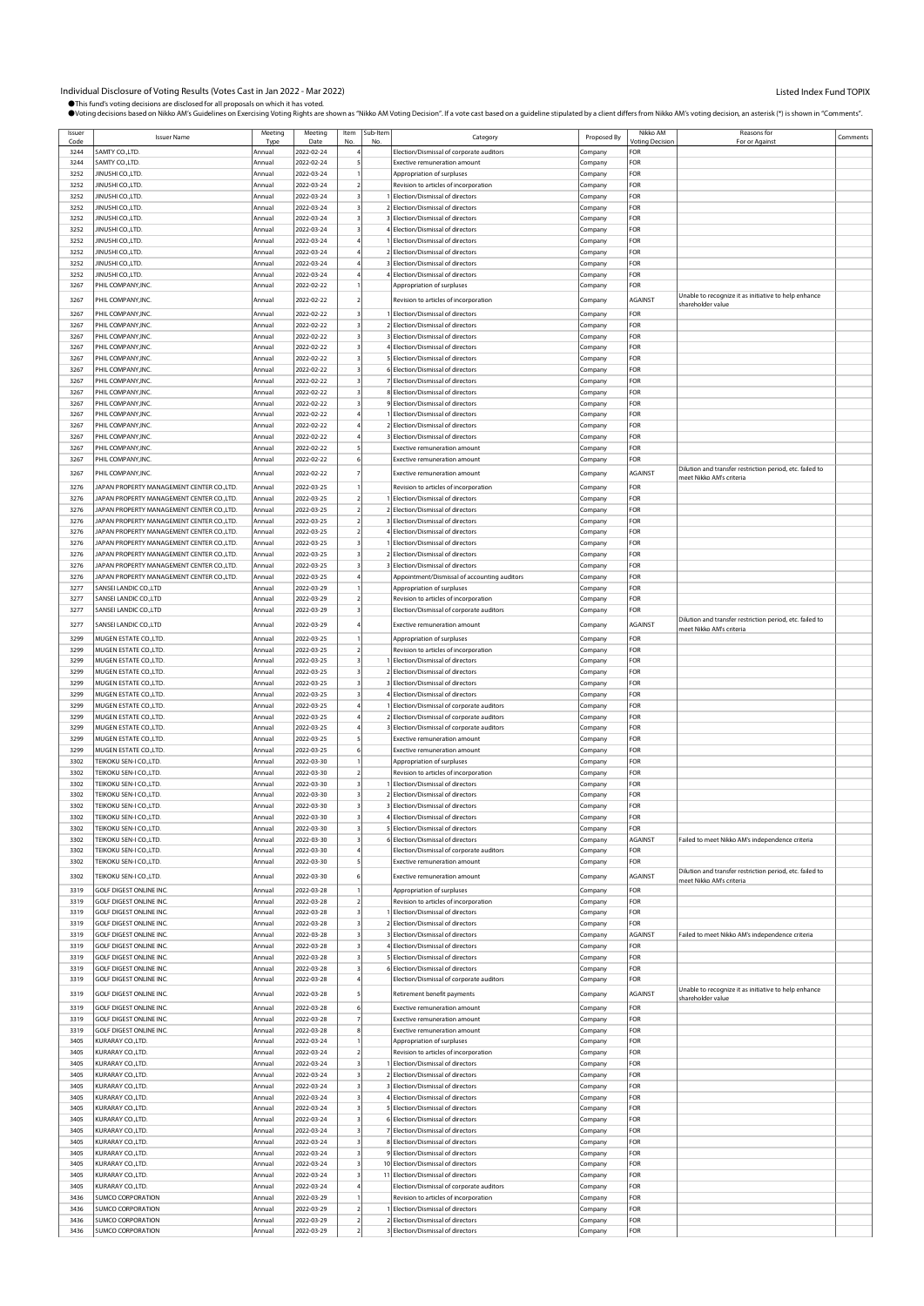| Issuer |                                           | Meeting | Meeting    | Item | Sub-Item |                                              |             | Nikko AM               | Reasons for                                              |          |
|--------|-------------------------------------------|---------|------------|------|----------|----------------------------------------------|-------------|------------------------|----------------------------------------------------------|----------|
| Code   | <b>Issuer Name</b>                        | Type    | Date       | No.  | No       | Category                                     | Proposed By | <b>Votina Decision</b> | For or Against                                           | Comments |
| 3244   | SAMTY CO.,LTD.                            | Annual  | 2022-02-24 |      |          | Election/Dismissal of corporate auditors     | Company     | FOR                    |                                                          |          |
| 3244   | SAMTY CO.,LTD.                            | Annual  | 2022-02-24 |      |          | <b>Exective remuneration amount</b>          | Company     | FOR                    |                                                          |          |
|        | JINUSHI CO.,LTD.                          |         |            |      |          |                                              |             |                        |                                                          |          |
| 3252   |                                           | Annual  | 2022-03-24 |      |          | Appropriation of surpluses                   | Company     | FOR                    |                                                          |          |
| 3252   | JINUSHI CO.,LTD.                          | Annual  | 2022-03-24 |      |          | Revision to articles of incorporation        | Company     | FOR                    |                                                          |          |
| 3252   | JINUSHI CO.,LTD.                          | Annual  | 2022-03-24 |      |          | Election/Dismissal of directors              | Company     | OR:                    |                                                          |          |
| 3252   | JINUSHI CO.,LTD.                          | Annual  | 2022-03-24 |      |          | 2 Election/Dismissal of directors            | Company     | FOR                    |                                                          |          |
|        |                                           |         |            |      |          |                                              |             |                        |                                                          |          |
| 3252   | JINUSHI CO.,LTD.                          | Annual  | 2022-03-24 |      |          | 3 Election/Dismissal of directors            | Company     | FOR                    |                                                          |          |
| 3252   | JINUSHI CO.,LTD.                          | Annual  | 2022-03-24 |      |          | 4 Election/Dismissal of directors            | Company     | FOR                    |                                                          |          |
| 3252   | JINUSHI CO.,LTD.                          | Annual  | 2022-03-24 |      |          | 1 Election/Dismissal of directors            | Company     | FOR                    |                                                          |          |
| 3252   | IINUSHI CO.,LTD.                          | Annual  | 2022-03-24 |      |          | 2 Election/Dismissal of directors            | Company     | OR:                    |                                                          |          |
|        |                                           |         |            |      |          |                                              |             |                        |                                                          |          |
| 3252   | JINUSHI CO.,LTD.                          | Annual  | 2022-03-24 |      |          | 3 Election/Dismissal of directors            | Company     | FOR                    |                                                          |          |
| 3252   | JINUSHI CO.,LTD.                          | Annual  | 2022-03-24 |      |          | 4 Election/Dismissal of directors            | Company     | FOR                    |                                                          |          |
| 3267   | PHIL COMPANY, INC.                        | Annual  | 2022-02-22 |      |          | Appropriation of surpluses                   | Company     | FOR                    |                                                          |          |
|        |                                           |         |            |      |          |                                              |             |                        | Unable to recognize it as initiative to help enhance     |          |
| 3267   | PHIL COMPANY, INC.                        | Annual  | 2022-02-22 |      |          | Revision to articles of incorporation        | Company     | <b>AGAINST</b>         | shareholder value                                        |          |
| 3267   | PHIL COMPANY, INC.                        | Annual  | 2022-02-22 |      |          | Election/Dismissal of directors              | Company     | FOR                    |                                                          |          |
| 3267   | PHIL COMPANY, INC.                        | Annual  | 2022-02-22 |      |          | 2 Election/Dismissal of directors            |             | FOR                    |                                                          |          |
|        |                                           |         |            |      |          |                                              | Company     |                        |                                                          |          |
| 3267   | PHIL COMPANY.INC.                         | Annual  | 2022-02-22 |      |          | 3 Election/Dismissal of directors            | Company     | FOR                    |                                                          |          |
| 3267   | PHIL COMPANY, INC.                        | Annual  | 2022-02-22 |      |          | 4 Election/Dismissal of directors            | Company     | FOR                    |                                                          |          |
| 3267   | PHIL COMPANY, INC.                        | Annual  | 2022-02-22 |      |          | 5 Election/Dismissal of directors            | Company     | FOR                    |                                                          |          |
|        |                                           |         |            |      |          |                                              |             | FOR                    |                                                          |          |
| 3267   | PHIL COMPANY, INC.                        | Annual  | 2022-02-22 |      |          | Election/Dismissal of directors              | Company     |                        |                                                          |          |
| 3267   | PHIL COMPANY, INC.                        | Annual  | 2022-02-22 |      |          | 7 Election/Dismissal of directors            | Company     | FOR                    |                                                          |          |
| 3267   | PHIL COMPANY, INC.                        | Annual  | 2022-02-22 |      |          | 8 Election/Dismissal of directors            | Company     | FOR                    |                                                          |          |
| 3267   | PHIL COMPANY, INC.                        | Annual  | 2022-02-22 |      |          | 9 Election/Dismissal of directors            | Company     | FOR                    |                                                          |          |
|        |                                           |         |            |      |          |                                              |             |                        |                                                          |          |
| 3267   | PHIL COMPANY, INC.                        | Annual  | 2022-02-22 |      |          | 1 Election/Dismissal of directors            | Company     | FOR                    |                                                          |          |
| 3267   | PHIL COMPANY, INC.                        | Annual  | 2022-02-22 |      |          | 2 Election/Dismissal of directors            | Company     | FOR                    |                                                          |          |
| 3267   | PHIL COMPANY, INC.                        | Annual  | 2022-02-22 |      |          | 3 Election/Dismissal of directors            | Company     | FOR                    |                                                          |          |
| 3267   | PHIL COMPANY, INC.                        | Annual  | 2022-02-22 |      |          | Exective remuneration amount                 |             | FOR                    |                                                          |          |
|        |                                           |         |            |      |          |                                              | Company     |                        |                                                          |          |
| 3267   | PHIL COMPANY, INC.                        | Annual  | 2022-02-22 |      |          | <b>Exective remuneration amount</b>          | Company     | FOR                    |                                                          |          |
| 3267   | PHIL COMPANY.INC                          | Annual  | 2022-02-22 |      |          | <b>Exective remuneration amount</b>          | Company     | <b>AGAINST</b>         | Dilution and transfer restriction period, etc. failed to |          |
|        |                                           |         |            |      |          |                                              |             |                        | neet Nikko AM's criteria                                 |          |
| 3276   | APAN PROPERTY MANAGEMENT CENTER CO.,LTD.  | Annual  | 2022-03-25 |      |          | Revision to articles of incorporation        | Company     | FOR                    |                                                          |          |
| 3276   | APAN PROPERTY MANAGEMENT CENTER CO.,LTD.  | Annual  | 2022-03-25 |      |          | Election/Dismissal of directors              | Company     | <b>OR</b>              |                                                          |          |
|        |                                           |         |            |      |          |                                              |             |                        |                                                          |          |
| 3276   | APAN PROPERTY MANAGEMENT CENTER CO.,LTD.  | Annual  | 2022-03-25 |      |          | 2 Election/Dismissal of directors            | Company     | FOR                    |                                                          |          |
| 3276   | JAPAN PROPERTY MANAGEMENT CENTER CO.,LTD. | Annual  | 2022-03-25 |      |          | 3 Election/Dismissal of directors            | Company     | FOR                    |                                                          |          |
| 3276   | JAPAN PROPERTY MANAGEMENT CENTER CO.,LTD. | Annual  | 2022-03-25 |      |          | 4 Election/Dismissal of directors            | Company     | <b>OR</b>              |                                                          |          |
| 3276   | JAPAN PROPERTY MANAGEMENT CENTER CO.,LTD. | Annual  | 2022-03-25 |      |          | 1 Election/Dismissal of directors            | Company     | FOR                    |                                                          |          |
|        |                                           |         |            |      |          |                                              |             |                        |                                                          |          |
| 3276   | APAN PROPERTY MANAGEMENT CENTER CO.,LTD.  | Annual  | 2022-03-25 |      |          | 2 Election/Dismissal of directors            | Company     | OR:                    |                                                          |          |
| 3276   | IAPAN PROPERTY MANAGEMENT CENTER CO.,LTD. | Annual  | 2022-03-25 |      |          | 3 Election/Dismissal of directors            | Company     | FOR                    |                                                          |          |
| 3276   | JAPAN PROPERTY MANAGEMENT CENTER CO.,LTD. | Annual  | 2022-03-25 |      |          | Appointment/Dismissal of accounting auditors | Company     | FOR                    |                                                          |          |
| 3277   | SANSEI LANDIC CO.,LTD                     | Annual  | 2022-03-29 |      |          | Appropriation of surpluses                   | Company     | FOR                    |                                                          |          |
|        |                                           |         |            |      |          |                                              |             |                        |                                                          |          |
| 3277   | SANSEI LANDIC CO., LTD                    | Annual  | 2022-03-29 |      |          | Revision to articles of incorporation        | Company     | FOR                    |                                                          |          |
| 3277   | SANSEI LANDIC CO.,LTD                     | Annual  | 2022-03-29 |      |          | Election/Dismissal of corporate auditors     | Company     | FOR                    |                                                          |          |
|        |                                           |         | 2022-03-29 |      |          |                                              |             |                        | Dilution and transfer restriction period, etc. failed to |          |
| 3277   | SANSEI LANDIC CO.,LTD                     | Annual  |            |      |          | <b>Exective remuneration amount</b>          | Company     | Against                | neet Nikko AM's criteria                                 |          |
| 3299   | MUGEN ESTATE CO.,LTD.                     | Annual  | 2022-03-25 |      |          | Appropriation of surpluses                   | Company     | FOR                    |                                                          |          |
| 3299   | MUGEN ESTATE CO.,LTD.                     | Annual  | 2022-03-25 |      |          | Revision to articles of incorporation        | Company     | FOR                    |                                                          |          |
|        |                                           |         |            |      |          |                                              |             |                        |                                                          |          |
| 3299   | MUGEN ESTATE CO.,LTD.                     | Annual  | 2022-03-25 |      |          | Election/Dismissal of directors              | Company     | FOR                    |                                                          |          |
| 3299   | MUGEN ESTATE CO.,LTD.                     | Annual  | 2022-03-25 |      |          | 2 Election/Dismissal of directors            | Company     | FOR                    |                                                          |          |
| 3299   | MUGEN ESTATE CO., LTD.                    | Annual  | 2022-03-25 |      |          | 3 Election/Dismissal of directors            | Company     | FOR                    |                                                          |          |
|        |                                           |         | 2022-03-25 |      |          |                                              |             | <b>OR</b>              |                                                          |          |
| 3299   | MUGEN ESTATE CO.,LTD.                     | Annual  |            |      |          | 4 Election/Dismissal of directors            | Company     |                        |                                                          |          |
| 3299   | MUGEN ESTATE CO.,LTD.                     | Annual  | 2022-03-25 |      |          | 1 Election/Dismissal of corporate auditors   | Company     | FOR                    |                                                          |          |
| 3299   | MUGEN ESTATE CO.,LTD.                     | Annual  | 2022-03-25 |      |          | 2 Election/Dismissal of corporate auditors   | Company     | FOR                    |                                                          |          |
| 3299   | MUGEN ESTATE CO.,LTD.                     | Annual  | 2022-03-25 |      |          | 3 Election/Dismissal of corporate auditors   | Company     | FOR                    |                                                          |          |
|        |                                           |         | 2022-03-25 |      |          |                                              |             |                        |                                                          |          |
| 3299   | MUGEN ESTATE CO., LTD.                    | Annual  |            |      |          | <b>Exective remuneration amount</b>          | Company     | FOR                    |                                                          |          |
| 3299   | MUGEN ESTATE CO.,LTD.                     | Annual  | 2022-03-25 |      |          | xective remuneration amount                  | Company     | FOR                    |                                                          |          |
| 3302   | TEIKOKU SEN-I CO.,LTD.                    | Annual  | 2022-03-30 |      |          | Appropriation of surpluses                   | Company     | FOR                    |                                                          |          |
| 3302   | TEIKOKU SEN-I CO.,LTD.                    | Annual  | 2022-03-30 |      |          | Revision to articles of incorporation        | Company     | FOR                    |                                                          |          |
|        |                                           |         |            |      |          |                                              |             |                        |                                                          |          |
| 3302   | TEIKOKU SEN-I CO.,LTD.                    | Annual  | 2022-03-30 |      |          | Flection/Dismissal of directors              | Company     | OR-                    |                                                          |          |
| 3302   | TEIKOKU SEN-I CO.,LTD.                    | Annual  | 2022-03-30 |      |          | 2 Election/Dismissal of directors            | Company     | FOR                    |                                                          |          |
| 3302   | TEIKOKU SEN-I CO.,LTD.                    | Annual  | 2022-03-30 |      |          | 3 Election/Dismissal of directors            | Company     | <b>OR</b>              |                                                          |          |
| 3302   | FEIKOKU SEN-I CO.,LTD.                    | Annual  | 2022-03-30 |      |          |                                              |             | FOR                    |                                                          |          |
|        |                                           |         |            |      |          | 4 Election/Dismissal of directors            | Company     |                        |                                                          |          |
| 3302   | TEIKOKU SEN-I CO.,LTD.                    | Annual  | 2022-03-30 |      |          | 5 Election/Dismissal of directors            | Company     | FOR                    |                                                          |          |
| 3302   | TEIKOKU SEN-I CO.,LTD.                    | Annual  | 2022-03-30 |      |          | 6 Election/Dismissal of directors            | Company     | <b>AGAINST</b>         | Failed to meet Nikko AM's independence criteria          |          |
| 3302   | TEIKOKU SEN-I CO.,LTD.                    | Annual  | 2022-03-30 |      |          | Election/Dismissal of corporate auditors     | Company     | FOR                    |                                                          |          |
| 3302   | TEIKOKU SEN-I CO.,LTD.                    | Annual  | 2022-03-30 |      |          | Exective remuneration amount                 |             | FOR                    |                                                          |          |
|        |                                           |         |            |      |          |                                              | Company     |                        |                                                          |          |
| 3302   | TEIKOKU SEN-I CO.,LTD.                    | Annual  | 2022-03-30 |      |          | Exective remuneration amount                 | Company     | <b>AGAINST</b>         | Dilution and transfer restriction period, etc. failed to |          |
|        |                                           |         |            |      |          |                                              |             |                        | neet Nikko AM's criteria                                 |          |
| 3319   | GOLF DIGEST ONLINE INC.                   | Annual  | 2022-03-28 |      |          | Appropriation of surpluses                   | Company     | FOR                    |                                                          |          |
| 3319   | GOLF DIGEST ONLINE INC.                   | Annual  | 2022-03-28 |      |          | Revision to articles of incorporation        | Company     | FOR                    |                                                          |          |
| 3319   | GOLF DIGEST ONLINE INC.                   | Annual  | 2022-03-28 |      |          | Election/Dismissal of directors              | Company     | FOR                    |                                                          |          |
| 3319   | GOLF DIGEST ONLINE INC.                   | Annual  | 2022-03-28 |      |          | 2 Election/Dismissal of directors            | Company     | FOR                    |                                                          |          |
| 3319   | GOLF DIGEST ONLINE INC.                   | Annual  | 2022-03-28 |      |          | 3 Election/Dismissal of directors            |             | AGAINST                |                                                          |          |
|        |                                           |         |            |      |          |                                              | Company     |                        | Failed to meet Nikko AM's independence criteria          |          |
| 3319   | GOLF DIGEST ONLINE INC.                   | Annual  | 2022-03-28 |      |          | 4 Election/Dismissal of directors            | Company     | FOR                    |                                                          |          |
| 3319   | GOLF DIGEST ONLINE INC.                   | Annual  | 2022-03-28 |      |          | 5 Election/Dismissal of directors            | Company     | FOR                    |                                                          |          |
| 3319   | GOLF DIGEST ONLINE INC.                   | Annual  | 2022-03-28 |      |          | 6 Election/Dismissal of directors            | Company     | FOR                    |                                                          |          |
| 3319   | GOLF DIGEST ONLINE INC.                   | Annual  | 2022-03-28 |      |          |                                              |             | FOR                    |                                                          |          |
|        |                                           |         |            |      |          | Election/Dismissal of corporate auditors     | Company     |                        |                                                          |          |
| 3319   | GOLF DIGEST ONLINE INC.                   | Annual  | 2022-03-28 |      |          | Retirement benefit payments                  | Company     | AGAINST                | Unable to recognize it as initiative to help enhance     |          |
|        |                                           |         |            |      |          |                                              |             |                        | shareholder value                                        |          |
| 3319   | GOLF DIGEST ONLINE INC.                   | Annual  | 2022-03-28 |      |          | <b>Exective remuneration amount</b>          | Company     | FOR                    |                                                          |          |
| 3319   | GOLF DIGEST ONLINE INC.                   | Annual  | 2022-03-28 |      |          | <b>Exective remuneration amount</b>          | Company     | FOR                    |                                                          |          |
| 3319   | GOLF DIGEST ONLINE INC.                   | Annual  | 2022-03-28 |      |          | Exective remuneration amount                 | Company     | FOR                    |                                                          |          |
|        |                                           |         |            |      |          |                                              |             |                        |                                                          |          |
| 3405   | KURARAY CO., LTD.                         | Annual  | 2022-03-24 |      |          | Appropriation of surpluses                   | Company     | FOR                    |                                                          |          |
| 3405   | KURARAY CO., LTD.                         | Annual  | 2022-03-24 |      |          | Revision to articles of incorporation        | Company     | FOR                    |                                                          |          |
| 3405   | KURARAY CO., LTD.                         | Annual  | 2022-03-24 |      |          | 1 Election/Dismissal of directors            | Company     | FOR                    |                                                          |          |
| 3405   | KURARAY CO., LTD.                         | Annual  | 2022-03-24 |      |          | 2 Election/Dismissal of directors            | Company     | FOR                    |                                                          |          |
|        |                                           |         |            |      |          |                                              |             |                        |                                                          |          |
| 3405   | KURARAY CO., LTD.                         | Annual  | 2022-03-24 |      |          | 3 Election/Dismissal of directors            | Company     | FOR                    |                                                          |          |
| 3405   | KURARAY CO., LTD.                         | Annual  | 2022-03-24 |      |          | 4 Election/Dismissal of directors            | Company     | FOR                    |                                                          |          |
| 3405   | KURARAY CO., LTD.                         | Annual  | 2022-03-24 |      |          | Election/Dismissal of directors              | Company     | FOR                    |                                                          |          |
|        | KURARAY CO., LTD.                         |         | 2022-03-24 |      |          | 6 Election/Dismissal of directors            |             | FOR                    |                                                          |          |
| 3405   |                                           | Annual  |            |      |          |                                              | Company     |                        |                                                          |          |
| 3405   | KURARAY CO., LTD.                         | Annual  | 2022-03-24 |      |          | 7 Election/Dismissal of directors            | Company     | FOR                    |                                                          |          |
| 3405   | KURARAY CO.,LTD.                          | Annual  | 2022-03-24 |      |          | 8 Election/Dismissal of directors            | Company     | FOR                    |                                                          |          |
| 3405   | KURARAY CO., LTD.                         | Annual  | 2022-03-24 |      |          | 9 Election/Dismissal of directors            | Company     | FOR                    |                                                          |          |
| 3405   | KURARAY CO., LTD.                         | Annual  | 2022-03-24 |      |          | 10 Election/Dismissal of directors           | Company     | FOR                    |                                                          |          |
|        |                                           |         |            |      |          |                                              |             |                        |                                                          |          |
| 3405   | KURARAY CO., LTD.                         | Annual  | 2022-03-24 |      |          | 11 Election/Dismissal of directors           | Company     | FOR                    |                                                          |          |
| 3405   | KURARAY CO., LTD.                         | Annual  | 2022-03-24 |      |          | Election/Dismissal of corporate auditors     | Company     | FOR                    |                                                          |          |
| 3436   | <b>SUMCO CORPORATION</b>                  | Annual  | 2022-03-29 |      |          | Revision to articles of incorporation        | Company     | FOR                    |                                                          |          |
| 3436   | <b>SUMCO CORPORATION</b>                  | Annual  | 2022-03-29 |      |          | 1 Election/Dismissal of directors            |             | FOR                    |                                                          |          |
|        |                                           |         |            |      |          |                                              | Company     |                        |                                                          |          |
| 3436   | <b>SUMCO CORPORATION</b>                  | Annual  | 2022-03-29 |      |          | 2 Election/Dismissal of directors            | Company     | FOR                    |                                                          |          |
| 3436   | <b>SUMCO CORPORATION</b>                  | Annual  | 2022-03-29 |      |          | 3 Election/Dismissal of directors            | Company     | FOR                    |                                                          |          |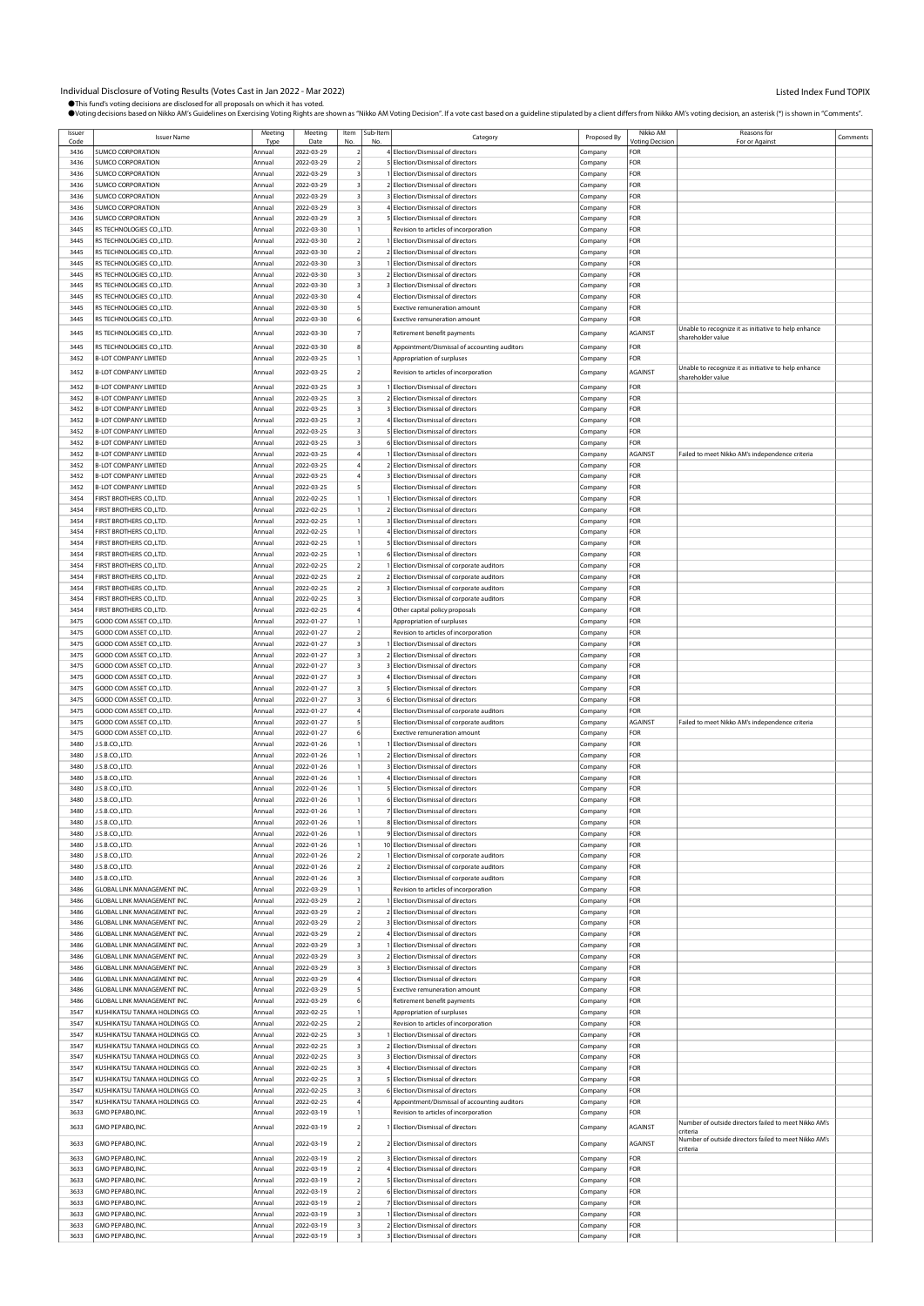●This fund's voting decisions are disclosed for all proposals on which it has voted.<br>●Voting decisions based on Nikko AM's Guidelines on Exercising Voting Rights are s n as "Nikko AM Voting Decision". If a vote cast based on a guideline stipulated by a client differs from Nikko AM's voting decision, an asterisk (\*) is shown in "Comments"

Issuer Ssuer Issuer Name Meeting<br>Code Type ייביייי<br>Type **Meeting** Date<br>Date<br>2022-03-29 Item No. Sub-Item b-Item<br>No. No. Category Category Proposed By Nikko AM Voting De Reasons for<br>
For or Against Comments 3436 SUMCO CORPORATION Annual 2022-03-29 2 4 Election/Dismissal of directors Company 3436 SUMCO CORPORATION Annual 2022-03-29 2 5 Election/Dismissal of directors Company FOR 3436 SUMCO CORPORATION COMPANY Annual 2022-03-29 3 1 Election/Dismissal of directors Company 3436 SUMCO CORPORATION COMPANY Annual 2022-03-29 3 2 Election/Dismissal of directors Company FOR<br>3436 SUMCO CORPORATION Annual 2022-03-29 3 3 Election/Dismissal of directors Company FOR annual 2022-03-29 3 3 Election/Dismissal of directors Company FOR 3436 SUMCO CORPORATION Annual 2022-03-29 3 4 Election/Dismissal of directors Company FOR 3436 SUMCO CORPORATION CORPORATION CONSULTED Annual 2022-03-29 3 5 Election/Dismissal of directors Company FOR<br>3445 RSTECHNOLOGIES CO.LTD. Annual 2022-03-30 1 Revision to articles of incorporation Company FOR 3445 Revision to articles of incorporation Company Company 3445 RS TECHNOLOGIES CO.,LTD. Annual 2022-03-30 2 1 Election/Dismissal of directors Company FOR 3445 RS TECHNOLOGIES CO.,LTD. Annual 2022-03-30 2 2 Election/Dismissal of directors Company FOR 3445 RS TECHNOLOGIES CO.,LTD. Annual 2022-03-30 3 1 Election/Dismissal of directors Company FOR 3445 RS TECHNOLOGIES CO.,LTD. **Annual 2022-03-30** 3 2 Election/Dismissal of directors Company 3445 RS TECHNOLOGIES CO.,LTD. Annual 2022-03-30 3 3 Election/Dismissal of directors Company FOR 3445 RS TECHNOLOGIES CO.,LTD. Annual 2022-03-30 4 Election/Dismissal of directors Company FOR 3445 RS TECHNOLOGIES CO.,LTD. Annual 2022-03-30 5 Exective remuneration amount Company FOR 3445 RS TECHNOLOGIES CO.,LTD. **Annual 2022-03-30** 6 Exective remuneration amount Company FOR 3445 RSTECHNOLOGIES CO.,LTD. Annual 2022-03-30 7 Retirement benefit payments Company AGAINST Unable to recognize it as initiative to help enhance areholder value 3445 RS TECHNOLOGIES CO.,LTD. Annual 2022-03-30 8 Appointment/Dismissal of accounting auditors Company FOR 3452 B-LOT COMPANY LIMITED Annual 2022-03-25 1 Appropriation of surpluses Company FOR 3452 B-LOT COMPANY LIMITED Annual 2022-03-25 2 Revision to articles of incorporation Company AGAINST Shareholder value it as initiative to help enhance 3452 B-LOT COMPANY LIMITED Annual 2022-03-25 3 1 Election/Dismissal of directors Company FOR 3452 B-LOT COMPANY LIMITED Annual 2022-03-25 3 2 Election/Dismissal of directors Company FOR 3452 B-LOT COMPANY LIMITED Annual 2022-03-25 3 3 Election/Dismissal of directors Company FOR 3452 B-LOT COMPANY LIMITED <br>3452 B-LOT COMPANY LIMITED Annual 2022-03-25 3 5 Election/Dismissal of directors Company FOR ection/Dismissal of directors **Company FOR** 3452 B-LOT COMPANY LIMITED **Annual 2022-03-25 3** 6 Election/Dismissal of directors **Company** FOR 3452 B-LOT COMPANY LIMITED Annual 2022-03-25 4 1 Election/Dismissal of directors company AGAINST Failed to meet Nikko AM's independence criterial annual 2022-03-25 4 2 Flection/Dismissal of directors company AGAINST Failed Election/Dismissal of directors Company 3452 B-LOT COMPANY LIMITED **Annual 2022-03-25** 4 3 Election/Dismissal of directors Company FOR<br>3452 B-LOT COMPANY LIMITED Annual 2022-03-25 5 Election/Dismissal of directors Company FOR 3452 B-LOT COMPANY LIMITED Annual 2022-03-25 5 Election/Dismissal of directors Company FOR 3454 FIRST BROTHERS CO.,LTD.<br>3454 FIRST BROTHERS CO.,LTD. Annual 2022-02-25 1 2 Election/Dismissal of directors Company FOR Election/Dismissal of directors Company 3454 FIRST BROTHERS CO.,LTD. Annual 2022-02-25 1 3 Election/Dismissal of directors Company FOR 3454 FIRST BROTHERS CO.,LTD. Annual 2022-02-25 1 4 Election/Dismissal of directors Company FOR 3454 FIRST BROTHERS CO.,LTD. **Annual 2022-02-02-25 1 1 5 Election/Dismissal of directors** Company FOR 3454 FIRST BROTHERS CO.,LTD.<br>3454 FIRST BROTHERS CO.,LTD. Annual 2022-02-25 2 1 Election/Dismissal of corporate auditors Company FOR ERCONY ENTRICO.<br>Election/Dismissal of corporate auditors 3454 FIRST BROTHERS CO.,LTD. Annual 2022-02-25 2 2 Election/Dismissal of corporate auditors Company FOR 3454 FIRST BROTHERS CO.,LTD. Annual 2022-02-25 2 3 Election/Dismissal of corporate auditors Company FOR 3454 FIRST BROTHERS CO.,LTD. Annual 2022-02-25 3 Election/Dismissal of corporate auditors Company FOR 3454 FIRST BROTHERS CO.,LTD. Annual 2022-02-25 4 Other capital policy proposals Company FOR<br>3475 GOOD COM ASSET CO. LTD. Annual 2022-01-27 1 Annual 2022-01-27 1 Annual 2022-02-25 4 Annual 2022-02-25 4 Company Appropriation of surpluses Company Company Company Company Company For  $\sim$ 3475 GOOD COM ASSET CO.,LTD. Annual 2022-01-27 2 Revision to articles of incorporation Company FOR 3475 GOOD COM ASSET CO.,LTD. Annual 2022-01-27 3 1 Election/Dismissal of directors Company FOR 3475 GOOD COM ASSET CO.,LTD. Annual 2022-01-27 3 2 Election/Dismissal of directors Company FOR 3475 GOOD COM ASSET CO.,LTD. Annual 2022-01-27 3 3 Election/Dismissal of directors Company FOR 3475 GOOD COM ASSET CO.,LTD.<br>3475 GOOD COM ASSET CO.,LTD. Annual 2022-01-27 3 5 Election/Dismissal of directors Company FOR and Company and Company Formula 2023-01-27 3 Election/Dismissal of directors Company FOR 3475 GOOD COM ASSET CO.,LTD. Annual 2022-01-27 3 6 Election/Dismissal of directors Company FOR<br>3475 GOOD COM ASSET CO LTD. Annual 2002-01-27 4 Election/Dismissal of connecta auditors Company FOR 3475 GOOD COM ASSET CO.,LTD. Annual 2022-01-27 4 Election/Dismissal of corporate auditors Company FOR annual 2022-01-27 5 Election/Dismissal of corporate auditors Company AGAINST Failed to meet Nikko AM's independence criteria 3475 GOOD COM ASSET CO.,LTD. **Annual 2022-01-27** 6 Exective remuneration amount Company FOR<br>3480 IS B COLTD. Annual 2022-01-26 1 IFlection/Dismissal of directors Company FOR 3480 J.S.B.CO.,LTD. Annual 2022-01-26 1 1 Election/Dismissal of directors Company FOR 3480 J.S.B.CO.,LTD. Annual 2022-01-26 1 2 Election/Dismissal of directors Company FOR ection/Dismissal of directors Company FOR 3480 S.S.B.CO.,LTD. Annual 2022-01-26 1 4 Election/Dismissal of directors Company FOR 3480 J.S.B.CO.,LTD. **Annual 2022-01-26** 1 5 Election/Dismissal of directors Company FOR 3480 J.S.B.CO.,LTD. Annual 2022-01-26 1 6 Election/Dismissal of directors Company FOR 3480 J.S.B.CO.,LTD. Annual 2022-01-26 1 7 Election/Dismissal of directors Company FOR 348000, 2380000, 2380000, 248000, 248000, 248000, 248000, 268000, 268000, 268000, 268000, 268000, 268000, 268000, 268000, 26800, 26800, 26800, 26800, 26800, 26800, 26800, 26800, 26800, 26800, 26800, 26800, 26800, 26800, 26 3480 J.S.B.CO.,LTD. Annual 2022-01-26 1 9 Election/Dismissal of directors Company FOR 3480 J.S.B.CO.,LTD. Annual 2022-01-26 1 10 Election/Dismissal of directors Company FOR 3480 J.S.B.CO.,LTD. Annual 2022-01-26 2 1 Election/Dismissal of corporate auditors Company FOR 3480 J.S.B.CO.,LTD. Annual 2022-01-26 2 2 Election/Dismissal of corporate auditors Company FOR 3480 J.S.B.CO.,LTD. Annual 2022-01-26 3 Election/Dismissal of corporate auditors Company FOR 3486 GLOBAL LINK MANAGEMENT INC. Annual 2022-03-29 1 Revision to articles of incorporation Company FOR 3486 GLOBAL LINK MANAGEMENT INC. Annual 2022-03-29 2 1 Election/Dismissal of directors Company 3486 GLOBAL LINK MANAGEMENT INC.<br>3486 GLOBAL LINK MANAGEMENT INC. Annual 2022-03-29 2 3 Election/Dismissal of directors Company FOR 3486 GLOBAL LINK MANAGEMENT INC. Annual 2022-03-29 2 3 Election/Dismissal of directors Company FOR 3486 GLOBAL LINK MANAGEMENT INC.<br>3486 GLOBAL LINK MANAGEMENT INC. Annual 2022-03-29 3 1 Election/Dismissal of directors Company FOR 3486 GLOBAL LINK MANAGEMENT INC.<br>3486 GLOBAL LINK MANAGEMENT INC. Annual 2022-03-29 3 2 Election/Dismissal of directors Company FOR 3486 GLOBAL LINK MANAGEMENT INC. Annual 2022-03-29 3 2 Election/Dismissal of directors Company FOR 3486 GLOBAL LINK MANAGEMENT INC. Annual 2022-03-29 3 3 Election/Dismissal of directors Company FOR 3486 GLOBAL LINK MANAGEMENT INC. Annual 2022-03-29 4 Election/Dismissal of directors Company FOR 3486 GLOBAL LINK MANAGEMENT INC. Annual 2022-03-29 5 Exective remuneration amount Company FOR 3486 GLOBAL LINK MANAGEMENT INC. Annual 2022-03-29 6 Retirement benefit payments Company FOR 3547 KUSHIKATSU TANAKA HOLDINGS CO. Annual 2022-02-25 1 Appropriation of surpluses Company FOR 3547 KUSHIKATSU TANAKA HOLDINGS CO. Annual 2022-02-25 2 Revision to articles of incorporation Company FOR 3547 KUSHIKATSU TANAKA HOLDINGS CO. Annual 2022-02-25 3 1 Election/Dismissal of directors Company FOR<br>3547 KUSHIKATSU TANAKA HOLDINGS CO. Annual 2022-02-25 3 2 Election/Dismissal of directors Company FOR 3547 KUSHIKATSU TANAKA HOLDINGS CO. Annual 2022-02-25 3 2 Election/Dismissal of directors Company FOR 3547 KUSHIKATSU TANAKA HOLDINGS CO. Annual 2022-02-25 3 3 Blection/Dismissal of directors Company FOR 3547 KUSHIKATSU TANAKA HOLDINGS CO. Annual 2022-02-25 3 4 Election/Dismissal of directors Company FOR<br>3547 KUSHIKATSU TANAKA HOLDINGS CO. Annual 2022-02-25 3 5 Election/Dismissal of directors Company FOR 3547 KUSHIKATSU TANAKA HOLDINGS CO. Annual 2022-02-25 3 5 Election/Dismissal of directors Company FOR 3547 KUSHIKATSU TANAKA HOLDINGS CO. Annual 2022-02-25 3 6 Election/Dismissal of directors Company FOR<br>3547 KUSHIKATSU TANAKA HOLDINGS CO. Annual 2022-02-25 4 Appointment/Dismissal of accounting auditors Company FOR ppointment/Dismissal of accounting auditors **Company** FOR Appointment/Dismissal of accounting auditors Company 3633 GMO PEPABO,INC. Annual 2022-03-19 1 Revision to articles of incorporation Company FOR 3633 GMO PEPABO,INC. Annual 2022-03-19 2 1 Election/Dismissal of directors Company AGAINST Number of outside directors failed to meet Nikko AM's criteria Criteria Criteria Criteria Criteria Criteria Criteria Criteria Criteria Criteria Criteria Criteria Criteria Criteria Criteria (Number of outside directors failed to meet Nikko AM's<br>Company AGAINST Number of outsid 3633 GMO PEPABO,INC. Annual 2022-03-19 2 3 Election/Dismissal of directors Company FOR 3633 GMO PEPABO,INC. Annual 2022-03-19 2 4 Election/Dismissal of directors Company FOR 3633 GMO PEPABO,INC. Annual 2022-03-19 2 5 Election/Dismissal of directors Company FOR 3633 GMO PEPABO,INC. Annual 2022-03-19 2 6 Election/Dismissal of directors Company FOR 3633 GMO PEPABO,INC. Annual 2022-03-19 2 7 Election/Dismissal of directors Company FOR 3633 GMO PEPABO,INC. Annual 2022-03-19 3 1 Election/Dismissal of directors Company FOR 3633 GMO PEPABO,INC. Annual 2022-03-19 3 2 Election/Dismissal of directors Company FOR 3633 GMO PEPABO, INC. Annual 2022-03-19 3 3 Election/Dismissal of directors Company FOR Company FOR Company FOR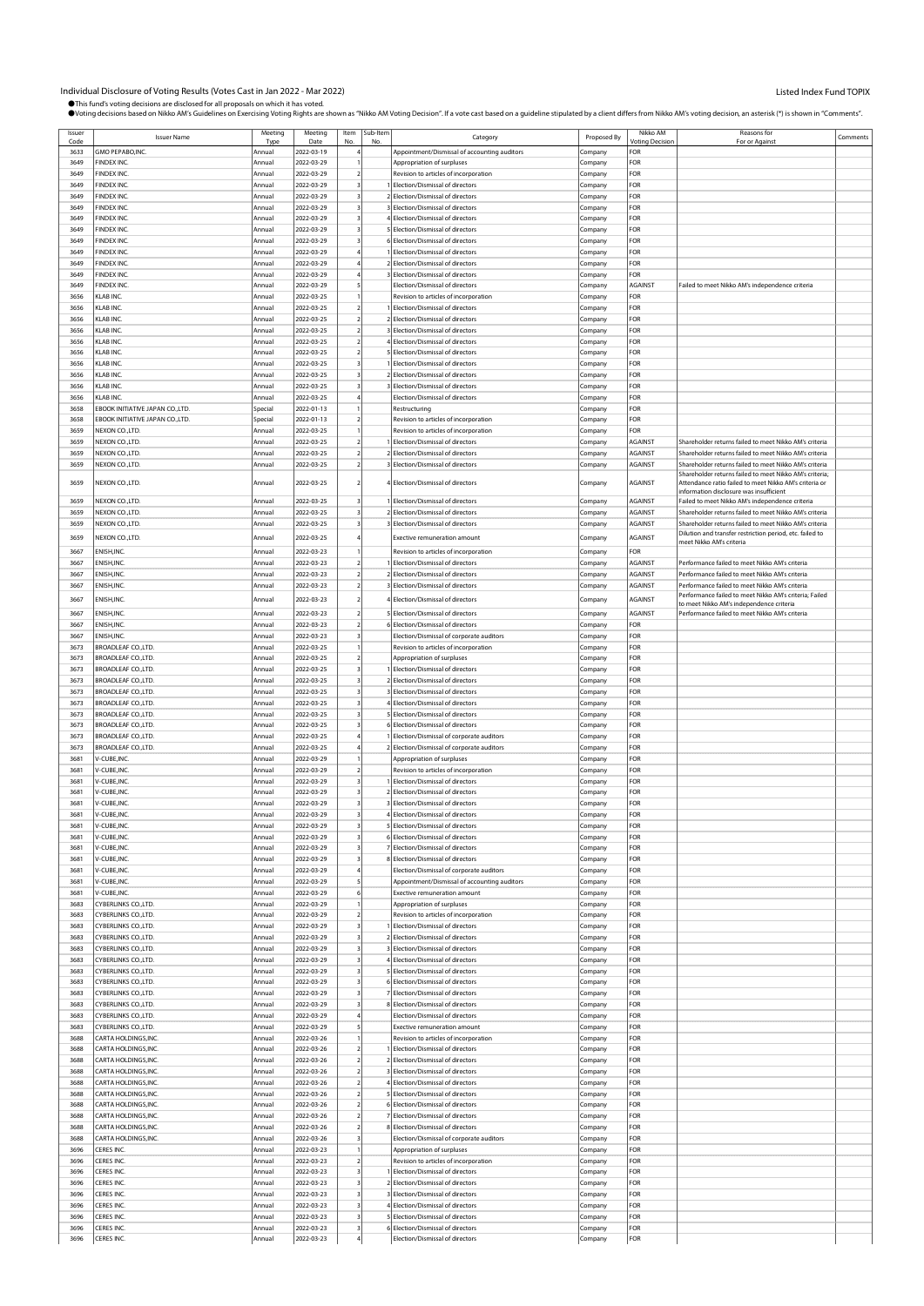●This fund's voting decisions are disclosed for all proposals on which it has voted. as "Nikko AM Voting Decision". If a vote cast based on a guideline stipulated by a client differs from Nikko AM's voting decision, an asterisk (\*) is shown in "Comments".

| Issuer       |                                 | Meeting          | Meeting                  | Item | Sub-Item |                                                                        |             | Nikko AM               | Reasons for                                                                                        |          |
|--------------|---------------------------------|------------------|--------------------------|------|----------|------------------------------------------------------------------------|-------------|------------------------|----------------------------------------------------------------------------------------------------|----------|
| Code         | <b>Issuer Name</b>              | Type             | Date                     | No   | No.      | Category                                                               | Proposed By | <b>Voting Decision</b> | For or Against                                                                                     | Comments |
| 3633<br>3649 | GMO PEPABO, INC.<br>INDEX INC.  | Annual           | 2022-03-19               |      |          | Appointment/Dismissal of accounting auditors                           | Company     | FOR<br>FOR             |                                                                                                    |          |
| 3649         | FINDEX INC.                     | Annual<br>Annual | 2022-03-29<br>2022-03-29 |      |          | Appropriation of surpluses<br>Revision to articles of incorporation    | Company     | FOR                    |                                                                                                    |          |
| 3649         | FINDEX INC.                     |                  | 2022-03-29               |      |          |                                                                        | Company     | FOR                    |                                                                                                    |          |
|              |                                 | Annual           |                          |      |          | 1 Election/Dismissal of directors<br>2 Election/Dismissal of directors | Company     |                        |                                                                                                    |          |
| 3649<br>3649 | FINDEX INC.<br>FINDEX INC.      | Annual<br>Annual | 2022-03-29<br>2022-03-29 |      |          | 3 Election/Dismissal of directors                                      | Company     | FOR<br>FOR             |                                                                                                    |          |
|              | FINDEX INC.                     |                  |                          |      |          | 4 Election/Dismissal of directors                                      | Company     | FOR                    |                                                                                                    |          |
| 3649<br>3649 |                                 | Annual           | 2022-03-29<br>2022-03-29 |      |          |                                                                        | Company     | FOR                    |                                                                                                    |          |
|              | FINDEX INC.                     | Annual           |                          |      |          | 5 Election/Dismissal of directors                                      | Company     |                        |                                                                                                    |          |
| 3649         | FINDEX INC.                     | Annual           | 2022-03-29               |      |          | 6 Election/Dismissal of directors                                      | Company     | FOR                    |                                                                                                    |          |
| 3649         | FINDEX INC.                     | Annual           | 2022-03-29               |      |          | 1 Election/Dismissal of directors                                      | Company     | FOR                    |                                                                                                    |          |
| 3649         | FINDEX INC.                     | Annual           | 2022-03-29               |      |          | 2 Election/Dismissal of directors                                      | Company     | FOR                    |                                                                                                    |          |
| 3649         | FINDEX INC.                     | Annual           | 2022-03-29               |      |          | 3 Election/Dismissal of directors                                      | Company     | FOR                    |                                                                                                    |          |
| 3649         | FINDEX INC.                     | Annual           | 2022-03-29               |      |          | Election/Dismissal of directors                                        | Company     | AGAINST                | Failed to meet Nikko AM's independence criteria                                                    |          |
| 3656         | KLAB INC.                       | Annual           | 2022-03-25               |      |          | Revision to articles of incorporation                                  | Company     | FOR                    |                                                                                                    |          |
| 3656         | KLAB INC.                       | Annual           | 2022-03-25               |      |          | 1 Election/Dismissal of directors                                      | Company     | FOR                    |                                                                                                    |          |
| 3656         | <b>(LAB INC.</b>                | Annual           | 2022-03-25               |      |          | 2 Election/Dismissal of directors                                      | Company     | FOR                    |                                                                                                    |          |
| 3656         | KLAB INC.                       | Annual           | 2022-03-25               |      |          | 3 Election/Dismissal of directors                                      | Company     | FOR                    |                                                                                                    |          |
| 3656         | KLAB INC.                       | Annual           | 2022-03-25               |      |          | 4 Election/Dismissal of directors                                      | Company     | FOR                    |                                                                                                    |          |
| 3656         | KLAB INC.                       | Annual           | 2022-03-25               |      |          | 5 Election/Dismissal of directors                                      | Company     | FOR                    |                                                                                                    |          |
| 3656         | KLAB INC.                       | Annual           | 2022-03-25               |      |          | 1 Election/Dismissal of directors                                      | Company     | FOR                    |                                                                                                    |          |
| 3656         | <b>CLAB INC.</b>                | Annual           | 2022-03-25               |      |          | 2 Election/Dismissal of directors                                      | Company     | FOR                    |                                                                                                    |          |
| 3656         | KLAB INC.                       | Annual           | 2022-03-25               |      |          | 3 Election/Dismissal of directors                                      | Company     | FOR                    |                                                                                                    |          |
| 3656         | KLAB INC.                       | Annual           | 2022-03-25               |      |          | Election/Dismissal of directors                                        | Company     | FOR                    |                                                                                                    |          |
| 3658         | EBOOK INITIATIVE JAPAN CO.,LTD. | Special          | 2022-01-13               |      |          |                                                                        |             | FOR                    |                                                                                                    |          |
|              | EBOOK INITIATIVE JAPAN CO.,LTD. |                  |                          |      |          | Restructuring                                                          | Company     |                        |                                                                                                    |          |
| 3658         |                                 | Special          | 2022-01-13               |      |          | Revision to articles of incorporation                                  | Company     | FOR                    |                                                                                                    |          |
| 3659         | NEXON CO.,LTD.                  | Annual           | 2022-03-25               |      |          | Revision to articles of incorporation                                  | Company     | FOR                    |                                                                                                    |          |
| 3659         | NEXON CO.,LTD.                  | Annual           | 2022-03-25               |      |          | 1 Election/Dismissal of directors                                      | Company     | AGAINST                | Shareholder returns failed to meet Nikko AM's criteria                                             |          |
| 3659         | NEXON CO.,LTD.                  | Annual           | 2022-03-25               |      |          | 2 Election/Dismissal of directors                                      | Company     | AGAINST                | Shareholder returns failed to meet Nikko AM's criteria                                             |          |
| 3659         | NEXON CO., LTD.                 | Annual           | 2022-03-25               |      |          | 3 Election/Dismissal of directors                                      | Company     | AGAINST                | Shareholder returns failed to meet Nikko AM's criteria                                             |          |
|              |                                 |                  |                          |      |          |                                                                        |             |                        | Shareholder returns failed to meet Nikko AM's criteria;                                            |          |
| 3659         | NEXON CO.,LTD.                  | Annual           | 2022-03-25               |      |          | 4 Election/Dismissal of directors                                      | Company     | <b>AGAINST</b>         | Attendance ratio failed to meet Nikko AM's criteria or<br>information disclosure was insufficient  |          |
| 3659         | NEXON CO.,LTD.                  | Annual           | 2022-03-25               |      |          | 1 Flection/Dismissal of directors                                      | Company     | AGAINST                | Failed to meet Nikko AM's independence criteria                                                    |          |
|              |                                 |                  |                          |      |          |                                                                        |             |                        |                                                                                                    |          |
| 3659         | NEXON CO.,LTD.                  | Annual           | 2022-03-25               |      |          | 2 Election/Dismissal of directors                                      | Company     | AGAINST                | Shareholder returns failed to meet Nikko AM's criteria                                             |          |
| 3659         | NEXON CO.,LTD.                  | Annual           | 2022-03-25               |      |          | 3 Election/Dismissal of directors                                      | Company     | AGAINST                | Shareholder returns failed to meet Nikko AM's criteria                                             |          |
| 3659         | NEXON CO.,LTD.                  | Annual           | 2022-03-25               |      |          | Exective remuneration amount                                           | Company     | AGAINST                | Dilution and transfer restriction period, etc. failed to<br>meet Nikko AM's criteria               |          |
| 3667         | ENISH, INC.                     | Annual           | 2022-03-23               |      |          | Revision to articles of incorporation                                  | Company     | <b>OR</b>              |                                                                                                    |          |
| 3667         | ENISH,INC.                      | Annual           | 2022-03-23               |      |          | 1 Election/Dismissal of directors                                      | Company     | AGAINST                | Performance failed to meet Nikko AM's criteria                                                     |          |
|              |                                 |                  | 2022-03-23               |      |          |                                                                        |             | AGAINST                |                                                                                                    |          |
| 3667         | ENISH,INC.                      | Annual           |                          |      |          | 2 Election/Dismissal of directors                                      | Company     |                        | Performance failed to meet Nikko AM's criteria                                                     |          |
| 3667         | ENISH, INC.                     | Annual           | 2022-03-23               |      |          | 3 Election/Dismissal of directors                                      | Company     | AGAINST                | Performance failed to meet Nikko AM's criteria                                                     |          |
| 3667         | ENISH, INC.                     | Annual           | 2022-03-23               |      |          | 4 Election/Dismissal of directors                                      | Company     | AGAINST                | Performance failed to meet Nikko AM's criteria; Failed<br>to meet Nikko AM's independence criteria |          |
| 3667         | ENISH,INC.                      | Annual           | 2022-03-23               |      |          | 5 Election/Dismissal of directors                                      | Company     | <b>AGAINST</b>         | Performance failed to meet Nikko AM's criteria                                                     |          |
| 3667         | ENISH, INC.                     | Annual           | 2022-03-23               |      |          | 6 Election/Dismissal of directors                                      | Company     | FOR                    |                                                                                                    |          |
| 3667         | ENISH, INC.                     | Annual           | 2022-03-23               |      |          | Election/Dismissal of corporate auditors                               |             | FOR                    |                                                                                                    |          |
| 3673         |                                 |                  |                          |      |          |                                                                        | Company     |                        |                                                                                                    |          |
|              | BROADLEAF CO.,LTD.              | Annual           | 2022-03-25               |      |          | Revision to articles of incorporation                                  | Company     | FOR                    |                                                                                                    |          |
| 3673         | BROADLEAF CO.,LTD.              | Annual           | 2022-03-25               |      |          | Appropriation of surpluses                                             | Company     | FOR                    |                                                                                                    |          |
| 3673         | BROADLEAF CO.,LTD.              | Annual           | 2022-03-25               |      |          | 1 Election/Dismissal of directors                                      | Company     | FOR                    |                                                                                                    |          |
| 3673         | BROADLEAF CO.,LTD.              | Annual           | 2022-03-25               |      |          | 2 Election/Dismissal of directors                                      | Company     | FOR                    |                                                                                                    |          |
| 3673         | <b>BROADLEAF CO.,LTD.</b>       | Annual           | 2022-03-25               |      |          | 3 Election/Dismissal of directors                                      | Company     | FOR                    |                                                                                                    |          |
| 3673         | BROADLEAF CO.,LTD.              | Annual           | 2022-03-25               |      |          | 4 Election/Dismissal of directors                                      | Company     | FOR                    |                                                                                                    |          |
| 3673         | BROADLEAF CO.,LTD.              | Annual           | 2022-03-25               |      |          | 5 Election/Dismissal of directors                                      | Company     | FOR                    |                                                                                                    |          |
| 3673         | BROADLEAF CO.,LTD.              | Annual           | 2022-03-25               |      |          | 6 Election/Dismissal of directors                                      | Company     | FOR                    |                                                                                                    |          |
| 3673         | BROADLEAF CO.,LTD.              | Annual           | 2022-03-25               |      |          | 1 Election/Dismissal of corporate auditors                             | Company     | FOR                    |                                                                                                    |          |
| 3673         | <b>BROADLEAF CO.,LTD.</b>       | Annual           | 2022-03-25               |      |          | 2 Election/Dismissal of corporate auditors                             |             | FOR                    |                                                                                                    |          |
| 3681         |                                 |                  |                          |      |          |                                                                        | Company     | FOR                    |                                                                                                    |          |
|              | V-CUBE, INC.                    | Annual           | 2022-03-29               |      |          | Appropriation of surpluses                                             | Company     |                        |                                                                                                    |          |
| 3681         | V-CUBE, INC.                    | Annual           | 2022-03-29               |      |          | Revision to articles of incorporation                                  | Company     | FOR                    |                                                                                                    |          |
| 3681         | /-CUBE, INC.                    | Annual           | 2022-03-29               |      |          | 1 Election/Dismissal of directors                                      | Company     | FOR                    |                                                                                                    |          |
| 3681         | V-CUBE, INC.                    | Annual           | 2022-03-29               |      |          | 2 Election/Dismissal of directors                                      | Company     | FOR                    |                                                                                                    |          |
| 3681         | V-CUBE, INC.                    | Annual           | 2022-03-29               |      |          | 3 Election/Dismissal of directors                                      | Company     | FOR                    |                                                                                                    |          |
| 3681         | V-CUBE, INC.                    | Annual           | 2022-03-29               |      |          | 4 Election/Dismissal of directors                                      | Company     | FOR                    |                                                                                                    |          |
| 3681         | V-CUBE, INC.                    | Annual           | 2022-03-29               |      |          | 5 Election/Dismissal of directors                                      | Company     | FOR                    |                                                                                                    |          |
| 3681         | V-CUBE, INC.                    | Annual           | 2022-03-29               |      |          | 6 Election/Dismissal of directors                                      | Company     | FOR                    |                                                                                                    |          |
| 3681         | V-CUBE, INC.                    | Annual           | 2022-03-29               |      |          | 7 Election/Dismissal of directors                                      | Company     | FOR                    |                                                                                                    |          |
| 3681         | V-CUBE, INC.                    | Annual           | 2022-03-29               |      |          | 8 Election/Dismissal of directors                                      | Company     | FOR                    |                                                                                                    |          |
| 3681         | V-CUBE, INC.                    | Annual           | 2022-03-29               |      |          | Election/Dismissal of corporate auditors                               | Company     | FOR                    |                                                                                                    |          |
| 3681         | V-CUBE, INC.                    | Annual           | 2022-03-29               |      |          | Appointment/Dismissal of accounting auditors                           | Company     | FOR                    |                                                                                                    |          |
| 3681         | V-CUBE, INC.                    | Annual           | 2022-03-29               |      |          |                                                                        |             | FOR                    |                                                                                                    |          |
| 3683         | CYBERLINKS CO.,LTD.             |                  |                          |      |          | Exective remuneration amount                                           | Company     | FOR                    |                                                                                                    |          |
| 3683         | CYBERLINKS CO.,LTD.             | Annual           | 2022-03-29<br>2022-03-29 |      |          | Appropriation of surpluses                                             | Company     | FOR                    |                                                                                                    |          |
|              |                                 | Annual           |                          |      |          | Revision to articles of incorporation                                  | Company     |                        |                                                                                                    |          |
| 3683         | CYBERLINKS CO.,LTD.             | Annual           | 2022-03-29               |      |          | 1 Election/Dismissal of directors                                      | Company     | FOR                    |                                                                                                    |          |
| 3683         | CYBERLINKS CO.,LTD.             | Annual           | 2022-03-29               |      |          | 2 Election/Dismissal of directors                                      | Company     | FOR                    |                                                                                                    |          |
| 3683         | CYBERLINKS CO.,LTD.             | Annual           | 2022-03-29               |      |          | 3 Election/Dismissal of directors                                      | Company     | FOR                    |                                                                                                    |          |
| 3683         | CYBERLINKS CO., LTD.            | Annual           | 2022-03-29               |      |          | 4 Election/Dismissal of directors                                      | Company     | FOR                    |                                                                                                    |          |
| 3683         | CYBERLINKS CO.,LTD.             | Annual           | 2022-03-29               |      |          | 5 Election/Dismissal of directors                                      | Company     | FOR                    |                                                                                                    |          |
| 3683         | CYBERLINKS CO.,LTD.             | Annual           | 2022-03-29               |      |          | 6 Election/Dismissal of directors                                      | Company     | FOR                    |                                                                                                    |          |
| 3683         | CYBERLINKS CO., LTD.            | Annual           | 2022-03-29               |      |          | 7 Election/Dismissal of directors                                      | Company     | FOR                    |                                                                                                    |          |
| 3683         | CYBERLINKS CO.,LTD.             | Annual           | 2022-03-29               |      |          | 8 Election/Dismissal of directors                                      | Company     | FOR                    |                                                                                                    |          |
| 3683         | CYBERLINKS CO., LTD.            | Annual           | 2022-03-29               |      |          | Election/Dismissal of directors                                        | Company     | FOR                    |                                                                                                    |          |
| 3683         | CYBERLINKS CO.,LTD.             | Annual           | 2022-03-29               |      |          | Exective remuneration amount                                           | Company     | FOR                    |                                                                                                    |          |
| 3688         | CARTA HOLDINGS, INC             | Annual           | 2022-03-26               |      |          | Revision to articles of incorporation                                  | Company     | FOR                    |                                                                                                    |          |
| 3688         | CARTA HOLDINGS, INC.            | Annual           | 2022-03-26               |      |          | Election/Dismissal of directors                                        | Company     | FOR                    |                                                                                                    |          |
| 3688         | CARTA HOLDINGS, INC             | Annual           | 2022-03-26               |      |          | 2 Election/Dismissal of directors                                      | Company     | FOR                    |                                                                                                    |          |
| 3688         | CARTA HOLDINGS, INC.            | Annual           | 2022-03-26               |      |          | 3 Election/Dismissal of directors                                      | Company     | FOR                    |                                                                                                    |          |
| 3688         | CARTA HOLDINGS, INC.            | Annual           | 2022-03-26               |      |          | 4 Election/Dismissal of directors                                      |             | FOR                    |                                                                                                    |          |
|              |                                 |                  |                          |      |          |                                                                        | Company     |                        |                                                                                                    |          |
| 3688         | CARTA HOLDINGS, INC.            | Annual           | 2022-03-26               |      |          | 5 Election/Dismissal of directors                                      | Company     | FOR                    |                                                                                                    |          |
| 3688         | CARTA HOLDINGS, INC.            | Annual           | 2022-03-26               |      |          | 6 Election/Dismissal of directors                                      | Company     | FOR                    |                                                                                                    |          |
| 3688         | CARTA HOLDINGS, INC.            | Annual           | 2022-03-26               |      |          | 7 Election/Dismissal of directors                                      | Company     | FOR                    |                                                                                                    |          |
| 3688         | CARTA HOLDINGS, INC             | Annual           | 2022-03-26               |      |          | 8 Election/Dismissal of directors                                      | Company     | FOR                    |                                                                                                    |          |
| 3688         | CARTA HOLDINGS, INC.            | Annual           | 2022-03-26               |      |          | Election/Dismissal of corporate auditors                               | Company     | FOR                    |                                                                                                    |          |
| 3696         | CERES INC.                      | Annual           | 2022-03-23               |      |          | Appropriation of surpluses                                             | Company     | FOR                    |                                                                                                    |          |
| 3696         | CERES INC.                      | Annual           | 2022-03-23               |      |          | Revision to articles of incorporation                                  | Company     | FOR                    |                                                                                                    |          |
| 3696         |                                 |                  |                          |      |          |                                                                        |             | FOR                    |                                                                                                    |          |
|              | CERES INC.                      | Annual           | 2022-03-23               |      |          | 1 Election/Dismissal of directors                                      | Company     |                        |                                                                                                    |          |
| 3696         | CERES INC.                      | Annual           | 2022-03-23               |      |          | 2 Election/Dismissal of directors                                      | Company     | FOR                    |                                                                                                    |          |
| 3696         | CERES INC.                      | Annual           | 2022-03-23               |      |          | 3 Election/Dismissal of directors                                      | Company     | FOR                    |                                                                                                    |          |
| 3696         | CERES INC.                      | Annual           | 2022-03-23               |      |          | 4 Election/Dismissal of directors                                      | Company     | FOR                    |                                                                                                    |          |
| 3696         | CERES INC.                      | Annual           | 2022-03-23               |      |          | 5 Election/Dismissal of directors                                      | Company     | FOR                    |                                                                                                    |          |
|              |                                 |                  |                          |      |          | 6 Election/Dismissal of directors                                      | Company     | FOR                    |                                                                                                    |          |
| 3696         | CERES INC.                      | Annual           | 2022-03-23               |      |          |                                                                        |             |                        |                                                                                                    |          |
| 3696         | CERES INC.                      | Annual           | 2022-03-23               |      |          | Election/Dismissal of directors                                        | Company     | FOR                    |                                                                                                    |          |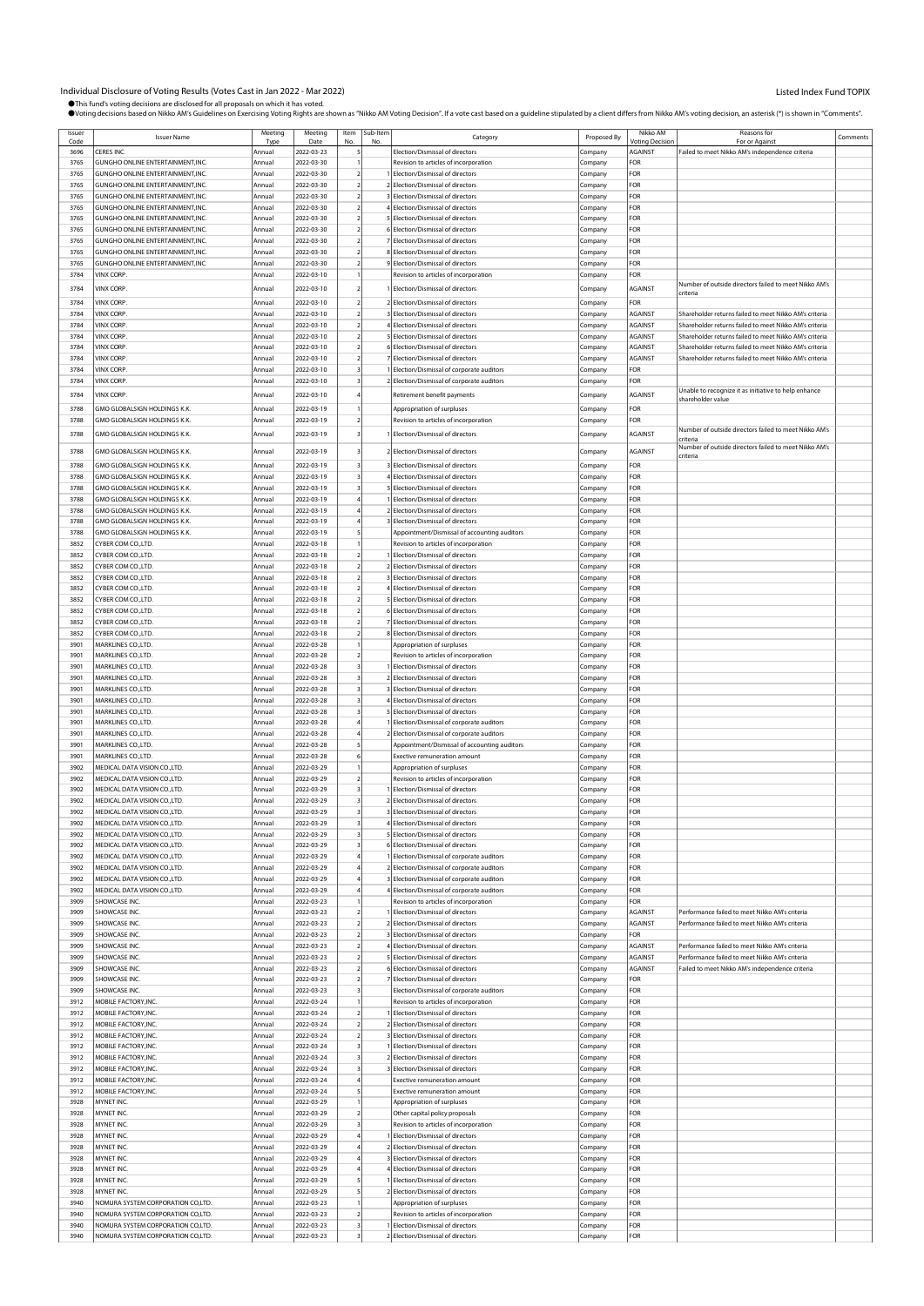| Issuer | <b>Issuer Name</b>                       | Meeting | Meeting    | Item | Sub-Item       | Category                                     | Proposed By | Nikko AM        | Reasons for                                                               | Comments |
|--------|------------------------------------------|---------|------------|------|----------------|----------------------------------------------|-------------|-----------------|---------------------------------------------------------------------------|----------|
| Code   |                                          | Type    | Date       | No.  | No.            |                                              |             | Voting Decision | For or Against                                                            |          |
| 3696   | CERES INC.                               | Annual  | 2022-03-23 |      |                | Election/Dismissal of directors              | Company     | AGAINST         | Failed to meet Nikko AM's independence criteria                           |          |
| 3765   | <b>GUNGHO ONLINE ENTERTAINMENT.INC.</b>  | Annual  | 2022-03-30 |      |                | Revision to articles of incorporation        | Company     | FOR             |                                                                           |          |
| 3765   | GUNGHO ONLINE ENTERTAINMENT, INC.        | Annual  | 2022-03-30 |      |                | Election/Dismissal of directors              | Company     | FOR             |                                                                           |          |
| 3765   | <b>GUNGHO ONLINE ENTERTAINMENT,INC.</b>  | Annual  | 2022-03-30 |      |                | Election/Dismissal of directors              | Company     | FOR             |                                                                           |          |
| 3765   | <b>GUNGHO ONLINE ENTERTAINMENT, INC.</b> | Annual  | 2022-03-30 |      |                | Election/Dismissal of directors              | Company     | FOR             |                                                                           |          |
| 3765   | GUNGHO ONLINE ENTERTAINMENT,INC.         | Annual  | 2022-03-30 |      |                | Election/Dismissal of directors              | Company     | FOR             |                                                                           |          |
| 3765   |                                          |         |            |      |                |                                              |             | FOR             |                                                                           |          |
|        | GUNGHO ONLINE ENTERTAINMENT, INC.        | Annual  | 2022-03-30 |      |                | Election/Dismissal of directors              | Company     |                 |                                                                           |          |
| 3765   | GUNGHO ONLINE ENTERTAINMENT, INC.        | Annual  | 2022-03-30 |      |                | Election/Dismissal of directors              | Company     | FOR             |                                                                           |          |
| 3765   | <b>GUNGHO ONLINE ENTERTAINMENT, INC.</b> | Annual  | 2022-03-30 |      |                | Election/Dismissal of directors              | Company     | FOR             |                                                                           |          |
| 3765   | <b>GUNGHO ONLINE ENTERTAINMENT, INC.</b> | Annual  | 2022-03-30 |      |                | Election/Dismissal of directors              | Company     | FOR             |                                                                           |          |
| 3765   | GUNGHO ONLINE ENTERTAINMENT,INC.         | Annual  | 2022-03-30 |      |                | Election/Dismissal of directors              | Company     | FOR             |                                                                           |          |
| 3784   | <b>VINX CORP.</b>                        | Annual  | 2022-03-10 |      |                | Revision to articles of incorporation        | Company     | FOR             |                                                                           |          |
|        |                                          |         |            |      |                |                                              |             |                 | Number of outside directors failed to meet Nikko AM's                     |          |
| 3784   | VINX CORP.                               | Annual  | 2022-03-10 |      |                | Election/Dismissal of directors              | Company     | AGAINST         | criteria                                                                  |          |
| 3784   | <b>VINX CORP</b>                         | Annual  | 2022-03-10 |      |                | Election/Dismissal of directors              | Company     | FOR             |                                                                           |          |
| 3784   | <b>VINX CORP.</b>                        |         |            |      |                |                                              |             | AGAINST         |                                                                           |          |
|        |                                          | Annual  | 2022-03-10 |      |                | Election/Dismissal of directors              | Company     |                 | Shareholder returns failed to meet Nikko AM's criteria                    |          |
| 3784   | <b>VINX CORP.</b>                        | Annual  | 2022-03-10 |      |                | Election/Dismissal of directors              | Company     | AGAINST         | Shareholder returns failed to meet Nikko AM's criteria                    |          |
| 3784   | <b>VINX CORP.</b>                        | Annual  | 2022-03-10 |      |                | <b>Election/Dismissal of directors</b>       | Company     | AGAINST         | Shareholder returns failed to meet Nikko AM's criteria                    |          |
| 3784   | <b>VINX CORP</b>                         | Annual  | 2022-03-10 |      |                | Election/Dismissal of directors              | Company     | AGAINST         | Shareholder returns failed to meet Nikko AM's criteria                    |          |
| 3784   | <b>VINX CORP</b>                         | Annual  | 2022-03-10 |      |                | Election/Dismissal of directors              | Company     | AGAINST         | Shareholder returns failed to meet Nikko AM's criteria                    |          |
| 3784   | <b>VINX CORP.</b>                        | Annual  | 2022-03-10 |      |                | Election/Dismissal of corporate auditors     | Company     | FOR             |                                                                           |          |
| 3784   | <b>VINX CORP.</b>                        | Annual  | 2022-03-10 |      |                |                                              |             | FOR             |                                                                           |          |
|        |                                          |         |            |      |                | Election/Dismissal of corporate auditors     | Company     |                 |                                                                           |          |
| 3784   | <b>VINX CORP.</b>                        | Annual  | 2022-03-10 |      |                | Retirement benefit payments                  | Company     | AGAINST         | Unable to recognize it as initiative to help enhance<br>shareholder value |          |
| 3788   | <b>GMO GLOBALSIGN HOLDINGS K.K.</b>      | Annual  |            |      |                |                                              |             | FOR             |                                                                           |          |
|        |                                          |         | 2022-03-19 |      |                | Appropriation of surpluses                   | Company     | FOR             |                                                                           |          |
| 3788   | GMO GLOBALSIGN HOLDINGS K.K.             | Annual  | 2022-03-19 |      |                | Revision to articles of incorporation        | Company     |                 |                                                                           |          |
| 3788   | GMO GLOBALSIGN HOLDINGS K.K.             | Annual  | 2022-03-19 |      |                | Election/Dismissal of directors              | Company     | AGAINST         | Number of outside directors failed to meet Nikko AM's<br>criteria         |          |
|        |                                          |         |            |      |                |                                              |             |                 | Number of outside directors failed to meet Nikko AM's                     |          |
| 3788   | <b>GMO GLOBALSIGN HOLDINGS K.K.</b>      | Annual  | 2022-03-19 |      |                | Election/Dismissal of directors              | Company     | AGAINST         | criteria                                                                  |          |
| 3788   | <b>GMO GLOBALSIGN HOLDINGS K.K.</b>      | Annual  | 2022-03-19 |      |                | Election/Dismissal of directors              | Company     | FOR             |                                                                           |          |
|        |                                          |         |            |      |                |                                              |             |                 |                                                                           |          |
| 3788   | GMO GLOBALSIGN HOLDINGS K.K.             | Annual  | 2022-03-19 |      |                | Election/Dismissal of directors              | Company     | FOR             |                                                                           |          |
| 3788   | GMO GLOBALSIGN HOLDINGS K.K.             | Annual  | 2022-03-19 |      |                | Election/Dismissal of directors              | Company     | FOR             |                                                                           |          |
| 3788   | GMO GLOBALSIGN HOLDINGS K.K.             | Annual  | 2022-03-19 |      |                | <b>Election/Dismissal of directors</b>       | Company     | FOR             |                                                                           |          |
| 3788   | GMO GLOBALSIGN HOLDINGS K.K.             | Annual  | 2022-03-19 |      |                | Election/Dismissal of directors              | Company     | FOR             |                                                                           |          |
| 3788   | GMO GLOBALSIGN HOLDINGS K.K.             | Annual  | 2022-03-19 |      |                | Election/Dismissal of directors              | Company     | FOR             |                                                                           |          |
| 3788   | <b>GMO GLOBALSIGN HOLDINGS K.K.</b>      | Annual  | 2022-03-19 |      |                | Appointment/Dismissal of accounting auditors | Company     | FOR             |                                                                           |          |
| 3852   | CYBER COM CO.,LTD.                       | Annual  |            |      |                |                                              |             | FOR             |                                                                           |          |
|        |                                          |         | 2022-03-18 |      |                | Revision to articles of incorporation        | Company     |                 |                                                                           |          |
| 3852   | <b>CYBER COM CO., LTD.</b>               | Annual  | 2022-03-18 |      |                | Election/Dismissal of directors              | Company     | FOR             |                                                                           |          |
| 3852   | Eyber com co.,LTD.                       | Annual  | 2022-03-18 |      |                | Election/Dismissal of directors              | Company     | FOR             |                                                                           |          |
| 3852   | Eyber com co., LTD.                      | Annual  | 2022-03-18 |      |                | Election/Dismissal of directors              | Company     | FOR             |                                                                           |          |
| 3852   | EYBER COM CO.,LTD.                       | Annual  | 2022-03-18 |      |                | Election/Dismissal of directors              | Company     | FOR             |                                                                           |          |
| 3852   | CYBER COM CO.,LTD.                       | Annual  | 2022-03-18 |      |                | Election/Dismissal of directors              | Company     | FOR             |                                                                           |          |
| 3852   | <b>CYBER COM CO.,LTD.</b>                | Annual  | 2022-03-18 |      |                | Election/Dismissal of directors              | Company     | FOR             |                                                                           |          |
| 3852   |                                          |         |            |      |                |                                              |             | FOR             |                                                                           |          |
|        | EYBER COM CO.,LTD.                       | Annual  | 2022-03-18 |      |                | Election/Dismissal of directors              | Company     |                 |                                                                           |          |
| 3852   | EYBER COM CO.,LTD.                       | Annual  | 2022-03-18 |      |                | Election/Dismissal of directors              | Company     | FOR             |                                                                           |          |
| 3901   | MARKLINES CO.,LTD.                       | Annual  | 2022-03-28 |      |                | Appropriation of surpluses                   | Company     | FOR             |                                                                           |          |
| 3901   | MARKLINES CO.,LTD                        | Annual  | 2022-03-28 |      |                | Revision to articles of incorporation        | Company     | FOR             |                                                                           |          |
| 3901   | <b>MARKLINES CO.,LTD</b>                 | Annual  | 2022-03-28 |      |                | Election/Dismissal of directors              | Company     | FOR             |                                                                           |          |
| 3901   | <b>MARKLINES CO.,LTD</b>                 | Annual  | 2022-03-28 |      |                | Election/Dismissal of directors              | Company     | FOR             |                                                                           |          |
|        |                                          |         | 2022-03-28 |      |                |                                              |             | FOR             |                                                                           |          |
| 3901   | MARKLINES CO.,LTD.                       | Annual  |            |      |                | Election/Dismissal of directors              | Company     |                 |                                                                           |          |
| 3901   | MARKLINES CO.,LTD                        | Annual  | 2022-03-28 |      |                | Election/Dismissal of directors              | Company     | FOR             |                                                                           |          |
| 3901   | MARKLINES CO.,LTD                        | Annual  | 2022-03-28 |      |                | Election/Dismissal of directors              | Company     | FOR             |                                                                           |          |
| 3901   | MARKLINES CO., LTD.                      | Annual  | 2022-03-28 |      |                | Election/Dismissal of corporate auditors     | Company     | FOR             |                                                                           |          |
| 3901   | MARKLINES CO.,LTD                        | Annual  | 2022-03-28 |      |                | Election/Dismissal of corporate auditors     | Company     | FOR             |                                                                           |          |
| 3901   | MARKLINES CO.,LTD.                       | Annual  | 2022-03-28 |      |                | Appointment/Dismissal of accounting auditors | Company     | FOR             |                                                                           |          |
|        |                                          |         |            |      |                | <b>Exective remuneration amount</b>          |             |                 |                                                                           |          |
| 3901   | MARKLINES CO.,LTD.                       | Annual  | 2022-03-28 |      |                |                                              | Company     | FOR             |                                                                           |          |
| 3902   | MEDICAL DATA VISION CO.,LTD.             | Annual  | 2022-03-29 |      |                | Appropriation of surpluses                   | Company     | FOR             |                                                                           |          |
| 3902   | MEDICAL DATA VISION CO.,LTD.             | Annual  | 2022-03-29 |      |                | Revision to articles of incorporation        | Company     | FOR             |                                                                           |          |
| 3902   | MEDICAL DATA VISION CO.,LTD.             | Annual  | 2022-03-29 |      |                | Election/Dismissal of directors              | Company     | FOR             |                                                                           |          |
| 3902   | MEDICAL DATA VISION CO., LTD.            | Annual  | 2022-03-29 |      |                | Election/Dismissal of directors              | Company     | FOR             |                                                                           |          |
| 3902   | MEDICAL DATA VISION CO.,LTD.             | Annual  | 2022-03-29 |      |                | Election/Dismissal of directors              | company     | FOR             |                                                                           |          |
| 3902   | MEDICAL DATA VISION CO.,LTD.             | Annual  | 2022-03-29 |      |                | Election/Dismissal of directors              | Company     | FOR             |                                                                           |          |
| 3902   | MEDICAL DATA VISION CO., LTD.            | Annual  | 2022-03-29 |      |                | Election/Dismissal of directors              | Company     | FOR             |                                                                           |          |
| 3902   |                                          |         |            |      |                |                                              |             |                 |                                                                           |          |
|        | MEDICAL DATA VISION CO.,LTD.             | Annual  | 2022-03-29 |      |                | Election/Dismissal of directors              | Company     | FOR             |                                                                           |          |
| 3902   | MEDICAL DATA VISION CO., LTD.            | Annual  | 2022-03-29 |      |                | Election/Dismissal of corporate auditors     | Company     | FOR             |                                                                           |          |
| 3902   | MEDICAL DATA VISION CO., LTD.            | Annual  | 2022-03-29 |      |                | Election/Dismissal of corporate auditors     | Company     | FOR             |                                                                           |          |
| 3902   | MEDICAL DATA VISION CO., LTD.            | Annual  | 2022-03-29 |      |                | Election/Dismissal of corporate auditors     | Company     | FOR             |                                                                           |          |
| 3902   | MEDICAL DATA VISION CO., LTD.            | Annual  | 2022-03-29 |      |                | Election/Dismissal of corporate auditors     | Company     | FOR             |                                                                           |          |
| 3909   | SHOWCASE INC.                            | Annual  | 2022-03-23 |      |                | Revision to articles of incorporation        | Company     | FOR             |                                                                           |          |
| 3909   | SHOWCASE INC.                            | Annual  | 2022-03-23 |      |                | Election/Dismissal of directors              | Company     | AGAINST         | Performance failed to meet Nikko AM's criteria                            |          |
| 3909   | SHOWCASE INC.                            | Annual  | 2022-03-23 |      |                | Election/Dismissal of directors              |             | AGAINST         | Performance failed to meet Nikko AM's criteria                            |          |
|        |                                          |         |            |      |                |                                              | Company     |                 |                                                                           |          |
| 3909   | SHOWCASE INC.                            | Annual  | 2022-03-23 |      |                | Election/Dismissal of directors              | Company     | FOR             |                                                                           |          |
| 3909   | SHOWCASE INC.                            | Annual  | 2022-03-23 |      |                | Election/Dismissal of directors              | Company     | AGAINST         | Performance failed to meet Nikko AM's criteria                            |          |
| 3909   | SHOWCASE INC.                            | Annual  | 2022-03-23 |      |                | Election/Dismissal of directors              | Company     | AGAINST         | Performance failed to meet Nikko AM's criteria                            |          |
| 3909   | <b>SHOWCASE INC.</b>                     | Annual  | 2022-03-23 |      |                | Election/Dismissal of directors              | Company     | AGAINST         | Failed to meet Nikko AM's independence criteria                           |          |
| 3909   | SHOWCASE INC.                            | Annual  | 2022-03-23 |      |                | Election/Dismissal of directors              | Company     | FOR             |                                                                           |          |
| 3909   | SHOWCASE INC.                            | Annual  | 2022-03-23 |      |                | Election/Dismissal of corporate auditors     | Company     | FOR             |                                                                           |          |
| 3912   | MOBILE FACTORY, INC.                     | Annual  | 2022-03-24 |      |                | Revision to articles of incorporation        |             | FOR             |                                                                           |          |
|        |                                          |         |            |      |                |                                              | Company     |                 |                                                                           |          |
| 3912   | MOBILE FACTORY, INC.                     | Annual  | 2022-03-24 |      |                | Election/Dismissal of directors              | Company     | FOR             |                                                                           |          |
| 3912   | MOBILE FACTORY, INC.                     | Annual  | 2022-03-24 |      |                | Election/Dismissal of directors              | Company     | FOR             |                                                                           |          |
| 3912   | MOBILE FACTORY, INC.                     | Annual  | 2022-03-24 |      |                | Election/Dismissal of directors              | Company     | FOR             |                                                                           |          |
| 3912   | MOBILE FACTORY, INC.                     | Annual  | 2022-03-24 |      |                | Election/Dismissal of directors              | Company     | FOR             |                                                                           |          |
| 3912   | MOBILE FACTORY, INC.                     | Annual  | 2022-03-24 |      |                | Election/Dismissal of directors              | Company     | FOR             |                                                                           |          |
| 3912   | MOBILE FACTORY, INC.                     | Annual  | 2022-03-24 |      |                | Election/Dismissal of directors              | Company     | FOR             |                                                                           |          |
|        |                                          |         |            |      |                |                                              |             |                 |                                                                           |          |
| 3912   | MOBILE FACTORY, INC.                     | Annual  | 2022-03-24 |      |                | <b>Exective remuneration amount</b>          | Company     | FOR             |                                                                           |          |
| 3912   | MOBILE FACTORY, INC.                     | Annual  | 2022-03-24 |      |                | <b>Exective remuneration amount</b>          | Company     | FOR             |                                                                           |          |
| 3928   | MYNET INC.                               | Annual  | 2022-03-29 |      |                | Appropriation of surpluses                   | Company     | FOR             |                                                                           |          |
| 3928   | MYNET INC.                               | Annual  | 2022-03-29 |      |                | Other capital policy proposals               | Company     | FOR             |                                                                           |          |
| 3928   | MYNET INC.                               | Annual  | 2022-03-29 |      |                | Revision to articles of incorporation        | Company     | FOR             |                                                                           |          |
| 3928   | MYNET INC.                               | Annual  | 2022-03-29 |      |                | Election/Dismissal of directors              | Company     | FOR             |                                                                           |          |
|        |                                          |         |            |      |                |                                              |             |                 |                                                                           |          |
| 3928   | MYNET INC.                               | Annual  | 2022-03-29 |      |                | Election/Dismissal of directors              | Company     | FOR             |                                                                           |          |
| 3928   | MYNET INC.                               | Annual  | 2022-03-29 |      |                | Election/Dismissal of directors              | Company     | FOR             |                                                                           |          |
| 3928   | MYNET INC.                               | Annual  | 2022-03-29 |      |                | Election/Dismissal of directors              | Company     | FOR             |                                                                           |          |
| 3928   | MYNET INC.                               | Annual  | 2022-03-29 |      |                | Election/Dismissal of directors              | Company     | FOR             |                                                                           |          |
| 3928   | MYNET INC.                               | Annual  | 2022-03-29 |      | $\overline{a}$ | Election/Dismissal of directors              | Company     | FOR             |                                                                           |          |
| 3940   | NOMURA SYSTEM CORPORATION CO,LTD.        | Annual  | 2022-03-23 |      |                | Appropriation of surpluses                   | Company     | FOR             |                                                                           |          |
| 3940   | NOMURA SYSTEM CORPORATION CO,LTD.        | Annual  | 2022-03-23 |      |                | Revision to articles of incorporation        |             | FOR             |                                                                           |          |
| 3940   | NOMURA SYSTEM CORPORATION CO,LTD.        | Annual  | 2022-03-23 |      |                | Election/Dismissal of directors              | Company     | FOR             |                                                                           |          |
|        |                                          |         |            |      |                |                                              | Company     |                 |                                                                           |          |
| 3940   | NOMURA SYSTEM CORPORATION CO,LTD.        | Annual  | 2022-03-23 |      |                | Election/Dismissal of directors              | Company     | FOR             |                                                                           |          |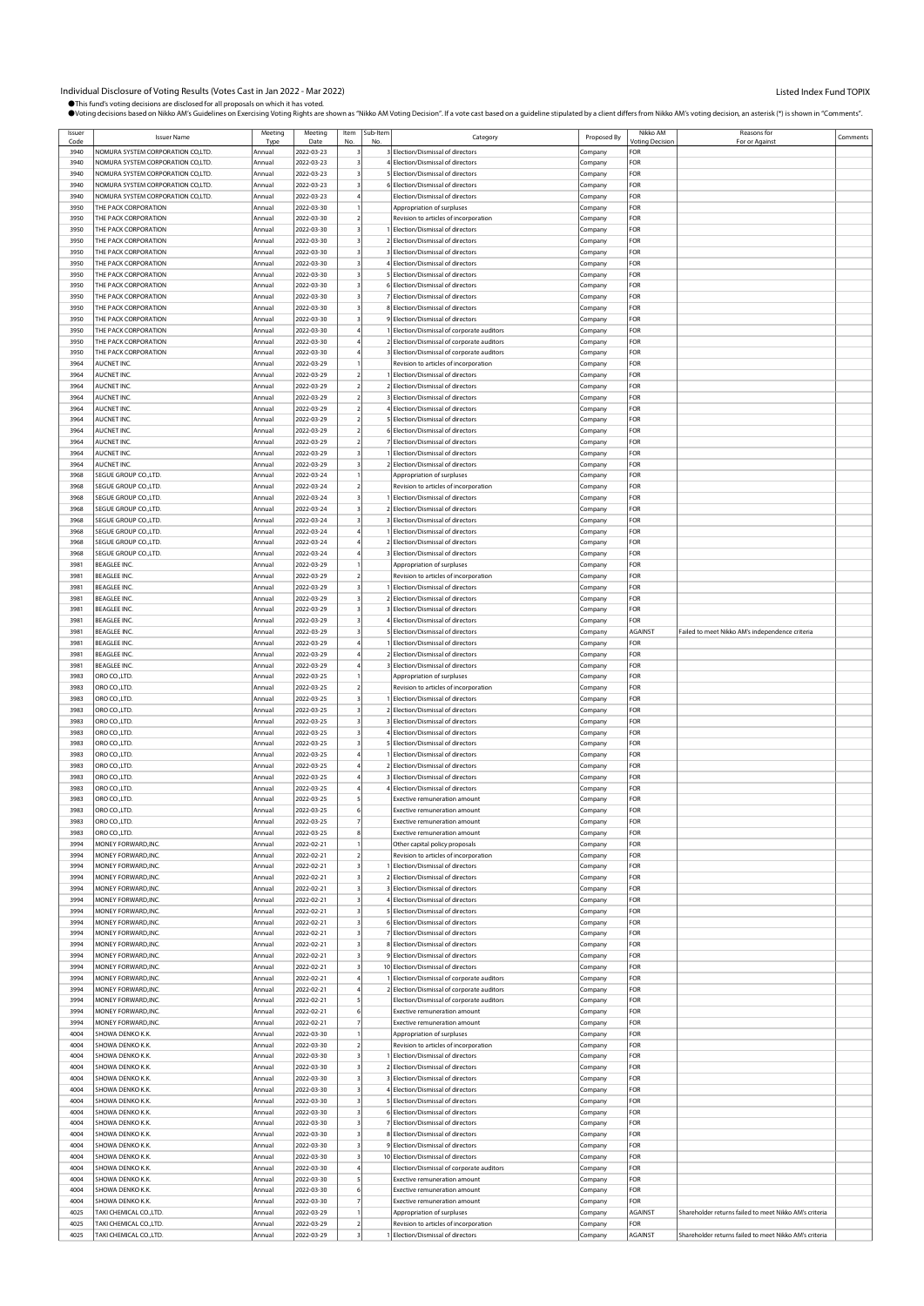●This fund's voting decisions are disclosed for all proposals on which it has voted.<br>●Voting decisions based on Nikko AM's Guidelines on Exercising Voting Rights are s "Nikko AM Voting Decision". If a vote cast based on a guideline stipulated by a client differs from Nikko AM's voting decision, an asterisk (\*) is shown in "Comments".

| Issuer       | <b>Issuer Name</b>                         | Meeting          | Meeting                  | Item | Sub-Item | Category                                                                 | Proposed By        | Nikko AM               | Reasons for                                            | Comments |
|--------------|--------------------------------------------|------------------|--------------------------|------|----------|--------------------------------------------------------------------------|--------------------|------------------------|--------------------------------------------------------|----------|
| 3940         | NOMURA SYSTEM CORPORATION CO,LTD.          | Type<br>Annual   | Date<br>2022-03-23       | No.  | No       | Election/Dismissal of directors                                          | Company            | Votina Decisior<br>OR. | For or Against                                         |          |
| 3940         | NOMURA SYSTEM CORPORATION CO.I TD          | Annual           | 2022-03-23               |      |          | 4 Election/Dismissal of directors                                        | Company            | FOR                    |                                                        |          |
| 3940         | NOMURA SYSTEM CORPORATION CO,LTD.          | Annual           | 2022-03-23               |      |          | 5 Election/Dismissal of directors                                        | Company            | FOR                    |                                                        |          |
| 3940         | NOMURA SYSTEM CORPORATION CO,LTD.          | Annual           | 2022-03-23               |      |          | Election/Dismissal of directors                                          | Company            | FOR                    |                                                        |          |
| 3940         | NOMURA SYSTEM CORPORATION CO,LTD.          | Annual           | 2022-03-23               |      |          | Election/Dismissal of directors                                          | Company            | FOR                    |                                                        |          |
| 3950         | THE PACK CORPORATION                       | Annual           | 2022-03-30               |      |          | Appropriation of surpluses                                               | Company            | FOR                    |                                                        |          |
| 3950         | THE PACK CORPORATION                       | Annual           | 2022-03-30               |      |          | Revision to articles of incorporation                                    | Company            | FOR                    |                                                        |          |
| 3950         | THE PACK CORPORATION                       | Annual           | 2022-03-30               |      |          | Election/Dismissal of directors                                          | Company            | FOR                    |                                                        |          |
| 3950         | THE PACK CORPORATION                       | Annual           | 2022-03-30               |      |          | Election/Dismissal of directors                                          | Company            | FOR                    |                                                        |          |
| 3950         | THE PACK CORPORATION                       | Annual           | 2022-03-30               |      |          | 3 Election/Dismissal of directors                                        | Company            | FOR                    |                                                        |          |
| 3950         | THE PACK CORPORATION                       | Annual           | 2022-03-30               |      |          | Election/Dismissal of directors                                          | Company            | FOR                    |                                                        |          |
| 3950         | THE PACK CORPORATION                       | Annual           | 2022-03-30               |      |          | Election/Dismissal of directors                                          | Company            | FOR                    |                                                        |          |
| 3950         | THE PACK CORPORATION                       | Annual           | 2022-03-30               |      |          | 6 Election/Dismissal of directors                                        | Company            | FOR                    |                                                        |          |
| 3950         | THE PACK CORPORATION                       | Annual           | 2022-03-30               |      |          | Election/Dismissal of directors                                          | Company            | FOR                    |                                                        |          |
| 3950         | THE PACK CORPORATION                       | Annual           | 2022-03-30               |      |          | 8 Election/Dismissal of directors                                        | Company            | FOR                    |                                                        |          |
| 3950         | THE PACK CORPORATION                       | Annual           | 2022-03-30               |      |          | 9 Election/Dismissal of directors                                        | Company            | FOR                    |                                                        |          |
| 3950         | THE PACK CORPORATION                       | Annual           | 2022-03-30               |      |          | Election/Dismissal of corporate auditors                                 | Company            | FOR                    |                                                        |          |
| 3950         | THE PACK CORPORATION                       | Annual           | 2022-03-30               |      |          | 2 Election/Dismissal of corporate auditors                               | Company            | FOR                    |                                                        |          |
| 3950         | THE PACK CORPORATION                       | Annual           | 2022-03-30               |      |          | Election/Dismissal of corporate auditors                                 | Company            | FOR                    |                                                        |          |
| 3964<br>3964 | AUCNET INC.<br>AUCNET INC.                 | Annual<br>Annual | 2022-03-29<br>2022-03-29 |      |          | Revision to articles of incorporation<br>Election/Dismissal of directors | Company            | FOR<br>FOR             |                                                        |          |
| 3964         | AUCNET INC.                                | Annual           | 2022-03-29               |      |          | Election/Dismissal of directors                                          | Company<br>Company | FOR                    |                                                        |          |
| 3964         | AUCNET INC.                                | Annual           | 2022-03-29               |      |          | Election/Dismissal of directors                                          | Company            | FOR                    |                                                        |          |
| 3964         | AUCNET INC.                                | Annual           | 2022-03-29               |      |          | Election/Dismissal of directors                                          | Company            | FOR                    |                                                        |          |
| 3964         | AUCNET INC.                                | Annual           | 2022-03-29               |      |          | Election/Dismissal of directors                                          | Company            | FOR                    |                                                        |          |
| 3964         | AUCNET INC.                                | Annual           | 2022-03-29               |      |          | Election/Dismissal of directors                                          | Company            | FOR                    |                                                        |          |
| 3964         | AUCNET INC.                                | Annual           | 2022-03-29               |      |          | Election/Dismissal of directors                                          | Company            | FOR                    |                                                        |          |
| 3964         | AUCNET INC.                                | Annual           | 2022-03-29               |      |          | Election/Dismissal of directors                                          | Company            | FOR                    |                                                        |          |
| 3964         | AUCNET INC.                                | Annual           | 2022-03-29               |      |          | Election/Dismissal of directors                                          | Company            | FOR                    |                                                        |          |
| 3968         | SEGUE GROUP CO.,LTD.                       | Annual           | 2022-03-24               |      |          | Appropriation of surpluses                                               | Company            | FOR                    |                                                        |          |
| 3968         | SEGUE GROUP CO.,LTD.                       | Annual           | 2022-03-24               |      |          | Revision to articles of incorporation                                    | Company            | FOR                    |                                                        |          |
| 3968         | SEGUE GROUP CO.,LTD.                       | Annual           | 2022-03-24               |      |          | Election/Dismissal of directors                                          | Company            | FOR                    |                                                        |          |
| 3968         | Segue Group Co.,LTD.                       | Annual           | 2022-03-24               |      |          | Election/Dismissal of directors                                          | Company            | FOR                    |                                                        |          |
| 3968         | SEGUE GROUP CO.,LTD.                       | Annual           | 2022-03-24               |      |          | Election/Dismissal of directors                                          | Company            | FOR                    |                                                        |          |
| 3968         | SEGUE GROUP CO.,LTD.                       | Annual           | 2022-03-24               |      |          | Election/Dismissal of directors                                          | Company            | FOR                    |                                                        |          |
| 3968         | SEGUE GROUP CO.,LTD.                       | Annual           | 2022-03-24               |      |          | Election/Dismissal of directors                                          | Company            | FOR                    |                                                        |          |
| 3968         | SEGUE GROUP CO., LTD.                      | Annual           | 2022-03-24               |      |          | Election/Dismissal of directors                                          | Company            | FOR                    |                                                        |          |
| 3981         | BEAGLEE INC.                               | Annual           | 2022-03-29               |      |          | Appropriation of surpluses                                               | Company            | FOR                    |                                                        |          |
| 3981         | <b>BEAGLEE INC.</b>                        | Annual           | 2022-03-29               |      |          | Revision to articles of incorporation                                    | Company            | FOR                    |                                                        |          |
| 3981         | <b>BEAGLEE INC.</b>                        | Annual           | 2022-03-29               |      |          | Election/Dismissal of directors                                          | Company            | FOR                    |                                                        |          |
| 3981<br>3981 | <b>BEAGLEE INC.</b><br><b>BEAGLEE INC.</b> | Annual<br>Annual | 2022-03-29<br>2022-03-29 |      |          | Election/Dismissal of directors<br>3 Election/Dismissal of directors     | Company            | FOR<br>FOR             |                                                        |          |
| 3981         | <b>BEAGLEE INC.</b>                        | Annual           | 2022-03-29               |      |          | Election/Dismissal of directors                                          | Company            | FOR                    |                                                        |          |
| 3981         | <b>BEAGLEE INC.</b>                        | Annual           | 2022-03-29               |      |          | Election/Dismissal of directors                                          | Company<br>Company | AGAINST                | Failed to meet Nikko AM's independence criteria        |          |
| 3981         | <b>BEAGLEE INC.</b>                        | Annual           | 2022-03-29               |      |          | Election/Dismissal of directors                                          | Company            | FOR                    |                                                        |          |
| 3981         | BEAGLEE INC.                               | Annual           | 2022-03-29               |      |          | Election/Dismissal of directors                                          | Company            | FOR                    |                                                        |          |
| 3981         | BEAGLEE INC.                               | Annual           | 2022-03-29               |      |          | Election/Dismissal of directors                                          | Company            | FOR                    |                                                        |          |
| 3983         | ORO CO., LTD.                              | Annual           | 2022-03-25               |      |          | Appropriation of surpluses                                               | Company            | FOR                    |                                                        |          |
| 3983         | ORO CO., LTD.                              | Annual           | 2022-03-25               |      |          | Revision to articles of incorporation                                    | Company            | FOR                    |                                                        |          |
| 3983         | ORO CO., LTD.                              | Annual           | 2022-03-25               |      |          | Election/Dismissal of directors                                          | Company            | FOR                    |                                                        |          |
| 3983         | oro co.,LTD.                               | Annual           | 2022-03-25               |      |          | Election/Dismissal of directors                                          | Company            | FOR                    |                                                        |          |
| 3983         | ORO CO., LTD.                              | Annual           | 2022-03-25               |      |          | Election/Dismissal of directors                                          | Company            | FOR                    |                                                        |          |
| 3983         | ORO CO., LTD.                              | Annual           | 2022-03-25               |      |          | 4 Election/Dismissal of directors                                        | Company            | FOR                    |                                                        |          |
| 3983         | ORO CO., LTD.                              | Annual           | 2022-03-25               |      |          | Election/Dismissal of directors                                          | Company            | FOR                    |                                                        |          |
| 3983         | ORO CO., LTD.                              | Annual           | 2022-03-25               |      |          | Election/Dismissal of directors                                          | Company            | FOR                    |                                                        |          |
| 3983         | oro co.,LTD.                               | Annual           | 2022-03-25               |      |          | Election/Dismissal of directors                                          | Company            | FOR                    |                                                        |          |
| 3983         | ORO CO.,LTD.                               | Annual           | 2022-03-25               |      |          | Election/Dismissal of directors                                          | Company            | FOR                    |                                                        |          |
| 3983<br>3983 | ORO CO., LTD.                              | Annual<br>Annual | 2022-03-25<br>2022-03-25 |      |          | Election/Dismissal of directors<br><b>Exective remuneration amount</b>   | Company            | FOR<br>FOR             |                                                        |          |
| 3983         | ORO CO., LTD.<br>ORO CO.,LTD               | Annua            | 2022-03-                 |      |          | <b>xective remuneration amou</b>                                         | Company            |                        |                                                        |          |
| 3983         | ORO CO., LTD.                              | Annual           | 2022-03-25               |      |          | Exective remuneration amount                                             | Company            | FOR                    |                                                        |          |
| 3983         | ORO CO., LTD.                              | Annual           | 2022-03-25               |      |          | Exective remuneration amount                                             | Company            | FOR                    |                                                        |          |
| 3994         | MONEY FORWARD, INC.                        | Annual           | 2022-02-21               |      |          | Other capital policy proposals                                           | Company            | FOR                    |                                                        |          |
| 3994         | MONEY FORWARD, INC.                        | Annual           | 2022-02-21               |      |          | Revision to articles of incorporation                                    | Company            | FOR                    |                                                        |          |
| 3994         | MONEY FORWARD, INC.                        | Annual           | 2022-02-21               |      |          | <b>Election/Dismissal of directors</b>                                   | Company            | FOR                    |                                                        |          |
| 3994         | MONEY FORWARD, INC.                        | Annual           | 2022-02-21               |      |          | 2 Election/Dismissal of directors                                        | Company            | FOR                    |                                                        |          |
| 3994         | MONEY FORWARD, INC.                        | Annual           | 2022-02-21               |      |          | 3 Election/Dismissal of directors                                        | Company            | FOR                    |                                                        |          |
| 3994         | MONEY FORWARD, INC.                        | Annual           | 2022-02-21               |      |          | 4 Election/Dismissal of directors                                        | Company            | FOR                    |                                                        |          |
| 3994         | MONEY FORWARD, INC.                        | Annual           | 2022-02-21               |      |          | Election/Dismissal of directors                                          | Company            | FOR                    |                                                        |          |
| 3994         | MONEY FORWARD, INC.                        | Annual           | 2022-02-21               |      |          | 6 Election/Dismissal of directors                                        | Company            | FOR                    |                                                        |          |
| 3994         | MONEY FORWARD, INC.                        | Annual           | 2022-02-21               |      |          | Election/Dismissal of directors                                          | Company            | FOR                    |                                                        |          |
| 3994         | MONEY FORWARD, INC.                        | Annual           | 2022-02-21               |      |          | 8 Election/Dismissal of directors                                        | Company            | FOR                    |                                                        |          |
| 3994<br>3994 | MONEY FORWARD, INC.<br>MONEY FORWARD, INC. | Annual<br>Annual | 2022-02-21<br>2022-02-21 |      |          | 9 Election/Dismissal of directors<br>10 Election/Dismissal of directors  | Company            | FOR<br>FOR             |                                                        |          |
| 3994         | MONEY FORWARD, INC.                        | Annual           | 2022-02-21               |      |          | 1 Election/Dismissal of corporate auditors                               | Company<br>Company | FOR                    |                                                        |          |
| 3994         | MONEY FORWARD, INC.                        | Annual           | 2022-02-21               |      |          | 2 Election/Dismissal of corporate auditors                               | Company            | FOR                    |                                                        |          |
| 3994         | MONEY FORWARD, INC.                        | Annual           | 2022-02-21               |      |          | Election/Dismissal of corporate auditors                                 | Company            | FOR                    |                                                        |          |
| 3994         | MONEY FORWARD, INC.                        | Annual           | 2022-02-21               |      |          | Exective remuneration amount                                             | Company            | FOR                    |                                                        |          |
| 3994         | MONEY FORWARD, INC.                        | Annual           | 2022-02-21               |      |          | Exective remuneration amount                                             | Company            | FOR                    |                                                        |          |
| 4004         | SHOWA DENKO K.K.                           | Annual           | 2022-03-30               |      |          | Appropriation of surpluses                                               | Company            | FOR                    |                                                        |          |
| 4004         | SHOWA DENKO K.K.                           | Annual           | 2022-03-30               |      |          | Revision to articles of incorporation                                    | Company            | FOR                    |                                                        |          |
| 4004         | SHOWA DENKO K.K.                           | Annual           | 2022-03-30               |      |          | Election/Dismissal of directors                                          | Company            | FOR                    |                                                        |          |
| 4004         | SHOWA DENKO K.K.                           | Annual           | 2022-03-30               |      |          | 2 Election/Dismissal of directors                                        | Company            | FOR                    |                                                        |          |
| 4004         | SHOWA DENKO K.K.                           | Annual           | 2022-03-30               |      |          | Election/Dismissal of directors                                          | Company            | FOR                    |                                                        |          |
| 4004         | SHOWA DENKO K.K.                           | Annual           | 2022-03-30               |      |          | 4 Election/Dismissal of directors                                        | Company            | FOR                    |                                                        |          |
| 4004<br>4004 | SHOWA DENKO K.K.<br>SHOWA DENKO K.K.       | Annual<br>Annual | 2022-03-30<br>2022-03-30 |      |          | Election/Dismissal of directors<br>6 Election/Dismissal of directors     | Company            | FOR<br>FOR             |                                                        |          |
| 4004         | SHOWA DENKO K.K.                           | Annual           | 2022-03-30               |      |          | 7 Election/Dismissal of directors                                        | Company<br>Company | FOR                    |                                                        |          |
| 4004         | SHOWA DENKO K.K.                           | Annual           | 2022-03-30               |      |          | Election/Dismissal of directors                                          | Company            | FOR                    |                                                        |          |
| 4004         | SHOWA DENKO K.K.                           | Annual           | 2022-03-30               |      |          | 9 Election/Dismissal of directors                                        | Company            | FOR                    |                                                        |          |
| 4004         | SHOWA DENKO K.K.                           | Annual           | 2022-03-30               |      |          | 10 Election/Dismissal of directors                                       | Company            | FOR                    |                                                        |          |
| 4004         | SHOWA DENKO K.K.                           | Annual           | 2022-03-30               |      |          | Election/Dismissal of corporate auditors                                 | Company            | FOR                    |                                                        |          |
| 4004         | SHOWA DENKO K.K.                           | Annual           | 2022-03-30               |      |          | Exective remuneration amount                                             | Company            | FOR                    |                                                        |          |
| 4004         | SHOWA DENKO K.K.                           | Annual           | 2022-03-30               |      |          | <b>Exective remuneration amount</b>                                      | Company            | FOR                    |                                                        |          |
| 4004         | SHOWA DENKO K.K.                           | Annual           | 2022-03-30               |      |          | Exective remuneration amount                                             | Company            | FOR                    |                                                        |          |
| 4025         | TAKI CHEMICAL CO.,LTD.                     | Annual           | 2022-03-29               |      |          | Appropriation of surpluses                                               | Company            | AGAINST                | Shareholder returns failed to meet Nikko AM's criteria |          |
| 4025         | TAKI CHEMICAL CO.,LTD.                     | Annual           | 2022-03-29               |      |          | Revision to articles of incorporation                                    | Company            | FOR                    |                                                        |          |
| 4025         | TAKI CHEMICAL CO.,LTD.                     | Annual           | 2022-03-29               |      |          | Election/Dismissal of directors                                          | Company            | AGAINST                | Shareholder returns failed to meet Nikko AM's criteria |          |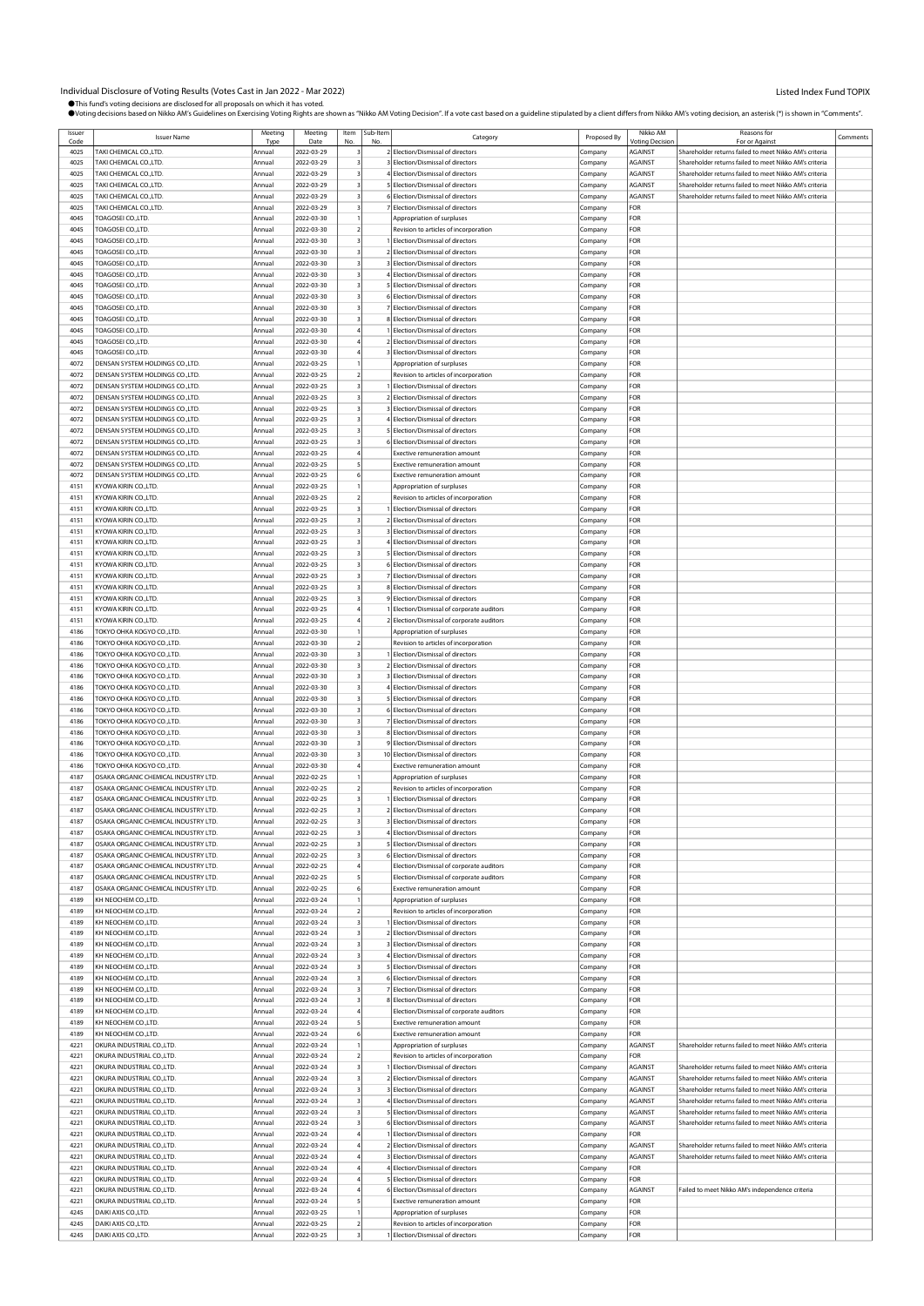●This fund's voting decisions are disclosed for all proposals on which it has voted.<br>●Voting decisions based on Nikko AM's Guidelines on Exercising Voting Rights are as "Nikko AM Voting Decision". If a vote cast based on a guideline stipulated by a client differs from Nikko AM's voting decision, an asterisk (\*) is shown in "Comments".

|              |                                                                              |                  |                          |             |                | cessions based on mikko Am s Guidemies on Ekeresing voulg numb numb si mikko Am voulg beesion . Il a vote east based on a guidemie supulated by a electronicismonin mikko Am s voulg decision, an asterisk (713 shown in "Comm |                    |                            |                                                        |          |
|--------------|------------------------------------------------------------------------------|------------------|--------------------------|-------------|----------------|--------------------------------------------------------------------------------------------------------------------------------------------------------------------------------------------------------------------------------|--------------------|----------------------------|--------------------------------------------------------|----------|
| Issuer       | <b>Issuer Name</b>                                                           | Meeting<br>Typ   | Meeting<br>Date          | Item<br>No. | Sub-Item<br>No | Category                                                                                                                                                                                                                       | Proposed By        | Nikko AM<br>oting Decision | Reasons for<br>For or Against                          | Comments |
| 4025         | <b>FAKI CHEMICAL CO.,LTD.</b>                                                | Annual           | 2022-03-29               |             |                | Election/Dismissal of directors                                                                                                                                                                                                | Company            | AGAINST                    | Shareholder returns failed to meet Nikko AM's criteria |          |
| 4025         | TAKI CHEMICAL CO.,LTD.                                                       | Annual           | 2022-03-29               |             |                | Election/Dismissal of directors                                                                                                                                                                                                | Company            | AGAINST                    | Shareholder returns failed to meet Nikko AM's criteria |          |
| 4025         | TAKI CHEMICAL CO., LTD.                                                      | Annual           | 2022-03-29               |             |                | 4 Election/Dismissal of directors                                                                                                                                                                                              | Company            | AGAINST                    | Shareholder returns failed to meet Nikko AM's criteria |          |
| 4025         | TAKI CHEMICAL CO.,LTD.                                                       | Annual           | 2022-03-29               |             |                | Election/Dismissal of directors                                                                                                                                                                                                | Company            | AGAINST                    | Shareholder returns failed to meet Nikko AM's criteria |          |
| 4025         | TAKI CHEMICAL CO.,LTD.                                                       | Annual           | 2022-03-29               |             |                | Election/Dismissal of directors                                                                                                                                                                                                | Company            | AGAINST                    | Shareholder returns failed to meet Nikko AM's criteria |          |
| 4025         | <b>FAKI CHEMICAL CO.,LTD.</b>                                                | Annual           | 2022-03-29               |             |                | Election/Dismissal of directors                                                                                                                                                                                                | Company            | FOR                        |                                                        |          |
| 4045         | TOAGOSEI CO.,LTD.                                                            | Annual           | 2022-03-30               |             |                | Appropriation of surpluses                                                                                                                                                                                                     | Company            | FOR<br>FOR                 |                                                        |          |
| 4045<br>4045 | TOAGOSEI CO.,LTD.<br>TOAGOSEI CO.,LTD.                                       | Annual<br>Annual | 2022-03-30<br>2022-03-30 |             |                | Revision to articles of incorporation<br>Election/Dismissal of directors                                                                                                                                                       | Company            | FOR                        |                                                        |          |
| 4045         | TOAGOSEI CO.,LTD.                                                            | Annual           | 2022-03-30               |             |                | 2 Election/Dismissal of directors                                                                                                                                                                                              | Company<br>Company | FOR                        |                                                        |          |
| 4045         | FOAGOSEI CO.,LTD.                                                            | Annual           | 2022-03-30               |             |                | Election/Dismissal of directors                                                                                                                                                                                                | Company            | FOR                        |                                                        |          |
| 4045         | TOAGOSEI CO.,LTD.                                                            | Annual           | 2022-03-30               |             |                | Election/Dismissal of directors                                                                                                                                                                                                | Company            | FOR                        |                                                        |          |
| 4045         | TOAGOSEI CO.,LTD.                                                            | Annual           | 2022-03-30               |             |                | Election/Dismissal of directors                                                                                                                                                                                                | Company            | FOR                        |                                                        |          |
| 4045         | TOAGOSEI CO.,LTD.                                                            | Annual           | 2022-03-30               |             |                | Election/Dismissal of directors                                                                                                                                                                                                | Company            | FOR                        |                                                        |          |
| 4045         | TOAGOSEI CO.,LTD.                                                            | Annual           | 2022-03-30               |             |                | 7 Election/Dismissal of directors                                                                                                                                                                                              | Company            | FOR                        |                                                        |          |
| 4045         | FOAGOSEI CO.,LTD.                                                            | Annual           | 2022-03-30               |             |                | Election/Dismissal of directors                                                                                                                                                                                                | Company            | FOR                        |                                                        |          |
| 4045         | TOAGOSEI CO.,LTD.                                                            | Annual           | 2022-03-30               |             |                | Election/Dismissal of directors                                                                                                                                                                                                | Company            | FOR                        |                                                        |          |
| 4045         | TOAGOSEI CO.,LTD.                                                            | Annual           | 2022-03-30               |             |                | Election/Dismissal of directors                                                                                                                                                                                                | Company            | FOR                        |                                                        |          |
| 4045         | TOAGOSEI CO.,LTD.                                                            | Annual           | 2022-03-30               |             |                | Election/Dismissal of directors                                                                                                                                                                                                | Company            | FOR                        |                                                        |          |
| 4072         | DENSAN SYSTEM HOLDINGS CO., LTD.<br>DENSAN SYSTEM HOLDINGS CO.,LTD.          | Annual<br>Annual | 2022-03-25<br>2022-03-25 |             |                | Appropriation of surpluses                                                                                                                                                                                                     | Company            | FOR<br>FOR                 |                                                        |          |
| 4072<br>4072 | DENSAN SYSTEM HOLDINGS CO.,LTD.                                              | Annual           | 2022-03-25               |             |                | Revision to articles of incorporation<br>Election/Dismissal of directors                                                                                                                                                       | Company<br>Company | FOR                        |                                                        |          |
| 4072         | DENSAN SYSTEM HOLDINGS CO.,LTD.                                              | Annual           | 2022-03-25               |             |                | Election/Dismissal of directors                                                                                                                                                                                                | Company            | FOR                        |                                                        |          |
| 4072         | DENSAN SYSTEM HOLDINGS CO., LTD.                                             | Annual           | 2022-03-25               |             |                | Election/Dismissal of directors                                                                                                                                                                                                | Company            | FOR                        |                                                        |          |
| 4072         | DENSAN SYSTEM HOLDINGS CO., LTD.                                             | Annual           | 2022-03-25               |             |                | 4 Election/Dismissal of directors                                                                                                                                                                                              | Company            | FOR                        |                                                        |          |
| 4072         | DENSAN SYSTEM HOLDINGS CO.,LTD.                                              | Annual           | 2022-03-25               |             |                | Election/Dismissal of directors                                                                                                                                                                                                | Company            | FOR                        |                                                        |          |
| 4072         | DENSAN SYSTEM HOLDINGS CO.,LTD.                                              | Annual           | 2022-03-25               |             |                | Election/Dismissal of directors                                                                                                                                                                                                | Company            | FOR                        |                                                        |          |
| 4072         | DENSAN SYSTEM HOLDINGS CO.,LTD.                                              | Annual           | 2022-03-25               |             |                | xective remuneration amount                                                                                                                                                                                                    | Company            | FOR                        |                                                        |          |
| 4072         | DENSAN SYSTEM HOLDINGS CO.,LTD.                                              | Annual           | 2022-03-25               |             |                | Exective remuneration amount                                                                                                                                                                                                   | Company            | FOR                        |                                                        |          |
| 4072         | DENSAN SYSTEM HOLDINGS CO., LTD.                                             | Annual           | 2022-03-25               |             |                | Exective remuneration amount                                                                                                                                                                                                   | Company            | FOR                        |                                                        |          |
| 4151         | <b>CYOWA KIRIN CO. LTD.</b>                                                  | Annual           | 2022-03-25               |             |                | Appropriation of surpluses                                                                                                                                                                                                     | Company            | FOR                        |                                                        |          |
| 4151         | KYOWA KIRIN CO.,LTD.                                                         | Annual           | 2022-03-25               |             |                | Revision to articles of incorporation                                                                                                                                                                                          | Company            | FOR                        |                                                        |          |
| 4151<br>4151 | KYOWA KIRIN CO.,LTD.<br>KYOWA KIRIN CO.,LTD.                                 | Annual<br>Annual | 2022-03-25<br>2022-03-25 |             |                | Election/Dismissal of directors<br>Election/Dismissal of directors                                                                                                                                                             | Company            | FOR<br>FOR                 |                                                        |          |
| 4151         | KYOWA KIRIN CO.,LTD.                                                         | Annual           | 2022-03-25               |             |                | Election/Dismissal of directors                                                                                                                                                                                                | Company            | FOR                        |                                                        |          |
| 4151         | KYOWA KIRIN CO.,LTD.                                                         | Annual           | 2022-03-25               |             |                | Election/Dismissal of directors                                                                                                                                                                                                | Company<br>Company | FOR                        |                                                        |          |
| 4151         | KYOWA KIRIN CO.,LTD.                                                         | Annual           | 2022-03-25               |             |                | Election/Dismissal of directors                                                                                                                                                                                                | Company            | FOR                        |                                                        |          |
| 4151         | KYOWA KIRIN CO.,LTD.                                                         | Annual           | 2022-03-25               |             |                | Election/Dismissal of directors                                                                                                                                                                                                | Company            | FOR                        |                                                        |          |
| 4151         | KYOWA KIRIN CO.,LTD.                                                         | Annual           | 2022-03-25               |             |                | Election/Dismissal of directors                                                                                                                                                                                                | Company            | FOR                        |                                                        |          |
| 4151         | KYOWA KIRIN CO.,LTD.                                                         | Annual           | 2022-03-25               |             |                | 8 Election/Dismissal of directors                                                                                                                                                                                              | Company            | FOR                        |                                                        |          |
| 4151         | KYOWA KIRIN CO.,LTD.                                                         | Annual           | 2022-03-25               |             |                | Election/Dismissal of directors                                                                                                                                                                                                | Company            | FOR                        |                                                        |          |
| 4151         | KYOWA KIRIN CO.,LTD.                                                         | Annual           | 2022-03-25               |             |                | Election/Dismissal of corporate auditors                                                                                                                                                                                       | Company            | FOR                        |                                                        |          |
| 4151         | KYOWA KIRIN CO.,LTD.                                                         | Annual           | 2022-03-25               |             |                | Election/Dismissal of corporate auditors                                                                                                                                                                                       | Company            | FOR                        |                                                        |          |
| 4186         | TOKYO OHKA KOGYO CO.,LTD.                                                    | Annual           | 2022-03-30               |             |                | Appropriation of surpluses                                                                                                                                                                                                     | Company            | FOR                        |                                                        |          |
| 4186         | TOKYO OHKA KOGYO CO.,LTD.                                                    | Annual           | 2022-03-30               |             |                | Revision to articles of incorporation                                                                                                                                                                                          | Company            | FOR                        |                                                        |          |
| 4186<br>4186 | ГОКУО ОНКА KOGYO CO.,LTD.<br>ГОКҮО ОНКА КОGYO CO.,LTD                        | Annual           | 2022-03-30               |             |                | Election/Dismissal of directors                                                                                                                                                                                                | Company            | FOR                        |                                                        |          |
| 4186         | TOKYO OHKA KOGYO CO.,LTD.                                                    | Annual<br>Annual | 2022-03-30<br>2022-03-30 |             |                | Election/Dismissal of directors<br>Election/Dismissal of directors                                                                                                                                                             | Company<br>Company | FOR<br>FOR                 |                                                        |          |
| 4186         | TOKYO OHKA KOGYO CO.,LTD.                                                    | Annual           | 2022-03-30               |             |                | 4 Election/Dismissal of directors                                                                                                                                                                                              | Company            | FOR                        |                                                        |          |
| 4186         | TOKYO OHKA KOGYO CO.,LTD.                                                    | Annual           | 2022-03-30               |             |                | 5 Election/Dismissal of directors                                                                                                                                                                                              | Company            | FOR                        |                                                        |          |
| 4186         | ГОКҮО ОНКА KOGYO CO.,LTD.                                                    | Annual           | 2022-03-30               |             |                | Election/Dismissal of directors                                                                                                                                                                                                | Company            | FOR                        |                                                        |          |
| 4186         | ГОКҮО ОНКА KOGYO CO.,LTD.                                                    | Annual           | 2022-03-30               |             |                | Election/Dismissal of directors                                                                                                                                                                                                | Company            | FOR                        |                                                        |          |
| 4186         | TOKYO OHKA KOGYO CO.,LTD.                                                    | Annual           | 2022-03-30               |             |                | Election/Dismissal of directors                                                                                                                                                                                                | Company            | FOR                        |                                                        |          |
| 4186         | TOKYO OHKA KOGYO CO.,LTD.                                                    | Annual           | 2022-03-30               |             |                | Election/Dismissal of directors                                                                                                                                                                                                | Company            | FOR                        |                                                        |          |
| 4186         | TOKYO OHKA KOGYO CO.,LTD.                                                    | Annual           | 2022-03-30               |             |                | 10 Election/Dismissal of directors                                                                                                                                                                                             | Company            | FOR                        |                                                        |          |
| 4186         | ГОКҮО ОНКА KOGYO CO.,LTD.                                                    | Annual           | 2022-03-30               |             |                | xective remuneration amount                                                                                                                                                                                                    | Company            | FOR                        |                                                        |          |
| 4187         | OSAKA ORGANIC CHEMICAL INDUSTRY LTD.                                         | Annual           | 2022-02-25               |             |                | Appropriation of surpluses                                                                                                                                                                                                     | Company            | FOR                        |                                                        |          |
| 4187<br>4187 | OSAKA ORGANIC CHEMICAL INDUSTRY LTD.<br>OSAKA ORGANIC CHEMICAL INDUSTRY LTD. | Annual<br>Annual | 2022-02-25<br>2022-02-25 |             |                | Revision to articles of incorporation<br>Election/Dismissal of directors                                                                                                                                                       | Company<br>Company | FOR<br>FOR                 |                                                        |          |
| 4187         | OSAKA ORGANIC CHEMICAL INDUSTRY LTD                                          | Annual           | 022-02-25                |             |                | Flection/Dismissal of directo                                                                                                                                                                                                  |                    | ገዞ                         |                                                        |          |
| 4187         | OSAKA ORGANIC CHEMICAL INDUSTRY LTD.                                         | Annual           | 2022-02-25               |             |                | Election/Dismissal of directors                                                                                                                                                                                                | Company            | FOR                        |                                                        |          |
| 4187         | OSAKA ORGANIC CHEMICAL INDUSTRY LTD.                                         | Annual           | 2022-02-25               |             |                | Election/Dismissal of directors                                                                                                                                                                                                | Company            | FOR                        |                                                        |          |
| 4187         | OSAKA ORGANIC CHEMICAL INDUSTRY LTD.                                         | Annual           | 2022-02-25               |             |                | Election/Dismissal of directors                                                                                                                                                                                                | Company            | FOR                        |                                                        |          |
| 4187         | OSAKA ORGANIC CHEMICAL INDUSTRY LTD.                                         | Annual           | 2022-02-25               |             |                | 6 Election/Dismissal of directors                                                                                                                                                                                              | Company            | FOR                        |                                                        |          |
| 4187         | OSAKA ORGANIC CHEMICAL INDUSTRY LTD.                                         | Annual           | 2022-02-25               |             |                | Election/Dismissal of corporate auditors                                                                                                                                                                                       | Company            | FOR                        |                                                        |          |
| 4187         | OSAKA ORGANIC CHEMICAL INDUSTRY LTD.                                         | Annual           | 2022-02-25               |             |                | Election/Dismissal of corporate auditors                                                                                                                                                                                       | Company            | FOR                        |                                                        |          |
| 4187         | OSAKA ORGANIC CHEMICAL INDUSTRY LTD.                                         | Annual           | 2022-02-25               |             |                | Exective remuneration amount                                                                                                                                                                                                   | Company            | FOR                        |                                                        |          |
| 4189         | KH NEOCHEM CO.,LTD.                                                          | Annual           | 2022-03-24               |             |                | Appropriation of surpluses                                                                                                                                                                                                     | Company            | FOR                        |                                                        |          |
| 4189<br>4189 | KH NEOCHEM CO.,LTD.<br>KH NEOCHEM CO., LTD.                                  | Annual<br>Annual | 2022-03-24<br>2022-03-24 |             |                | Revision to articles of incorporation<br>Election/Dismissal of directors                                                                                                                                                       | Company            | FOR<br>FOR                 |                                                        |          |
| 4189         | KH NEOCHEM CO.,LTD.                                                          | Annual           | 2022-03-24               |             |                | Election/Dismissal of directors                                                                                                                                                                                                | Company<br>Company | FOR                        |                                                        |          |
| 4189         | KH NEOCHEM CO.,LTD.                                                          | Annual           | 2022-03-24               |             |                | 3 Election/Dismissal of directors                                                                                                                                                                                              | Company            | FOR                        |                                                        |          |
| 4189         | KH NEOCHEM CO., LTD.                                                         | Annual           | 2022-03-24               |             |                | Election/Dismissal of directors                                                                                                                                                                                                | Company            | FOR                        |                                                        |          |
| 4189         | KH NEOCHEM CO., LTD.                                                         | Annual           | 2022-03-24               |             |                | Election/Dismissal of directors                                                                                                                                                                                                | Company            | FOR                        |                                                        |          |
| 4189         | KH NEOCHEM CO., LTD.                                                         | Annual           | 2022-03-24               |             |                | 6 Election/Dismissal of directors                                                                                                                                                                                              | Company            | FOR                        |                                                        |          |
| 4189         | KH NEOCHEM CO.,LTD.                                                          | Annual           | 2022-03-24               |             |                | Election/Dismissal of directors                                                                                                                                                                                                | Company            | FOR                        |                                                        |          |
| 4189         | KH NEOCHEM CO.,LTD.                                                          | Annual           | 2022-03-24               |             |                | 8 Election/Dismissal of directors                                                                                                                                                                                              | Company            | FOR                        |                                                        |          |
| 4189         | KH NEOCHEM CO., LTD.                                                         | Annual           | 2022-03-24               |             |                | Election/Dismissal of corporate auditors                                                                                                                                                                                       | Company            | FOR                        |                                                        |          |
| 4189         | KH NEOCHEM CO.,LTD.                                                          | Annual           | 2022-03-24               |             |                | Exective remuneration amount                                                                                                                                                                                                   | Company            | FOR                        |                                                        |          |
| 4189         | KH NEOCHEM CO., LTD.                                                         | Annual           | 2022-03-24               |             |                | Exective remuneration amount                                                                                                                                                                                                   | Company            | FOR                        |                                                        |          |
| 4221         | OKURA INDUSTRIAL CO.,LTD.                                                    | Annual           | 2022-03-24               |             |                | Appropriation of surpluses                                                                                                                                                                                                     | Company            | AGAINST                    | Shareholder returns failed to meet Nikko AM's criteria |          |
| 4221<br>4221 | OKURA INDUSTRIAL CO.,LTD.<br>OKURA INDUSTRIAL CO.,LTD.                       | Annual<br>Annual | 2022-03-24<br>2022-03-24 |             |                | Revision to articles of incorporation<br>Election/Dismissal of directors                                                                                                                                                       | Company            | FOR<br>AGAINST             | Shareholder returns failed to meet Nikko AM's criteria |          |
| 4221         | OKURA INDUSTRIAL CO.,LTD.                                                    | Annual           | 2022-03-24               |             |                | Election/Dismissal of directors                                                                                                                                                                                                | Company<br>Company | AGAINST                    | Shareholder returns failed to meet Nikko AM's criteria |          |
| 4221         | OKURA INDUSTRIAL CO., LTD.                                                   | Annual           | 2022-03-24               |             |                | 3 Election/Dismissal of directors                                                                                                                                                                                              | Company            | AGAINST                    | Shareholder returns failed to meet Nikko AM's criteria |          |
| 4221         | OKURA INDUSTRIAL CO.,LTD.                                                    | Annual           | 2022-03-24               |             |                | Election/Dismissal of directors                                                                                                                                                                                                | Company            | AGAINST                    | Shareholder returns failed to meet Nikko AM's criteria |          |
| 4221         | OKURA INDUSTRIAL CO.,LTD.                                                    | Annual           | 2022-03-24               |             |                | Election/Dismissal of directors                                                                                                                                                                                                | Company            | AGAINST                    | Shareholder returns failed to meet Nikko AM's criteria |          |
| 4221         | OKURA INDUSTRIAL CO.,LTD.                                                    | Annual           | 2022-03-24               |             |                | Election/Dismissal of directors                                                                                                                                                                                                | Company            | AGAINST                    | Shareholder returns failed to meet Nikko AM's criteria |          |
| 4221         | OKURA INDUSTRIAL CO.,LTD.                                                    | Annual           | 2022-03-24               |             |                | Election/Dismissal of directors                                                                                                                                                                                                | Company            | FOR                        |                                                        |          |
| 4221         | OKURA INDUSTRIAL CO., LTD.                                                   | Annual           | 2022-03-24               |             |                | 2 Election/Dismissal of directors                                                                                                                                                                                              | Company            | AGAINST                    | Shareholder returns failed to meet Nikko AM's criteria |          |
| 4221         | OKURA INDUSTRIAL CO.,LTD.                                                    | Annual           | 2022-03-24               |             |                | Election/Dismissal of directors                                                                                                                                                                                                | Company            | AGAINST                    | Shareholder returns failed to meet Nikko AM's criteria |          |
| 4221         | OKURA INDUSTRIAL CO.,LTD.                                                    | Annual           | 2022-03-24               |             |                | 4 Election/Dismissal of directors                                                                                                                                                                                              | Company            | FOR                        |                                                        |          |
| 4221         | OKURA INDUSTRIAL CO.,LTD.                                                    | Annual           | 2022-03-24               |             |                | Election/Dismissal of directors                                                                                                                                                                                                | Company            | FOR                        |                                                        |          |
| 4221<br>4221 | OKURA INDUSTRIAL CO.,LTD.<br>OKURA INDUSTRIAL CO., LTD.                      | Annual<br>Annual | 2022-03-24<br>2022-03-24 |             |                | Election/Dismissal of directors<br>Exective remuneration amount                                                                                                                                                                | Company            | AGAINST<br>FOR             | Failed to meet Nikko AM's independence criteria        |          |
| 4245         | DAIKI AXIS CO.,LTD.                                                          | Annual           | 2022-03-25               |             |                | Appropriation of surpluses                                                                                                                                                                                                     | Company            | FOR                        |                                                        |          |
| 4245         | DAIKI AXIS CO., LTD.                                                         | Annual           | 2022-03-25               |             |                | Revision to articles of incorporation                                                                                                                                                                                          | Company<br>Company | FOR                        |                                                        |          |
| 4245         | DAIKI AXIS CO., LTD.                                                         | Annual           | 2022-03-25               |             |                | Election/Dismissal of directors                                                                                                                                                                                                | Company            | FOR                        |                                                        |          |
|              |                                                                              |                  |                          |             |                |                                                                                                                                                                                                                                |                    |                            |                                                        |          |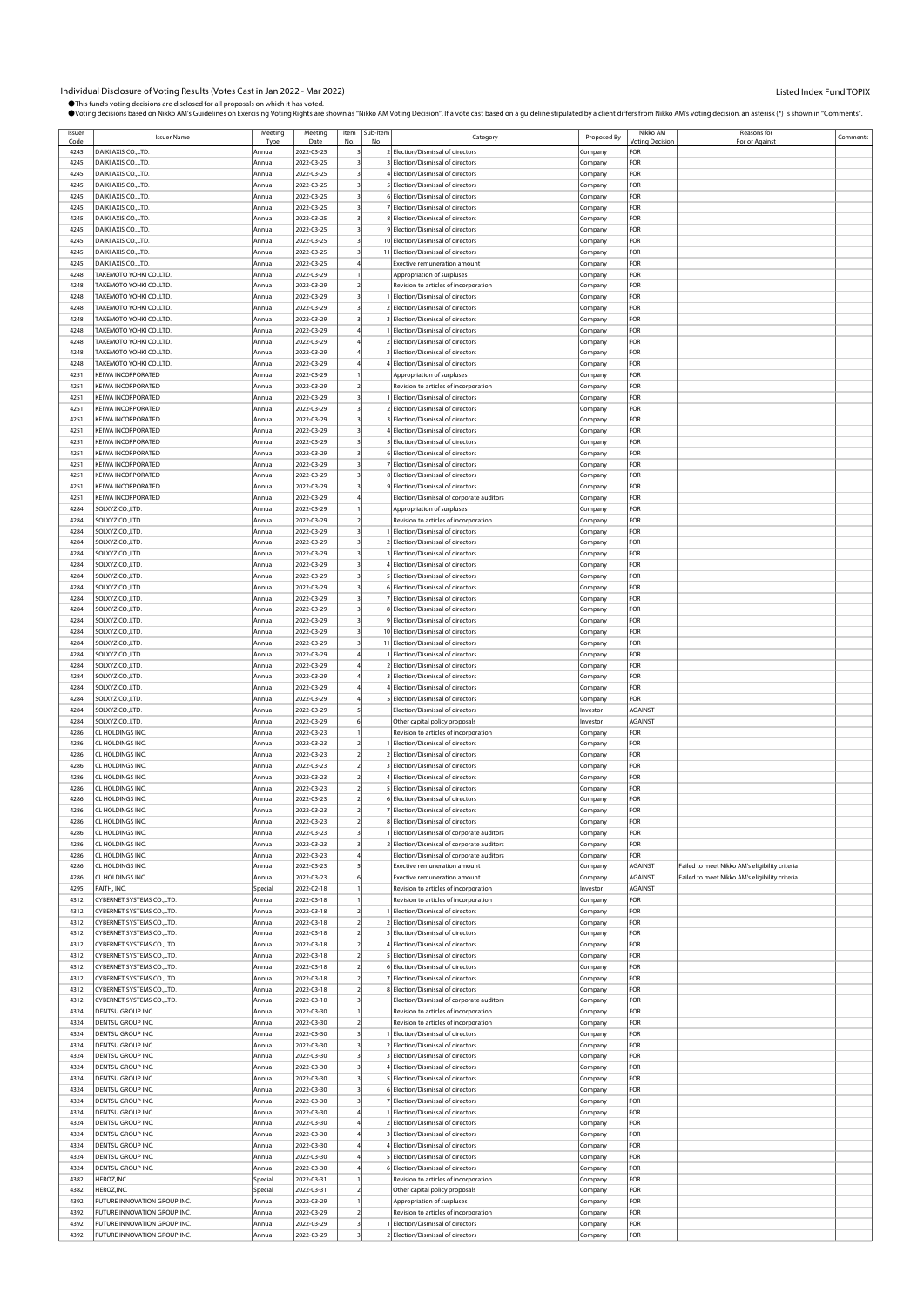| Issuer       | <b>Issuer Name</b>             | Meeting | Meeting    | Item | Sub-Item     | Category                                   | Proposed By | Nikko AM               | Reasons for                                    | Comments |
|--------------|--------------------------------|---------|------------|------|--------------|--------------------------------------------|-------------|------------------------|------------------------------------------------|----------|
| Code         |                                | Type    | Date       | No.  | No           |                                            |             | <b>Votina Decision</b> | For or Against                                 |          |
| 4245         | DAIKI AXIS CO., LTD.           | Annual  | 2022-03-25 |      |              | Election/Dismissal of directors            | Company     | FOR                    |                                                |          |
| 4245         | DAIKI AXIS CO., LTD.           | Annual  | 2022-03-25 |      |              | 3 Election/Dismissal of directors          | Company     | FOR                    |                                                |          |
| 4245         | DAIKI AXIS CO., LTD.           | Annual  | 2022-03-25 |      |              | 4 Election/Dismissal of directors          | Company     | FOR                    |                                                |          |
| 4245         | DAIKI AXIS CO., LTD.           | Annual  | 2022-03-25 |      |              | 5 Election/Dismissal of directors          | Company     | FOR                    |                                                |          |
| 4245         | DAIKI AXIS CO.,LTD.            | Annual  | 2022-03-25 |      |              | Election/Dismissal of directors            | Company     | ЮR                     |                                                |          |
|              |                                |         |            |      |              |                                            |             |                        |                                                |          |
| 4245         | DAIKI AXIS CO., LTD.           | Annual  | 2022-03-25 |      |              | 7 Election/Dismissal of directors          | Company     | FOR                    |                                                |          |
| 4245         | DAIKI AXIS CO., LTD.           | Annual  | 2022-03-25 |      |              | 8 Election/Dismissal of directors          | Company     | FOR                    |                                                |          |
| 4245         | DAIKI AXIS CO., LTD.           | Annual  | 2022-03-25 |      | $\mathbf{Q}$ | Election/Dismissal of directors            | Company     | FOR                    |                                                |          |
| 4245         | DAIKI AXIS CO., LTD.           | Annual  | 2022-03-25 |      |              | 10 Election/Dismissal of directors         | Company     | FOR                    |                                                |          |
| 4245         | DAIKI AXIS CO., LTD.           | Annual  | 2022-03-25 |      |              | 11 Election/Dismissal of directors         | Company     | ЮR                     |                                                |          |
| 4245         | DAIKI AXIS CO., LTD.           | Annual  | 2022-03-25 |      |              | xective remuneration amount                | Company     | FOR                    |                                                |          |
|              |                                |         |            |      |              |                                            |             |                        |                                                |          |
| 4248         | TAKEMOTO YOHKI CO.,LTD.        | Annual  | 2022-03-29 |      |              | Appropriation of surpluses                 | Company     | FOR                    |                                                |          |
| 4248         | TAKEMOTO YOHKI CO.,LTD.        | Annual  | 2022-03-29 |      |              | Revision to articles of incorporation      | Company     | FOR                    |                                                |          |
| 4248         | TAKEMOTO YOHKI CO.,LTD.        | Annual  | 2022-03-29 |      |              | 1 Election/Dismissal of directors          | Company     | FOR                    |                                                |          |
| 4248         | <b>FAKEMOTO YOHKI CO.,LTD.</b> | Annual  | 2022-03-29 |      |              | Election/Dismissal of directors            | Company     | OR:                    |                                                |          |
| 4248         | TAKEMOTO YOHKI CO.,LTD.        | Annual  | 2022-03-29 |      |              | 3 Election/Dismissal of directors          | Company     | FOR                    |                                                |          |
| 4248         | TAKEMOTO YOHKI CO.,LTD.        | Annual  | 2022-03-29 |      |              | 1 Election/Dismissal of directors          |             | FOR                    |                                                |          |
|              |                                |         |            |      |              |                                            | Company     |                        |                                                |          |
| 4248         | TAKEMOTO YOHKI CO.,LTD.        | Annual  | 2022-03-29 |      |              | 2 Election/Dismissal of directors          | Company     | FOR                    |                                                |          |
| 4248         | TAKEMOTO YOHKI CO.,LTD         | Annual  | 2022-03-29 |      |              | 3 Election/Dismissal of directors          | Company     | FOR                    |                                                |          |
| 4248         | TAKEMOTO YOHKI CO.,LTD.        | Annual  | 2022-03-29 |      |              | 4 Election/Dismissal of directors          | Company     | OR:                    |                                                |          |
| 4251         | <b>KEIWA INCORPORATED</b>      | Annual  | 2022-03-29 |      |              | Appropriation of surpluses                 | Company     | FOR                    |                                                |          |
| 4251         | KEIWA INCORPORATED             | Annual  | 2022-03-29 |      |              | Revision to articles of incorporation      | Company     | FOR                    |                                                |          |
| 4251         | <b>KEIWA INCORPORATED</b>      | Annual  | 2022-03-29 |      |              | Election/Dismissal of directors            | Company     | FOR                    |                                                |          |
| 4251         | <b>KEIWA INCORPORATED</b>      | Annual  | 2022-03-29 |      |              | 2 Election/Dismissal of directors          | Company     | FOR                    |                                                |          |
|              |                                |         |            |      |              |                                            |             |                        |                                                |          |
| 4251         | KEIWA INCORPORATED             | Annual  | 2022-03-29 |      |              | Election/Dismissal of directors            | Company     | ЮR                     |                                                |          |
| 4251         | <b>KEIWA INCORPORATED</b>      | Annual  | 2022-03-29 |      |              | 4 Election/Dismissal of directors          | Company     | FOR                    |                                                |          |
| 4251         | <b>KEIWA INCORPORATED</b>      | Annual  | 2022-03-29 |      |              | 5 Election/Dismissal of directors          | Company     | FOR                    |                                                |          |
| 4251         | <b>KEIWA INCORPORATED</b>      | Annual  | 2022-03-29 |      |              | 6 Election/Dismissal of directors          | Company     | FOR                    |                                                |          |
| 4251         | <b>KEIWA INCORPORATED</b>      | Annual  | 2022-03-29 |      |              | 7 Election/Dismissal of directors          | Company     | FOR                    |                                                |          |
| 4251         | KEIWA INCORPORATED             | Annual  | 2022-03-29 |      |              | Election/Dismissal of directors            | Company     | ЮR                     |                                                |          |
| 4251         | <b>KEIWA INCORPORATED</b>      | Annual  | 2022-03-29 |      |              | 9 Election/Dismissal of directors          |             | FOR                    |                                                |          |
|              |                                |         |            |      |              |                                            | Company     | FOR                    |                                                |          |
| 4251         | KEIWA INCORPORATED             | Annual  | 2022-03-29 |      |              | Election/Dismissal of corporate auditors   | Company     |                        |                                                |          |
| 4284         | SOLXYZ CO.,LTD.                | Annual  | 2022-03-29 |      |              | Appropriation of surpluses                 | Company     | FOR                    |                                                |          |
| 4284         | SOLXYZ CO., LTD.               | Annual  | 2022-03-29 |      |              | Revision to articles of incorporation      | Company     | FOR                    |                                                |          |
| 4284         | SOLXYZ CO.,LTD.                | Annual  | 2022-03-29 |      |              | Election/Dismissal of directors            | Company     | ЮR                     |                                                |          |
| 4284         | SOLXYZ CO.,LTD.                | Annual  | 2022-03-29 |      |              | 2 Election/Dismissal of directors          | Company     | FOR                    |                                                |          |
| 4284         | SOLXYZ CO., LTD.               | Annual  | 2022-03-29 |      |              | 3 Election/Dismissal of directors          | Company     | FOR                    |                                                |          |
|              |                                |         |            |      |              |                                            |             |                        |                                                |          |
| 4284         | SOLXYZ CO.,LTD.                | Annual  | 2022-03-29 |      |              | 4 Election/Dismissal of directors          | Company     | FOR                    |                                                |          |
| 4284         | SOLXYZ CO.,LTD.                | Annual  | 2022-03-29 |      |              | 5 Election/Dismissal of directors          | Company     | FOR                    |                                                |          |
| 4284         | SOLXYZ CO.,LTD.                | Annual  | 2022-03-29 |      |              | Election/Dismissal of directors            | Company     | ЮR                     |                                                |          |
| 4284         | SOLXYZ CO., LTD.               | Annual  | 2022-03-29 |      |              | 7 Election/Dismissal of directors          | Company     | FOR                    |                                                |          |
| 4284         | SOLXYZ CO.,LTD.                | Annual  | 2022-03-29 |      |              | 8 Election/Dismissal of directors          | Company     | FOR                    |                                                |          |
| 4284         | SOLXYZ CO.,LTD.                | Annual  | 2022-03-29 |      |              | 9 Election/Dismissal of directors          | Company     | FOR                    |                                                |          |
| 4284         | SOLXYZ CO., LTD.               | Annual  | 2022-03-29 |      |              | 10 Election/Dismissal of directors         | Company     | FOR                    |                                                |          |
| 4284         | SOLXYZ CO.,LTD.                | Annual  | 2022-03-29 |      |              | 11 Election/Dismissal of directors         | Company     | FOR                    |                                                |          |
| 4284         | SOLXYZ CO., LTD.               | Annual  | 2022-03-29 |      |              | 1 Election/Dismissal of directors          | Company     | FOR                    |                                                |          |
|              |                                |         |            |      |              |                                            |             | FOR                    |                                                |          |
| 4284         | SOLXYZ CO.,LTD.                | Annual  | 2022-03-29 |      |              | 2 Election/Dismissal of directors          | Company     |                        |                                                |          |
| 4284         | SOLXYZ CO., LTD.               | Annual  | 2022-03-29 |      |              | 3 Election/Dismissal of directors          | Company     | FOR                    |                                                |          |
| 4284         | SOLXYZ CO., LTD.               | Annual  | 2022-03-29 |      |              | 4 Election/Dismissal of directors          | Company     | FOR                    |                                                |          |
| 4284         | SOLXYZ CO.,LTD.                | Annual  | 2022-03-29 |      |              | Election/Dismissal of directors            | Company     | <b>OR</b>              |                                                |          |
| 4284         | SOLXYZ CO., LTD.               | Annual  | 2022-03-29 |      |              | Election/Dismissal of directors            | Investor    | Against                |                                                |          |
| 4284         | SOLXYZ CO., LTD.               | Annual  | 2022-03-29 |      |              | Other capital policy proposals             | nvestor     | AGAINST                |                                                |          |
| 4286         | CL HOLDINGS INC.               | Annual  | 2022-03-23 |      |              | Revision to articles of incorporation      | Company     | FOR                    |                                                |          |
| 4286         | CL HOLDINGS INC.               | Annual  | 2022-03-23 |      |              | 1 Election/Dismissal of directors          | Company     | FOR                    |                                                |          |
| 4286         | CL HOLDINGS INC.               | Annual  | 2022-03-23 |      |              | Election/Dismissal of directors            | Company     | OR:                    |                                                |          |
| 4286         | CL HOLDINGS INC.               | Annual  | 2022-03-23 |      |              | 3 Election/Dismissal of directors          | Company     | FOR                    |                                                |          |
|              |                                |         |            |      |              |                                            |             |                        |                                                |          |
| 4286         | CL HOLDINGS INC.               | Annual  | 2022-03-23 |      |              | Election/Dismissal of directors            | Company     | FOR                    |                                                |          |
| 4286         | CL HOLDINGS INC                | Annual  | 2022-03-23 |      |              | 5 Election/Dismissal of directors          | Company     | FOR                    |                                                |          |
| 4286         | CL HOLDINGS INC.               | Annual  | 2022-03-23 |      |              | 6 Election/Dismissal of directors          | Company     | FOR                    |                                                |          |
| 4286         | CL HOLDINGS INC.               | Annual  | 2022-03-23 |      |              | 7 Election/Dismissal of directors          | Company     | <b>OR</b>              |                                                |          |
| 4286         | CL HOLDINGS INC.               | Annual  | 2022-03-23 |      |              | 8 Election/Dismissal of directors          | Company     | FOR                    |                                                |          |
| 4286         | CL HOLDINGS INC.               | Annual  | 2022-03-23 |      |              | Election/Dismissal of corporate auditors   | Company     | FOR                    |                                                |          |
| 4286         | CL HOLDINGS INC.               | Annual  | 2022-03-23 |      |              | 2 Election/Dismissal of corporate auditors | Company     | FOR                    |                                                |          |
|              |                                |         |            |      |              |                                            |             |                        |                                                |          |
| 4286         | CL HOLDINGS INC.               | Annual  | 2022-03-23 |      |              | Election/Dismissal of corporate auditors   | Company     | FOR                    |                                                |          |
| 4286         | CL HOLDINGS INC.               | Annual  | 2022-03-23 |      |              | xective remuneration amount                | Company     | AGAINST                | ailed to meet Nikko AM's eligibility criteria  |          |
| 4286         | CL HOLDINGS INC.               | Annual  | 2022-03-23 |      |              | Exective remuneration amount               | Company     | AGAINST                | Failed to meet Nikko AM's eligibility criteria |          |
| 4295         | FAITH, INC.                    | Special | 2022-02-18 |      |              | Revision to articles of incorporation      | nvestor     | AGAINST                |                                                |          |
| 4312         | CYBERNET SYSTEMS CO., LTD.     | Annual  | 2022-03-18 |      |              | Revision to articles of incorporation      | Company     | FOR                    |                                                |          |
| 4312         | CYBERNET SYSTEMS CO., LTD.     | Annual  | 2022-03-18 |      |              | 1 Election/Dismissal of directors          | Company     | FOR                    |                                                |          |
| 4312         | CYBERNET SYSTEMS CO., LTD.     | Annual  | 2022-03-18 |      |              | Election/Dismissal of directors            | Company     | FOR                    |                                                |          |
| 4312         | CYBERNET SYSTEMS CO., LTD.     | Annual  | 2022-03-18 |      |              | 3 Election/Dismissal of directors          | Company     | FOR                    |                                                |          |
|              |                                |         |            |      |              |                                            |             |                        |                                                |          |
| 4312<br>4312 | CYBERNET SYSTEMS CO., LTD.     | Annual  | 2022-03-18 |      |              | 4 Election/Dismissal of directors          | Company     | FOR<br>OR-             |                                                |          |
|              | CYBERNET SYSTEMS CO., LTD.     | Annual  | 2022-03-18 |      |              | 5 Election/Dismissal of directors          | Company     |                        |                                                |          |
| 4312         | CYBERNET SYSTEMS CO., LTD.     | Annual  | 2022-03-18 |      |              | 6 Election/Dismissal of directors          | Company     | FOR                    |                                                |          |
| 4312         | CYBERNET SYSTEMS CO., LTD.     | Annual  | 2022-03-18 |      |              | 7 Election/Dismissal of directors          | Company     | FOR                    |                                                |          |
| 4312         | CYBERNET SYSTEMS CO., LTD.     | Annual  | 2022-03-18 |      |              | 8 Election/Dismissal of directors          | Company     | FOR                    |                                                |          |
| 4312         | CYBERNET SYSTEMS CO., LTD.     | Annual  | 2022-03-18 |      |              | Election/Dismissal of corporate auditors   | Company     | FOR                    |                                                |          |
| 4324         | DENTSU GROUP INC.              | Annual  | 2022-03-30 |      |              | Revision to articles of incorporation      | Company     | FOR                    |                                                |          |
| 4324         | DENTSU GROUP INC.              | Annual  | 2022-03-30 |      |              | Revision to articles of incorporation      | Company     | FOR                    |                                                |          |
| 4324         | DENTSU GROUP INC.              | Annual  | 2022-03-30 |      |              | Election/Dismissal of directors            | Company     | FOR                    |                                                |          |
|              |                                |         |            |      |              |                                            |             |                        |                                                |          |
| 4324         | DENTSU GROUP INC.              | Annual  | 2022-03-30 |      |              | 2 Election/Dismissal of directors          | Company     | FOR                    |                                                |          |
| 4324         | DENTSU GROUP INC.              | Annual  | 2022-03-30 |      |              | 3 Election/Dismissal of directors          | Company     | FOR                    |                                                |          |
| 4324         | DENTSU GROUP INC.              | Annual  | 2022-03-30 |      |              | 4 Election/Dismissal of directors          | Company     | OR-                    |                                                |          |
| 4324         | DENTSU GROUP INC.              | Annual  | 2022-03-30 |      |              | 5 Election/Dismissal of directors          | Company     | FOR                    |                                                |          |
| 4324         | DENTSU GROUP INC.              | Annual  | 2022-03-30 |      |              | 6 Election/Dismissal of directors          | Company     | FOR                    |                                                |          |
| 4324         | DENTSU GROUP INC.              | Annual  | 2022-03-30 |      |              | 7 Election/Dismissal of directors          | Company     | OR-                    |                                                |          |
| 4324         | DENTSU GROUP INC.              | Annual  | 2022-03-30 |      |              | 1 Election/Dismissal of directors          | Company     | FOR                    |                                                |          |
| 4324         | DENTSU GROUP INC.              | Annual  | 2022-03-30 |      |              | 2 Election/Dismissal of directors          | Company     | OR-                    |                                                |          |
| 4324         | DENTSU GROUP INC.              | Annual  | 2022-03-30 |      |              | 3 Election/Dismissal of directors          | Company     | FOR                    |                                                |          |
|              |                                |         |            |      |              |                                            |             |                        |                                                |          |
| 4324         | DENTSU GROUP INC.              | Annual  | 2022-03-30 |      |              | 4 Election/Dismissal of directors          | Company     | FOR                    |                                                |          |
| 4324         | DENTSU GROUP INC.              | Annual  | 2022-03-30 |      |              | 5 Election/Dismissal of directors          | Company     | FOR                    |                                                |          |
| 4324         | DENTSU GROUP INC.              | Annual  | 2022-03-30 |      |              | 6 Election/Dismissal of directors          | Company     | FOR                    |                                                |          |
| 4382         | HEROZ, INC.                    | Special | 2022-03-31 |      |              | Revision to articles of incorporation      | Company     | FOR                    |                                                |          |
| 4382         | HEROZ, INC.                    | Special | 2022-03-31 |      |              | Other capital policy proposals             | Company     | FOR                    |                                                |          |
| 4392         | FUTURE INNOVATION GROUP, INC.  | Annual  | 2022-03-29 |      |              | Appropriation of surpluses                 | Company     | FOR                    |                                                |          |
| 4392         | FUTURE INNOVATION GROUP, INC.  | Annual  | 2022-03-29 |      |              | Revision to articles of incorporation      | Company     | FOR                    |                                                |          |
| 4392         | FUTURE INNOVATION GROUP, INC.  | Annual  | 2022-03-29 |      |              | Election/Dismissal of directors            | Company     | FOR                    |                                                |          |
| 4392         | FUTURE INNOVATION GROUP, INC.  | Annual  | 2022-03-29 |      |              | 2 Election/Dismissal of directors          | Company     | FOR                    |                                                |          |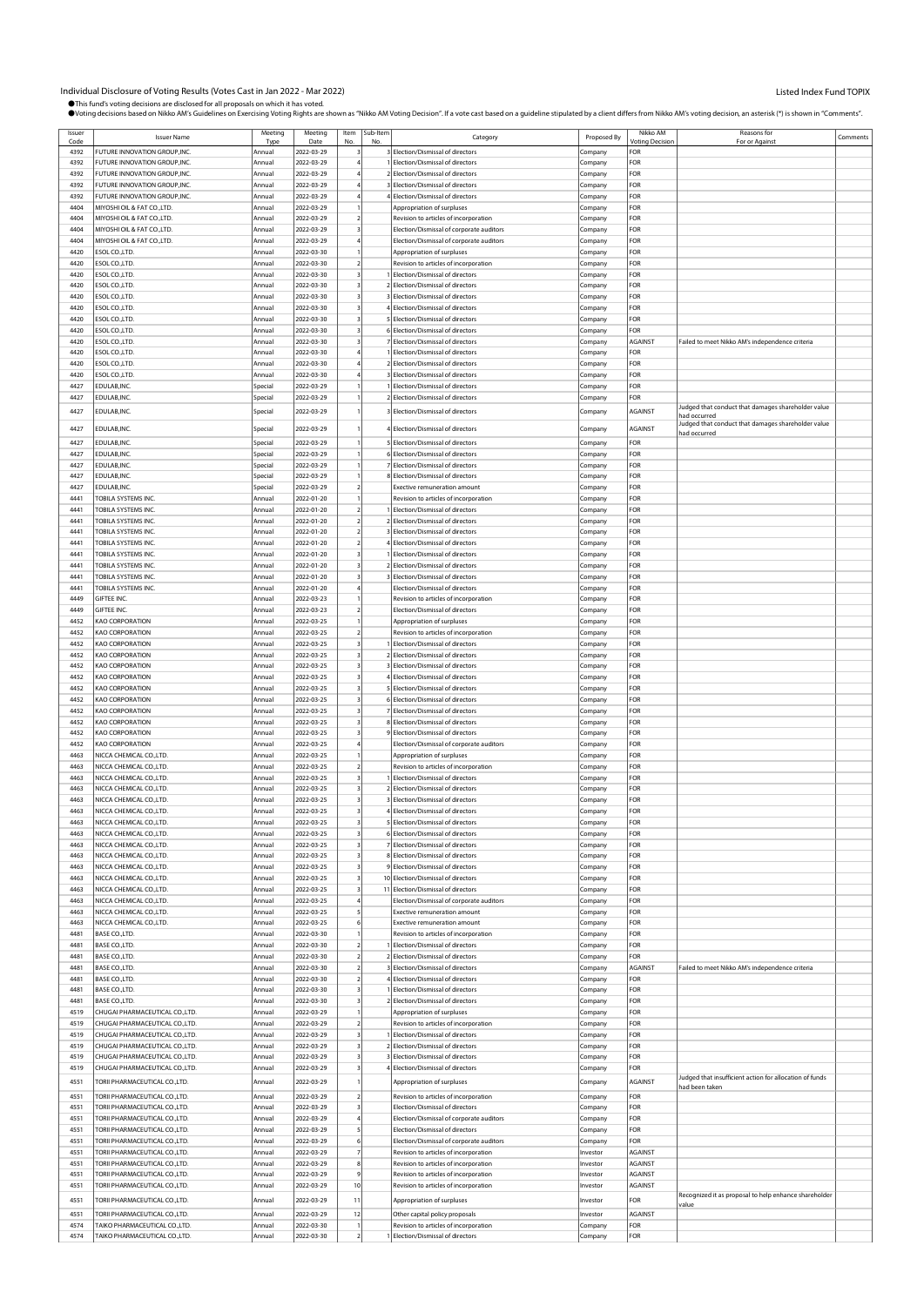●This fund's voting decisions are disclosed for all proposals on which it has voted.<br>●Voting decisions based on Nikko AM's Guidelines on Exercising Voting Rights are s n as "Nikko AM Voting Decision". If a vote cast based on a guideline stipulated by a client differs from Nikko AM's voting decision, an asterisk (\*) is shown in "Comments"

Issuer Ssuer | Meeting<br>Code | Issuer Name | Meeting<br>Type | Type Type Meeting Date Item No. Sub-Item b-Item<br>No. No. Category Category Proposed By Nikko AM Voting De Reasons for<br>
For or Against Comments 4392 FUTURE INNOVATION GROUP, INC. Annual 2022-03-29 3 3 Election/Dismissal of directors Company 4392 FUTURE INNOVATION GROUP, INC. Annual 2022-03-29 4 1 Election/Dismissal of directors Company FOR 4392 FUTURE INNOVATION GROUP, INC. Annual 2022-03-29 4 2 Election/Dismissal of directors Company 4392 FUTURE INNOVATION GROUP, INC. Annual 2022-03-29 4 3 Election/Dismissal of directors Company FOR<br>4392 FUTURE INNOVATION GROUP, INC. Annual 2022-03-29 4 4 Election/Dismissal of directors Company FOR FUTURE INNOVATION GROUP, INC. **Annual** 2022-03-29 4 4 Election/Dismissal of directors Company FOR 4404 MIYOSHI OIL & FAT CO.,LTD. Annual 2022-03-29 1 Appropriation of surpluses Company FOR articles of incorporation and the matter of the matter of the matter of the matter of the matter of the matter<br>Annual 2022-03-29 3 Election/Dismissal of corporate auditors Company FOR<br>Company FOR Election/Dismissal of corporate auditors Company 4404 MIYOSHI OIL & FAT CO.,LTD. Annual 2022-03-29 4 Election/Dismissal of corporate auditors Company FOR esol Co.,LTD. Company FOR Annual 2022-03-30 1 Appropriation of surpluses Company FOR 4420 ESOL CO.,LTD. Annual 2022-03-30 2 Revision to articles of incorporation Company FOR 4420 ESOL CO.,LTD. Company Annual 2022-03-30 3 1 Election/Dismissal of directors Company 4420 ESOL CO.,LTD. Annual 2022-03-30 3 2 Election/Dismissal of directors Company FOR + annual 2022-03-30 3 3 Election/Dismissal of directors Company FOR<br>4420 ESOL CO.,LTD. Annual 2022-03-30 3 3 Election/Dismissal of directors Company FOR 4420 ESOL CO.,LTD. Annual 2022-03-30 3 4 Election/Dismissal of directors Company FOR 4420 ESOL CO.,LTD. COMPANY COMPANY COMPANY Annual 2022-03-30 3 5 Election/Dismissal of directors Company FOR<br>4420 ESOL CO.,LTD. Company FOR Annual 2022-03-30 3 6 Election/Dismissal of directors Company FOR estion/Dismissal of directors Company FOR 4420 ESOL CO.,LTD. Annual 2022-03-30 3 7 Election/Dismissal of directors Company AGAINST Failed to meet Nikko AM's independence criteria<br>4420 ESOL CO. LTD Annual 2022-03-30 4 1 Election/Dismissal of directors Company ECR C  $\frac{1}{20}$  Election/Dismissal of directors Company 4420 ESOL CO.,LTD. Annual 2022-03-30 4 2 Election/Dismissal of directors Company FOR 4420 ESOL CO.,LTD. Company Company | Annual 2022-03-30 4 3 Election/Dismissal of directors Company FOR 4427 EDULAB,INC. Special 2022-03-29 1 1 Election/Dismissal of directors Company FOR 4427 EDULAB,INC. COMPANY EXAMPLE 2022-03-29 1 2 Election/Dismissal of directors Company FOR 4427 EDULAB,INC. Special 2022-03-29 1 3 Election/Dismissal of directors company AGAINST ludged that conduct that damages shareholder value had occurred the company and the second company and the company and company that occurred had occurred had occurred that conduct that damages shareholder value of the special 2022-03-29 1 4 Election/Dismissal of directors ad occurred 4427 EDULAB,INC. Special 2022-03-29 1 5 Election/Dismissal of directors Company FOR 4427 EDULAB,INC. Special 2022-03-29 1 6 Election/Dismissal of directors Company FOR exial 2022-03-29 1 7 Election/Dismissal of directors Company Company 4427 EDULAB,INC. COMPANY CONSULTER Special 2022-03-29 1 8 Election/Dismissal of directors Company FOR<br>4427 EDULAB,INC. Special 2022-03-29 2 Exective remuneration amount Company FOR ecial 2022-03-29 2 Exective remuneration amount Company FOR 4441 TOBILA SYSTEMS INC. <br>4441 TOBILA SYSTEMS INC. Annual 2022-01-20 1 Revision to articles of incorporation Company FOR<br>6 Company FOR Election/Dismissal of directors Company 4441 TOBILA SYSTEMS INC. Annual 2022-01-20 2 2 Election/Dismissal of directors Company FOR 4441 TOBILA SYSTEMS INC. Annual 2022-01-20 2 3 Election/Dismissal of directors Company FOR 4441 TOBILA SYSTEMS INC. Annual 2022-01-20 2 4 Election/Dismissal of directors Company FOR 4441 TOBILA SYSTEMS INC. Annual 2022-01-20 3 1 Election/Dismissal of directors Company FOR Flection/Dismissal of directors 4441 TOBILA SYSTEMS INC. Annual 2022-01-20 3 3 Election/Dismissal of directors Company FOR ection/Dismissal of directors **Company FOR** 4449 GIFTEE INC. Annual 2022-03-23 1 Revision to articles of incorporation Company FOR 1449 GIFTEE INC. Company CONSULTER COMPANY Annual 2022-03-23 2 Election/Dismissal of directors Company FOR<br>1445 RAO COMPANY Annual 2002-03-25 1 Annual annual 2002-03-25 1 Annual Annual Annual Company FOR 4452 KAO CORPORATION **Annual 2022-03-25 1 1** Appropriation of surpluses Company FOR 4452 KAO CORPORATION CONTENT CONTENT Annual 2022-03-25 2 Revision to articles of incorporation Company FOR<br>4452 KAO CORPORATION Company FOR Annual 2022-03-25 3 1 Election/Dismissal of directors 4452 KAO CORPORATION Annual 2022-03-25 3 1 Election/Dismissal of directors Company FOR 4452 KAO CORPORATION Annual 2022-03-25 3 2 Election/Dismissal of directors Company FOR 4452 KAO CORPORATION **Annual 2022-03-25** 3 3 Election/Dismissal of directors Company FOR 4452 KAO CORPORATION Annual 2022-03-25 3 4 Election/Dismissal of directors Company FOR 4452 KAO CORPORATION Annual 2022-03-25 3 5 Election/Dismissal of directors Company FOR 4452 KAO CORPORATION COMPANY Annual 2022-03-25 3 6 Election/Dismissal of directors Company FOR<br>4452 KAO CORPORATION Annual 2022-03-25 3 7 Election/Dismissal of directors Company FOR 4452 KAO CORPORATION **Annual 2022-03-25 3** 3 7 Election/Dismissal of directors **Company** FOR 4452 KAO CORPORATION Annual 2022-03-25 3 8 Election/Dismissal of directors Company FOR 4452 KAO CORPORATION COMPANY COMPANY Annual 2022-03-25 3 9 Election/Dismissal of directors company FOR<br>4452 KAO CORPORATION COMPANY Annual 2022-03-25 4 FOR Company FOR 4452 KAO CORPORATION Annual 2022-03-25 4 Election/Dismissal of corporate auditors Company FOR 4463 NICCA CHEMICAL CO.,LTD. <br>4463 NICCA CHEMICAL CO.,LTD. Annual 2022-03-25 1 Appropriation of surpluses Company FOR<br>4463 NICCA CHEMICAL CO.,LTD. 460 Annual 2022-03-25 2 Revision to articles of incorporation Company FOR  $\overline{\phantom{a}}$  Company Company Company  $\overline{\phantom{a}}$ 4463 NICCA CHEMICAL CO.,LTD. Annual 2022-03-25 3 1 Election/Dismissal of directors Company FOR 4463 NICCA CHEMICAL CO.,LTD. **Annual 2022-03-25** 3 2 Election/Dismissal of directors Company FOR 4463 NICCA CHEMICAL CO.,LTD. Annual 2022-03-25 3 3 Election/Dismissal of directors Company FOR 4463 NICCA CHEMICAL CO.,LTD.<br>4463 NICCA CHEMICAL CO.,LTD. Annual 2022-03-25 3 4 Election/Dismissal of directors Company FOR<br>4463 NICCA CHEMICAL CO.,LTD. Annual 2022-03-25 3 5 Election/Dismissal of directors Company FOR 4463 NICCA CHEMICAL CO.,LTD. Annual 2022-03-25 3 5 Election/Dismissal of directors Company FOR 4463 NICCA CHEMICAL CO.,LTD.<br>4463 NICCA CHEMICAL CO.,LTD. Annual 2022-03-25 3 7 Election/Dismissal of directors Company FOR AHEMICAL CO.,LTD. Annual 2022-03-25 3 7 Election/Dismissal of directors Company FOR 4463 NICCA CHEMICAL CO.,LTD. Annual 2022-03-25 3 8 Election/Dismissal of directors Company FOR 4463 NICCA CHEMICAL CO.,LTD. Annual 2022-03-25 3 9 Election/Dismissal of directors Company FOR<br>4463 NICCA CHEMICAL CO.,LTD. Annual 2022-03-25 3 10 Election/Dismissal of directors Company FOR **Flection/Dismissal of directors** 4463 NICCA CHEMICAL CO.,LTD. Annual 2022-03-25 3 11 Election/Dismissal of directors Company FOR 4463 NICCA CHEMICAL CO.,LTD. Annual 2022-03-25 4 Election/Dismissal of corporate auditors Company FOR 4463 NICCA CHEMICAL CO.,LTD.<br>4463 NICCA CHEMICAL CO.,LTD. Annual 2022-03-25 5 Exective remuneration amount Company FOR nual 2022-03-25 6 Exective remuneration amount Company FOR 4481 BASE CO.,LTD. COMPANY COMPANY COMPANY Annual 2022-03-30 1 Revision to articles of incorporation Company FOR<br>4481 BASE CO.,LTD. Company FOR Annual 2022-03-30 2 1 Election/Dismissal of directors Company FOR 4481 BASE CO.,LTD. COMPANY COMPANY Annual 2022-03-30 2 1 Election/Dismissal of directors Company FOR<br>4481 BASE CO.,LTD. Annual 2022-03-30 2 2 Election/Dismissal of directors Company FOR Election/Dismissal of directors **Company FOR** 4481 BASE CO.,LTD. Annual 2022-03-30 2 3 Election/Dismissal of directors Company AGAINST Failed to meet Nikko AM's independence criteria Election/Dismissal of directors Company FOR 4481 BASE CO.,LTD. Company CONSULTER Annual 2022-03-30 3 1 Election/Dismissal of directors Company FOR 4481 BASE CO.,LTD. Annual 2022-03-30 3 2 Election/Dismissal of directors Company FOR 4519 CHUGAI PHARMACEUTICAL CO.,LTD. Annual 2022-03-29 1 Appropriation of surpluses Company FOR 4519 CHUGAI PHARMACEUTICAL CO.,LTD. Annual 2022-03-29 2 Revision to articles of incorporation Company FOR 4519 CHUGAI PHARMACEUTICAL CO.,LTD. Annual 2022-03-29 3 1 Election/Dismissal of directors Company FOR<br>4519 CHUGAI PHARMACEUTICAL CO.,LTD. Annual 2022-03-29 3 2 Election/Dismissal of directors Company FOR 4519 CHUGAI PHARMACEUTICAL CO.,LTD. Annual 2022-03-29 3 2 Election/Dismissal of directors Company FOR 4519 CHUGAI PHARMACEUTICAL CO.,LTD. Annual 2022-03-29 3 3 Election/Dismissal of directors Company FOR 4519 CHUGAI PHARMACEUTICAL CO.,LTD. Annual 2022-03-29 3 4 Election/Dismissal of directors Company FOR 4551 TORII PHARMACEUTICAL CO., LTD. Annual 2022-03-29 1 Appropriation of surpluses Company AGAINST Judged that insufficient action for allocation of funds had been taken 4551 TORII PHARMACEUTICAL CO.,LTD. Annual 2022-03-29 2 Revision to articles of incorporation Company FOR 4551 TORII PHARMACEUTICAL CO.,LTD. <br>4551 TORII PHARMACEUTICAL CO.,LTD. Annual 2022-03-29 4 Election/Dismissal of corrorate auditors Company FOR<br>Company FOR 4551 TORII PHARMACEUTICAL CO.,LTD. Annual 2022-03-29 4 Election/Dismissal of corporate auditors Company FOR 4551 TORII PHARMACEUTICAL CO.,LTD. <br>4551 TORII PHARMACEUTICAL CO.,LTD. Annual 2022-03-29 6 Election/Dismissal of corporate auditors Company FOR TORII PHARMACEUTICAL CO.,LTD. **Annual 2022-03-29** 6 Election/Dismissal of corporate auditors Company 4551 TORII PHARMACEUTICAL CO.,LTD. **Annual 2022-03-29 7** Revision to articles of incorporation Investor AGAINST 4551 TORII PHARMACEUTICAL CO.,LTD. Annual 2022-03-29 8 Revision to articles of incorporation Investor AGAINST 4551 TORII PHARMACEUTICAL CO.,LTD. Annual 2022-03-29 9 Revision to articles of incorporation Investor AGAINST 4551 TORII PHARMACEUTICAL CO.,LTD. Annual 2022-03-29 10 Revision to articles of incorporation Investor AGAINST 4551 TORII PHARMACEUTICAL CO., LTD. Annual 2022-03-29 11 Appropriation of surpluses Investor FOR Recognized it as proposal to help enhance shareholder value 4551 TORII PHARMACEUTICAL CO.,LTD. Annual 2022-03-29 12 Other capital policy proposals Investor AGAINST 4574 TAIKO PHARMACEUTICAL CO.,LTD. Annual 2022-03-30 1 Revision to articles of incorporation Company FOR 4574 TAIKO PHARMACEUTICAL CO.,LTD. Annual 2022-03-30 2 1 Election/Dismissal of directors Company FOR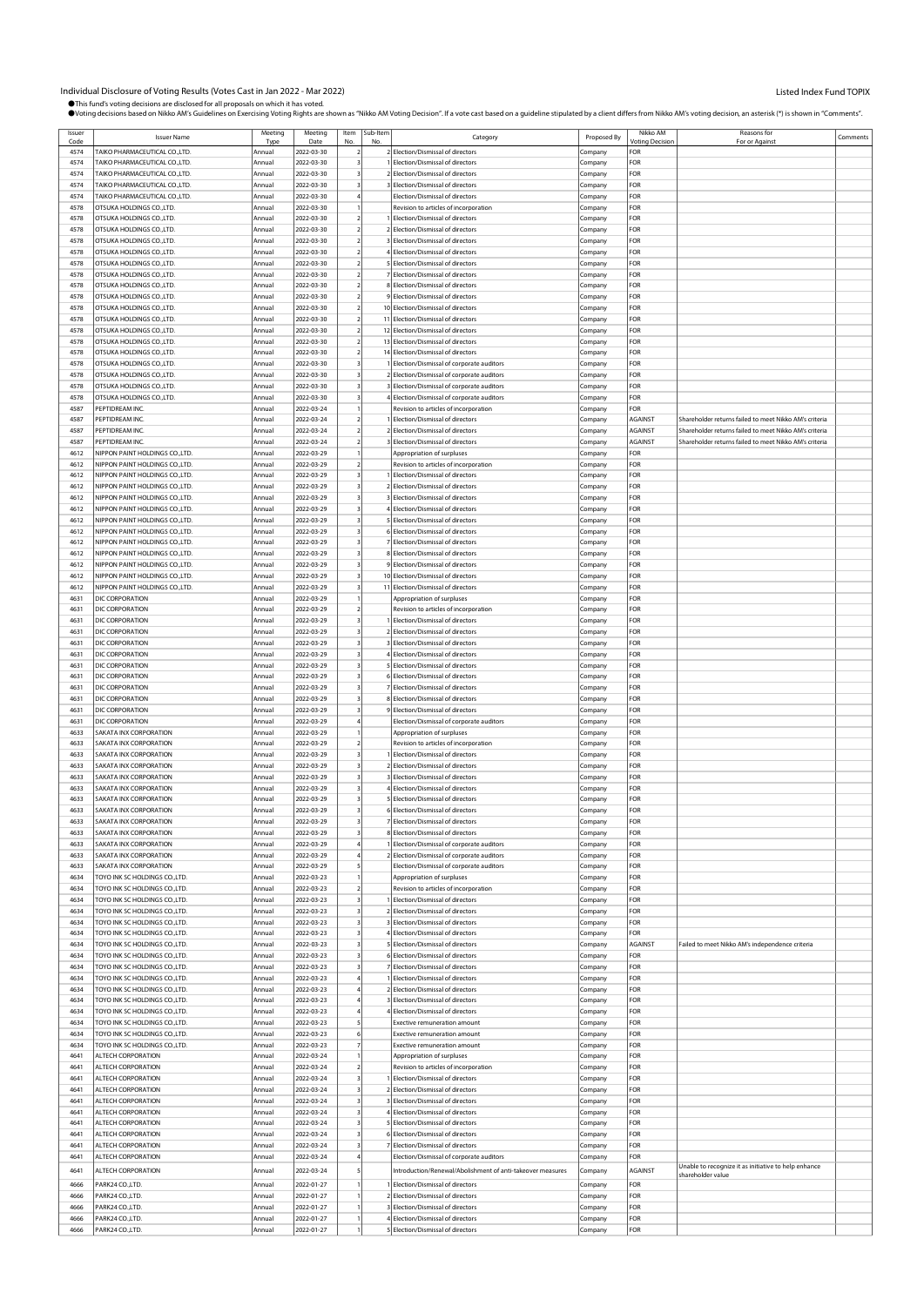| Issuer<br>Code | <b>Issuer Name</b>                                               | Meeting<br>Type  | Meeting<br>Date          | Item<br>No. | Sub-Item<br>No. | Category                                                                    | Proposed By        | Nikko AM<br><b>Voting Decision</b> | Reasons for<br>For or Against                                                                                    | Comments |
|----------------|------------------------------------------------------------------|------------------|--------------------------|-------------|-----------------|-----------------------------------------------------------------------------|--------------------|------------------------------------|------------------------------------------------------------------------------------------------------------------|----------|
| 4574           | AIKO PHARMACEUTICAL CO., LTD.                                    | Annual           | 2022-03-30               |             |                 | Election/Dismissal of directors                                             | Company            | FOR                                |                                                                                                                  |          |
| 4574           | <b><i>FAIKO PHARMACEUTICAL CO.,LTD.</i></b>                      | Annual           | 2022-03-30               |             |                 | Election/Dismissal of directors                                             | Company            | FOR                                |                                                                                                                  |          |
| 4574           | TAIKO PHARMACEUTICAL CO.,LTD.                                    | Annual           | 2022-03-30               |             |                 | Flection/Dismissal of directors                                             | Company            | FOR                                |                                                                                                                  |          |
| 4574           | TAIKO PHARMACEUTICAL CO.,LTD.                                    | Annual           | 2022-03-30               |             |                 | Election/Dismissal of directors                                             | Company            | FOR                                |                                                                                                                  |          |
| 4574           | <b>FAIKO PHARMACEUTICAL CO.,LTD.</b>                             | Annual           | 2022-03-30               |             |                 | <b>Election/Dismissal of directors</b>                                      | Company            | FOR                                |                                                                                                                  |          |
| 4578           | OTSUKA HOLDINGS CO.,LTD.                                         | Annual           | 2022-03-30               |             |                 | Revision to articles of incorporation                                       | Company            | FOR                                |                                                                                                                  |          |
| 4578           | OTSUKA HOLDINGS CO., LTD.                                        | Annual           | 2022-03-30               |             |                 | Election/Dismissal of directors<br><b>Flection/Dismissal of directors</b>   | Company            | FOR                                |                                                                                                                  |          |
| 4578           | OTSUKA HOLDINGS CO.,LTD.                                         | Annual           | 2022-03-30               |             |                 |                                                                             | Company            | FOR                                |                                                                                                                  |          |
| 4578<br>4578   | OTSUKA HOLDINGS CO., LTD.<br>OTSUKA HOLDINGS CO., LTD.           | Annual<br>Annual | 2022-03-30<br>2022-03-30 |             |                 | Election/Dismissal of directors<br>Election/Dismissal of directors          | Company            | FOR<br>FOR                         |                                                                                                                  |          |
| 4578           | OTSUKA HOLDINGS CO., LTD.                                        | Annual           | 2022-03-30               |             |                 | Election/Dismissal of directors                                             | Company<br>Company | FOR                                |                                                                                                                  |          |
| 4578           | OTSUKA HOLDINGS CO., LTD.                                        | Annual           | 2022-03-30               |             |                 | Election/Dismissal of directors                                             | Company            | FOR                                |                                                                                                                  |          |
| 4578           | OTSUKA HOLDINGS CO., LTD.                                        | Annual           | 2022-03-30               |             |                 | Election/Dismissal of directors                                             | Company            | FOR                                |                                                                                                                  |          |
| 4578           | OTSUKA HOLDINGS CO., LTD.                                        | Annual           | 2022-03-30               |             |                 | 9 Election/Dismissal of directors                                           | Company            | FOR                                |                                                                                                                  |          |
| 4578           | OTSUKA HOLDINGS CO., LTD.                                        | Annual           | 2022-03-30               |             |                 | 10 Election/Dismissal of directors                                          | Company            | FOR                                |                                                                                                                  |          |
| 4578           | OTSUKA HOLDINGS CO., LTD.                                        | Annual           | 2022-03-30               |             | 11              | Election/Dismissal of directors                                             | Company            | FOR                                |                                                                                                                  |          |
| 4578           | OTSUKA HOLDINGS CO., LTD.                                        | Annual           | 2022-03-30               |             |                 | 12 Election/Dismissal of directors                                          | Company            | FOR                                |                                                                                                                  |          |
| 4578           | OTSUKA HOLDINGS CO., LTD.                                        | Annual           | 2022-03-30               |             | 13              | Election/Dismissal of directors                                             | Company            | FOR                                |                                                                                                                  |          |
| 4578           | OTSUKA HOLDINGS CO., LTD.                                        | Annual           | 2022-03-30               |             |                 | 14 Election/Dismissal of directors                                          | Company            | FOR                                |                                                                                                                  |          |
| 4578           | OTSUKA HOLDINGS CO., LTD.                                        | Annual           | 2022-03-30               |             |                 | Election/Dismissal of corporate auditors                                    | Company            | FOR                                |                                                                                                                  |          |
| 4578           | OTSUKA HOLDINGS CO., LTD.                                        | Annual           | 2022-03-30               |             |                 | Election/Dismissal of corporate auditors                                    | Company            | FOR                                |                                                                                                                  |          |
| 4578           | OTSUKA HOLDINGS CO., LTD.                                        | Annual           | 2022-03-30               |             |                 | Election/Dismissal of corporate auditors                                    | Company            | FOR                                |                                                                                                                  |          |
| 4578           | OTSUKA HOLDINGS CO., LTD.                                        | Annual           | 2022-03-30               |             |                 | Election/Dismissal of corporate auditors                                    | Company            | FOR                                |                                                                                                                  |          |
| 4587           | PEPTIDREAM INC.                                                  | Annual           | 2022-03-24               |             |                 | Revision to articles of incorporation                                       | Company            | FOR                                |                                                                                                                  |          |
| 4587<br>4587   | PEPTIDREAM INC.<br>PEPTIDREAM INC.                               | Annual           | 2022-03-24               |             |                 | Election/Dismissal of directors                                             | Company            | <b>AGAINST</b>                     | Shareholder returns failed to meet Nikko AM's criteria<br>Shareholder returns failed to meet Nikko AM's criteria |          |
|                |                                                                  | Annual           | 2022-03-24               |             |                 | Election/Dismissal of directors                                             | Company            | AGAINST<br>AGAINST                 |                                                                                                                  |          |
| 4587<br>4612   | PEPTIDREAM INC.<br>NIPPON PAINT HOLDINGS CO.,LTD.                | Annual<br>Annual | 2022-03-24<br>2022-03-29 |             |                 | Election/Dismissal of directors<br>Appropriation of surpluses               | Company<br>Company | FOR                                | Shareholder returns failed to meet Nikko AM's criteria                                                           |          |
| 4612           | NIPPON PAINT HOLDINGS CO., LTD.                                  | Annual           | 2022-03-29               |             |                 | Revision to articles of incorporation                                       | Company            | FOR                                |                                                                                                                  |          |
| 4612           | NIPPON PAINT HOLDINGS CO., LTD.                                  | Annual           | 2022-03-29               |             |                 | Election/Dismissal of directors                                             | Company            | FOR                                |                                                                                                                  |          |
| 4612           | NIPPON PAINT HOLDINGS CO., LTD.                                  | Annual           | 2022-03-29               |             |                 | Election/Dismissal of directors                                             | Company            | FOR                                |                                                                                                                  |          |
| 4612           | NIPPON PAINT HOLDINGS CO., LTD.                                  | Annual           | 2022-03-29               |             |                 | Election/Dismissal of directors                                             | Company            | FOR                                |                                                                                                                  |          |
| 4612           | NIPPON PAINT HOLDINGS CO.,LTD.                                   | Annual           | 2022-03-29               |             |                 | Election/Dismissal of directors                                             | Company            | FOR                                |                                                                                                                  |          |
| 4612           | NIPPON PAINT HOLDINGS CO., LTD.                                  | Annual           | 2022-03-29               |             |                 | Election/Dismissal of directors                                             | Company            | FOR                                |                                                                                                                  |          |
| 4612           | NIPPON PAINT HOLDINGS CO., LTD.                                  | Annual           | 2022-03-29               |             |                 | Election/Dismissal of directors                                             | Company            | FOR                                |                                                                                                                  |          |
| 4612           | NIPPON PAINT HOLDINGS CO., LTD.                                  | Annual           | 2022-03-29               |             |                 | Election/Dismissal of directors                                             | Company            | FOR                                |                                                                                                                  |          |
| 4612           | NIPPON PAINT HOLDINGS CO., LTD.                                  | Annual           | 2022-03-29               |             |                 | Election/Dismissal of directors                                             | Company            | FOR                                |                                                                                                                  |          |
| 4612           | NIPPON PAINT HOLDINGS CO.,LTD.                                   | Annual           | 2022-03-29               |             |                 | Election/Dismissal of directors                                             | Company            | FOR                                |                                                                                                                  |          |
| 4612           | NIPPON PAINT HOLDINGS CO., LTD.                                  | Annual           | 2022-03-29               |             |                 | 10 Election/Dismissal of directors                                          | Company            | FOR                                |                                                                                                                  |          |
| 4612           | NIPPON PAINT HOLDINGS CO., LTD.                                  | Annual           | 2022-03-29               |             | 11              | Election/Dismissal of directors                                             | Company            | FOR                                |                                                                                                                  |          |
| 4631           | DIC CORPORATION                                                  | Annual           | 2022-03-29               |             |                 | Appropriation of surpluses                                                  | Company            | FOR<br>FOR                         |                                                                                                                  |          |
| 4631<br>4631   | DIC CORPORATION<br>DIC CORPORATION                               | Annual<br>Annual | 2022-03-29<br>2022-03-29 |             |                 | Revision to articles of incorporation<br>Election/Dismissal of directors    | Company            | FOR                                |                                                                                                                  |          |
| 4631           | DIC CORPORATION                                                  | Annual           | 2022-03-29               |             |                 | Election/Dismissal of directors                                             | Company<br>Company | FOR                                |                                                                                                                  |          |
| 4631           | DIC CORPORATION                                                  | Annual           | 2022-03-29               |             |                 | Election/Dismissal of directors                                             | Company            | FOR                                |                                                                                                                  |          |
| 4631           | DIC CORPORATION                                                  | Annual           | 2022-03-29               |             |                 | Election/Dismissal of directors                                             | Company            | FOR                                |                                                                                                                  |          |
| 4631           | DIC CORPORATION                                                  | Annual           | 2022-03-29               |             |                 | Election/Dismissal of directors                                             | Company            | FOR                                |                                                                                                                  |          |
| 4631           | DIC CORPORATION                                                  | Annual           | 2022-03-29               |             |                 | Election/Dismissal of directors                                             | Company            | FOR                                |                                                                                                                  |          |
| 4631           | DIC CORPORATION                                                  | Annual           | 2022-03-29               |             |                 | Election/Dismissal of directors                                             | Company            | FOR                                |                                                                                                                  |          |
| 4631           | DIC CORPORATION                                                  | Annual           | 2022-03-29               |             |                 | Election/Dismissal of directors                                             | Company            | FOR                                |                                                                                                                  |          |
| 4631           | DIC CORPORATION                                                  | Annual           | 2022-03-29               |             |                 | Election/Dismissal of directors                                             | Company            | FOR                                |                                                                                                                  |          |
| 4631           | DIC CORPORATION                                                  | Annual           | 2022-03-29               |             |                 | Election/Dismissal of corporate auditors                                    | Company            | FOR                                |                                                                                                                  |          |
| 4633           | SAKATA INX CORPORATION                                           | Annual           | 2022-03-29               |             |                 | Appropriation of surpluses                                                  | Company            | FOR                                |                                                                                                                  |          |
| 4633<br>4633   | SAKATA INX CORPORATION<br>SAKATA INX CORPORATION                 | Annual<br>Annual | 2022-03-29<br>2022-03-29 |             |                 | Revision to articles of incorporation<br>Election/Dismissal of directors    | Company<br>Company | FOR<br>FOR                         |                                                                                                                  |          |
| 4633           | SAKATA INX CORPORATION                                           | Annual           | 2022-03-29               |             |                 | Election/Dismissal of directors                                             | Company            | FOR                                |                                                                                                                  |          |
| 4633           | <b>AKATA INX CORPORATION</b>                                     | Annual           | 2022-03-29               |             |                 | Election/Dismissal of directors                                             | Company            | ЮR                                 |                                                                                                                  |          |
| 4633           | <b>SAKATA INX CORPORATION</b>                                    | Annual           | 2022-03-29               |             |                 | Election/Dismissal of directors                                             | Company            | FOR                                |                                                                                                                  |          |
| 4633           | SAKATA INX CORPORATION                                           | Annual           | 2022-03-29               |             |                 | Election/Dismissal of directors                                             | Company            | FOR                                |                                                                                                                  |          |
| 4633           | SAKATA INX CORPORATION                                           | Annual           | 2022-03-29               |             |                 | Election/Dismissal of directors                                             | Company            | FOR                                |                                                                                                                  |          |
| 4633           | SAKATA INX CORPORATION                                           | Annual           | 2022-03-29               |             |                 | 7 Election/Dismissal of directors                                           | Company            | FOR                                |                                                                                                                  |          |
| 4633           | <b>SAKATA INX CORPORATION</b>                                    | Annual           | 2022-03-29               |             |                 | Election/Dismissal of directors                                             | Company            | FOR                                |                                                                                                                  |          |
| 4633           | SAKATA INX CORPORATION                                           | Annual           | 2022-03-29               |             |                 | Election/Dismissal of corporate auditors                                    | Company            | FOR                                |                                                                                                                  |          |
| 4633           | SAKATA INX CORPORATION                                           | Annual           | 2022-03-29               |             |                 | 2 Election/Dismissal of corporate auditors                                  | Company            | FOR                                |                                                                                                                  |          |
| 4633<br>4634   | SAKATA INX CORPORATION                                           | Annual           | 2022-03-29               |             |                 | Election/Dismissal of corporate auditors                                    | Company            | FOR                                |                                                                                                                  |          |
| 4634           | TOYO INK SC HOLDINGS CO.,LTD.<br>TOYO INK SC HOLDINGS CO.,LTD.   | Annual<br>Annual | 2022-03-23<br>2022-03-23 |             |                 | Appropriation of surpluses<br>Revision to articles of incorporation         | Company<br>Company | FOR<br>FOR                         |                                                                                                                  |          |
| 4634           | TOYO INK SC HOLDINGS CO.,LTD.                                    | Annual           | 2022-03-23               |             |                 | Election/Dismissal of directors                                             | Company            | FOR                                |                                                                                                                  |          |
| 4634           | TOYO INK SC HOLDINGS CO.,LTD.                                    | Annual           | 2022-03-23               |             |                 | Election/Dismissal of directors                                             | Company            | FOR                                |                                                                                                                  |          |
| 4634           | TOYO INK SC HOLDINGS CO., LTD.                                   | Annual           | 2022-03-23               |             |                 | Election/Dismissal of directors                                             | Company            | FOR                                |                                                                                                                  |          |
| 4634           | TOYO INK SC HOLDINGS CO., LTD.                                   | Annual           | 2022-03-23               |             |                 | Election/Dismissal of directors                                             | Company            | FOR                                |                                                                                                                  |          |
| 4634           | TOYO INK SC HOLDINGS CO., LTD.                                   | Annual           | 2022-03-23               |             |                 | Election/Dismissal of directors                                             | Company            | AGAINST                            | Failed to meet Nikko AM's independence criteria                                                                  |          |
| 4634           | TOYO INK SC HOLDINGS CO.,LTD.                                    | Annual           | 2022-03-23               |             |                 | Election/Dismissal of directors                                             | Company            | FOR                                |                                                                                                                  |          |
| 4634           | TOYO INK SC HOLDINGS CO., LTD.                                   | Annual           | 2022-03-23               |             |                 | Election/Dismissal of directors                                             | Company            | FOR                                |                                                                                                                  |          |
| 4634           | TOYO INK SC HOLDINGS CO. LTD.                                    | Annual           | 2022-03-23               |             |                 | Election/Dismissal of directors                                             | Company            | FOR                                |                                                                                                                  |          |
| 4634           | TOYO INK SC HOLDINGS CO.,LTD.                                    | Annual           | 2022-03-23               |             |                 | Election/Dismissal of directors                                             | Company            | FOR                                |                                                                                                                  |          |
| 4634           | TOYO INK SC HOLDINGS CO.,LTD.                                    | Annual           | 2022-03-23               |             |                 | Election/Dismissal of directors                                             | Company            | FOR                                |                                                                                                                  |          |
| 4634           | TOYO INK SC HOLDINGS CO.,LTD.                                    | Annual           | 2022-03-23               |             |                 | Election/Dismissal of directors                                             | Company            | FOR                                |                                                                                                                  |          |
| 4634<br>4634   | TOYO INK SC HOLDINGS CO., LTD.<br>TOYO INK SC HOLDINGS CO., LTD. | Annual<br>Annual | 2022-03-23<br>2022-03-23 |             |                 | Exective remuneration amount<br><b>Exective remuneration amount</b>         | Company            | FOR<br>FOR                         |                                                                                                                  |          |
| 4634           | TOYO INK SC HOLDINGS CO., LTD.                                   | Annual           | 2022-03-23               |             |                 | <b>Exective remuneration amount</b>                                         | Company            | FOR                                |                                                                                                                  |          |
| 4641           | <b>ALTECH CORPORATION</b>                                        | Annual           | 2022-03-24               |             |                 | Appropriation of surpluses                                                  | Company<br>Company | FOR                                |                                                                                                                  |          |
| 4641           | ALTECH CORPORATION                                               | Annual           | 2022-03-24               |             |                 | Revision to articles of incorporation                                       | Company            | FOR                                |                                                                                                                  |          |
| 4641           | ALTECH CORPORATION                                               | Annual           | 2022-03-24               |             |                 | Election/Dismissal of directors                                             | Company            | FOR                                |                                                                                                                  |          |
| 4641           | <b>ALTECH CORPORATION</b>                                        | Annual           | 2022-03-24               |             |                 | Election/Dismissal of directors                                             | Company            | FOR                                |                                                                                                                  |          |
| 4641           | ALTECH CORPORATION                                               | Annual           | 2022-03-24               |             | 3               | Election/Dismissal of directors                                             | Company            | FOR                                |                                                                                                                  |          |
| 4641           | <b>ALTECH CORPORATION</b>                                        | Annual           | 2022-03-24               |             |                 | Election/Dismissal of directors                                             | Company            | FOR                                |                                                                                                                  |          |
| 4641           | ALTECH CORPORATION                                               | Annual           | 2022-03-24               |             |                 | Election/Dismissal of directors                                             | Company            | FOR                                |                                                                                                                  |          |
| 4641           | ALTECH CORPORATION                                               | Annual           | 2022-03-24               |             |                 | 6 Election/Dismissal of directors                                           | Company            | FOR                                |                                                                                                                  |          |
| 4641<br>4641   | ALTECH CORPORATION<br>ALTECH CORPORATION                         | Annual<br>Annual | 2022-03-24<br>2022-03-24 |             |                 | Election/Dismissal of directors<br>Election/Dismissal of corporate auditors | Company            | FOR<br>FOR                         |                                                                                                                  |          |
|                |                                                                  |                  |                          |             |                 |                                                                             | Company            |                                    | Unable to recognize it as initiative to help enhance                                                             |          |
| 4641           | ALTECH CORPORATION                                               | Annual           | 2022-03-24               |             |                 | Introduction/Renewal/Abolishment of anti-takeover measures                  | Company            | <b>AGAINST</b>                     | shareholder value                                                                                                |          |
| 4666           | PARK24 CO.,LTD.                                                  | Annual           | 2022-01-27               |             |                 | Election/Dismissal of directors                                             | Company            | FOR                                |                                                                                                                  |          |
| 4666           | PARK24 CO.,LTD.                                                  | Annual           | 2022-01-27               |             |                 | Election/Dismissal of directors                                             | Company            | FOR                                |                                                                                                                  |          |
| 4666           | PARK24 CO.,LTD.                                                  | Annual           | 2022-01-27               |             |                 | Election/Dismissal of directors                                             | Company            | FOR                                |                                                                                                                  |          |
| 4666           | PARK24 CO.,LTD.                                                  | Annual           | 2022-01-27<br>2022-01-27 |             |                 | Election/Dismissal of directors<br>Election/Dismissal of directors          | Company            | FOR<br>FOR                         |                                                                                                                  |          |
| 4666           | PARK24 CO.,LTD.                                                  | Annual           |                          |             |                 |                                                                             | Company            |                                    |                                                                                                                  |          |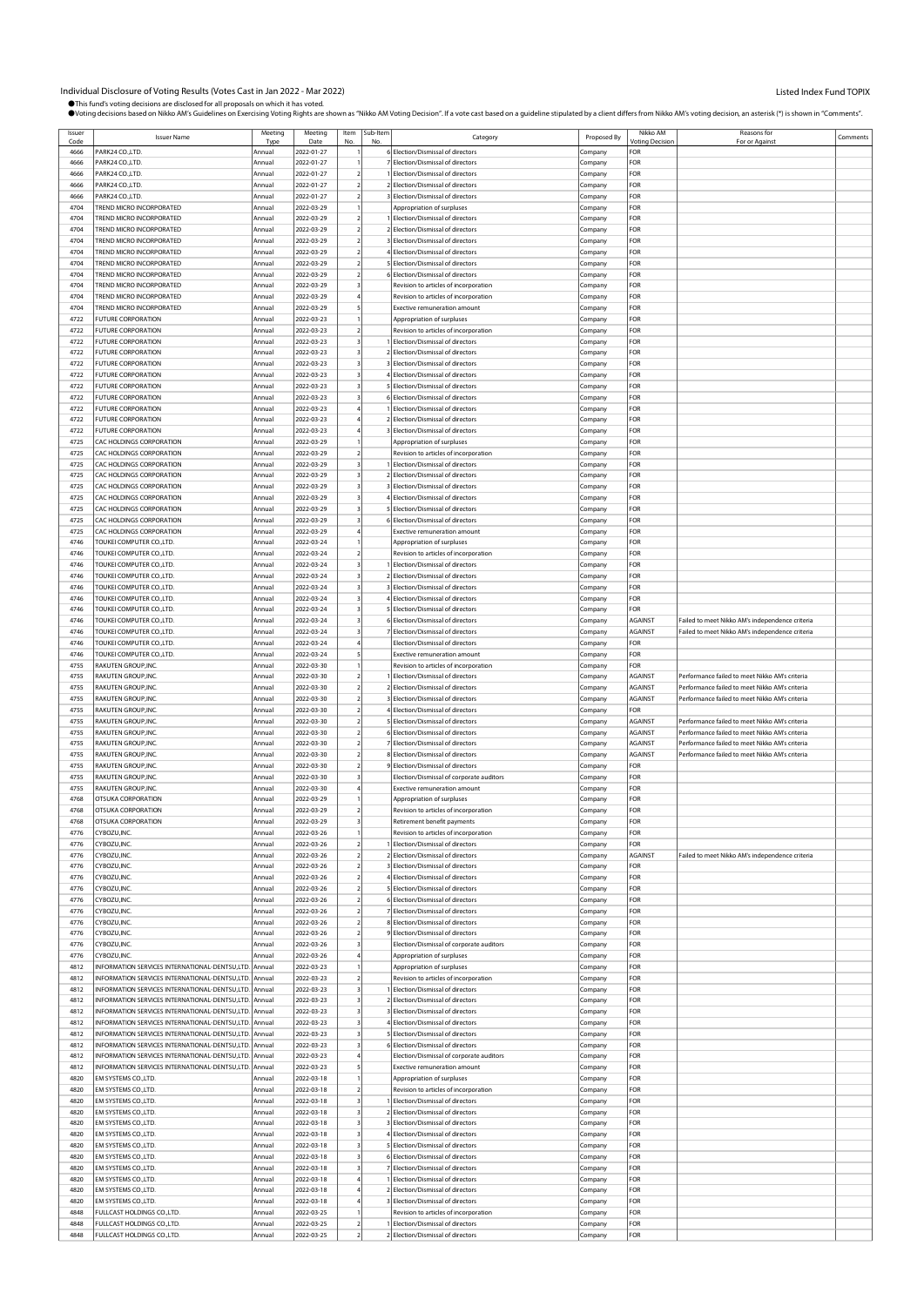| Issuer | <b>Issuer Name</b>                             | Meeting | Meeting                  | Item | Sub-Item                | Category                                 | Proposed By | Nikko AM               | Reasons for                                     | Comments |
|--------|------------------------------------------------|---------|--------------------------|------|-------------------------|------------------------------------------|-------------|------------------------|-------------------------------------------------|----------|
| Code   |                                                | Type    | Date                     | No.  | No.                     |                                          |             | <b>Voting Decision</b> | For or Against                                  |          |
| 4666   | ARK24 CO.,LTD.                                 | Annual  | 2022-01-27               |      |                         | 6 Election/Dismissal of directors        | Company     | FOR                    |                                                 |          |
| 4666   | PARK24 CO.,LTD.                                | Annual  | 2022-01-27               |      |                         | 7 Election/Dismissal of directors        | Company     | FOR                    |                                                 |          |
| 4666   | PARK24 CO.,LTD.                                | Annual  | 2022-01-27               |      |                         | Election/Dismissal of directors          | Company     | FOR                    |                                                 |          |
| 4666   | PARK24 CO.,LTD.                                | Annual  | 2022-01-27               |      |                         | 2 Election/Dismissal of directors        | Company     | FOR                    |                                                 |          |
| 4666   | PARK24 CO.,LTD.                                | Annual  | 2022-01-27               |      |                         | 3 Election/Dismissal of directors        | Company     | <b>OR</b>              |                                                 |          |
| 4704   | TREND MICRO INCORPORATED                       | Annual  | 2022-03-29               |      |                         | Appropriation of surpluses               | Company     | FOR                    |                                                 |          |
| 4704   | TREND MICRO INCORPORATED                       | Annual  | 2022-03-29               |      |                         | Election/Dismissal of directors          | Company     | FOR                    |                                                 |          |
| 4704   | TREND MICRO INCORPORATED                       | Annual  | 2022-03-29               |      |                         | 2 Election/Dismissal of directors        |             | FOR                    |                                                 |          |
|        |                                                |         |                          |      |                         |                                          | Company     |                        |                                                 |          |
| 4704   | TREND MICRO INCORPORATED                       | Annual  | 2022-03-29               |      |                         | 3 Election/Dismissal of directors        | Company     | FOR                    |                                                 |          |
| 4704   | TREND MICRO INCORPORATED                       | Annual  | 2022-03-29               |      |                         | 4 Election/Dismissal of directors        | Company     | <b>OR</b>              |                                                 |          |
| 4704   | TREND MICRO INCORPORATED                       | Annual  | 2022-03-29               |      |                         | 5 Election/Dismissal of directors        | Company     | FOR                    |                                                 |          |
| 4704   | TREND MICRO INCORPORATED                       | Annual  | 2022-03-29               |      |                         | 6 Election/Dismissal of directors        | Company     | FOR                    |                                                 |          |
| 4704   | TREND MICRO INCORPORATED                       | Annual  | 2022-03-29               |      |                         | Revision to articles of incorporation    | Company     | FOR                    |                                                 |          |
| 4704   | TREND MICRO INCORPORATED                       | Annual  | 2022-03-29               |      |                         | Revision to articles of incorporation    | Company     | FOR                    |                                                 |          |
| 4704   | TREND MICRO INCORPORATED                       | Annual  | 2022-03-29               |      |                         | <b>Exective remuneration amount</b>      |             | <b>OR</b>              |                                                 |          |
|        |                                                |         |                          |      |                         |                                          | Company     |                        |                                                 |          |
| 4722   | <b>FUTURE CORPORATION</b>                      | Annual  | 2022-03-23               |      |                         | Appropriation of surpluses               | Company     | FOR                    |                                                 |          |
| 4722   | <b>FUTURE CORPORATION</b>                      | Annual  | 2022-03-23               |      |                         | Revision to articles of incorporation    | Company     | FOR                    |                                                 |          |
| 4722   | <b>FUTURE CORPORATION</b>                      | Annual  | 2022-03-23               |      |                         | Election/Dismissal of directors          | Company     | FOR                    |                                                 |          |
| 4722   | <b>FUTURE CORPORATION</b>                      | Annual  | 2022-03-23               |      |                         | 2 Election/Dismissal of directors        | Company     | FOR                    |                                                 |          |
| 4722   | <b>FUTURE CORPORATION</b>                      | Annual  | 2022-03-23               |      |                         | Election/Dismissal of directors          | Company     | <b>OR</b>              |                                                 |          |
| 4722   | <b>FUTURE CORPORATION</b>                      | Annual  | 2022-03-23               |      |                         | 4 Election/Dismissal of directors        | Company     | FOR                    |                                                 |          |
| 4722   | <b>FUTURE CORPORATION</b>                      | Annual  | 2022-03-23               |      |                         | Election/Dismissal of directors          | Company     | FOR                    |                                                 |          |
|        |                                                |         |                          |      |                         |                                          |             | FOR                    |                                                 |          |
| 4722   | <b>FUTURE CORPORATION</b>                      | Annual  | 2022-03-23               |      |                         | Election/Dismissal of directors          | Company     |                        |                                                 |          |
| 4722   | <b>FUTURE CORPORATION</b>                      | Annual  | 2022-03-23               |      |                         | 1 Election/Dismissal of directors        | Company     | FOR                    |                                                 |          |
| 4722   | <b>FUTURE CORPORATION</b>                      | Annual  | 2022-03-23               |      | $\mathcal{P}$           | Election/Dismissal of directors          | Company     | <b>OR</b>              |                                                 |          |
| 4722   | <b>FUTURE CORPORATION</b>                      | Annual  | 2022-03-23               |      |                         | 3 Election/Dismissal of directors        | Company     | FOR                    |                                                 |          |
| 4725   | CAC HOLDINGS CORPORATION                       | Annual  | 2022-03-29               |      |                         | Appropriation of surpluses               | Company     | FOR                    |                                                 |          |
| 4725   | CAC HOLDINGS CORPORATION                       | Annual  | 2022-03-29               |      |                         | Revision to articles of incorporation    | Company     | FOR                    |                                                 |          |
| 4725   | CAC HOLDINGS CORPORATION                       | Annual  | 2022-03-29               |      |                         | 1 Election/Dismissal of directors        | Company     | FOR                    |                                                 |          |
| 4725   | CAC HOLDINGS CORPORATION                       | Annual  | 2022-03-29               |      |                         | Election/Dismissal of directors          |             | <b>OR</b>              |                                                 |          |
|        |                                                |         |                          |      |                         |                                          | Company     |                        |                                                 |          |
| 4725   | CAC HOLDINGS CORPORATION                       | Annual  | 2022-03-29               |      |                         | 3 Election/Dismissal of directors        | Company     | FOR                    |                                                 |          |
| 4725   | CAC HOLDINGS CORPORATION                       | Annual  | 2022-03-29               |      |                         | 4 Election/Dismissal of directors        | Company     | FOR                    |                                                 |          |
| 4725   | CAC HOLDINGS CORPORATION                       | Annual  | 2022-03-29               |      |                         | Election/Dismissal of directors          | Company     | FOR                    |                                                 |          |
| 4725   | CAC HOLDINGS CORPORATION                       | Annual  | 2022-03-29               |      |                         | 6 Election/Dismissal of directors        | Company     | FOR                    |                                                 |          |
| 4725   | CAC HOLDINGS CORPORATION                       | Annual  | 2022-03-29               |      |                         | Exective remuneration amount             | Company     | <b>OR</b>              |                                                 |          |
| 4746   | TOUKEI COMPUTER CO., LTD.                      | Annual  | 2022-03-24               |      |                         | Appropriation of surpluses               | Company     | FOR                    |                                                 |          |
| 4746   | TOUKEI COMPUTER CO.,LTD.                       | Annual  | 2022-03-24               |      |                         | Revision to articles of incorporation    | Company     | FOR                    |                                                 |          |
|        |                                                |         |                          |      |                         |                                          |             |                        |                                                 |          |
| 4746   | TOUKEI COMPUTER CO.,LTD.                       | Annual  | 2022-03-24               |      |                         | Election/Dismissal of directors          | Company     | FOR                    |                                                 |          |
| 4746   | TOUKEI COMPUTER CO.,LTD.                       | Annual  | 2022-03-24               |      |                         | 2 Election/Dismissal of directors        | Company     | FOR                    |                                                 |          |
| 4746   | TOUKEI COMPUTER CO.,LTD.                       | Annual  | 2022-03-24               |      |                         | Election/Dismissal of directors          | Company     | <b>OR</b>              |                                                 |          |
| 4746   | TOUKEI COMPUTER CO., LTD.                      | Annual  | 2022-03-24               |      |                         | 4 Election/Dismissal of directors        | Company     | FOR                    |                                                 |          |
| 4746   | TOUKEI COMPUTER CO.,LTD.                       | Annual  | 2022-03-24               |      |                         | Election/Dismissal of directors          | Company     | FOR                    |                                                 |          |
| 4746   | <b>FOUKEI COMPUTER CO.,LTD.</b>                | Annual  | 2022-03-24               |      |                         | Election/Dismissal of directors          | Company     | Against                | ailed to meet Nikko AM's independence criteria  |          |
| 4746   | TOUKEI COMPUTER CO.,LTD.                       | Annual  | 2022-03-24               |      |                         | 7 Election/Dismissal of directors        | Company     | AGAINST                | Failed to meet Nikko AM's independence criteria |          |
| 4746   | TOUKEI COMPUTER CO.,LTD.                       | Annual  | 2022-03-24               |      |                         | Election/Dismissal of directors          |             | FOR                    |                                                 |          |
|        |                                                |         |                          |      |                         |                                          | Company     |                        |                                                 |          |
| 4746   | TOUKEI COMPUTER CO., LTD.                      | Annual  | 2022-03-24               |      |                         | <b>Exective remuneration amount</b>      | Company     | FOR                    |                                                 |          |
| 4755   | RAKUTEN GROUP,INC.                             | Annual  | 2022-03-30               |      |                         | tevision to articles of incorporation    | Company     | <b>OR</b>              |                                                 |          |
| 4755   | RAKUTEN GROUP, INC.                            | Annual  | 2022-03-30               |      |                         | Election/Dismissal of directors          | Company     | Against                | Performance failed to meet Nikko AM's criteria  |          |
| 4755   | RAKUTEN GROUP, INC.                            | Annual  | 2022-03-30               |      |                         | 2 Election/Dismissal of directors        | Company     | AGAINST                | Performance failed to meet Nikko AM's criteria  |          |
| 4755   | RAKUTEN GROUP.INC.                             | Annual  | 2022-03-30               |      | $\overline{\mathbf{3}}$ | Election/Dismissal of directors          | Company     | <b>AGAINST</b>         | Performance failed to meet Nikko AM's criteria  |          |
| 4755   | RAKUTEN GROUP, INC.                            | Annual  | 2022-03-30               |      |                         | 4 Election/Dismissal of directors        | Company     | FOR                    |                                                 |          |
| 4755   | RAKUTEN GROUP, INC.                            | Annual  | 2022-03-30               |      |                         | Election/Dismissal of directors          | Company     | <b>GAINST</b>          | erformance failed to meet Nikko AM's criteria   |          |
|        |                                                |         |                          |      |                         |                                          |             |                        |                                                 |          |
| 4755   | RAKUTEN GROUP, INC.                            | Annual  | 2022-03-30               |      |                         | Election/Dismissal of directors          | Company     | Against                | Performance failed to meet Nikko AM's criteria  |          |
| 4755   | RAKUTEN GROUP, INC.                            | Annual  | 2022-03-30               |      |                         | 7 Election/Dismissal of directors        | Company     | AGAINST                | Performance failed to meet Nikko AM's criteria  |          |
| 4755   | RAKUTEN GROUP, INC.                            | Annual  | 2022-03-30               |      |                         | Election/Dismissal of directors          | Company     | <b>AGAINST</b>         | Performance failed to meet Nikko AM's criteria  |          |
| 4755   | RAKUTEN GROUP, INC.                            | Annual  | 2022-03-30               |      |                         | 9 Election/Dismissal of directors        | Company     | FOR                    |                                                 |          |
| 4755   | RAKUTEN GROUP,INC.                             | Annual  | 2022-03-30               |      |                         | lection/Dismissal of corporate auditors  | Company     | <b>OR</b>              |                                                 |          |
| 4755   | RAKUTEN GROUP, INC.                            | Annual  | 2022-03-30               |      |                         | <b>Exective remuneration amount</b>      | Company     | FOR                    |                                                 |          |
| 4768   | OTSUKA CORPORATION                             | Annual  | 2022-03-29               |      |                         | Appropriation of surpluses               | Company     | FOR                    |                                                 |          |
| 4768   | OTSUKA CORPORATION                             | Annual  | 2022-03-29               |      |                         | Revision to articles of incorporation    | Company     | FOR                    |                                                 |          |
|        |                                                |         |                          |      |                         |                                          |             |                        |                                                 |          |
| 4768   | OTSUKA CORPORATION                             | Annual  | 2022-03-29               |      |                         | Retirement benefit payments              | Company     | FOR                    |                                                 |          |
| 4776   | CYBOZU, INC.                                   | Annual  | 2022-03-26               |      |                         | Revision to articles of incorporation    | Company     | FOR                    |                                                 |          |
| 4776   | CYBOZU, INC.                                   | Annual  | 2022-03-26               |      |                         | 1 Election/Dismissal of directors        | Company     | FOR                    |                                                 |          |
| 4776   | CYBOZU, INC.                                   | Annual  | 2022-03-26               |      |                         | 2 Election/Dismissal of directors        | Company     | AGAINST                | ailed to meet Nikko AM's independence criteria  |          |
| 4776   | CYBOZU, INC.                                   | Annual  | 2022-03-26               |      |                         | 3 Election/Dismissal of directors        | Company     | FOR                    |                                                 |          |
| 4776   | CYBOZU, INC.                                   | Annual  | 2022-03-26               |      |                         | 4 Election/Dismissal of directors        | Company     | FOR                    |                                                 |          |
| 4776   | CYBOZU, INC.                                   | Annual  | 2022-03-26               |      |                         | Election/Dismissal of directors          | Company     | FOR                    |                                                 |          |
| 4776   | CYBOZU, INC.                                   | Annual  | 2022-03-26               |      |                         | 6 Election/Dismissal of directors        | Company     | FOR                    |                                                 |          |
| 4776   |                                                |         |                          |      |                         | 7 Election/Dismissal of directors        |             | FOR                    |                                                 |          |
|        | CYBOZU, INC.                                   | Annual  | 2022-03-26<br>2022-03-26 |      |                         |                                          | Company     |                        |                                                 |          |
| 4776   | CYBOZU, INC.                                   | Annual  |                          |      |                         | 8 Election/Dismissal of directors        | Company     | FOR                    |                                                 |          |
| 4776   | CYBOZU, INC.                                   | Annual  | 2022-03-26               |      |                         | 9 Election/Dismissal of directors        | Company     | FOR                    |                                                 |          |
| 4776   | CYBOZU, INC.                                   | Annual  | 2022-03-26               |      |                         | Election/Dismissal of corporate auditors | Company     | FOR                    |                                                 |          |
| 4776   | CYBOZU, INC.                                   | Annual  | 2022-03-26               |      |                         | Appropriation of surpluses               | Company     | FOR                    |                                                 |          |
| 4812   | INFORMATION SERVICES INTERNATIONAL-DENTSU,LTD. | Annual  | 2022-03-23               |      |                         | Appropriation of surpluses               | Company     | FOR                    |                                                 |          |
| 4812   | INFORMATION SERVICES INTERNATIONAL-DENTSU,LTD. | Annual  | 2022-03-23               |      |                         | Revision to articles of incorporation    | Company     | FOR                    |                                                 |          |
| 4812   | INFORMATION SERVICES INTERNATIONAL-DENTSU,LTD. | Annual  | 2022-03-23               |      |                         | 1 Election/Dismissal of directors        | Company     | FOR                    |                                                 |          |
|        |                                                |         |                          |      |                         |                                          |             |                        |                                                 |          |
| 4812   | INFORMATION SERVICES INTERNATIONAL-DENTSU,LTD. | Annual  | 2022-03-23               |      |                         | 2 Election/Dismissal of directors        | Company     | FOR                    |                                                 |          |
| 4812   | INFORMATION SERVICES INTERNATIONAL-DENTSU,LTD. | Annual  | 2022-03-23               |      |                         | 3 Election/Dismissal of directors        | Company     | FOR                    |                                                 |          |
| 4812   | INFORMATION SERVICES INTERNATIONAL-DENTSU,LTD. | Annual  | 2022-03-23               |      |                         | 4 Election/Dismissal of directors        | Company     | FOR                    |                                                 |          |
| 4812   | INFORMATION SERVICES INTERNATIONAL-DENTSU,LTD. | Annual  | 2022-03-23               |      |                         | 5 Election/Dismissal of directors        | Company     | FOR                    |                                                 |          |
| 4812   | INFORMATION SERVICES INTERNATIONAL-DENTSU,LTD. | Annual  | 2022-03-23               |      |                         | 6 Election/Dismissal of directors        | Company     | FOR                    |                                                 |          |
| 4812   | INFORMATION SERVICES INTERNATIONAL-DENTSU,LTD. | Annual  | 2022-03-23               |      |                         | Election/Dismissal of corporate auditors | Company     | <b>OR</b>              |                                                 |          |
| 4812   | INFORMATION SERVICES INTERNATIONAL-DENTSU,LTD. | Annual  | 2022-03-23               |      |                         | <b>Exective remuneration amount</b>      | Company     | FOR                    |                                                 |          |
| 4820   | EM SYSTEMS CO., LTD.                           | Annual  | 2022-03-18               |      |                         |                                          |             | FOR                    |                                                 |          |
|        |                                                |         |                          |      |                         | Appropriation of surpluses               | Company     |                        |                                                 |          |
| 4820   | EM SYSTEMS CO., LTD.                           | Annual  | 2022-03-18               |      |                         | Revision to articles of incorporation    | Company     | FOR                    |                                                 |          |
| 4820   | EM SYSTEMS CO., LTD.                           | Annual  | 2022-03-18               |      |                         | 1 Election/Dismissal of directors        | Company     | FOR                    |                                                 |          |
| 4820   | EM SYSTEMS CO., LTD.                           | Annual  | 2022-03-18               |      |                         | 2 Election/Dismissal of directors        | Company     | <b>OR</b>              |                                                 |          |
| 4820   | EM SYSTEMS CO., LTD.                           | Annual  | 2022-03-18               |      |                         | 3 Election/Dismissal of directors        | Company     | FOR                    |                                                 |          |
| 4820   | EM SYSTEMS CO., LTD.                           | Annual  | 2022-03-18               |      |                         | 4 Election/Dismissal of directors        | Company     | FOR                    |                                                 |          |
| 4820   | EM SYSTEMS CO., LTD.                           | Annual  | 2022-03-18               |      |                         | 5 Election/Dismissal of directors        | Company     | FOR                    |                                                 |          |
| 4820   | EM SYSTEMS CO., LTD.                           | Annual  | 2022-03-18               |      |                         | 6 Election/Dismissal of directors        | Company     | FOR                    |                                                 |          |
| 4820   |                                                | Annual  |                          |      |                         | 7 Election/Dismissal of directors        |             | <b>OR</b>              |                                                 |          |
|        | EM SYSTEMS CO., LTD.                           |         | 2022-03-18               |      |                         |                                          | Company     |                        |                                                 |          |
| 4820   | EM SYSTEMS CO., LTD.                           | Annual  | 2022-03-18               |      |                         | 1 Election/Dismissal of directors        | Company     | FOR                    |                                                 |          |
| 4820   | EM SYSTEMS CO., LTD.                           | Annual  | 2022-03-18               |      |                         | 2 Election/Dismissal of directors        | Company     | FOR                    |                                                 |          |
| 4820   | EM SYSTEMS CO., LTD.                           | Annual  | 2022-03-18               |      |                         | 3 Election/Dismissal of directors        | Company     | FOR                    |                                                 |          |
| 4848   | FULLCAST HOLDINGS CO., LTD.                    | Annual  | 2022-03-25               |      |                         | Revision to articles of incorporation    | Company     | FOR                    |                                                 |          |
| 4848   | FULLCAST HOLDINGS CO., LTD.                    | Annual  | 2022-03-25               |      |                         | Election/Dismissal of directors          | Company     | <b>OR</b>              |                                                 |          |
| 4848   | FULLCAST HOLDINGS CO., LTD.                    | Annual  | 2022-03-25               |      |                         | 2 Election/Dismissal of directors        | Company     | FOR                    |                                                 |          |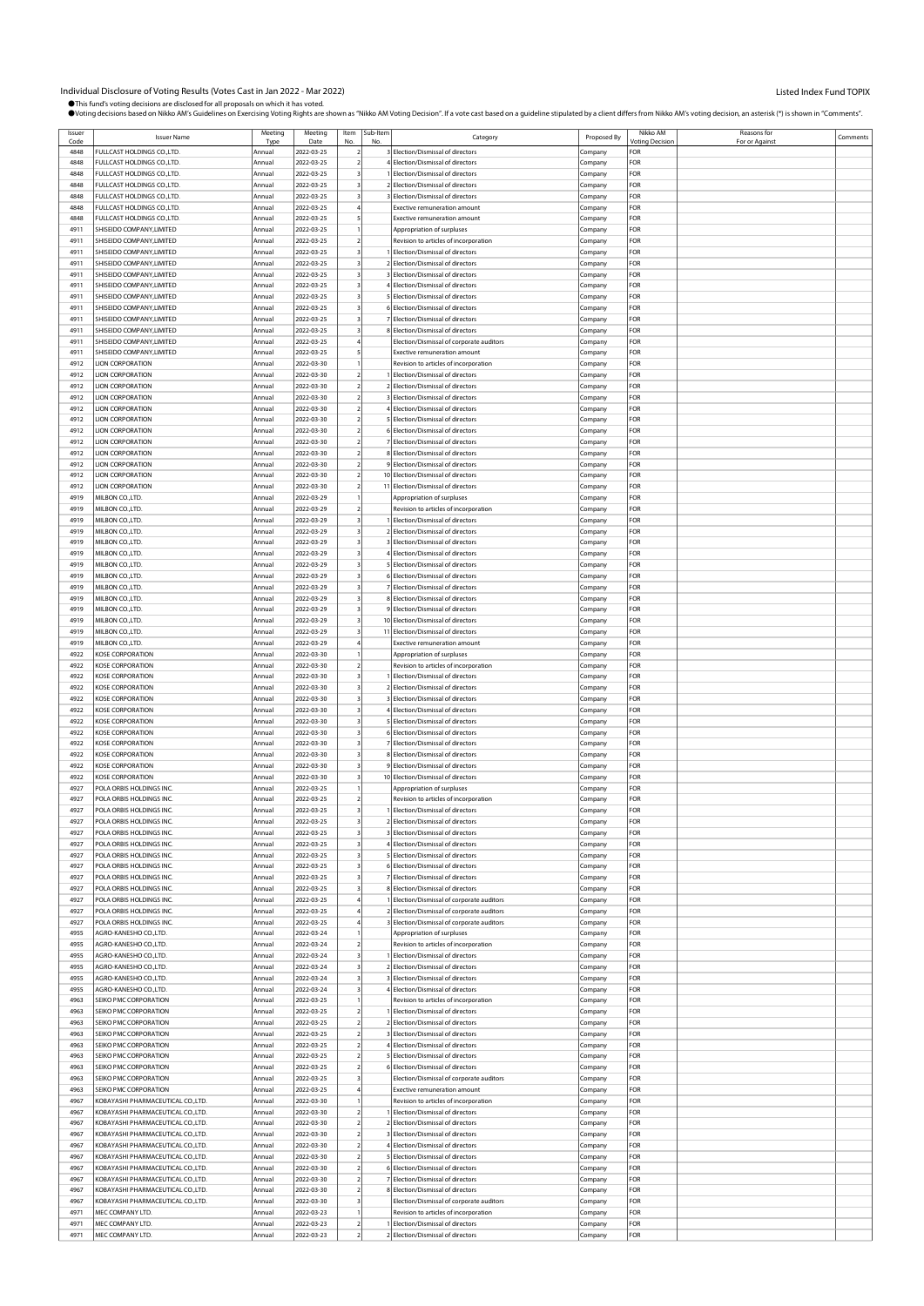●This fund's voting decisions are disclosed for all proposals on which it has voted.<br>●Voting decisions based on Nikko AM's Guidelines on Exercising Voting Rights are s n as "Nikko AM Voting Decision". If a vote cast based on a guideline stipulated by a client differs from Nikko AM's voting decision, an asterisk (\*) is shown in "Comments"

Issuer Ssuer | Meeting<br>Code | Issuer Name | Meeting<br>Type | Type Type Meeting Date<br>Date<br>2022-03-25 Item No. Sub-Item b-Item<br>No. No. Category Category Proposed By Nikko AM Voting Decision Reasons for<br>
For or Against Comments FULLCAST HOLDINGS CO.,LTD. **Annual 2022-03-25** 2 3 Election/Dismissal of directors Company 4848 FULLCAST HOLDINGS CO.,LTD. Annual 2022-03-25 2 4 Election/Dismissal of directors Company FOR 4848 FULLCAST HOLDINGS CO.,LTD. Annual 2022-03-25 3 1 Election/Dismissal of directors Company 4848 FULLCAST HOLDINGS CO.,LTD. Annual 2022-03-25 3 2 Election/Dismissal of directors Company FOR 4848 FULLCAST HOLDINGS CO.,LTD. Annual 2022-03-25 3 3 Election/Dismissal of directors Company FOR 4848 FULLCAST HOLDINGS CO.,LTD. Annual 2022-03-25 4 Exective remuneration amount Company FOR 4848 FULLCAST HOLDINGS CO.,LTD. Annual 2022-03-25 5 Exective remuneration amount Company FOR<br>4911 SHISEIDO COMPANY.LIMITED Annual 2022-03-25 1 Appropriation of surpluses Company FOR Appropriation of surpluses Company 4911 SHISEIDO COMPANY,LIMITED **Annual 2022-03-25** 2 Revision to articles of incorporation Company FOR<br>4911 SHISEIDO COMPANY,LIMITED Annual 2022-03-25 3 1 Election/Dismissal of directors Company FOR 4911 SHISEIDO COMPANY,LIMITED Annual 2022-03-25 3 1 Election/Dismissal of directors Company FOR 4911 SHISEIDO COMPANY,LIMITED Annual 2022-03-25 3 2 Election/Dismissal of directors Company FOR 4911 SHISEIDO COMPANY,LIMITED Annual 2022-03-25 3 3 Election/Dismissal of directors Company 4911 SHISEIDO COMPANY,LIMITED **Annual 2022-03-25 3** 3 4 Election/Dismissal of directors **Company** FOR 4911 SHISEIDO COMPANY,LIMITED Annual 2022-03-25 3 5 Election/Dismissal of directors Company FOR 4911 SHISEIDO COMPANY,LIMITED Annual 2022-03-25 3 6 Election/Dismissal of directors Company FOR 4911 SHISEIDO COMPANY,LIMITED Annual 2022-03-25 3 7 Election/Dismissal of directors Company FOR<br>4911 SHISEIDO COMPANY,LIMITED Annual 2022-03-25 3 8 Election/Dismissal of directors Company FOR Election/Dismissal of directors Company FOR 4911 SHISEIDO COMPANY,LIMITED **Annual 2022-03-25** 4 Election/Dismissal of corporate auditors Company FOR<br>4911 SHISEIDO COMPANY,LIMITED Annual 2022-03-25 5 Exective remuneration amount Company FOR 4911 SHISEIDO COMPANY,LIMITED Annual 2022-03-25 5 Exective remuneration amount Company Company 4912 LION CORPORATION **Annual 2022-03-30** 1 Revision to articles of incorporation Company FOR 4912 LION CORPORATION **Annual 2022-03-30** 2 1 Election/Dismissal of directors Company FOR 4912 LION CORPORATION Annual 2022-03-30 2 2 Election/Dismissal of directors Company FOR 4912 LION CORPORATION Annual 2022-03-30 2 3 Election/Dismissal of directors Company FOR<br>4912 LION CORPORATION Annual 2003-03-20 2 4 Election/Dismissal of directors Company COM 4912 LION CORPORATION **Annual 2022-03-30** 2 4 Election/Dismissal of directors **Company** FOR 4912 LION CORPORATION COMPANY CONSULTER Annual 2022-03-30 2 5 Election/Dismissal of directors Company FOR<br>4912 LION CORPORATION Company FOR Annual 2022-03-30 2 6 Election/Dismissal of directors Company FOR 1912 2022-03-30 2 6 Election/Dismissal of directors Company FOR 4912 LION CORPORATION COMPANY CONTENT Annual 2022-03-30 2 7 Election/Dismissal of directors Company FOR<br>4912 LION CORPORATION COMPANY Annual 2022-03-30 2 8 Election/Dismissal of directors Company FOR 4912 LION CORPORATION COMPANY Annual 2022-03-30 2 8 Election/Dismissal of directors Company FOR<br>4912 LION CORPORATION Annual 2002-03-30 2 9 Election/Dismissal of directors Company FOR Election/Dismissal of directors Company FORCE 4912 LION CORPORATION COMPANY Annual 2022-03-30 2 10 Election/Dismissal of directors Company FOR<br>4912 LION CORPORATION COMPANY Annual 2022-03-30 2 11 Election/Dismissal of directors Company FOR nnual 2022-03-30 2 11 Election/Dismissal of directors Company FOR 4919 MILBON CO.,LTD. Annual 2022-03-29 1 Appropriation of surpluses Company FOR 4919 MILBON CO.,LTD. COMPANY COMPANY Annual 2022-03-29 2 Revision to articles of incorporation Company FOR 4919 MILBON CO.,LTD. Annual 2022-03-29 3 1 Election/Dismissal of directors Company FOR 4919 MILBON CO.,LTD. COMPANY COMPANY Annual 2022-03-29 3 2 Election/Dismissal of directors Company FOR 4919 MILBON CO.,LTD. Annual 2022-03-29 3 3 Election/Dismissal of directors Company FOR 4919 MILBON CO.,LTD. Company FOR Annual 2022-03-29 3 4 Election/Dismissal of directors Company FOR 4919 MILBON CO.,LTD. Annual 2022-03-29 3 5 Election/Dismissal of directors Company FOR 4919 MILBON CO.,LTD. Annual 2022-03-29 3 6 Election/Dismissal of directors Company FOR 4919 MILBON CO.,LTD. Annual 2022-03-29 3 7 Election/Dismissal of directors Company FOR 4919 MILBON CO.,LTD. Annual 2022-03-29 3 8 Election/Dismissal of directors Company FOR 4919 MILBON CO.,LTD. Company Annual 2022-03-29 3 9 Election/Dismissal of directors Company 4919 MILBON CO.,LTD. (Annual 2022-03-29 3 10 Election/Dismissal of directors Company FOR<br>4919 MILBON CO.LTD. (Annual 2022-03-29 3 11 Election/Dismissal of directors Company FOR Election/Dismissal of directors Company 4919 MILBON CO.,LTD. Annual 2022-03-29 4 Exective remuneration amount Company FOR 4922 KOSE CORPORATION CONTENT Annual 2022-03-30 1 Appropriation of surpluses Company FOR<br>4922 KOSE CORPORATION COMPANY Annual 2022-03-30 2 Revision to articles of incorporation Company FOR 4922 KOSE CORPORATION **Annual 2022-03-30 2 Revision to articles of incorporation** Company FOR 4922 KOSE CORPORATION COMPANY | Annual 2022-03-30 3 1 Election/Dismissal of directors Company FOR<br>4922 KOSE CORPORATION | Annual 2022-03-30 3 2 | Election/Dismissal of directors Company FOR 4922 Annual 2022-03-30 September 2022-03-30 3 2 2 Annual 2022-03-30 3 2 2 Annual 2023-03-30 3 2 2 2 2 2 2 2 2 Company FOR 4922 KOSE CORPORATION Annual 2022-03-30 3 3 Election/Dismissal of directors Company FOR 4922 KOSE CORPORATION **Annual** 2022-03-30 3 4 Election/Dismissal of directors **Company** FOR 4922 KOSE CORPORATION Annual 2022-03-30 3 5 Election/Dismissal of directors Company FOR 4922 KOSE CORPORATION Annual 2022-03-30 3 6 Election/Dismissal of directors Company FOR 4922 KOSE CORPORATION Annual 2022-03-30 3 7 Election/Dismissal of directors Company FOR 4922 KOSE CORPORATION Annual 2022-03-30 3 8 Election/Dismissal of directors Company FOR 4922 KOSE CORPORATION Company Annual 2022-03-30 3 9 Election/Dismissal of directors Company 4922 KOSE CORPORATION COMPANY Annual 2022-03-30 3 10 Election/Dismissal of directors Company FOR<br>4927 POLA ORBIS HOLDINGS INC. Annual 2022-03-25 1 Appropriation of surpluses Company FOR nual 2022-03-25 1 Appropriation of surpluses Company 4927 POLA ORBIS HOLDINGS INC. Annual 2022-03-25 2 Revision to articles of incorporation Company FOR 4927 POLA ORBIS HOLDINGS INC.<br>4927 POLA ORBIS HOLDINGS INC. Annual 2022-03-25 3 2 Election/Dismissal of directors Company FOR<br>FOR Company FOR Company FOR Election/Dismissal of directors **Company FOR** 4927 POLA ORBIS HOLDINGS INC.<br>4927 POLA ORBIS HOLDINGS INC. Annual 2022-03-25 3 4 Election/Dismissal of directors Company FOR nual 2022-03-25 3 4 Election/Dismissal of directors Company FOR 4927 POLA ORBIS HOLDINGS INC. **Annual 2022-03-25** 3 5 Election/Dismissal of directors Company FOR 4927 POLA ORBIS HOLDINGS INC. Annual 2022-03-25 3 6 Election/Dismissal of directors Company 4927 POLA ORBIS HOLDINGS INC.<br>4927 POLA ORBIS HOLDINGS INC. Annual 2022-03-25 3 8 BElection/Dismissal of directors Company FOR ection/Dismissal of directors Company 4927 POLA ORBIS HOLDINGS INC. Annual 2022-03-25 4 1 Election/Dismissal of corporate auditors Company FOR 4927 POLA ORBIS HOLDINGS INC.<br>4927 POLA ORBIS HOLDINGS INC. Annual 2022-03-25 4 2 Election/Dismissal of corporate auditors Company FOR<br>6 Company FOR nnual 2022-03-25 4 3 Election/Dismissal of corporate auditors Company FOR 4955 AGRO-KANESHO CO.,LTD. Annual 2022-03-24 1 Appropriation of surpluses Company FOR 4955 AGRO-KANESHO CO.,LTD. Annual 2022-03-24 2 Revision to articles of incorporation Company FOR 4955 AGRO-KANESHO CO.,LTD. Annual 2022-03-24 3 1 Election/Dismissal of directors Company FOR 4955 AGRO-KANESHO CO.,LTD. **Annual 2022-03-24** 3 2 Election/Dismissal of directors **Company** FOR 4955 AGRO-KANESHO CO.,LTD. Annual 2022-03-24 3 3 Election/Dismissal of directors Company FOR 4955 AGRO-KANESHO CO.,LTD. Annual 2022-03-24 3 4 Election/Dismissal of directors Company FOR<br>Annual 2022-03-25 1 Boujoinn to annual 2022-03-25 1 Boujoinn to articles of incorporation Company FOR 4963 SEIKO PMC CORPORATION **Annual 2022-03-25 1** 1 Revision to articles of incorporation **Annual POR** 4963 SEIKO PMC CORPORATION **Annual** 2022-03-25 2 1 Election/Dismissal of directors Company FOR 4963 SEIKO PMC CORPORATION **Annual 2022-03-25** 2 **2** Election/Dismissal of directors Company FOR 4963 SEIKO PMC CORPORATION Annual 2022-03-25 2 3 Election/Dismissal of directors Company FOR<br>4963 SEIKO PMC CORPORATION Annual 2022-03-25 2 4 Election/Dismissal of directors Company FOR ection/Dismissal of directors **Company FOR** 4963 SEIKO PMC CORPORATION **Annual** 2022-03-25 2 5 Election/Dismissal of directors Company FOR 4963 SEIKO PMC CORPORATION Annual 2022-03-25 2 6 Election/Dismissal of directors Company FOR<br>4963 SEIKO PMC CORPORATION Annual 2022-03-25 3 Election/Dismissal of corporate auditors Company FOR 1963 SEIKO PMC CORPORATION AND RESERVE COMPANY FOR SECTION ANNUAL 2023-03-25 SECTION ANNUAL 2023-03-25 SECTION ANNUAL 2023-03-25 3 EQUATION RESERVE COMPANY FOR SECTION ANNUAL 2023-03-25 3 EQUATION COMPANY FOR SECTION AND R 4963 SEIKO PMC CORPORATION COLLEGY Annual 2022-03-25 4 Exective remuneration amount Company FOR<br>4967 KORAYASHI PHARMACEUTICAL COLLEGY Annual 2002-03-30 1 Revision to articles of incorporation Company FOR 4967 KOBAYASHI PHARMACEUTICAL CO.,LTD. Annual 2022-03-30 1 Revision to articles of incorporation Company FOR 4967 KOBAYASHI PHARMACEUTICAL CO.,LTD. Annual 2022-03-30 2 1 Election/Dismissal of directors Company FOR 4967 KOBAYASHI PHARMACEUTICAL CO.,LTD. Annual 2022-03-30 2 2 Election/Dismissal of directors Company FOR 4967 KOBAYASHI PHARMACEUTICAL CO.,LTD. <br>4967 KOBAYASHI PHARMACEUTICAL CO.,LTD. Annual 2022-03-30 2 4 Election/Dismissal of directors Company FOR 4967 KOBAYASHI PHARMACEUTICAL CO.,LTD. Annual 2022-03-30 2 4 Election/Dismissal of directors Company FOR 4967 KOBAYASHI PHARMACEUTICAL CO.,LTD. Annual 2022-03-30 2 S Election/Dismissal of directors Company FOR<br>4967 KOBAYASHI PHARMACEUTICAL CO.,LTD. Annual 2022-03-30 2 6 Election/Dismissal of directors Company FOR 4967 KOBAYASHI PHARMACEUTICAL CO.,LTD. Annual 2022-03-30 2 6 Election/Dismissal of directors Company FOR<br>4967 KOBAYASHI PHARMACEUTICAL CO.LTD. Annual 2022-03-30 2 7 Election/Dismissal of directors Company FOR 496 KOBAYASHI PHARMACEUTICAL CO.,LTD. Annual 2022-03-30 2 7 Election/Dismissal of directors Company Company 4967 KOBAYASHI PHARMACEUTICAL CO.,LTD. Annual 2022-03-30 2 8 Election/Dismissal of directors Company FOR<br>4967 KOBAYASHI PHARMACEUTICAL CO.,LTD. Annual 2022-03-30 3 Election/Dismissal of corporate auditors Company FOR 4967 KOBAYASHI PHARMACEUTICAL CO.,LTD. **Annual** 2022-03-30 3 Election/Dismissal of corporate auditors Company 4971 MEC COMPANY LTD. <br>4971 MEC COMPANY LTD. Annual 2022-03-23 1 Revision to articles of incorporation Company FOR<br>1971 MEC COMPANY LTD. Company FOR ection/Dismissal of directors **Company** Company **Company** For the company  $\sim$ 4971 MEC COMPANY LTD. Annual 2022-03-23 2 2 Election/Dismissal of directors Company FOR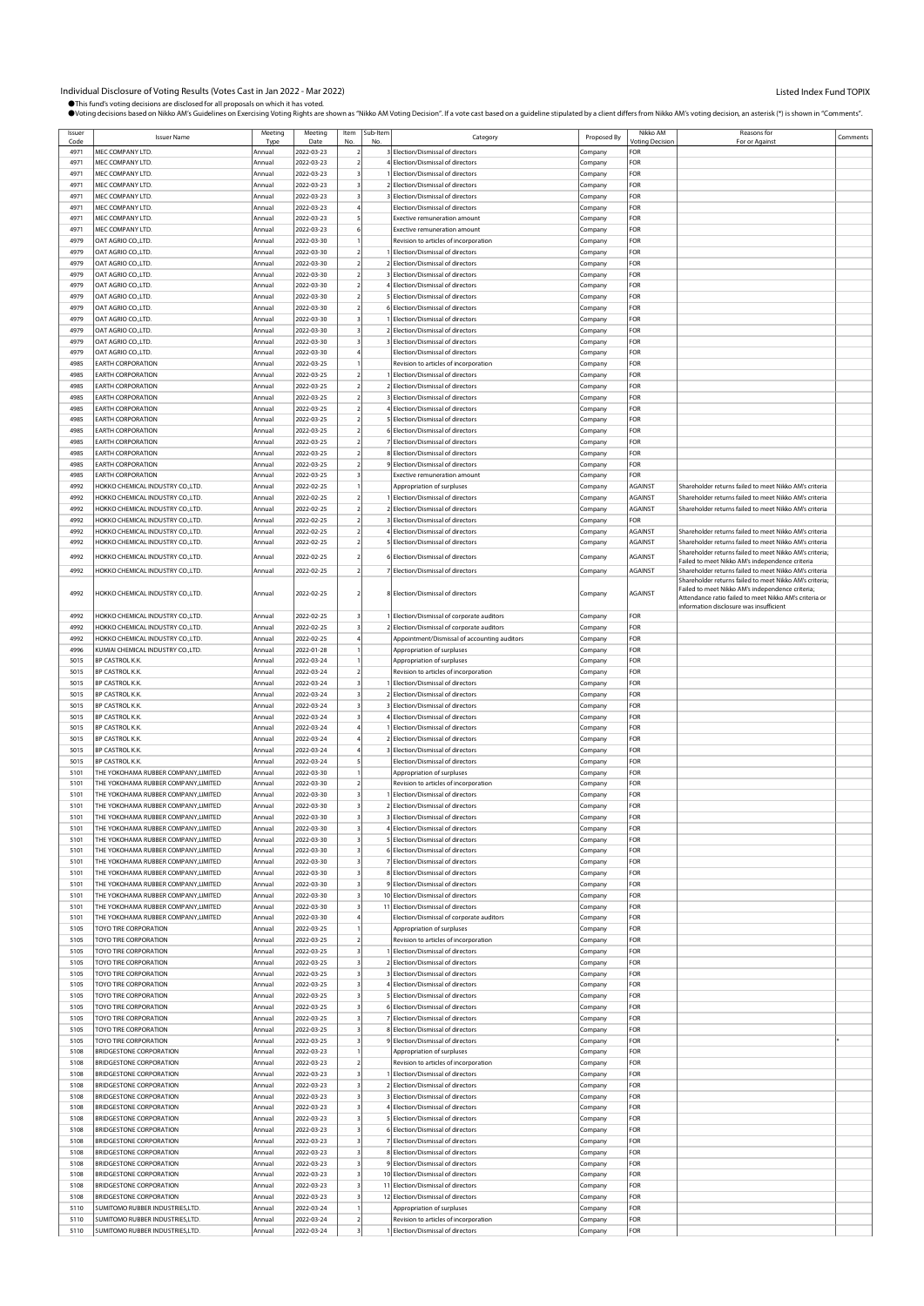| Issuer |                                         | Meeting | Meeting    | Item | Sub-Item |                                              |                    | Nikko AM               | Reasons for                                                                                                |          |
|--------|-----------------------------------------|---------|------------|------|----------|----------------------------------------------|--------------------|------------------------|------------------------------------------------------------------------------------------------------------|----------|
| Code   | <b>Issuer Name</b>                      | Type    | Date       | Nο   | No       | Category                                     | Proposed By        | <b>Voting Decision</b> | For or Against                                                                                             | Comment: |
| 4971   | MEC COMPANY LTD                         | Annual  | 2022-03-23 |      |          | 3 Election/Dismissal of directors            | Company            | FOR                    |                                                                                                            |          |
| 4971   | MEC COMPANY LTD.                        | Annual  | 2022-03-23 |      |          | Election/Dismissal of directors              | Company            | FOR                    |                                                                                                            |          |
| 4971   | MEC COMPANY LTD.                        | Annual  | 2022-03-23 |      |          | Election/Dismissal of directors              | Company            | FOR                    |                                                                                                            |          |
| 4971   | MEC COMPANY LTD.                        | Annual  | 2022-03-23 |      |          | Election/Dismissal of directors              | Company            | FOR                    |                                                                                                            |          |
| 4971   | MEC COMPANY LTD.                        | Annual  | 2022-03-23 |      |          | 3 Election/Dismissal of directors            | Company            | FOR                    |                                                                                                            |          |
| 4971   | MEC COMPANY LTD.                        | Annual  | 2022-03-23 |      |          | <b>Election/Dismissal of directors</b>       | Company            | FOR                    |                                                                                                            |          |
| 4971   | MEC COMPANY LTD.                        | Annual  | 2022-03-23 |      |          | Exective remuneration amount                 | Company            | FOR                    |                                                                                                            |          |
| 4971   | MEC COMPANY LTD.                        | Annual  | 2022-03-23 |      |          | <b>Exective remuneration amount</b>          | Company            | FOR                    |                                                                                                            |          |
| 4979   | OAT AGRIO CO.,LTD.                      | Annual  | 2022-03-30 |      |          | tevision to articles of incorporation        | Company            | FOR                    |                                                                                                            |          |
| 4979   | OAT AGRIO CO., LTD.                     | Annual  | 2022-03-30 |      |          | Election/Dismissal of directors              | Company            | FOR                    |                                                                                                            |          |
| 4979   | OAT AGRIO CO., LTD.                     | Annual  | 2022-03-30 |      |          | 2 Election/Dismissal of directors            | Company            | FOR                    |                                                                                                            |          |
| 4979   | OAT AGRIO CO.,LTD.                      | Annual  | 2022-03-30 |      |          | Election/Dismissal of directors              | Company            | FOR                    |                                                                                                            |          |
| 4979   | OAT AGRIO CO., LTD.                     | Annual  | 2022-03-30 |      |          | 4 Election/Dismissal of directors            | Company            | FOR                    |                                                                                                            |          |
| 4979   | OAT AGRIO CO.,LTD.                      | Annual  | 2022-03-30 |      |          | Election/Dismissal of directors              | Company            | <b>OR</b>              |                                                                                                            |          |
| 4979   | OAT AGRIO CO., LTD.                     | Annual  | 2022-03-30 |      |          | Election/Dismissal of directors              | Company            | FOR                    |                                                                                                            |          |
| 4979   | OAT AGRIO CO., LTD.                     | Annual  | 2022-03-30 |      |          | Election/Dismissal of directors              | Company            | FOR                    |                                                                                                            |          |
| 4979   | OAT AGRIO CO.,LTD.                      | Annual  | 2022-03-30 |      |          | Election/Dismissal of directors              | Company            | FOR                    |                                                                                                            |          |
| 4979   | OAT AGRIO CO.,LTD                       | Annual  | 2022-03-30 |      |          | 3 Election/Dismissal of directors            | Company            | FOR                    |                                                                                                            |          |
| 4979   | OAT AGRIO CO.,LTD.                      | Annual  | 2022-03-30 |      |          | lection/Dismissal of directors               | Company            | <b>OR</b>              |                                                                                                            |          |
| 4985   | <b>EARTH CORPORATION</b>                | Annual  | 2022-03-25 |      |          | Revision to articles of incorporation        | Company            | FOR                    |                                                                                                            |          |
| 4985   | <b>EARTH CORPORATION</b>                | Annual  | 2022-03-25 |      |          | 1 Election/Dismissal of directors            | Company            | FOR                    |                                                                                                            |          |
| 4985   | <b>EARTH CORPORATION</b>                | Annual  | 2022-03-25 |      |          | Election/Dismissal of directors              | Company            | FOR                    |                                                                                                            |          |
| 4985   | <b>EARTH CORPORATION</b>                | Annual  | 2022-03-25 |      |          | 3 Election/Dismissal of directors            | Company            | FOR                    |                                                                                                            |          |
| 4985   | <b>EARTH CORPORATION</b>                | Annual  | 2022-03-25 |      |          | Election/Dismissal of directors              | Company            | FOR                    |                                                                                                            |          |
| 4985   | <b>EARTH CORPORATION</b>                | Annual  | 2022-03-25 |      |          | Election/Dismissal of directors              | Company            | FOR                    |                                                                                                            |          |
| 4985   | <b>EARTH CORPORATION</b>                | Annual  | 2022-03-25 |      |          | 6 Election/Dismissal of directors            | Company            | FOR                    |                                                                                                            |          |
| 4985   | <b>EARTH CORPORATION</b>                | Annual  | 2022-03-25 |      |          | Election/Dismissal of directors              | Company            | FOR                    |                                                                                                            |          |
| 4985   | <b>EARTH CORPORATION</b>                | Annual  | 2022-03-25 |      |          | 8 Election/Dismissal of directors            | Company            | FOR                    |                                                                                                            |          |
| 4985   | <b>EARTH CORPORATION</b>                | Annual  | 2022-03-25 |      |          | Election/Dismissal of directors              | Company            | <b>OR</b>              |                                                                                                            |          |
| 4985   | <b>EARTH CORPORATION</b>                | Annual  | 2022-03-25 |      |          | xective remuneration amount                  | Company            | FOR                    |                                                                                                            |          |
| 4992   | HOKKO CHEMICAL INDUSTRY CO.,LTD.        | Annual  | 2022-02-25 |      |          | Appropriation of surpluses                   | Company            | AGAINST                | Shareholder returns failed to meet Nikko AM's criteria                                                     |          |
| 4992   | HOKKO CHEMICAL INDUSTRY CO.,LTD.        | Annual  | 2022-02-25 |      |          | Election/Dismissal of directors              | Company            | AGAINST                | Shareholder returns failed to meet Nikko AM's criteria                                                     |          |
| 4992   | HOKKO CHEMICAL INDUSTRY CO.,LTD.        | Annual  | 2022-02-25 |      |          | 2 Election/Dismissal of directors            | Company            | AGAINST                | Shareholder returns failed to meet Nikko AM's criteria                                                     |          |
| 4992   | <b>HOKKO CHEMICAL INDUSTRY CO.,LTD.</b> | Annual  | 2022-02-25 |      |          | Election/Dismissal of directors              | Company            | <b>OR</b>              |                                                                                                            |          |
| 4992   | HOKKO CHEMICAL INDUSTRY CO.,LTD.        | Annual  | 2022-02-25 |      |          | Election/Dismissal of directors              |                    | AGAINST                | Shareholder returns failed to meet Nikko AM's criteria                                                     |          |
| 4992   | HOKKO CHEMICAL INDUSTRY CO.,LTD.        | Annual  | 2022-02-25 |      |          | 5 Election/Dismissal of directors            | Company<br>Company | AGAINST                | Shareholder returns failed to meet Nikko AM's criteria                                                     |          |
|        |                                         |         |            |      |          |                                              |                    |                        | Shareholder returns failed to meet Nikko AM's criteria;                                                    |          |
| 4992   | HOKKO CHEMICAL INDUSTRY CO.,LTD.        | Annual  | 2022-02-25 |      |          | Election/Dismissal of directors              | Company            | AGAINST                | Failed to meet Nikko AM's independence criteria                                                            |          |
| 4992   | HOKKO CHEMICAL INDUSTRY CO.,LTD.        | Annual  | 2022-02-25 |      |          | 7 Election/Dismissal of directors            | Company            | AGAINST                | Shareholder returns failed to meet Nikko AM's criteria                                                     |          |
|        |                                         |         |            |      |          |                                              |                    |                        | Shareholder returns failed to meet Nikko AM's criteria;                                                    |          |
| 4992   | HOKKO CHEMICAL INDUSTRY CO.,LTD.        | Annual  | 2022-02-25 |      |          | 8 Election/Dismissal of directors            | Company            | AGAINST                | Failed to meet Nikko AM's independence criteria;<br>Attendance ratio failed to meet Nikko AM's criteria or |          |
|        |                                         |         |            |      |          |                                              |                    |                        | information disclosure was insufficient                                                                    |          |
| 4992   | HOKKO CHEMICAL INDUSTRY CO.,LTD.        | Annual  | 2022-02-25 |      |          | 1 Election/Dismissal of corporate auditors   | Company            | FOR                    |                                                                                                            |          |
| 4992   | HOKKO CHEMICAL INDUSTRY CO.,LTD.        | Annual  | 2022-02-25 |      |          | 2 Election/Dismissal of corporate auditors   | Company            | FOR                    |                                                                                                            |          |
| 4992   | HOKKO CHEMICAL INDUSTRY CO.,LTD.        | Annual  | 2022-02-25 |      |          | Appointment/Dismissal of accounting auditors | Company            | FOR                    |                                                                                                            |          |
| 4996   | KUMIAI CHEMICAL INDUSTRY CO.,LTD.       | Annual  | 2022-01-28 |      |          | Appropriation of surpluses                   | Company            | FOR                    |                                                                                                            |          |
| 5015   | BP CASTROL K.K.                         | Annual  | 2022-03-24 |      |          | Appropriation of surpluses                   | Company            | FOR                    |                                                                                                            |          |
| 5015   | <b>BP CASTROL K.K.</b>                  | Annual  | 2022-03-24 |      |          | Revision to articles of incorporation        | Company            | FOR                    |                                                                                                            |          |
| 5015   | BP CASTROL K.K.                         | Annual  | 2022-03-24 |      |          | Election/Dismissal of directors              | Company            | FOR                    |                                                                                                            |          |
| 5015   | BP CASTROL K.K.                         | Annual  | 2022-03-24 |      |          | 2 Election/Dismissal of directors            | Company            | FOR                    |                                                                                                            |          |
| 5015   | BP CASTROL K.K.                         | Annual  | 2022-03-24 |      |          | Election/Dismissal of directors              | Company            | FOR                    |                                                                                                            |          |
| 5015   | BP CASTROL K.K.                         | Annual  | 2022-03-24 |      |          | 4 Election/Dismissal of directors            | Company            | FOR                    |                                                                                                            |          |
| 5015   | <b>BP CASTROL K.K.</b>                  | Annual  | 2022-03-24 |      |          | 1 Election/Dismissal of directors            | Company            | FOR                    |                                                                                                            |          |
| 5015   | BP CASTROL K.K.                         | Annual  | 2022-03-24 |      |          | Election/Dismissal of directors              | Company            | FOR                    |                                                                                                            |          |
| 5015   | <b>BP CASTROL K.K.</b>                  | Annual  | 2022-03-24 |      |          | Election/Dismissal of directors              | Company            | FOR                    |                                                                                                            |          |
| 5015   | <b>BP CASTROL K.K.</b>                  | Annual  | 2022-03-24 |      |          | Election/Dismissal of directors              | Company            | FOR                    |                                                                                                            |          |
| 5101   | THE YOKOHAMA RUBBER COMPANY,LIMITED     | Annual  | 2022-03-30 |      |          | Appropriation of surpluses                   | Company            | FOR                    |                                                                                                            |          |
| 5101   | THE YOKOHAMA RUBBER COMPANY,LIMITED     | Annual  | 2022-03-30 |      |          | Revision to articles of incorporation        | Company            | FOR                    |                                                                                                            |          |
| 5101   | THE YOKOHAMA RUBBER COMPANY,LIMITED     | Annual  | 2022-03-30 |      |          | Election/Dismissal of directors              | Company            | FOR                    |                                                                                                            |          |
| 5101   | THE YOKOHAMA RUBBER COMPANY,LIMITED     | Annual  | 2022-03-30 |      |          | 2 Election/Dismissal of directors            | Company            | OR-                    |                                                                                                            |          |
| 5101   | HE YOKOHAMA RUBBER COMPANY,LIMITED      |         | 022-03-30  |      |          |                                              | ompany             |                        |                                                                                                            |          |
| 5101   | THE YOKOHAMA RUBBER COMPANY, LIMITED    | Annual  | 2022-03-30 |      |          | 4 Election/Dismissal of directors            | Company            | FOR                    |                                                                                                            |          |
| 5101   | THE YOKOHAMA RUBBER COMPANY, LIMITED    | Annual  | 2022-03-30 |      |          | 5 Election/Dismissal of directors            | Company            | FOR                    |                                                                                                            |          |
| 5101   | THE YOKOHAMA RUBBER COMPANY,LIMITED     | Annual  | 2022-03-30 |      |          | 6 Election/Dismissal of directors            | Company            | FOR                    |                                                                                                            |          |
| 5101   | THE YOKOHAMA RUBBER COMPANY,LIMITED     | Annual  | 2022-03-30 |      |          | 7 Election/Dismissal of directors            | Company            | FOR                    |                                                                                                            |          |
| 5101   | THE YOKOHAMA RUBBER COMPANY, LIMITED    | Annual  | 2022-03-30 |      |          | 8 Election/Dismissal of directors            | Company            | FOR                    |                                                                                                            |          |
| 5101   | THE YOKOHAMA RUBBER COMPANY,LIMITED     | Annual  | 2022-03-30 |      |          | 9 Election/Dismissal of directors            | Company            | OR-                    |                                                                                                            |          |
| 5101   | THE YOKOHAMA RUBBER COMPANY, LIMITED    | Annual  | 2022-03-30 |      |          | 10 Election/Dismissal of directors           | Company            | FOR                    |                                                                                                            |          |
| 5101   | THE YOKOHAMA RUBBER COMPANY,LIMITED     | Annual  | 2022-03-30 |      |          | 11 Election/Dismissal of directors           | Company            | FOR                    |                                                                                                            |          |
| 5101   | THE YOKOHAMA RUBBER COMPANY,LIMITED     | Annual  | 2022-03-30 |      |          | Election/Dismissal of corporate auditors     | Company            | FOR                    |                                                                                                            |          |
| 5105   | TOYO TIRE CORPORATION                   | Annual  | 2022-03-25 |      |          | Appropriation of surpluses                   | Company            | FOR                    |                                                                                                            |          |
| 5105   | TOYO TIRE CORPORATION                   | Annual  | 2022-03-25 |      |          | Revision to articles of incorporation        | Company            | FOR                    |                                                                                                            |          |
| 5105   | TOYO TIRE CORPORATION                   | Annual  | 2022-03-25 |      |          | 1 Election/Dismissal of directors            | Company            | FOR                    |                                                                                                            |          |
| 5105   | TOYO TIRE CORPORATION                   | Annual  | 2022-03-25 |      |          | 2 Election/Dismissal of directors            | Company            | FOR                    |                                                                                                            |          |
| 5105   | TOYO TIRE CORPORATION                   | Annual  | 2022-03-25 |      |          | 3 Election/Dismissal of directors            | Company            | FOR                    |                                                                                                            |          |
| 5105   | TOYO TIRE CORPORATION                   | Annual  | 2022-03-25 |      |          | 4 Election/Dismissal of directors            | Company            | FOR                    |                                                                                                            |          |
| 5105   | TOYO TIRE CORPORATION                   | Annual  | 2022-03-25 |      |          | 5 Election/Dismissal of directors            | Company            | OR-                    |                                                                                                            |          |
| 5105   | TOYO TIRE CORPORATION                   | Annual  | 2022-03-25 |      |          | 6 Election/Dismissal of directors            | Company            | FOR                    |                                                                                                            |          |
| 5105   | TOYO TIRE CORPORATION                   | Annual  | 2022-03-25 |      |          | Election/Dismissal of directors              | Company            | FOR                    |                                                                                                            |          |
| 5105   | TOYO TIRE CORPORATION                   | Annual  | 2022-03-25 |      |          | 8 Election/Dismissal of directors            | Company            | FOR                    |                                                                                                            |          |
| 5105   | TOYO TIRE CORPORATION                   | Annual  | 2022-03-25 |      |          | 9 Election/Dismissal of directors            | Company            | FOR                    |                                                                                                            |          |
| 5108   | <b>BRIDGESTONE CORPORATION</b>          | Annual  | 2022-03-23 |      |          | Appropriation of surpluses                   | Company            | FOR                    |                                                                                                            |          |
| 5108   | <b>BRIDGESTONE CORPORATION</b>          | Annual  | 2022-03-23 |      |          | Revision to articles of incorporation        | Company            | FOR                    |                                                                                                            |          |
| 5108   | <b>BRIDGESTONE CORPORATION</b>          | Annual  | 2022-03-23 |      |          | Election/Dismissal of directors              | Company            | FOR                    |                                                                                                            |          |
| 5108   | <b>BRIDGESTONE CORPORATION</b>          | Annual  | 2022-03-23 |      |          | 2 Election/Dismissal of directors            | Company            | FOR                    |                                                                                                            |          |
| 5108   | <b>BRIDGESTONE CORPORATION</b>          | Annual  | 2022-03-23 |      |          | 3 Election/Dismissal of directors            | Company            | FOR                    |                                                                                                            |          |
| 5108   | <b>BRIDGESTONE CORPORATION</b>          | Annual  | 2022-03-23 |      |          | 4 Election/Dismissal of directors            | Company            | FOR                    |                                                                                                            |          |
| 5108   | <b>BRIDGESTONE CORPORATION</b>          | Annual  | 2022-03-23 |      |          | 5 Election/Dismissal of directors            | Company            | FOR                    |                                                                                                            |          |
| 5108   | <b>BRIDGESTONE CORPORATION</b>          | Annual  | 2022-03-23 |      |          | 6 Election/Dismissal of directors            | Company            | FOR                    |                                                                                                            |          |
| 5108   | <b>BRIDGESTONE CORPORATION</b>          | Annual  | 2022-03-23 |      |          | 7 Election/Dismissal of directors            | Company            | FOR                    |                                                                                                            |          |
| 5108   | <b>BRIDGESTONE CORPORATION</b>          | Annual  | 2022-03-23 |      |          | 8 Election/Dismissal of directors            | Company            | FOR                    |                                                                                                            |          |
| 5108   | <b>BRIDGESTONE CORPORATION</b>          | Annual  | 2022-03-23 |      |          | 9 Election/Dismissal of directors            | Company            | OR-                    |                                                                                                            |          |
| 5108   | <b>BRIDGESTONE CORPORATION</b>          | Annual  | 2022-03-23 |      |          | 10 Election/Dismissal of directors           | Company            | FOR                    |                                                                                                            |          |
| 5108   | <b>BRIDGESTONE CORPORATION</b>          | Annual  | 2022-03-23 |      |          | 11 Election/Dismissal of directors           | Company            | FOR                    |                                                                                                            |          |
| 5108   | <b>BRIDGESTONE CORPORATION</b>          | Annual  | 2022-03-23 |      |          | 12 Election/Dismissal of directors           | Company            | FOR                    |                                                                                                            |          |
| 5110   | SUMITOMO RUBBER INDUSTRIES,LTD.         | Annual  | 2022-03-24 |      |          | Appropriation of surpluses                   | Company            | FOR                    |                                                                                                            |          |
| 5110   | SUMITOMO RUBBER INDUSTRIES,LTD.         | Annual  | 2022-03-24 |      |          | Revision to articles of incorporation        | Company            | FOR                    |                                                                                                            |          |
| 5110   | SUMITOMO RUBBER INDUSTRIES,LTD.         | Annual  | 2022-03-24 |      |          | 1 Election/Dismissal of directors            | Company            | FOR                    |                                                                                                            |          |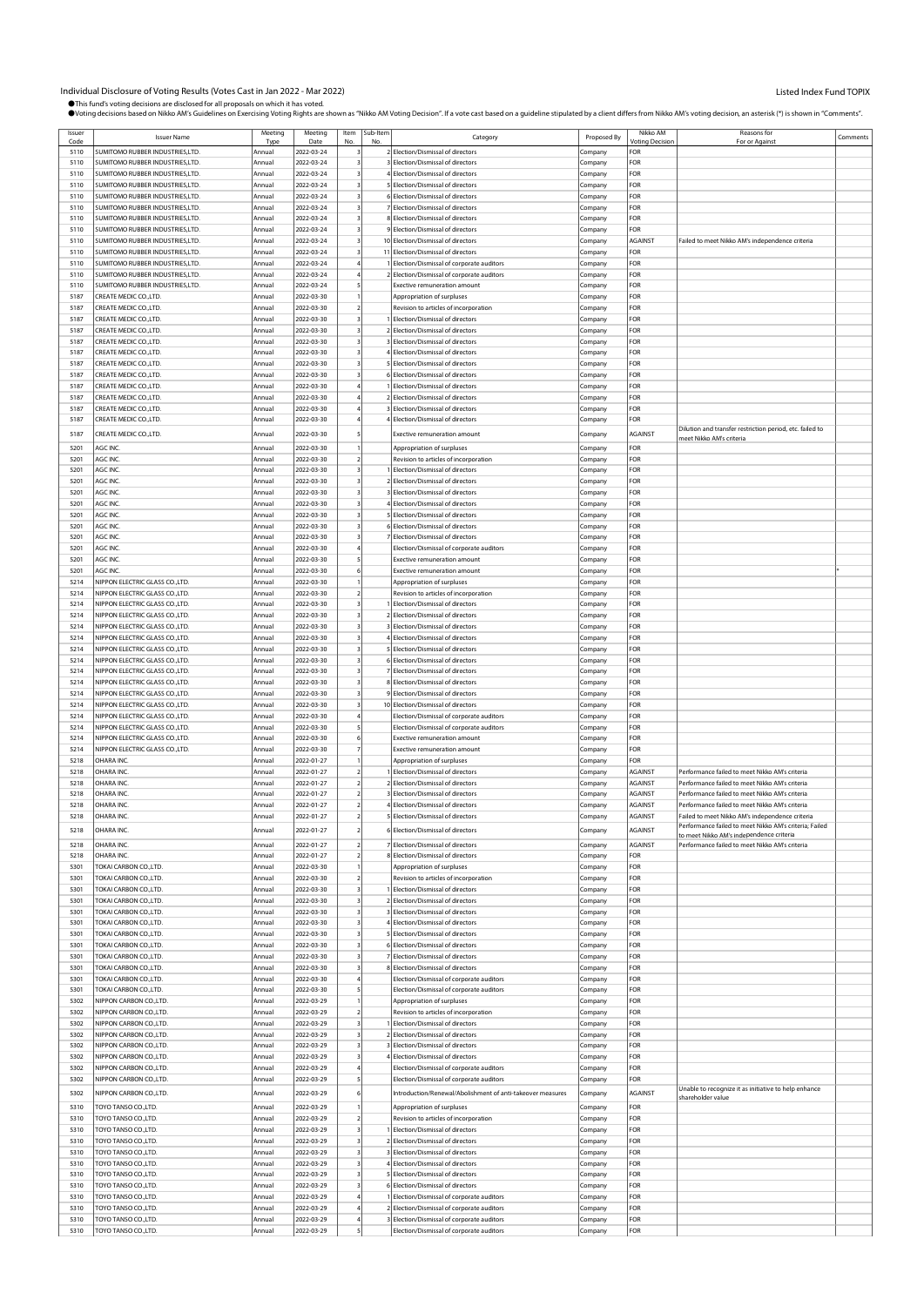| Issue | <b>Issuer Name</b>                     | Meeting | Meeting    | Item           | Sub-Iten     |                                                            | Proposed By | Nikko AM               | Reasons for                                              | Comments |
|-------|----------------------------------------|---------|------------|----------------|--------------|------------------------------------------------------------|-------------|------------------------|----------------------------------------------------------|----------|
| Code  |                                        | Type    | Date       | N <sub>0</sub> | No.          | Category                                                   |             | <b>Voting Decision</b> | For or Against                                           |          |
| 5110  | SUMITOMO RUBBER INDUSTRIES,LTD.        | Annual  | 2022-03-24 |                |              | Election/Dismissal of directors                            | Company     | FOR                    |                                                          |          |
| 5110  | SUMITOMO RUBBER INDUSTRIES,LTD.        | Annual  | 2022-03-24 |                |              | 3 Election/Dismissal of directors                          | Company     | FOR                    |                                                          |          |
| 5110  | <b>SUMITOMO RUBBER INDUSTRIES,LTD.</b> | Annual  | 2022-03-24 |                |              | Election/Dismissal of directors                            |             | FOR                    |                                                          |          |
|       |                                        |         |            |                |              |                                                            | Company     |                        |                                                          |          |
| 5110  | <b>SUMITOMO RUBBER INDUSTRIES,LTD.</b> | Annual  | 2022-03-24 |                |              | 5 Election/Dismissal of directors                          | Company     | FOR                    |                                                          |          |
| 5110  | <b>JUMITOMO RUBBER INDUSTRIES,LTD.</b> | Annual  | 2022-03-24 |                |              | Election/Dismissal of directors                            | Company     | FOR                    |                                                          |          |
| 5110  | SUMITOMO RUBBER INDUSTRIES,LTD.        | Annual  | 2022-03-24 |                |              | Election/Dismissal of directors                            | Company     | FOR                    |                                                          |          |
| 5110  | SUMITOMO RUBBER INDUSTRIES,LTD.        | Annual  | 2022-03-24 |                |              | 8 Election/Dismissal of directors                          | Company     | FOR                    |                                                          |          |
|       |                                        |         |            |                |              |                                                            |             |                        |                                                          |          |
| 5110  | <b>SUMITOMO RUBBER INDUSTRIES,LTD.</b> | Annual  | 2022-03-24 |                |              | Election/Dismissal of directors                            | Company     | FOR                    |                                                          |          |
| 5110  | <b>SUMITOMO RUBBER INDUSTRIES,LTD.</b> | Annual  | 2022-03-24 |                |              | 10 Election/Dismissal of directors                         | Company     | AGAINST                | Failed to meet Nikko AM's independence criteria          |          |
| 5110  | SUMITOMO RUBBER INDUSTRIES,LTD.        | Annual  | 2022-03-24 |                | 11           | Election/Dismissal of directors                            | Company     | FOR                    |                                                          |          |
| 5110  | SUMITOMO RUBBER INDUSTRIES,LTD.        | Annual  | 2022-03-24 |                |              | Election/Dismissal of corporate auditors                   |             | FOR                    |                                                          |          |
|       |                                        |         |            |                |              |                                                            | Company     |                        |                                                          |          |
| 5110  | SUMITOMO RUBBER INDUSTRIES,LTD.        | Annual  | 2022-03-24 |                |              | 2 Election/Dismissal of corporate auditors                 | Company     | FOR                    |                                                          |          |
| 5110  | SUMITOMO RUBBER INDUSTRIES,LTD.        | Annual  | 2022-03-24 |                |              | <b>Exective remuneration amount</b>                        | Company     | FOR                    |                                                          |          |
| 5187  | CREATE MEDIC CO., LTD.                 | Annual  | 2022-03-30 |                |              | Appropriation of surpluses                                 | Company     | FOR                    |                                                          |          |
| 5187  | REATE MEDIC CO., LTD.                  | Annual  | 2022-03-30 |                |              | Revision to articles of incorporation                      | Company     | FOR                    |                                                          |          |
|       |                                        |         |            |                |              |                                                            |             |                        |                                                          |          |
| 5187  | CREATE MEDIC CO.,LTD.                  | Annual  | 2022-03-30 |                |              | Election/Dismissal of directors                            | Company     | FOR                    |                                                          |          |
| 5187  | CREATE MEDIC CO., LTD.                 | Annual  | 2022-03-30 |                |              | 2 Flection/Dismissal of directors                          | Company     | FOR                    |                                                          |          |
| 5187  | CREATE MEDIC CO. LTD                   | Annual  | 2022-03-30 |                |              | Election/Dismissal of directors                            | Company     | FOR                    |                                                          |          |
| 5187  | CREATE MEDIC CO., LTD.                 | Annual  | 2022-03-30 |                |              | 4 Election/Dismissal of directors                          | Company     | FOR                    |                                                          |          |
|       |                                        |         | 2022-03-30 |                |              |                                                            |             | FOR                    |                                                          |          |
| 5187  | CREATE MEDIC CO., LTD.                 | Annual  |            |                |              | Election/Dismissal of directors                            | Company     |                        |                                                          |          |
| 5187  | CREATE MEDIC CO.,LTD.                  | Annual  | 2022-03-30 |                |              | Election/Dismissal of directors                            | Company     | FOR                    |                                                          |          |
| 5187  | CREATE MEDIC CO., LTD.                 | Annual  | 2022-03-30 |                |              | Election/Dismissal of directors                            | Company     | FOR                    |                                                          |          |
| 5187  | CREATE MEDIC CO.,LTD                   | Annual  | 2022-03-30 |                |              | Election/Dismissal of directors                            | Company     | FOR                    |                                                          |          |
| 5187  | CREATE MEDIC CO.,LTD                   | Annual  | 2022-03-30 |                |              | 3 Election/Dismissal of directors                          |             | FOR                    |                                                          |          |
|       |                                        |         |            |                |              |                                                            | Company     |                        |                                                          |          |
| 5187  | CREATE MEDIC CO., LTD.                 | Annual  | 2022-03-30 |                |              | Election/Dismissal of directors                            | Company     | FOR                    |                                                          |          |
| 5187  | CREATE MEDIC CO.,LTD.                  | Annual  | 2022-03-30 |                |              | xective remuneration amount                                | Company     | <b>AGAINST</b>         | Dilution and transfer restriction period, etc. failed to |          |
|       |                                        |         |            |                |              |                                                            |             |                        | neet Nikko AM's criteria                                 |          |
| 5201  | AGC INC.                               | Annual  | 2022-03-30 |                |              | Appropriation of surpluses                                 | Company     | FOR                    |                                                          |          |
| 5201  | AGC INC.                               | Annual  | 2022-03-30 |                |              | Revision to articles of incorporation                      | Company     | FOR                    |                                                          |          |
| 5201  | AGC INC.                               | Annual  | 2022-03-30 |                |              | Election/Dismissal of directors                            | Company     | FOR                    |                                                          |          |
|       |                                        |         |            |                |              |                                                            |             | FOR                    |                                                          |          |
| 5201  | AGC INC.                               | Annual  | 2022-03-30 |                |              | Election/Dismissal of directors                            | Company     |                        |                                                          |          |
| 5201  | AGC INC.                               | Annual  | 2022-03-30 |                |              | 3 Election/Dismissal of directors                          | Company     | FOR                    |                                                          |          |
| 5201  | AGC INC.                               | Annual  | 2022-03-30 |                |              | Election/Dismissal of directors                            | Company     | FOR                    |                                                          |          |
| 5201  | AGC INC.                               | Annual  | 2022-03-30 |                |              | Election/Dismissal of directors                            | Company     | FOR                    |                                                          |          |
|       |                                        |         |            |                |              |                                                            |             |                        |                                                          |          |
| 5201  | AGC INC.                               | Annual  | 2022-03-30 |                |              | Election/Dismissal of directors                            | Company     | FOR                    |                                                          |          |
| 5201  | AGC INC.                               | Annual  | 2022-03-30 |                |              | Election/Dismissal of directors                            | Company     | FOR                    |                                                          |          |
| 5201  | AGC INC.                               | Annual  | 2022-03-30 |                |              | Election/Dismissal of corporate auditors                   | Company     | FOR                    |                                                          |          |
| 5201  | AGC INC.                               | Annual  | 2022-03-30 |                |              | <b>Exective remuneration amount</b>                        | Company     | FOR                    |                                                          |          |
|       |                                        |         |            |                |              |                                                            |             |                        |                                                          |          |
| 5201  | AGC INC.                               | Annual  | 2022-03-30 |                |              | <b>Exective remuneration amount</b>                        | Company     | FOR                    |                                                          |          |
| 5214  | NIPPON ELECTRIC GLASS CO.,LTD.         | Annual  | 2022-03-30 |                |              | Appropriation of surpluses                                 | Company     | FOR                    |                                                          |          |
| 5214  | NIPPON ELECTRIC GLASS CO., LTD.        | Annual  | 2022-03-30 |                |              | Revision to articles of incorporation                      | Company     | FOR                    |                                                          |          |
| 5214  | NIPPON ELECTRIC GLASS CO.,LTD.         | Annual  | 2022-03-30 |                |              | Election/Dismissal of directors                            |             | FOR                    |                                                          |          |
|       |                                        |         |            |                |              |                                                            | Company     |                        |                                                          |          |
| 5214  | <b>NIPPON ELECTRIC GLASS CO., LTD.</b> | Annual  | 2022-03-30 |                |              | Election/Dismissal of directors                            | Company     | FOR                    |                                                          |          |
| 5214  | NIPPON ELECTRIC GLASS CO., LTD.        | Annual  | 2022-03-30 |                |              | 3 Election/Dismissal of directors                          | Company     | FOR                    |                                                          |          |
| 5214  | NIPPON ELECTRIC GLASS CO.,LTD.         | Annual  | 2022-03-30 |                |              | Election/Dismissal of directors                            | Company     | FOR                    |                                                          |          |
|       | NIPPON ELECTRIC GLASS CO., LTD.        |         |            |                |              |                                                            |             | FOR                    |                                                          |          |
| 5214  |                                        | Annual  | 2022-03-30 |                |              | Election/Dismissal of directors                            | Company     |                        |                                                          |          |
| 5214  | NIPPON ELECTRIC GLASS CO.,LTD.         | Annual  | 2022-03-30 |                |              | Election/Dismissal of directors                            | Company     | FOR                    |                                                          |          |
| 5214  | <b>NIPPON ELECTRIC GLASS CO., LTD.</b> | Annual  | 2022-03-30 |                |              | Election/Dismissal of directors                            | Company     | FOR                    |                                                          |          |
| 5214  | NIPPON ELECTRIC GLASS CO., LTD.        | Annual  | 2022-03-30 |                |              | 8 Election/Dismissal of directors                          | Company     | FOR                    |                                                          |          |
| 5214  | NIPPON ELECTRIC GLASS CO.,LTD.         | Annual  | 2022-03-30 |                | $\mathbf{Q}$ | Election/Dismissal of directors                            |             | FOR                    |                                                          |          |
|       |                                        |         |            |                |              |                                                            | Company     |                        |                                                          |          |
| 5214  | NIPPON ELECTRIC GLASS CO.,LTD.         | Annual  | 2022-03-30 |                |              | 10 Election/Dismissal of directors                         | Company     | FOR                    |                                                          |          |
| 5214  | NIPPON ELECTRIC GLASS CO., LTD.        | Annual  | 2022-03-30 |                |              | Election/Dismissal of corporate auditors                   | Company     | FOR                    |                                                          |          |
| 5214  | <b>NIPPON ELECTRIC GLASS CO.,LTD.</b>  | Annual  | 2022-03-30 |                |              | Election/Dismissal of corporate auditors                   | Company     | FOR                    |                                                          |          |
| 5214  | NIPPON ELECTRIC GLASS CO., LTD.        |         | 2022-03-30 |                |              |                                                            |             | FOR                    |                                                          |          |
|       |                                        | Annual  |            |                |              | <b>Exective remuneration amount</b>                        | Company     |                        |                                                          |          |
| 5214  | <b>NIPPON ELECTRIC GLASS CO.,LTD.</b>  | Annual  | 2022-03-30 |                |              | <b>Exective remuneration amount</b>                        | Company     | FOR                    |                                                          |          |
| 5218  | <b>OHARA INC</b>                       | Annual  | 2022-01-27 |                |              | Appropriation of surpluses                                 | Company     | FOR                    |                                                          |          |
| 5218  | OHARA INC                              | Annual  | 2022-01-27 |                |              | Election/Dismissal of directors                            | Company     | <b>AGAINST</b>         | Performance failed to meet Nikko AM's criteria           |          |
| 5218  | OHARA INC                              | Annual  | 2022-01-27 |                |              | Election/Dismissal of directors                            |             | <b>AGAINST</b>         | Performance failed to meet Nikko AM's criteria           |          |
|       |                                        |         |            |                |              |                                                            | Company     |                        |                                                          |          |
| 5218  | <b>OHARA INC</b>                       | Annual  | 2022-01-27 |                |              | Election/Dismissal of directors                            | Company     | <b>AGAINST</b>         | Performance failed to meet Nikko AM's criteria           |          |
| 5218  | OHARA INC                              | Annual  | 2022-01-27 |                |              | Election/Dismissal of directors                            | Company     | AGAINST                | Performance failed to meet Nikko AM's criteria           |          |
| 5218  | )HARA INC                              | Annual  | 2022-01-27 |                |              | 5 Election/Dismissal of directors                          | Company     | AGAINST                | -ailed to meet Nikko AM's independence criteria          |          |
|       |                                        |         |            |                |              |                                                            |             |                        | Performance failed to meet Nikko AM's criteria; Failed   |          |
| 5218  | OHARA INC.                             | Annual  | 2022-01-27 |                |              | 6 Election/Dismissal of directors                          | Company     | AGAINST                | to meet Nikko AM's independence criteria                 |          |
| 5218  | OHARA INC.                             | Annual  | 2022-01-27 |                |              | 7 Election/Dismissal of directors                          | Company     | AGAINST                | Performance failed to meet Nikko AM's criteria           |          |
|       |                                        |         |            |                |              |                                                            |             |                        |                                                          |          |
| 5218  | OHARA INC.                             | Annual  | 2022-01-27 |                |              | 8 Election/Dismissal of directors                          | Company     | FOR                    |                                                          |          |
| 5301  | TOKAI CARBON CO., LTD.                 | Annual  | 2022-03-30 |                |              | Appropriation of surpluses                                 | Company     | FOR                    |                                                          |          |
| 5301  | TOKAI CARBON CO., LTD.                 | Annual  | 2022-03-30 |                |              | Revision to articles of incorporation                      | Company     | FOR                    |                                                          |          |
| 5301  | <b>TOKAI CARBON CO.,LTD.</b>           | Annual  | 2022-03-30 |                |              | Election/Dismissal of directors                            | Company     | FOR                    |                                                          |          |
|       |                                        |         |            |                |              | Election/Dismissal of directors                            |             | FOR                    |                                                          |          |
| 5301  | TOKAI CARBON CO.,LTD.                  | Annual  | 2022-03-30 |                |              |                                                            | Company     |                        |                                                          |          |
| 5301  | TOKAI CARBON CO., LTD.                 | Annual  | 2022-03-30 |                |              | 3 Election/Dismissal of directors                          | Company     | FOR                    |                                                          |          |
| 5301  | TOKAI CARBON CO.,LTD.                  | Annual  | 2022-03-30 |                |              | 4 Election/Dismissal of directors                          | Company     | FOR                    |                                                          |          |
| 5301  | TOKAI CARBON CO., LTD.                 | Annual  | 2022-03-30 |                |              | 5 Election/Dismissal of directors                          | Company     | FOR                    |                                                          |          |
| 5301  | <b>FOKAI CARBON CO.,LTD.</b>           | Annual  | 2022-03-30 |                |              | Election/Dismissal of directors                            | Company     | FOR                    |                                                          |          |
|       |                                        |         | 2022-03-30 |                |              |                                                            |             |                        |                                                          |          |
| 5301  | TOKAI CARBON CO.,LTD.                  | Annual  |            |                |              | 7 Election/Dismissal of directors                          | Company     | FOR                    |                                                          |          |
| 5301  | TOKAI CARBON CO., LTD.                 | Annual  | 2022-03-30 |                |              | 8 Election/Dismissal of directors                          | Company     | FOR                    |                                                          |          |
| 5301  | TOKAI CARBON CO., LTD.                 | Annual  | 2022-03-30 |                |              | Election/Dismissal of corporate auditors                   | Company     | FOR                    |                                                          |          |
| 5301  | TOKAI CARBON CO., LTD.                 | Annual  | 2022-03-30 |                |              | Election/Dismissal of corporate auditors                   | Company     | FOR                    |                                                          |          |
| 5302  | <b>NIPPON CARBON CO.,LTD.</b>          | Annual  | 2022-03-29 |                |              | Appropriation of surpluses                                 | Company     | FOR                    |                                                          |          |
|       |                                        |         |            |                |              |                                                            |             |                        |                                                          |          |
| 5302  | NIPPON CARBON CO.,LTD.                 | Annual  | 2022-03-29 |                |              | Revision to articles of incorporation                      | Company     | FOR                    |                                                          |          |
| 5302  | NIPPON CARBON CO., LTD.                | Annual  | 2022-03-29 |                |              | Election/Dismissal of directors                            | Company     | FOR                    |                                                          |          |
| 5302  | NIPPON CARBON CO.,LTD.                 | Annual  | 2022-03-29 |                |              | 2 Election/Dismissal of directors                          | Company     | FOR                    |                                                          |          |
| 5302  | NIPPON CARBON CO.,LTD.                 | Annual  | 2022-03-29 |                |              | 3 Election/Dismissal of directors                          |             | FOR                    |                                                          |          |
|       |                                        |         |            |                |              |                                                            | Company     |                        |                                                          |          |
| 5302  | <b>NIPPON CARBON CO.,LTD.</b>          | Annual  | 2022-03-29 |                |              | 4 Election/Dismissal of directors                          | Company     | FOR                    |                                                          |          |
| 5302  | <b>NIPPON CARBON CO.,LTD.</b>          | Annual  | 2022-03-29 |                |              | Election/Dismissal of corporate auditors                   | Company     | FOR                    |                                                          |          |
| 5302  | NIPPON CARBON CO.,LTD.                 | Annual  | 2022-03-29 |                |              | Election/Dismissal of corporate auditors                   | Company     | FOR                    |                                                          |          |
|       |                                        |         |            |                |              |                                                            |             |                        | Unable to recognize it as initiative to help enhance     |          |
| 5302  | <b>NIPPON CARBON CO.,LTD.</b>          | Annual  | 2022-03-29 |                |              | Introduction/Renewal/Abolishment of anti-takeover measures | Company     | AGAINST                | shareholder value                                        |          |
|       |                                        |         |            |                |              |                                                            |             | FOR                    |                                                          |          |
| 5310  | FOYO TANSO CO.,LTD.                    | Annual  | 2022-03-29 |                |              | Appropriation of surpluses                                 | Company     |                        |                                                          |          |
| 5310  | TOYO TANSO CO.,LTD.                    | Annual  | 2022-03-29 |                |              | Revision to articles of incorporation                      | Company     | FOR                    |                                                          |          |
| 5310  | TOYO TANSO CO., LTD.                   | Annual  | 2022-03-29 |                |              | Election/Dismissal of directors                            | Company     | FOR                    |                                                          |          |
| 5310  | FOYO TANSO CO.,LTD.                    | Annual  | 2022-03-29 |                |              | Election/Dismissal of directors                            | Company     | FOR                    |                                                          |          |
|       |                                        |         |            |                |              |                                                            |             |                        |                                                          |          |
| 5310  | FOYO TANSO CO.,LTD.                    | Annual  | 2022-03-29 |                |              | 3 Election/Dismissal of directors                          | Company     | FOR                    |                                                          |          |
| 5310  | FOYO TANSO CO.,LTD.                    | Annual  | 2022-03-29 |                |              | Election/Dismissal of directors                            | Company     | FOR                    |                                                          |          |
| 5310  | TOYO TANSO CO.,LTD.                    | Annual  | 2022-03-29 |                |              | 5 Election/Dismissal of directors                          | Company     | FOR                    |                                                          |          |
| 5310  | TOYO TANSO CO., LTD.                   | Annual  | 2022-03-29 |                |              | 6 Election/Dismissal of directors                          | Company     | FOR                    |                                                          |          |
|       |                                        |         |            |                |              |                                                            |             |                        |                                                          |          |
| 5310  | FOYO TANSO CO.,LTD.                    | Annual  | 2022-03-29 |                |              | Election/Dismissal of corporate auditors                   | Company     | FOR                    |                                                          |          |
| 5310  | FOYO TANSO CO.,LTD.                    | Annual  | 2022-03-29 |                |              | 2 Election/Dismissal of corporate auditors                 | Company     | FOR                    |                                                          |          |
| 5310  | FOYO TANSO CO.,LTD.                    | Annual  | 2022-03-29 |                |              | 3 Election/Dismissal of corporate auditors                 | Company     | FOR                    |                                                          |          |
| 5310  | TOYO TANSO CO., LTD.                   | Annual  | 2022-03-29 |                |              | Election/Dismissal of corporate auditors                   | Company     | FOR                    |                                                          |          |
|       |                                        |         |            |                |              |                                                            |             |                        |                                                          |          |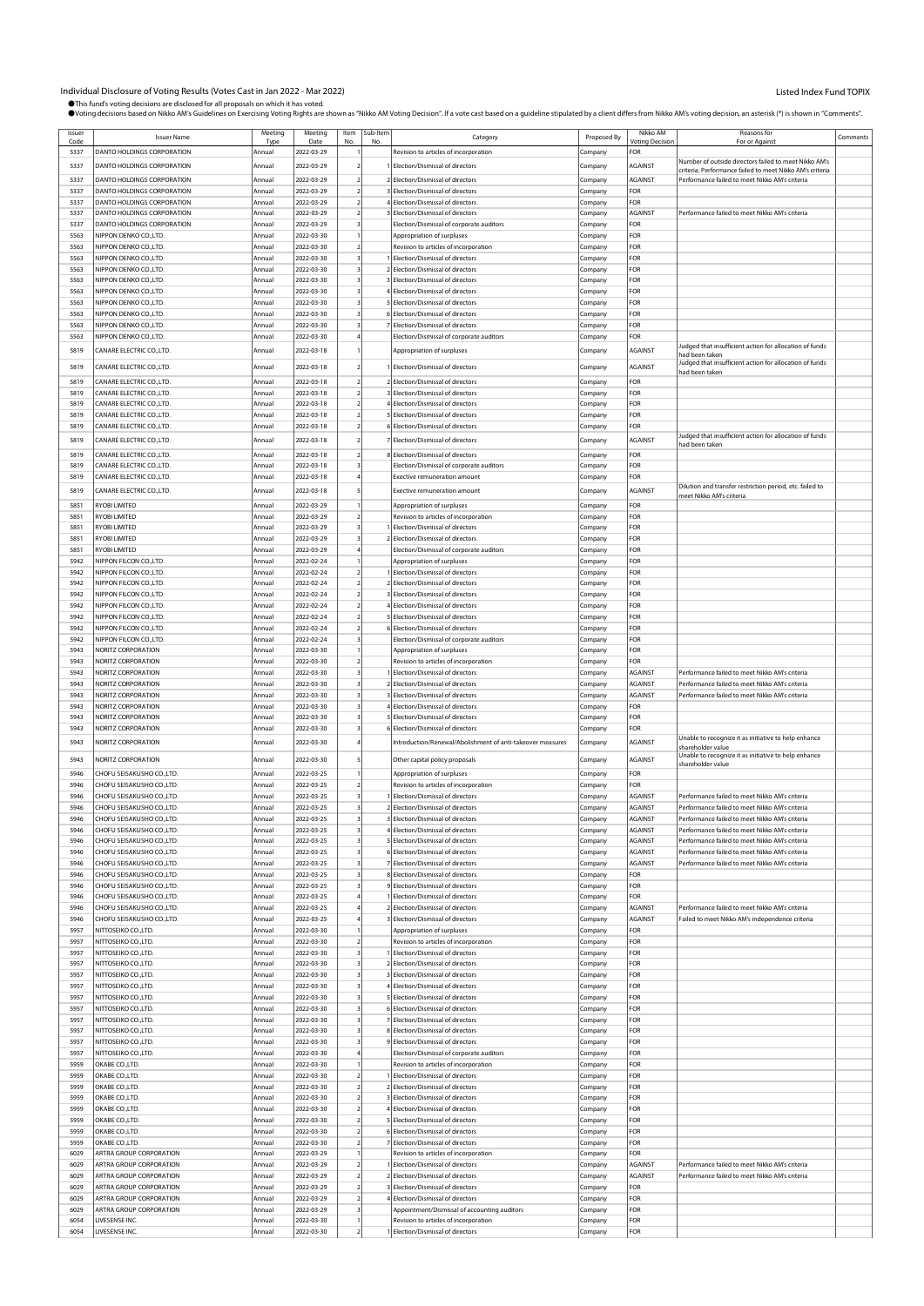●This fund's voting decisions are disclosed for all proposals on which it has voted.<br>●Voting decisions based on Nikko AM's Guidelines on Exercising Voting Rights are s n as "Nikko AM Voting Decision". If a vote cast based on a guideline stipulated by a client differs from Nikko AM's voting decision, an asterisk (\*) is shown in "Comments"

Issuer Ssuer | Meeting<br>Code | Issuer Name | Meeting<br>Type | Type Type Meeting Date Item No. Sub-Item b-Item<br>No. No. Category Category Proposed By Nikko AM Voting Decision Reasons for<br>
For or Against Comments 5337 DANTO HOLDINGS CORPORATION Annual 2022-03-29 1 Revision to articles of incorporation Company 5337 DANTO HOLDINGS CORPORATION Annual 2022-03-29 2 1 Election/Dismissal of directors Company AGAINST Number of outside directors failed to meet Nikko AM's riteria; Performance failed to meet Nikko AM's criteria 5337 DANTO HOLDINGS CORPORATION Annual 2022-03-29 2 2 Election/Dismissal of directors Company AGAINST Performance failed to meet Nikko AM's criteria and annual 2022-03-29 2 2 Election/Dismissal of directors Company Company 5337 DANTO HOLDINGS CORPORATION **Annual 2022-03-29 2** 3 Election/Dismissal of directors Company FOR 5337 DANTO HOLDINGS CORPORATION Annual 2022-03-29 2 4 Election/Dismissal of directors Company FOR 5337 DANTO HOLDINGS CORPORATION Annual 2022-03-29 2 5 Election/Dismissal of directors Company AGAINST Performance failed to meet Nikko AM's criteria 5337 DANTO HOLDINGS CORPORATION Annual 2022-03-29 3 Election/Dismissal of corporate auditors Company FOR 5563 NIPPON DENKO CO.,LTD. <br>5563 NIPPON DENKO CO.,LTD. Annual 2022-03-30 1 Appropriation of surpluses Company FOR<br>5683 NIPPON DENKO CO LTD. Annual 2022-03-30 2 Bevision to attribus of incorporation Company FOR 5563 NIPPON DENKO CO.,LTD. Annual 2022-03-30 2 Revision to articles of incorporation Company FOR 5563 NIPPON DENKO CO.,LTD. Annual 2022-03-30 3 1 Election/Dismissal of directors Company FOR 5563 NIPPON DENKO CO.,LTD. Annual 2022-03-30 3 2 Election/Dismissal of directors Company FOR 5563 NIPPON DENKO CO.,LTD. Annual 2022-03-30 3 3 Election/Dismissal of directors Company FOR 5563 NIPPON DENKO CO.,LTD. Annual 2022-03-30 3 4 Election/Dismissal of directors Company FOR 5563 NIPPON DENKO CO.,LTD. Annual 2022-03-30 3 5 Election/Dismissal of directors Company FOR ection/Dismissal of directors Company FORD. 5563 NIPPON DENKO CO.,LTD. Annual 2022-03-30 3 7 Election/Dismissal of directors Company FOR 5563 NIPPON DENKO CO.,LTD. Annual 2022-03-30 4 Election/Dismissal of corporate auditors Company FOR S819 CANARE ELECTRIC CO.,LTD. Annual 2022-03-18 1 Appropriation of surpluses Company AGAINST Judged that insufficient action for allocation of funds on the electric control of the company of the company and the company and the company and the company and the company and the company and the company and the company and the company and the company and distinguished that i had been taken 5819 CANARE ELECTRIC CO.,LTD. Annual 2022-03-18 2 2 Election/Dismissal of directors Company FOR S819 CANARE ELECTRIC CO.,LTD.<br>5819 CANARE ELECTRIC CO.,LTD. Annual 2022-03-18 2 4 Election/Dismissal of directors Company FOR 5819 CANARE ELECTRIC CO.,LTD. Annual 2022-03-18 2 4 Election/Dismissal of directors Company FOR 5819 CANARE ELECTRIC CO.,LTD. Annual 2022-03-18 2 5 Election/Dismissal of directors Company FOR 5819 CANARE ELECTRIC CO.,LTD. Annual 2022-03-18 2 6 Election/Dismissal of directors Company FOR 5819 CANARE ELECTRIC CO.,LTD. Annual 2022-03-18 2 7 Election/Dismissal of directors Company AGAINST Judged that insufficient action for allocation of funds had been taken 5819 CANARE ELECTRIC CO.,LTD. Annual 2022-03-18 2 8 Election/Dismissal of directors Company FOR Election/Dismissal of corporate auditors Company FOR 5819 CANARE ELECTRIC CO.,LTD. Annual 2022-03-18 4 Exective remuneration amount Company FOR S819 CANARE ELECTRIC CO.,LTD. Annual 2022-03-18 Sective remuneration amount Company AGAINST meet Nikko AM's criteria 5851 RYOBI LIMITED **Annual 2022-03-29 1 1 Appropriation of surpluses** Company FOR 5851 RYOBI LIMITED Annual 2022-03-29 2 Revision to articles of incorporation Company FOR 5851 RYOBI LIMITED Company FOR Annual 2022-03-29 3 1 Election/Dismissal of directors Company FOR<br>5851 RYOBI IMITED Company FOR Annual 2022-03-29 3 2 Election/Dismissal of directors Company FOR Election/Dismissal of directors Company FORE Company FORE Company FORE Company FORE COMPANY FOR DISPONSITION  $\sim$ 5851 RYOBI LIMITED Annual 2022-03-29 4 Election/Dismissal of corporate auditors Company FOR 5942 NIPPON FILCON CO.,LTD. Annual 2022-02-24 1 Appropriation of surpluses Company FOR 5942 NIPPON FILCON CO.,LTD. <br>5942 NIPPON FILCON CO.,LTD. Annual 2022-02-24 2 2 1 Election/Dismissal of directors Company FOR nual 2022-02-24 2 Election/Dismissal of directors Company FOR 5942 NIPPON FILCON CO.,LTD. Annual 2022-02-24 2 3 Election/Dismissal of directors Company FOR 5942 NIPPON FILCON CO.,LTD.<br>5942 NIPPON FILCON CO.,LTD. Annual 2022-02-24 2 S Election/Dismissal of directors Company FOR Election/Dismissal of directors **Company FOR** 5942 NIPPON FILCON CO.,LTD. **Annual 2022-02-24** 2 6 Election/Dismissal of directors Company FOR<br>5942 NIPPON FILCON CO. LTD. Annual 2022-02-24 3 Flortion/Dismissal of corporate auditors Company FOR 5942 NIPPON FILCON CO.,LTD. Annual 2022-02-24 3 Election/Dismissal of corporate auditors Company FOR 5943 NORITZ CORPORATION **Annual 2022-03-30** 1 Appropriation of surpluses Company FOR<br>5943 NORITZ CORPORATION Annual 2022-03-30 2 **Revision to articles of incorporation** Company FOR 5943 NORITZ CORPORATION Annual 2022-03-30 2 Revision to articles of incorporation Company FOR 5943 NORITZ CORPORATION Annual 2022-03-30 3 1 Election/Dismissal of directors Company AGAINST Performance failed to meet Nikko AM's criteria<br>5943 NORITZ CORPORATION Annual 2022-03-30 3 2 Election/Dismissal of directors Com 5943 NORITZ CORPORATION Annual 2022-03-30 3 2 Election/Dismissal of directors Company AGAINST Performance failed to meet Nikko AM's criteria 5943 NORITZ CORPORATION Annual 2022-03-30 3 Blection/Dismissal of directors Company AGAINST Performance failed to meet Nikko AM's criteria<br>5943 NORITZ CORPORATION Annual 2022-03-30 3 4 Election/Dismissal of directors Compa nual 2022-03-30 3 4 Election/Dismissal of directors Company 5943 NORITZ CORPORATION Annual 2022-03-30 3 5 Election/Dismissal of directors Company FOR 5943 NORITZ CORPORATION **Annual 2022-03-30** 3 6 Election/Dismissal of directors Company FOR S943 NORITZ CORPORATION Annual 2022-03-30 4 Introduction/Renewal/Abolishment of anti-takeover measures Company AGAINST Unable to recognize it as initiative to help enhance shareholder value.<br>
MORITZ CORPORATION Annual 2022-03-30 S Other capital policy proposals Company AGAINST Unable to recognize it as initiative to help enhance<br>
Shareholder value 5946 CHOFU SEISAKUSHO CO.,LTD. Annual 2022-03-25 1 Appropriation of surpluses Company FOR S946 CHOFU SEISAKUSHO CO.,LTD. **Annual 2022-03-25** 2 Revision to articles of incorporation Company FOR<br>S946 CHOFU SEISAKUSHO CO.JTD. Annual 2022-03-25 3 1 Election/Dismissal of directors Company AGA S946 CHOFU SEISAKUSHO CO.,LTD. Annual 2022-03-25 3 1 Election/Dismissal of directors Company AGAINST Performance failed to meet Nikko AM's cr 5946 CHOFU SEISAKUSHO CO.,LTD. Annual 2022-03-25 3 2 Election/Dismissal of directors Company AGAINST Performance failed to meet Nikko AM's criteria S946 CHOFU SEISAKUSHO CO.,LTD. Annual 2022-03-25 3 3 Election/Dismissal of directors Company AGAINST Performance failed to meet Nikko AM's criteria 5946 CHOFU SEISAKUSHO CO.,LTD. Annual 2022-03-25 3 4 Election/Dismissal of directors Company AGAINST Performance failed to meet Nikko AM's criteria 5946 CHOFU SEISAKUSHO CO.,LTD. Annual 2022-03-25 3 5 Election/Dismissal of directors Company AGAINST Performance failed to meet Nikko AM's criteria S946 CHOFU SEISAKUSHO CO.,LTD. **Annual** 2022-03-25 3 6 Election/Dismissal of directors Company AGAINST Performance failed to meet Nikko AM's criteria 5946 CHOFU SEISAKUSHO CO.,LTD. Annual 2022-03-25 3 7 Election/Dismissal of directors Company AGAINST Performance failed to meet Nikko AM's criteria musik COL CHORU SEISAKUSHO CO., LTD. Annual 2022-03-25 3 8 Election/Dismissal of directors Company FOR 5946 CHOFU SEISAKUSHO CO.,LTD. Annual 2022-03-25 3 9 Election/Dismissal of directors Company FOR Election/Dismissal of directors **Company FORCES** 5946 CHOFU SEISAKUSHO CO.,LTD. Annual 2022-03-25 4 2 Election/Dismissal of directors Company AGAINST Performance failed to meet Nikko AM's criteria 5946 CHOFU SEISAKUSHO CO.,LTD. Annual 2022-03-25 4 3 Election/Dismissal of directors Company AGAINST Failed to meet Nikko AM's independence criteria 5957 NITTOSEIKO CO.,LTD. Annual 2022-03-30 1 Appropriation of surpluses Company FOR 5957 NITTOSEIKO CO.,LTD. **Annual 2022-03-30** 2 Revision to articles of incorporation Company FOR<br>
Annual 2022-03-30 2 Revision to articles of incorporation Company CORPORATION Company CORPORATION Company CORPORATION nnual 2022-03-30 3 1 Election/Dismissal of directors Company Company 5957 NITTOSEIKO CO.,LTD. Annual 2022-03-30 3 2 Election/Dismissal of directors Company FOR nnual 2022-03-30 3 3 Election/Dismissal of directors Company FOR 5957 NITTOSEIKO CO.,LTD. Annual 2022-03-30 3 4 Election/Dismissal of directors Company FOR 5957 NITTOSEIKO CO.,LTD. Annual 2022-03-30 3 5 Election/Dismissal of directors Company FOR 5957 NITTOSEIKO CO.,LTD. Annual 2022-03-30 3 6 Election/Dismissal of directors Company FOR 5957 NITTOSEIKO CO.,LTD. Annual 2022-03-30 3 7 Election/Dismissal of directors Company FOR 5957 NITTOSEIKO CO.,LTD. Annual 2022-03-30 3 8 Election/Dismissal of directors Company FOR 5957 NITTOSEIKO CO.,LTD. Annual 2022-03-30 3 9 Election/Dismissal of directors Company FOR 5957 NITTOSEIKO CO.,LTD. **Annual 2022-03-30** 4 Election/Dismissal of corporate auditors Company 5959 OKABE CO.,LTD. COMPANY CONTROL CONTROL ANNUAL 2022-03-30 1 Revision to articles of incorporation Company FOR<br>5959 OKABE CO.,LTD. Company FOR Annual 2022-03-30 2 1 Election/Dismissal of directors Company FOR ection/Dismissal of directors Company FOR 5959 OKABE CO.,LTD. Annual 2022-03-30 2 2 Election/Dismissal of directors Company FOR 5959 OKABE CO.,LTD. Company Annual 2022-03-30 2 3 Election/Dismissal of directors Company Company 3<br>5959 OKABE CO.,LTD. Annual 2022-03-30 2 4 Election/Dismissal of directors Company Election/Dismissal of directors **Company FOR** 5959 OKABE CO.,LTD. Annual 2022-03-30 2 5 Election/Dismissal of directors Company FOR 5959 OKABE CO.,LTD. Annual 2022-03-30 2 6 Election/Dismissal of directors Company FOR 5959 OKABE CO.,LTD. Annual 2022-03-30 2 7 Election/Dismissal of directors Company FOR 6029 ARTRA GROUP CORPORATION Annual 2022-03-29 1 Revision to articles of incorporation Company Election/Dismissal of directors and annual 2022-03-29 2 2 1 Election/Dismissal of directors Company AGAINST Performance failed to meet Nikko AM's criteria<br>
6029 ARTRA GROUP CORPORATION Annual 2022-03-29 2 2 Election/Dismis nual 2022-03-29 2 2 Election/Dismissal of directors Company AGAINST Performance failed to meet Nikko AM's criteria 6029 ARTRA GROUP CORPORATION Annual 2022-03-29 2 3 Election/Dismissal of directors Company FOR 6029 ARTRA GROUP CORPORATION Annual 2022-03-29 2 4 Election/Dismissal of directors Company FOR 6029 ARTRA GROUP CORPORATION Annual 2022-03-29 3 Appointment/Dismissal of accounting auditors Company FOR EXTRESS AND Annual 2022-03-30 1 Revision to articles of incorporation Company FOR<br>
1991 1 Revision to annual 2022-03-30 2 1 Rection/Dismissal of directors Election/Dismissal of directors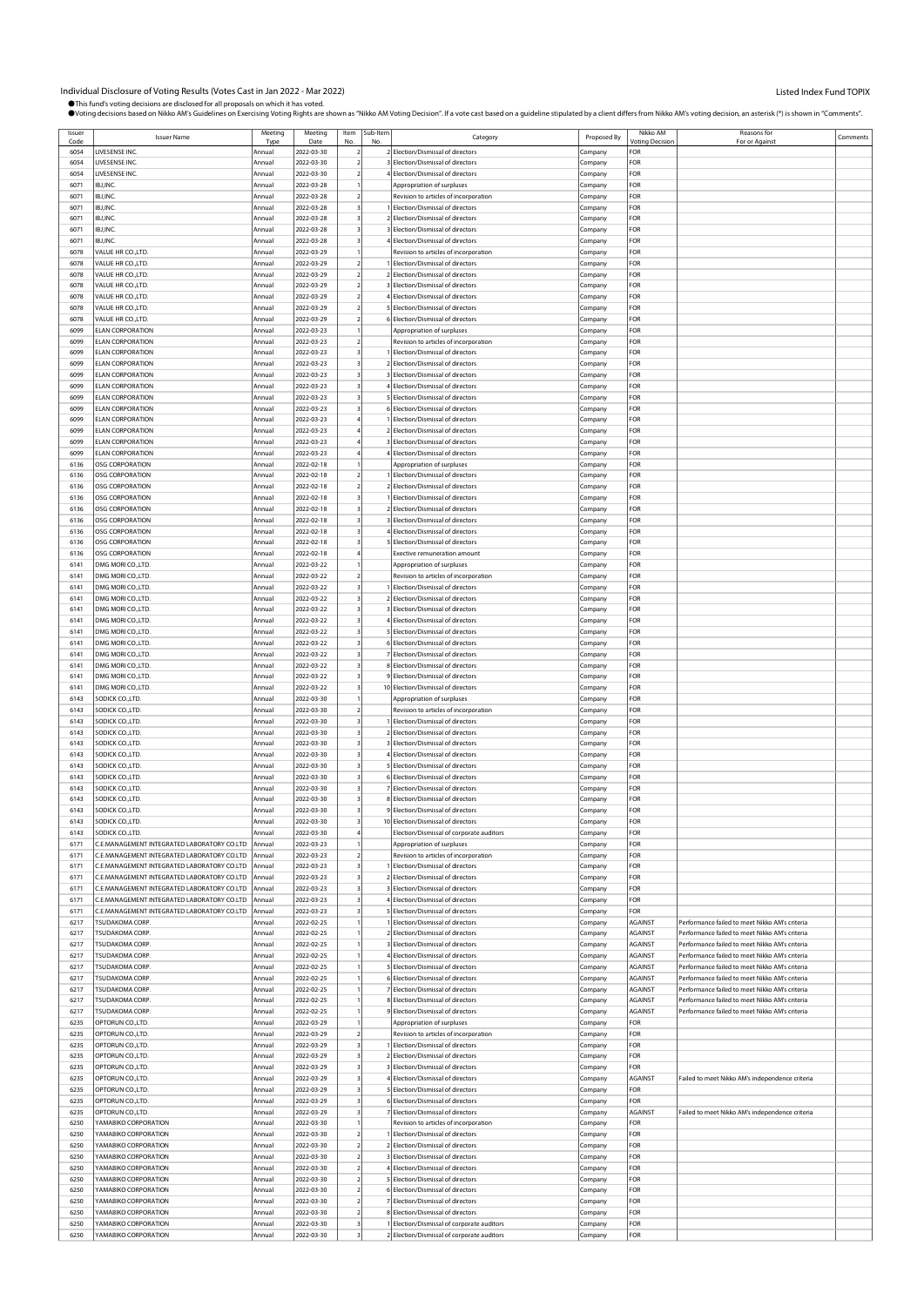| Issuer<br>Code | <b>Issuer Name</b>                           | Meeting<br>Type  | Meeting<br>Date          | Item<br>No. | Sub-Item<br>No. | Category                                                               | Proposed By        | Nikko AM<br><b>Voting Decision</b> | Reasons for<br>For or Against                                                                    | Comments |
|----------------|----------------------------------------------|------------------|--------------------------|-------------|-----------------|------------------------------------------------------------------------|--------------------|------------------------------------|--------------------------------------------------------------------------------------------------|----------|
| 6054           | IVESENSE INC.                                | Annual           | 2022-03-30               |             |                 | 2 Election/Dismissal of directors                                      | Company            | FOR                                |                                                                                                  |          |
| 6054           | LIVESENSE INC.                               | Annual           | 2022-03-30               |             |                 | 3 Election/Dismissal of directors                                      | Company            | FOR                                |                                                                                                  |          |
| 6054           | LIVESENSE INC.                               | Annual           | 2022-03-30               |             |                 | 4 Election/Dismissal of directors                                      | Company            | FOR                                |                                                                                                  |          |
| 6071           | IBJ, INC.                                    | Annual           | 2022-03-28               |             |                 | Appropriation of surpluses                                             | Company            | FOR                                |                                                                                                  |          |
| 6071           | IBJ, INC.                                    | Annual           | 2022-03-28               |             |                 | Revision to articles of incorporation                                  | Company            | FOR                                |                                                                                                  |          |
| 607            | IBJ, INC.                                    | Annual           | 2022-03-28               |             |                 | 1 Election/Dismissal of directors                                      | Company            | FOR                                |                                                                                                  |          |
| 6071           | IBJ,INC.                                     | Annual           | 2022-03-28               |             |                 | 2 Election/Dismissal of directors                                      | Company            | FOR                                |                                                                                                  |          |
| 6071           | IBJ, INC.                                    | Annual           | 2022-03-28               |             |                 | 3 Election/Dismissal of directors                                      | Company            | FOR                                |                                                                                                  |          |
| 607            | IBJ,INC.                                     | Annual           | 2022-03-28               |             |                 | 4 Election/Dismissal of directors                                      | Company            | FOR                                |                                                                                                  |          |
| 6078           | VALUE HR CO., LTD.                           | Annual           | 2022-03-29               |             |                 | Revision to articles of incorporation                                  | Company            | FOR                                |                                                                                                  |          |
| 6078           | VALUE HR CO.,LTD.                            | Annual           | 2022-03-29               |             |                 | 1 Election/Dismissal of directors                                      | Company            | FOR                                |                                                                                                  |          |
| 6078           | VALUE HR CO.,LTD.                            | Annual           | 2022-03-29               |             |                 | 2 Election/Dismissal of directors                                      | Company            | FOR                                |                                                                                                  |          |
| 6078           | VALUE HR CO.,LTD.                            | Annual           | 2022-03-29               |             |                 | 3 Election/Dismissal of directors                                      | Company            | FOR                                |                                                                                                  |          |
| 6078<br>6078   | VALUE HR CO.,LTD.<br>VALUE HR CO.,LTD.       | Annual<br>Annual | 2022-03-29<br>2022-03-29 |             |                 | 4 Election/Dismissal of directors<br>5 Election/Dismissal of directors | Company            | FOR<br>FOR                         |                                                                                                  |          |
| 6078           | VALUE HR CO.,LTD.                            | Annual           | 2022-03-29               |             |                 | 6 Election/Dismissal of directors                                      | Company<br>Company | FOR                                |                                                                                                  |          |
| 6099           | ELAN CORPORATION                             | Annual           | 2022-03-23               |             |                 | Appropriation of surpluses                                             | Company            | FOR                                |                                                                                                  |          |
| 6099           | ELAN CORPORATION                             | Annual           | 2022-03-23               |             |                 | Revision to articles of incorporation                                  | Company            | FOR                                |                                                                                                  |          |
| 6099           | ELAN CORPORATION                             | Annual           | 2022-03-23               |             |                 | 1 Election/Dismissal of directors                                      | Company            | FOR                                |                                                                                                  |          |
| 6099           | <b>ELAN CORPORATION</b>                      | Annual           | 2022-03-23               |             |                 | 2 Election/Dismissal of directors                                      | Company            | FOR                                |                                                                                                  |          |
| 6099           | <b>ELAN CORPORATION</b>                      | Annual           | 2022-03-23               |             |                 | 3 Election/Dismissal of directors                                      | Company            | FOR                                |                                                                                                  |          |
| 6099           | ELAN CORPORATION                             | Annual           | 2022-03-23               |             |                 | 4 Election/Dismissal of directors                                      | Company            | FOR                                |                                                                                                  |          |
| 6099           | ELAN CORPORATION                             | Annual           | 2022-03-23               |             |                 | 5 Election/Dismissal of directors                                      | Company            | FOR                                |                                                                                                  |          |
| 6099           | ELAN CORPORATION                             | Annual           | 2022-03-23               |             |                 | 6 Election/Dismissal of directors                                      | Company            | FOR                                |                                                                                                  |          |
| 6099           | <b>ELAN CORPORATION</b>                      | Annual           | 2022-03-23               |             |                 | Election/Dismissal of directors                                        | Company            | FOR                                |                                                                                                  |          |
| 6099           | ELAN CORPORATION                             | Annual           | 2022-03-23               |             |                 | 2 Election/Dismissal of directors                                      | Company            | FOR                                |                                                                                                  |          |
| 6099           | ELAN CORPORATION                             | Annual           | 2022-03-23               |             |                 | 3 Election/Dismissal of directors                                      | Company            | FOR                                |                                                                                                  |          |
| 6099           | ELAN CORPORATION                             | Annual           | 2022-03-23               |             |                 | 4 Election/Dismissal of directors                                      | Company            | FOR                                |                                                                                                  |          |
| 6136<br>6136   | OSG CORPORATION<br>OSG CORPORATION           | Annual<br>Annual | 2022-02-18<br>2022-02-18 |             |                 | Appropriation of surpluses<br>1 Election/Dismissal of directors        | Company            | FOR<br>FOR                         |                                                                                                  |          |
| 6136           | OSG CORPORATION                              | Annual           | 2022-02-18               |             |                 | 2 Election/Dismissal of directors                                      | Company<br>Company | FOR                                |                                                                                                  |          |
| 6136           | <b>OSG CORPORATION</b>                       | Annual           | 2022-02-18               |             |                 | 1 Election/Dismissal of directors                                      | Company            | FOR                                |                                                                                                  |          |
| 6136           | OSG CORPORATION                              | Annual           | 2022-02-18               |             |                 | 2 Election/Dismissal of directors                                      | Company            | FOR                                |                                                                                                  |          |
| 6136           | OSG CORPORATION                              | Annual           | 2022-02-18               |             |                 | 3 Election/Dismissal of directors                                      | Company            | FOR                                |                                                                                                  |          |
| 6136           | OSG CORPORATION                              | Annual           | 2022-02-18               |             |                 | 4 Election/Dismissal of directors                                      | Company            | FOR                                |                                                                                                  |          |
| 6136           | OSG CORPORATION                              | Annual           | 2022-02-18               |             |                 | 5 Election/Dismissal of directors                                      | Company            | FOR                                |                                                                                                  |          |
| 6136           | OSG CORPORATION                              | Annual           | 2022-02-18               |             |                 | <b>Exective remuneration amount</b>                                    | Company            | FOR                                |                                                                                                  |          |
| 6141           | DMG MORI CO., LTD.                           | Annual           | 2022-03-22               |             |                 | Appropriation of surpluses                                             | Company            | FOR                                |                                                                                                  |          |
| 6141           | DMG MORI CO., LTD.                           | Annual           | 2022-03-22               |             |                 | Revision to articles of incorporation                                  | Company            | FOR                                |                                                                                                  |          |
| 6141           | DMG MORI CO., LTD.                           | Annual           | 2022-03-22               |             |                 | Election/Dismissal of directors                                        | Company            | FOR                                |                                                                                                  |          |
| 6141<br>6141   | DMG MORI CO., LTD.<br>DMG MORI CO.,LTD.      | Annual<br>Annual | 2022-03-22<br>2022-03-22 |             |                 | 2 Election/Dismissal of directors<br>3 Election/Dismissal of directors | Company            | FOR<br>FOR                         |                                                                                                  |          |
| 6141           | DMG MORI CO., LTD.                           | Annual           | 2022-03-22               |             |                 | 4 Election/Dismissal of directors                                      | Company<br>Company | FOR                                |                                                                                                  |          |
| 6141           | DMG MORI CO., LTD.                           | Annual           | 2022-03-22               |             |                 | 5 Election/Dismissal of directors                                      | Company            | FOR                                |                                                                                                  |          |
| 6141           | DMG MORI CO., LTD.                           | Annual           | 2022-03-22               |             |                 | 6 Election/Dismissal of directors                                      | Company            | FOR                                |                                                                                                  |          |
| 6141           | DMG MORI CO., LTD.                           | Annual           | 2022-03-22               |             |                 | 7 Election/Dismissal of directors                                      | Company            | FOR                                |                                                                                                  |          |
| 6141           | DMG MORI CO.,LTD.                            | Annual           | 2022-03-22               |             |                 | 8 Election/Dismissal of directors                                      | Company            | FOR                                |                                                                                                  |          |
| 6141           | DMG MORI CO., LTD.                           | Annual           | 2022-03-22               |             |                 | 9 Election/Dismissal of directors                                      | Company            | FOR                                |                                                                                                  |          |
| 6141           | DMG MORI CO., LTD.                           | Annual           | 2022-03-22               |             |                 | 10 Election/Dismissal of directors                                     | Company            | FOR                                |                                                                                                  |          |
| 6143<br>6143   | SODICK CO.,LTD.<br>Sodick Co.,LTD.           | Annual<br>Annual | 2022-03-30<br>2022-03-30 |             |                 | Appropriation of surpluses<br>Revision to articles of incorporation    | Company<br>Company | FOR<br>FOR                         |                                                                                                  |          |
| 6143           | ODICK CO.,LTD.                               | Annual           | 2022-03-30               |             |                 | Election/Dismissal of directors                                        | Company            | FOR                                |                                                                                                  |          |
| 6143           | Sodick Co.,LTD.                              | Annual           | 2022-03-30               |             |                 | 2 Election/Dismissal of directors                                      | Company            | FOR                                |                                                                                                  |          |
| 6143           | SODICK CO.,LTD.                              | Annual           | 2022-03-30               |             |                 | 3 Election/Dismissal of directors                                      | Company            | FOR                                |                                                                                                  |          |
| 6143           | SODICK CO.,LTD.                              | Annual           | 2022-03-30               |             |                 | 4 Election/Dismissal of directors                                      | Company            | FOR                                |                                                                                                  |          |
| 6143           | SODICK CO.,LTD.                              | Annual           | 2022-03-30               |             |                 | 5 Election/Dismissal of directors                                      | Company            | FOR                                |                                                                                                  |          |
| 6143           | ODICK CO., LTD.                              | Annual           | 2022-03-30               |             |                 | Election/Dismissal of directors                                        | Company            | FOR                                |                                                                                                  |          |
| 6143           | Sodick Co.,LTD.                              | Annual           | 2022-03-30               |             |                 | 7 Election/Dismissal of directors                                      | Company            | FOR                                |                                                                                                  |          |
| 6143<br>6143   | SODICK CO., LTD.<br>SODICK CO.,LTD.          | Annual<br>Annual | 2022-03-30<br>2022-03-30 |             |                 | 8 Election/Dismissal of directors<br>9 Election/Dismissal of directors | Company<br>Company | FOR<br>FOR                         |                                                                                                  |          |
| 6143           | SODICK CO., LTD.                             | Annual           | 2022-03-30               |             |                 | 10 Election/Dismissal of directors                                     | Company            | FOR                                |                                                                                                  |          |
| 6143           | SODICK CO.,LTD.                              | Annual           | 2022-03-30               |             |                 | Election/Dismissal of corporate auditors                               | Company            | FOR                                |                                                                                                  |          |
| 6171           | C.E.MANAGEMENT INTEGRATED LABORATORY CO.LTD  | Annual           | 2022-03-23               |             |                 | Appropriation of surpluses                                             | Company            | FOR                                |                                                                                                  |          |
| 6171           | C.E.MANAGEMENT INTEGRATED LABORATORY CO.LTD  | Annual           | 2022-03-23               |             |                 | Revision to articles of incorporation                                  | Company            | FOR                                |                                                                                                  |          |
| 6171           | C.E.MANAGEMENT INTEGRATED LABORATORY CO.LTD  | Annual           | 2022-03-23               |             |                 | Election/Dismissal of directors                                        | Company            | FOR                                |                                                                                                  |          |
| 6171           | C.E.MANAGEMENT INTEGRATED LABORATORY CO.LTD  | Annual           | 2022-03-23               |             |                 | 2 Election/Dismissal of directors                                      | Company            | FOR                                |                                                                                                  |          |
| 6171           | C.E.MANAGEMENT INTEGRATED LABORATORY CO.LTD  | Annual           | 2022-03-23               |             |                 | 3 Election/Dismissal of directors                                      | Company            | FOR                                |                                                                                                  |          |
| 6171           | C.E.MANAGEMENT INTEGRATED LABORATORY CO.LTD  | Annual           | 2022-03-23               |             |                 | 4 Election/Dismissal of directors                                      | Company            | FOR                                |                                                                                                  |          |
| 6171           | C.E.MANAGEMENT INTEGRATED LABORATORY CO.LTD  | Annual           | 2022-03-23               |             |                 | 5 Election/Dismissal of directors                                      | Company            | FOR                                |                                                                                                  |          |
| 6217           | TSUDAKOMA CORP.                              | Annual           | 2022-02-25               |             |                 | 1 Election/Dismissal of directors                                      | Company            | AGAINST                            | Performance failed to meet Nikko AM's criteria                                                   |          |
| 6217           | TSUDAKOMA CORP.                              | Annual           | 2022-02-25               |             |                 | 2 Election/Dismissal of directors                                      | Company            | AGAINST                            | Performance failed to meet Nikko AM's criteria                                                   |          |
| 6217<br>6217   | TSUDAKOMA CORP.<br>TSUDAKOMA CORP.           | Annual<br>Annual | 2022-02-25<br>2022-02-25 |             |                 | 3 Election/Dismissal of directors<br>4 Election/Dismissal of directors | Company<br>Company | AGAINST<br>AGAINST                 | Performance failed to meet Nikko AM's criteria<br>Performance failed to meet Nikko AM's criteria |          |
| 6217           | TSUDAKOMA CORP.                              | Annual           | 2022-02-25               |             |                 | 5 Election/Dismissal of directors                                      | Company            | AGAINST                            | Performance failed to meet Nikko AM's criteria                                                   |          |
| 6217           | TSUDAKOMA CORP.                              | Annual           | 2022-02-25               |             |                 | 6 Election/Dismissal of directors                                      | Company            | <b>AGAINST</b>                     | Performance failed to meet Nikko AM's criteria                                                   |          |
| 6217           | TSUDAKOMA CORP.                              | Annual           | 2022-02-25               |             |                 | 7 Election/Dismissal of directors                                      | Company            | AGAINST                            | Performance failed to meet Nikko AM's criteria                                                   |          |
| 6217           | TSUDAKOMA CORP.                              | Annual           | 2022-02-25               |             |                 | 8 Election/Dismissal of directors                                      | Company            | <b>AGAINST</b>                     | Performance failed to meet Nikko AM's criteria                                                   |          |
| 6217           | TSUDAKOMA CORP.                              | Annual           | 2022-02-25               |             |                 | 9 Election/Dismissal of directors                                      | Company            | AGAINST                            | Performance failed to meet Nikko AM's criteria                                                   |          |
| 6235           | OPTORUN CO.,LTD.                             | Annual           | 2022-03-29               |             |                 | Appropriation of surpluses                                             | Company            | FOR                                |                                                                                                  |          |
| 6235           | OPTORUN CO., LTD.                            | Annual           | 2022-03-29               |             |                 | Revision to articles of incorporation                                  | Company            | FOR                                |                                                                                                  |          |
| 6235<br>6235   | OPTORUN CO.,LTD.<br>OPTORUN CO.,LTD.         | Annual<br>Annual | 2022-03-29<br>2022-03-29 |             |                 | 1 Election/Dismissal of directors<br>2 Election/Dismissal of directors | Company<br>Company | FOR<br>FOR                         |                                                                                                  |          |
| 6235           | OPTORUN CO.,LTD.                             | Annual           | 2022-03-29               |             |                 | 3 Election/Dismissal of directors                                      | Company            | FOR                                |                                                                                                  |          |
| 6235           | OPTORUN CO., LTD.                            | Annual           | 2022-03-29               |             |                 | 4 Election/Dismissal of directors                                      | Company            | <b>AGAINST</b>                     | Failed to meet Nikko AM's independence criteria                                                  |          |
| 6235           | OPTORUN CO., LTD.                            | Annual           | 2022-03-29               |             |                 | 5 Election/Dismissal of directors                                      | Company            | FOR                                |                                                                                                  |          |
| 6235           | OPTORUN CO., LTD.                            | Annual           | 2022-03-29               |             |                 | 6 Election/Dismissal of directors                                      | Company            | FOR                                |                                                                                                  |          |
| 6235           | optorun co.,LTD.                             | Annual           | 2022-03-29               |             |                 | 7 Election/Dismissal of directors                                      | Company            | <b>AGAINST</b>                     | Failed to meet Nikko AM's independence criteria                                                  |          |
| 6250           | YAMABIKO CORPORATION                         | Annual           | 2022-03-30               |             |                 | Revision to articles of incorporation                                  | Company            | FOR                                |                                                                                                  |          |
| 6250           | YAMABIKO CORPORATION                         | Annual           | 2022-03-30               |             |                 | 1 Election/Dismissal of directors                                      | Company            | FOR                                |                                                                                                  |          |
| 6250<br>6250   | YAMABIKO CORPORATION<br>YAMABIKO CORPORATION | Annual<br>Annual | 2022-03-30<br>2022-03-30 |             |                 | 2 Election/Dismissal of directors<br>3 Election/Dismissal of directors | Company            | FOR<br>FOR                         |                                                                                                  |          |
| 6250           | AMABIKO CORPORATION                          | Annual           | 2022-03-30               |             |                 | 4 Election/Dismissal of directors                                      | Company<br>Company | FOR                                |                                                                                                  |          |
| 6250           | YAMABIKO CORPORATION                         | Annual           | 2022-03-30               |             |                 | 5 Election/Dismissal of directors                                      | Company            | FOR                                |                                                                                                  |          |
| 6250           | YAMABIKO CORPORATION                         | Annual           | 2022-03-30               |             |                 | 6 Election/Dismissal of directors                                      | Company            | FOR                                |                                                                                                  |          |
| 6250           | YAMABIKO CORPORATION                         | Annual           | 2022-03-30               |             |                 | 7 Election/Dismissal of directors                                      | Company            | FOR                                |                                                                                                  |          |
| 6250           | YAMABIKO CORPORATION                         | Annual           | 2022-03-30               |             |                 | 8 Election/Dismissal of directors                                      | Company            | FOR                                |                                                                                                  |          |
| 6250           | YAMABIKO CORPORATION                         | Annual           | 2022-03-30               |             |                 | 1 Election/Dismissal of corporate auditors                             | Company            | FOR                                |                                                                                                  |          |
| 6250           | YAMABIKO CORPORATION                         | Annual           | 2022-03-30               |             |                 | 2 Election/Dismissal of corporate auditors                             | Company            | FOR                                |                                                                                                  |          |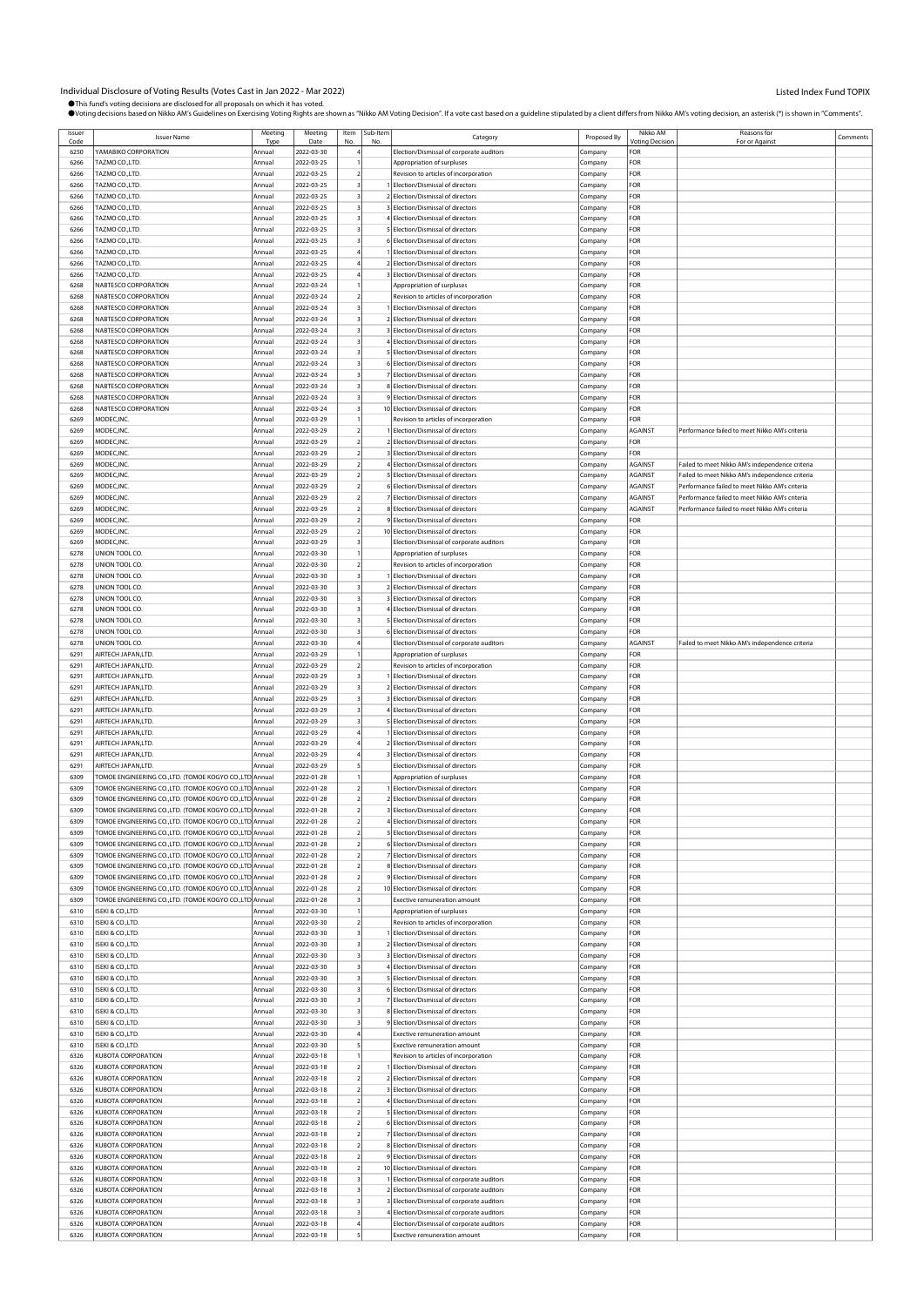●This fund's voting decisions are disclosed for all proposals on which it has voted. s "Nikko AM Voting Decision". If a vote cast based on a guideline stipulated by a client differs from Nikko AM's voting decision, an asterisk (\*) is shown in "Comments".

| Issue        | <b>Issuer Name</b>                                                           | Meeting          | Meeting<br>Date          | Item<br>No | Sub-Item | Category                                                               | Proposed By        | Nikko AM<br><b>Voting Decision</b> | Reasons for                                     | Comments |
|--------------|------------------------------------------------------------------------------|------------------|--------------------------|------------|----------|------------------------------------------------------------------------|--------------------|------------------------------------|-------------------------------------------------|----------|
| 6250         | AMABIKO CORPORATION                                                          | Type<br>Annual   | 2022-03-30               |            | No       | Election/Dismissal of corporate auditors                               | Company            | FOR                                | For or Against                                  |          |
| 6266         | FAZMO CO.,LTD.                                                               | Annual           | 2022-03-25               |            |          | Appropriation of surpluses                                             | Company            | FOR                                |                                                 |          |
| 6266         | FAZMO CO.,LTD.                                                               | Annual           | 2022-03-25               |            |          | Revision to articles of incorporation                                  | Company            | FOR                                |                                                 |          |
| 6266         | FAZMO CO.,LTD.                                                               | Annual           | 2022-03-25               |            |          | Election/Dismissal of directors                                        | Company            | FOR                                |                                                 |          |
| 6266         | FAZMO CO.,LTD.                                                               | Annual           | 2022-03-25               |            |          | 2 Election/Dismissal of directors                                      | Company            | FOR                                |                                                 |          |
| 6266         | AZMO CO.,LTD.                                                                | Annual           | 2022-03-25               |            |          | 3 Election/Dismissal of directors                                      | Company            | FOR                                |                                                 |          |
| 6266         | FAZMO CO.,LTD.                                                               | Annual           | 2022-03-25               |            |          | 4 Election/Dismissal of directors                                      | Company            | FOR                                |                                                 |          |
| 6266         | FAZMO CO.,LTD.                                                               | Annual           | 2022-03-25               |            |          | 5 Election/Dismissal of directors                                      | Company            | FOR                                |                                                 |          |
| 6266         | FAZMO CO.,LTD.                                                               | Annual           | 2022-03-25               |            |          | 6 Election/Dismissal of directors                                      | Company            | FOR                                |                                                 |          |
| 6266         | FAZMO CO.,LTD.                                                               | Annual           | 2022-03-25               |            |          | 1 Election/Dismissal of directors                                      | Company            | FOR                                |                                                 |          |
| 6266         | FAZMO CO.,LTD.                                                               | Annual           | 2022-03-25               |            |          | 2 Election/Dismissal of directors                                      | Company            | FOR                                |                                                 |          |
| 6266         | FAZMO CO.,LTD.                                                               | Annual           | 2022-03-25               |            |          | Election/Dismissal of directors                                        | Company            | FOR                                |                                                 |          |
| 6268         | VABTESCO CORPORATION                                                         | Annual           | 2022-03-24               |            |          | Appropriation of surpluses                                             | Company            | FOR                                |                                                 |          |
| 6268         | VARTESCO CORPORATION                                                         | Annual           | 2022-03-24               |            |          | Revision to articles of incorporation                                  | Company            | FOR                                |                                                 |          |
| 6268         | <b>VABTESCO CORPORATION</b>                                                  | Annual           | 2022-03-24               |            |          | 1 Election/Dismissal of directors                                      | Company            | FOR                                |                                                 |          |
| 6268         | <b>VABTESCO CORPORATION</b>                                                  | Annual           | 2022-03-24               |            |          | 2 Election/Dismissal of directors                                      | Company            | FOR                                |                                                 |          |
| 6268         | <b>VABTESCO CORPORATION</b>                                                  | Annual           | 2022-03-24               |            |          | Election/Dismissal of directors                                        | Company            | FOR                                |                                                 |          |
| 6268         | <b>NABTESCO CORPORATION</b>                                                  | Annual           | 2022-03-24               |            |          | 4 Election/Dismissal of directors                                      | Company            | FOR                                |                                                 |          |
| 6268         | <b>NABTESCO CORPORATION</b>                                                  | Annual           | 2022-03-24               |            |          | Election/Dismissal of directors                                        | Company            | <b>OR</b><br>FOR                   |                                                 |          |
| 6268<br>6268 | <b>VABTESCO CORPORATION</b><br><b>VABTESCO CORPORATION</b>                   | Annual<br>Annual | 2022-03-24<br>2022-03-24 |            |          | 6 Election/Dismissal of directors<br>7 Election/Dismissal of directors | Company<br>Company | FOR                                |                                                 |          |
| 6268         | <b>VABTESCO CORPORATION</b>                                                  | Annual           | 2022-03-24               |            |          | 8 Election/Dismissal of directors                                      | Company            | FOR                                |                                                 |          |
| 6268         | <b>VABTESCO CORPORATION</b>                                                  | Annual           | 2022-03-24               |            |          | 9 Election/Dismissal of directors                                      | Company            | FOR                                |                                                 |          |
| 6268         | <b>VABTESCO CORPORATION</b>                                                  | Annual           | 2022-03-24               |            |          | 10 Election/Dismissal of directors                                     | Company            | FOR                                |                                                 |          |
| 6269         | MODEC, INC.                                                                  | Annual           | 2022-03-29               |            |          | Revision to articles of incorporation                                  | Company            | FOR                                |                                                 |          |
| 6269         | MODEC, INC.                                                                  | Annual           | 2022-03-29               |            |          | 1 Election/Dismissal of directors                                      | Company            | AGAINST                            | Performance failed to meet Nikko AM's criteria  |          |
| 6269         | MODEC, INC.                                                                  | Annual           | 2022-03-29               |            |          | Election/Dismissal of directors                                        | Company            | FOR                                |                                                 |          |
| 6269         | MODEC, INC.                                                                  | Annual           | 2022-03-29               |            |          | 3 Election/Dismissal of directors                                      | Company            | FOR                                |                                                 |          |
| 6269         | MODEC.INC.                                                                   | Annual           | 2022-03-29               |            |          | 4 Election/Dismissal of directors                                      | Company            | AGAINST                            | Failed to meet Nikko AM's independence criteria |          |
| 6269         | MODEC, INC.                                                                  | Annual           | 2022-03-29               |            |          | 5 Election/Dismissal of directors                                      | Company            | AGAINST                            | Failed to meet Nikko AM's independence criteria |          |
| 6269         | MODEC, INC.                                                                  | Annual           | 2022-03-29               |            |          | 6 Election/Dismissal of directors                                      | Company            | AGAINST                            | Performance failed to meet Nikko AM's criteria  |          |
| 6269         | MODEC, INC.                                                                  | Annual           | 2022-03-29               |            |          | 7 Election/Dismissal of directors                                      | Company            | <b>AGAINST</b>                     | Performance failed to meet Nikko AM's criteria  |          |
| 6269         | MODEC, INC.                                                                  | Annual           | 2022-03-29               |            |          | 8 Election/Dismissal of directors                                      | Company            | AGAINST                            | Performance failed to meet Nikko AM's criteria  |          |
| 6269         | MODEC, INC.                                                                  | Annual           | 2022-03-29               |            |          | Election/Dismissal of directors                                        | Company            | FOR                                |                                                 |          |
| 6269         | MODEC, INC.                                                                  | Annual           | 2022-03-29               |            |          | 10 Election/Dismissal of directors                                     | Company            | FOR                                |                                                 |          |
| 6269         | MODEC, INC.                                                                  | Annual           | 2022-03-29               |            |          | Election/Dismissal of corporate auditors                               | Company            | FOR                                |                                                 |          |
| 6278         | UNION TOOL CO.                                                               | Annual           | 2022-03-30               |            |          | Appropriation of surpluses                                             | Company            | FOR                                |                                                 |          |
| 6278         | UNION TOOL CO.                                                               | Annual           | 2022-03-30               |            |          | Revision to articles of incorporation                                  | Company            | FOR                                |                                                 |          |
| 6278         | JNION TOOL CO.                                                               | Annual           | 2022-03-30               |            |          | Election/Dismissal of directors                                        | Company            | FOR                                |                                                 |          |
| 6278         | JNION TOOL CO.                                                               | Annual           | 2022-03-30               |            |          | 2 Election/Dismissal of directors                                      | Company            | FOR                                |                                                 |          |
| 6278         | JNION TOOL CO.                                                               | Annual           | 2022-03-30               |            |          | 3 Election/Dismissal of directors                                      | Company            | FOR                                |                                                 |          |
| 6278         | UNION TOOL CO.                                                               | Annual           | 2022-03-30               |            |          | 4 Election/Dismissal of directors                                      | Company            | FOR                                |                                                 |          |
| 6278         | JNION TOOL CO.                                                               | Annual           | 2022-03-30               |            |          | 5 Election/Dismissal of directors                                      | Company            | FOR                                |                                                 |          |
| 6278         | UNION TOOL CO.                                                               | Annual           | 2022-03-30               |            |          | 6 Election/Dismissal of directors                                      | Company            | FOR                                |                                                 |          |
| 6278         | JNION TOOL CO.                                                               | Annual           | 2022-03-30               |            |          | Election/Dismissal of corporate auditors                               | Company            | AGAINST                            | Failed to meet Nikko AM's independence criteria |          |
| 6291         | AIRTECH JAPAN,LTD.                                                           | Annual           | 2022-03-29               |            |          | Appropriation of surpluses                                             | Company            | FOR                                |                                                 |          |
| 6291         | <b>NRTECH JAPAN,LTD.</b>                                                     | Annual           | 2022-03-29               |            |          | Revision to articles of incorporation                                  | Company            | FOR                                |                                                 |          |
| 629          | AIRTECH JAPAN,LTD.                                                           | Annual           | 2022-03-29               |            |          | 1 Election/Dismissal of directors                                      | Company            | FOR                                |                                                 |          |
| 6291         | AIRTECH JAPAN,LTD.                                                           | Annual           | 2022-03-29               |            |          | Election/Dismissal of directors                                        | Company            | FOR                                |                                                 |          |
| 629          | AIRTECH JAPAN,LTD.                                                           | Annual           | 2022-03-29               |            |          | 3 Election/Dismissal of directors                                      | Company            | FOR                                |                                                 |          |
| 6291         | AIRTECH JAPAN,LTD.                                                           | Annual           | 2022-03-29               |            |          | 4 Election/Dismissal of directors                                      | Company            | FOR                                |                                                 |          |
| 6291         | <b>NRTECH JAPAN,LTD.</b>                                                     | Annual           | 2022-03-29               |            |          | 5 Election/Dismissal of directors                                      | Company            | FOR                                |                                                 |          |
| 629          | AIRTECH JAPAN,LTD.                                                           | Annual           | 2022-03-29               |            |          | 1 Election/Dismissal of directors                                      | Company            | FOR                                |                                                 |          |
| 6291<br>6291 | AIRTECH JAPAN,LTD.                                                           | Annual           | 2022-03-29               |            |          | Election/Dismissal of directors                                        | Company            | FOR                                |                                                 |          |
|              | AIRTECH JAPAN,LTD.                                                           | Annual           | 2022-03-29               |            |          | 3 Election/Dismissal of directors                                      | Company            | FOR                                |                                                 |          |
| 6291         | AIRTECH JAPAN,LTD.<br>FOMOE ENGINEERING CO.,LTD. (TOMOE KOGYO CO.,LTD Annual | Annual           | 2022-03-29               |            |          | Election/Dismissal of directors<br>Appropriation of surpluses          | Company            | FOR<br>FOR                         |                                                 |          |
| 6309<br>6309 | FOMOE ENGINEERING CO.,LTD. (TOMOE KOGYO CO.,LTD Annual                       |                  | 2022-01-28<br>2022-01-28 |            |          | Election/Dismissal of directors                                        | Company            | FOR                                |                                                 |          |
| 6309         | FOMOE ENGINEERING CO.,LTD. (TOMOE KOGYO CO.,LTD Annual                       |                  | 2022-01-28               |            |          | Election/Dismissal of directors                                        | Company<br>Company | FOR                                |                                                 |          |
| 6309         | OMOE ENGINEERING CO.,LTD. (TOMOE KOGYO CO.,LTD Annual                        |                  | 2022-01-28               |            |          | Election/Dismissal of director                                         |                    |                                    |                                                 |          |
| 6309         | TOMOE ENGINEERING CO.,LTD. (TOMOE KOGYO CO.,LTD Annual                       |                  | 2022-01-28               |            |          | 4 Election/Dismissal of directors                                      | Company            | FOR                                |                                                 |          |
| 6309         | TOMOE ENGINEERING CO.,LTD. (TOMOE KOGYO CO.,LTD Annual                       |                  | 2022-01-28               |            |          | 5 Election/Dismissal of directors                                      | Company            | FOR                                |                                                 |          |
| 6309         | TOMOE ENGINEERING CO.,LTD. (TOMOE KOGYO CO.,LTD Annual                       |                  | 2022-01-28               |            |          | 6 Election/Dismissal of directors                                      | Company            | FOR                                |                                                 |          |
| 6309         | FOMOE ENGINEERING CO., LTD. (TOMOE KOGYO CO., LTD Annual                     |                  | 2022-01-28               |            |          | 7 Election/Dismissal of directors                                      | Company            | FOR                                |                                                 |          |
| 6309         | TOMOE ENGINEERING CO.,LTD. (TOMOE KOGYO CO.,LTD Annual                       |                  | 2022-01-28               |            |          | 8 Election/Dismissal of directors                                      | Company            | FOR                                |                                                 |          |
| 6309         | TOMOE ENGINEERING CO.,LTD. (TOMOE KOGYO CO.,LTD Annual                       |                  | 2022-01-28               |            |          | 9 Election/Dismissal of directors                                      | Company            | FOR                                |                                                 |          |
| 6309         | TOMOE ENGINEERING CO.,LTD. (TOMOE KOGYO CO.,LTD Annual                       |                  | 2022-01-28               |            |          | 10 Election/Dismissal of directors                                     | Company            | FOR                                |                                                 |          |
| 6309         | TOMOE ENGINEERING CO.,LTD. (TOMOE KOGYO CO.,LTD Annual                       |                  | 2022-01-28               |            |          | Exective remuneration amount                                           | Company            | FOR                                |                                                 |          |
| 6310         | SEKI & CO., LTD.                                                             | Annual           | 2022-03-30               |            |          | Appropriation of surpluses                                             | Company            | FOR                                |                                                 |          |
| 6310         | <b>ISEKI &amp; CO.,LTD.</b>                                                  | Annual           | 2022-03-30               |            |          | Revision to articles of incorporation                                  | Company            | FOR                                |                                                 |          |
| 6310         | SEKI & CO., LTD.                                                             | Annual           | 2022-03-30               |            |          | 1 Election/Dismissal of directors                                      | Company            | FOR                                |                                                 |          |
| 6310         | SEKI & CO.,LTD.                                                              | Annual           | 2022-03-30               |            |          | 2 Election/Dismissal of directors                                      | Company            | FOR                                |                                                 |          |
| 6310         | ISEKI & CO.,LTD.                                                             | Annual           | 2022-03-30               |            |          | 3 Election/Dismissal of directors                                      | Company            | FOR                                |                                                 |          |
| 6310         | SEKI & CO.,LTD.                                                              | Annual           | 2022-03-30               |            |          | 4 Election/Dismissal of directors                                      | Company            | OR <sup>:</sup>                    |                                                 |          |
| 6310         | <b>ISEKI &amp; CO.,LTD.</b>                                                  | Annual           | 2022-03-30               |            |          | 5 Election/Dismissal of directors                                      | Company            | FOR                                |                                                 |          |
| 6310         | SEKI & CO.,LTD.                                                              | Annual           | 2022-03-30               |            |          | 6 Election/Dismissal of directors                                      | Company            | FOR                                |                                                 |          |
| 6310         | <b>ISEKI &amp; CO.,LTD.</b>                                                  | Annual           | 2022-03-30               |            |          | 7 Election/Dismissal of directors                                      | Company            | FOR                                |                                                 |          |
| 6310         | ISEKI & CO., LTD.                                                            | Annual           | 2022-03-30               |            |          | 8 Election/Dismissal of directors                                      | Company            | FOR                                |                                                 |          |
| 6310         | SEKI & CO.,LTD.                                                              | Annual           | 2022-03-30               |            |          | 9 Election/Dismissal of directors                                      | Company            | OR <sup>:</sup>                    |                                                 |          |
| 6310         | SEKI & CO.,LTD.                                                              | Annual           | 2022-03-30               |            |          | <b>Exective remuneration amount</b>                                    | Company            | FOR                                |                                                 |          |
| 6310         | SEKI & CO.,LTD.                                                              | Annual           | 2022-03-30               |            |          | Exective remuneration amount                                           | Company            | FOR                                |                                                 |          |
| 6326         | <b>KUBOTA CORPORATION</b>                                                    | Annual           | 2022-03-18               |            |          | Revision to articles of incorporation                                  | Company            | FOR                                |                                                 |          |
| 6326         | KUBOTA CORPORATION                                                           | Annual           | 2022-03-18               |            |          | 1 Election/Dismissal of directors                                      | Company            | FOR                                |                                                 |          |
| 6326<br>6326 | KUBOTA CORPORATION                                                           | Annual           | 2022-03-18               |            |          | 2 Election/Dismissal of directors                                      | Company            | FOR<br>FOR                         |                                                 |          |
|              | KUBOTA CORPORATION                                                           | Annual           | 2022-03-18               |            |          | 3 Election/Dismissal of directors                                      | Company            | OR:                                |                                                 |          |
| 6326         | <b>KUBOTA CORPORATION</b>                                                    | Annual           | 2022-03-18               |            |          | 4 Election/Dismissal of directors                                      | Company            | FOR                                |                                                 |          |
| 6326<br>6326 | <b>KUBOTA CORPORATION</b><br>KUBOTA CORPORATION                              | Annual<br>Annual | 2022-03-18<br>2022-03-18 |            |          | 5 Election/Dismissal of directors<br>6 Election/Dismissal of directors | Company            | FOR                                |                                                 |          |
| 6326         | <b>KUBOTA CORPORATION</b>                                                    | Annual           | 2022-03-18               |            |          | Election/Dismissal of directors                                        | Company<br>Company | FOR                                |                                                 |          |
| 6326         | KUBOTA CORPORATION                                                           | Annual           | 2022-03-18               |            |          | 8 Election/Dismissal of directors                                      | Company            | FOR                                |                                                 |          |
| 6326         | <b>(UBOTA CORPORATION</b>                                                    | Annual           | 2022-03-18               |            |          | 9 Election/Dismissal of directors                                      | Company            | <b>OR</b>                          |                                                 |          |
| 6326         | <b>KUBOTA CORPORATION</b>                                                    | Annual           | 2022-03-18               |            |          | 10 Election/Dismissal of directors                                     | Company            | FOR                                |                                                 |          |
| 6326         | KUBOTA CORPORATION                                                           | Annual           | 2022-03-18               |            |          | 1 Election/Dismissal of corporate auditors                             | Company            | FOR                                |                                                 |          |
| 6326         | KUBOTA CORPORATION                                                           | Annual           | 2022-03-18               |            |          | 2 Election/Dismissal of corporate auditors                             | Company            | FOR                                |                                                 |          |
| 6326         | KUBOTA CORPORATION                                                           | Annual           | 2022-03-18               |            |          | 3 Election/Dismissal of corporate auditors                             | Company            | FOR                                |                                                 |          |
| 6326         | <b>KUBOTA CORPORATION</b>                                                    | Annual           | 2022-03-18               |            |          | 4 Election/Dismissal of corporate auditors                             | Company            | OR:                                |                                                 |          |
| 6326         | <b>KUBOTA CORPORATION</b>                                                    | Annual           | 2022-03-18               |            |          | Election/Dismissal of corporate auditors                               | Company            | FOR                                |                                                 |          |
| 6326         | <b>KUBOTA CORPORATION</b>                                                    | Annual           | 2022-03-18               |            |          | Exective remuneration amount                                           | Company            | FOR                                |                                                 |          |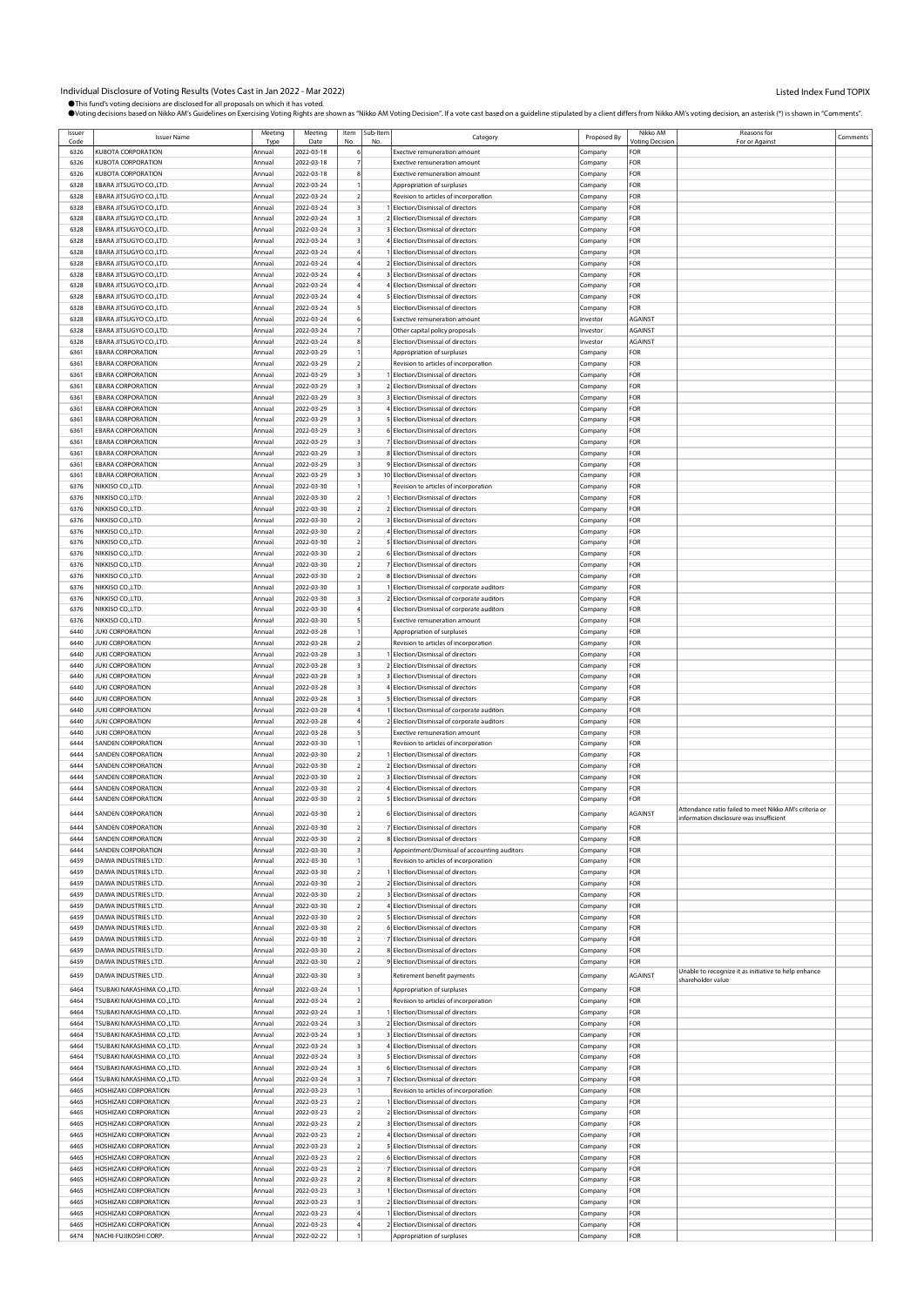| Issuer       |                                                              | Meeting          | Meeting                  | Item | Sub-Item                |                                                                                 |                    | Nikko AM                    | Reasons for                                            |          |
|--------------|--------------------------------------------------------------|------------------|--------------------------|------|-------------------------|---------------------------------------------------------------------------------|--------------------|-----------------------------|--------------------------------------------------------|----------|
| Code         | <b>Issuer Name</b>                                           | Type             | Date                     | No   | No.                     | Category                                                                        | Proposed By        | <b>/oting Decision</b>      | For or Against                                         | Comments |
| 6326<br>6326 | KUBOTA CORPORATION<br>KUBOTA CORPORATION                     | Annual<br>Annual | 2022-03-18<br>2022-03-18 |      |                         | xective remuneration amount<br>xective remuneration amount                      | Company<br>Company | FOR<br><b>OR</b>            |                                                        |          |
| 6326         | KUBOTA CORPORATION                                           | Annual           | 2022-03-18               |      |                         | <b>Exective remuneration amount</b>                                             | Company            | FOR                         |                                                        |          |
| 6328         | EBARA JITSUGYO CO.,LTD.                                      | Annual           | 2022-03-24               |      |                         | Appropriation of surpluses                                                      | Company            | ЮR                          |                                                        |          |
| 6328         | EBARA JITSUGYO CO.,LTD                                       | Annual           | 2022-03-24               |      |                         | Revision to articles of incorporation                                           | Company            | ЮR                          |                                                        |          |
| 6328         | EBARA JITSUGYO CO.,LTD                                       | Annual           | 2022-03-24               |      |                         | Election/Dismissal of directors                                                 | Company            | FOR                         |                                                        |          |
| 6328         | EBARA JITSUGYO CO.,LTD.                                      | Annual           | 2022-03-24               |      | $\mathcal{P}$           | <b>Election/Dismissal of directors</b>                                          | Company            | <b>OR</b>                   |                                                        |          |
| 6328<br>6328 | EBARA JITSUGYO CO.,LTD<br>EBARA JITSUGYO CO.,LTD.            | Annual<br>Annual | 2022-03-24<br>2022-03-24 |      |                         | Election/Dismissal of directors<br>Election/Dismissal of directors              | Company<br>Company | FOR<br><b>OR</b>            |                                                        |          |
| 6328         | EBARA JITSUGYO CO.,LTD                                       | Annual           | 2022-03-24               |      |                         | Election/Dismissal of directors                                                 | Company            | <b>OR</b>                   |                                                        |          |
| 6328         | EBARA JITSUGYO CO.,LTD                                       | Annual           | 2022-03-24               |      | $\mathcal{D}$           | Election/Dismissal of directors                                                 | Company            | FOR                         |                                                        |          |
| 6328         | EBARA JITSUGYO CO.,LTD.                                      | Annual           | 2022-03-24               |      | $\overline{\mathbf{3}}$ | Election/Dismissal of directors                                                 | Company            | <b>OR</b>                   |                                                        |          |
| 6328         | EBARA JITSUGYO CO.,LTD.                                      | Annual           | 2022-03-24               |      |                         | Election/Dismissal of directors                                                 | Company            | <b>OR</b>                   |                                                        |          |
| 6328         | EBARA JITSUGYO CO.,LTD.                                      | Annual           | 2022-03-24               |      |                         | Election/Dismissal of directors                                                 | Company            | <b>OR</b>                   |                                                        |          |
| 6328         | EBARA JITSUGYO CO.,LTD                                       | Annual           | 2022-03-24               |      |                         | Election/Dismissal of directors                                                 | Company            | <b>OR</b>                   |                                                        |          |
| 6328         | EBARA JITSUGYO CO.,LTD                                       | Annual           | 2022-03-24               |      |                         | <b>Exective remuneration amount</b>                                             | Investor           | <b>AGAINST</b>              |                                                        |          |
| 6328         | EBARA JITSUGYO CO.,LTD.                                      | Annual           | 2022-03-24               |      |                         | Other capital policy proposals                                                  | Investor           | <b>AGAINST</b>              |                                                        |          |
| 6328<br>6361 | EBARA JITSUGYO CO.,LTD.<br><b>EBARA CORPORATION</b>          | Annual<br>Annual | 2022-03-24<br>2022-03-29 |      |                         | Election/Dismissal of directors<br>Appropriation of surpluses                   | nvestor<br>Company | <b>AGAINST</b><br><b>OR</b> |                                                        |          |
| 6361         | <b>EBARA CORPORATION</b>                                     | Annual           | 2022-03-29               |      |                         | Revision to articles of incorporation                                           | Company            | ЮR                          |                                                        |          |
| 6361         | <b>EBARA CORPORATION</b>                                     | Annual           | 2022-03-29               |      |                         | Election/Dismissal of directors                                                 | Company            | FOR                         |                                                        |          |
| 6361         | <b>EBARA CORPORATION</b>                                     | Annual           | 2022-03-29               |      | $\mathcal{P}$           | Election/Dismissal of directors                                                 | Company            | <b>OR</b>                   |                                                        |          |
| 6361         | <b>EBARA CORPORATION</b>                                     | Annual           | 2022-03-29               |      | 3I                      | Election/Dismissal of directors                                                 | Company            | <b>OR</b>                   |                                                        |          |
| 6361         | EBARA CORPORATION                                            | Annual           | 2022-03-29               |      |                         | Election/Dismissal of directors                                                 | Company            | OR:                         |                                                        |          |
| 6361         | <b>EBARA CORPORATION</b>                                     | Annual           | 2022-03-29               |      | 6                       | Election/Dismissal of directors                                                 | Company            | <b>OR</b><br>FOR            |                                                        |          |
| 6361<br>6361 | <b>EBARA CORPORATION</b><br><b>EBARA CORPORATION</b>         | Annual<br>Annual | 2022-03-29<br>2022-03-29 |      |                         | Election/Dismissal of directors<br>Election/Dismissal of directors              | Company<br>Company | <b>OR</b>                   |                                                        |          |
| 6361         | <b>EBARA CORPORATION</b>                                     | Annual           | 2022-03-29               |      | 8                       | Election/Dismissal of directors                                                 | Company            | <b>OR</b>                   |                                                        |          |
| 6361         | <b>EBARA CORPORATION</b>                                     | Annual           | 2022-03-29               |      |                         | Election/Dismissal of directors                                                 | Company            | <b>OR</b>                   |                                                        |          |
| 6361         | <b>EBARA CORPORATION</b>                                     | Annual           | 2022-03-29               |      |                         | 10 Election/Dismissal of directors                                              | Company            | <b>OR</b>                   |                                                        |          |
| 6376         | NIKKISO CO.,LTD.                                             | Annual           | 2022-03-30               |      |                         | Revision to articles of incorporation                                           | Company            | FOR                         |                                                        |          |
| 6376         | NIKKISO CO.,LTD.                                             | Annual           | 2022-03-30               |      |                         | Election/Dismissal of directors                                                 | Company            | <b>OR</b>                   |                                                        |          |
| 6376         | NIKKISO CO.,LTD.                                             | Annual           | 2022-03-30               |      |                         | Election/Dismissal of directors                                                 | Company            | <b>OR</b>                   |                                                        |          |
| 6376         | VIKKISO CO.,LTD.                                             | Annual           | 2022-03-30               |      |                         | lection/Dismissal of directors                                                  | Company            | <b>OR</b><br><b>OR</b>      |                                                        |          |
| 6376<br>6376 | NIKKISO CO.,LTD.<br>NIKKISO CO.,LTD.                         | Annual<br>Annual | 2022-03-30<br>2022-03-30 |      | 5                       | Election/Dismissal of directors<br>Election/Dismissal of directors              | Company<br>Company | FOR                         |                                                        |          |
| 6376         | NIKKISO CO.,LTD.                                             | Annual           | 2022-03-30               |      | 6                       | Election/Dismissal of directors                                                 | Company            | <b>OR</b>                   |                                                        |          |
| 6376         | NIKKISO CO.,LTD.                                             | Annual           | 2022-03-30               |      |                         | Election/Dismissal of directors                                                 | Company            | <b>OR</b>                   |                                                        |          |
| 6376         | NIKKISO CO.,LTD.                                             | Annual           | 2022-03-30               |      | 8                       | Election/Dismissal of directors                                                 | Company            | <b>OR</b>                   |                                                        |          |
| 6376         | NIKKISO CO.,LTD.                                             | Annual           | 2022-03-30               |      |                         | Election/Dismissal of corporate auditors                                        | Company            | <b>OR</b>                   |                                                        |          |
| 6376         | NIKKISO CO.,LTD.                                             | Annual           | 2022-03-30               |      |                         | 2 Election/Dismissal of corporate auditors                                      | Company            | FOR                         |                                                        |          |
| 6376         | NIKKISO CO.,LTD.                                             | Annual           | 2022-03-30               |      |                         | Election/Dismissal of corporate auditors                                        | Company            | <b>OR</b>                   |                                                        |          |
| 6376         | NIKKISO CO.,LTD.                                             | Annual           | 2022-03-30               |      |                         | <b>Exective remuneration amount</b>                                             | Company            | <b>OR</b>                   |                                                        |          |
| 6440<br>6440 | <b>IUKI CORPORATION</b><br><b>JUKI CORPORATION</b>           | Annual<br>Annual | 2022-03-28<br>2022-03-28 |      |                         | Appropriation of surpluses<br>Revision to articles of incorporation             | Company<br>Company | ЮR<br>FOR                   |                                                        |          |
| 6440         | <b>JUKI CORPORATION</b>                                      | Annual           | 2022-03-28               |      |                         | Election/Dismissal of directors                                                 | Company            | FOR                         |                                                        |          |
| 6440         | <b>JUKI CORPORATION</b>                                      | Annual           | 2022-03-28               |      | $\overline{2}$          | Election/Dismissal of directors                                                 | Company            | <b>OR</b>                   |                                                        |          |
| 6440         | <b>JUKI CORPORATION</b>                                      | Annual           | 2022-03-28               |      | 3I                      | Election/Dismissal of directors                                                 | Company            | <b>OR</b>                   |                                                        |          |
| 6440         | <b>IUKI CORPORATION</b>                                      | Annual           | 2022-03-28               |      |                         | Election/Dismissal of directors                                                 | Company            | <b>OR</b>                   |                                                        |          |
| 6440         | <b>JUKI CORPORATION</b>                                      | Annual           | 2022-03-28               |      |                         | Election/Dismissal of directors                                                 | Company            | <b>OR</b>                   |                                                        |          |
| 6440         | <b>JUKI CORPORATION</b>                                      | Annual           | 2022-03-28               |      |                         | Election/Dismissal of corporate auditors                                        | Company            | FOR                         |                                                        |          |
| 6440<br>6440 | <b>JUKI CORPORATION</b><br><b>JUKI CORPORATION</b>           | Annual<br>Annual | 2022-03-28<br>2022-03-28 |      |                         | Election/Dismissal of corporate auditors<br><b>Exective remuneration amount</b> | Company<br>Company | FOR<br>FOR                  |                                                        |          |
| 6444         | <b>ANDEN CORPORATION</b>                                     | Annual           | 2022-03-30               |      |                         | tevision to articles of incorporation                                           | Company            | <b>OR</b>                   |                                                        |          |
| 6444         | <b>SANDEN CORPORATION</b>                                    | Annual           | 2022-03-30               |      |                         | Election/Dismissal of directors                                                 | Company            | <b>OR</b>                   |                                                        |          |
| 6444         | <b>SANDEN CORPORATION</b>                                    | Annual           | 2022-03-30               |      | $\mathcal{D}$           | Election/Dismissal of directors                                                 | Company            | FOR                         |                                                        |          |
| 6444         | <b>SANDEN CORPORATION</b>                                    | Annual           | 2022-03-30               |      | $\overline{\mathbf{3}}$ | Election/Dismissal of directors                                                 | Company            | <b>OR</b>                   |                                                        |          |
| 6444         | <b>SANDEN CORPORATION</b>                                    | Annual           | 2022-03-30               |      |                         | Election/Dismissal of directors                                                 | Company            | <b>OR</b>                   |                                                        |          |
| 6444         | <b>SANDEN CORPORATION</b>                                    | Annual           | 2022-03-30               |      |                         | Election/Dismissal of directors                                                 | Company            | FOR                         | Attendance ratio failed to meet Nikko AM's criteria or |          |
| 6444         | <b>ANDEN CORPORATION</b>                                     | Annual           | 2022-03-30               |      | 6 <sup>1</sup>          | Election/Dismissal of directors                                                 | Company            | AGAINST                     | iformation disclosure was insufficier                  |          |
| 6444         | <b>SANDEN CORPORATION</b>                                    | Annual           | 2022-03-30               |      |                         | Election/Dismissal of directors                                                 | Company            | <b>OR</b>                   |                                                        |          |
| 6444         | SANDEN CORPORATION                                           | Annual           | 2022-03-30               |      |                         | 8 Election/Dismissal of directors                                               | Company            | FOR                         |                                                        |          |
| 6444<br>6459 | SANDEN CORPORATION                                           | Annual           | 2022-03-30<br>2022-03-30 |      |                         | Appointment/Dismissal of accounting auditors                                    | Company            | ЮR<br>FOR                   |                                                        |          |
| 6459         | DAIWA INDUSTRIES LTD.<br>DAIWA INDUSTRIES LTD.               | Annual<br>Annual | 2022-03-30               |      |                         | Revision to articles of incorporation<br>1 Election/Dismissal of directors      | Company<br>Company | FOR                         |                                                        |          |
| 6459         | DAIWA INDUSTRIES LTD.                                        | Annual           | 2022-03-30               |      |                         | <b>Election/Dismissal of directors</b>                                          | Company            | <b>OR</b>                   |                                                        |          |
| 6459         | DAIWA INDUSTRIES LTD.                                        | Annual           | 2022-03-30               |      |                         | 3 Election/Dismissal of directors                                               | Company            | FOR                         |                                                        |          |
| 6459         | DAIWA INDUSTRIES LTD.                                        | Annual           | 2022-03-30               |      |                         | Election/Dismissal of directors                                                 | Company            | FOR                         |                                                        |          |
| 6459         | DAIWA INDUSTRIES LTD.                                        | Annual           | 2022-03-30               |      | 5                       | Election/Dismissal of directors                                                 | Company            | FOR                         |                                                        |          |
| 6459         | DAIWA INDUSTRIES LTD.                                        | Annual           | 2022-03-30               |      |                         | 6 Election/Dismissal of directors                                               | Company            | FOR                         |                                                        |          |
| 6459         | DAIWA INDUSTRIES LTD.<br>DAIWA INDUSTRIES LTD.               | Annual           | 2022-03-30<br>2022-03-30 |      | 8 <sup>1</sup>          | Election/Dismissal of directors                                                 | Company            | <b>OR</b><br>FOR            |                                                        |          |
| 6459<br>6459 | DAIWA INDUSTRIES LTD.                                        | Annual<br>Annual | 2022-03-30               |      |                         | Election/Dismissal of directors<br>9 Election/Dismissal of directors            | Company<br>Company | FOR                         |                                                        |          |
| 6459         | DAIWA INDUSTRIES LTD.                                        | Annual           | 2022-03-30               |      |                         | Retirement benefit payments                                                     |                    | AGAINST                     | Unable to recognize it as initiative to help enhance   |          |
|              |                                                              |                  |                          |      |                         |                                                                                 | Company            |                             | shareholder value                                      |          |
| 6464<br>6464 | TSUBAKI NAKASHIMA CO.,LTD.<br>TSUBAKI NAKASHIMA CO.,LTD.     | Annual<br>Annual | 2022-03-24<br>2022-03-24 |      |                         | Appropriation of surpluses<br>Revision to articles of incorporation             | Company<br>Company | FOR<br><b>OR</b>            |                                                        |          |
| 6464         | TSUBAKI NAKASHIMA CO.,LTD.                                   | Annual           | 2022-03-24               |      |                         | 1 Election/Dismissal of directors                                               | Company            | FOR                         |                                                        |          |
| 6464         | TSUBAKI NAKASHIMA CO.,LTD.                                   | Annual           | 2022-03-24               |      | $\mathcal{L}$           | <b>Election/Dismissal of directors</b>                                          | Company            | <b>OR</b>                   |                                                        |          |
| 6464         | TSUBAKI NAKASHIMA CO.,LTD.                                   | Annual           | 2022-03-24               |      |                         | 3 Election/Dismissal of directors                                               | Company            | <b>OR</b>                   |                                                        |          |
| 6464         | TSUBAKI NAKASHIMA CO.,LTD.                                   | Annual           | 2022-03-24               |      |                         | Election/Dismissal of directors                                                 | Company            | OR:                         |                                                        |          |
| 6464         | TSUBAKI NAKASHIMA CO.,LTD.                                   | Annual           | 2022-03-24               |      |                         | Election/Dismissal of directors                                                 | Company            | <b>OR</b>                   |                                                        |          |
| 6464         | TSUBAKI NAKASHIMA CO.,LTD.                                   | Annual           | 2022-03-24               |      |                         | 6 Election/Dismissal of directors                                               | Company            | FOR                         |                                                        |          |
| 6464<br>6465 | TSUBAKI NAKASHIMA CO.,LTD.<br><b>HOSHIZAKI CORPORATION</b>   | Annual           | 2022-03-24<br>2022-03-23 |      |                         | <b>Election/Dismissal of directors</b>                                          | Company            | <b>OR</b><br>FOR            |                                                        |          |
| 6465         | HOSHIZAKI CORPORATION                                        | Annual<br>Annual | 2022-03-23               |      |                         | Revision to articles of incorporation<br>Election/Dismissal of directors        | Company<br>Company | OR:                         |                                                        |          |
| 6465         | <b>HOSHIZAKI CORPORATION</b>                                 | Annual           | 2022-03-23               |      |                         | 2 Election/Dismissal of directors                                               | Company            | <b>OR</b>                   |                                                        |          |
| 6465         | <b>HOSHIZAKI CORPORATION</b>                                 | Annual           | 2022-03-23               |      |                         | 3 Election/Dismissal of directors                                               | Company            | FOR                         |                                                        |          |
| 6465         | HOSHIZAKI CORPORATION                                        | Annual           | 2022-03-23               |      |                         | Election/Dismissal of directors                                                 | Company            | <b>OR</b>                   |                                                        |          |
| 6465         | <b>HOSHIZAKI CORPORATION</b>                                 | Annual           | 2022-03-23               |      |                         | 5 Election/Dismissal of directors                                               | Company            | <b>OR</b>                   |                                                        |          |
| 6465         | HOSHIZAKI CORPORATION                                        | Annual           | 2022-03-23               |      | 6                       | Election/Dismissal of directors                                                 | Company            | <b>OR</b>                   |                                                        |          |
| 6465<br>6465 | <b>HOSHIZAKI CORPORATION</b><br><b>HOSHIZAKI CORPORATION</b> | Annual<br>Annual | 2022-03-23<br>2022-03-23 |      |                         | 7 Election/Dismissal of directors<br>8 Election/Dismissal of directors          | Company            | <b>OR</b><br>FOR            |                                                        |          |
| 6465         | HOSHIZAKI CORPORATION                                        | Annual           | 2022-03-23               |      |                         | <b>Election/Dismissal of directors</b>                                          | Company<br>Company | <b>OR</b>                   |                                                        |          |
| 6465         | HOSHIZAKI CORPORATION                                        | Annual           | 2022-03-23               |      |                         | Election/Dismissal of directors                                                 | Company            | <b>OR</b>                   |                                                        |          |
| 6465         | HOSHIZAKI CORPORATION                                        | Annual           | 2022-03-23               |      |                         | Election/Dismissal of directors                                                 | Company            | OR:                         |                                                        |          |
| 6465         | <b>HOSHIZAKI CORPORATION</b>                                 | Annual           | 2022-03-23               |      | $\overline{2}$          | Election/Dismissal of directors                                                 | Company            | <b>OR</b>                   |                                                        |          |
| 6474         | NACHI-FUJIKOSHI CORP.                                        | Annual           | 2022-02-22               |      |                         | Appropriation of surpluses                                                      | Company            | FOR                         |                                                        |          |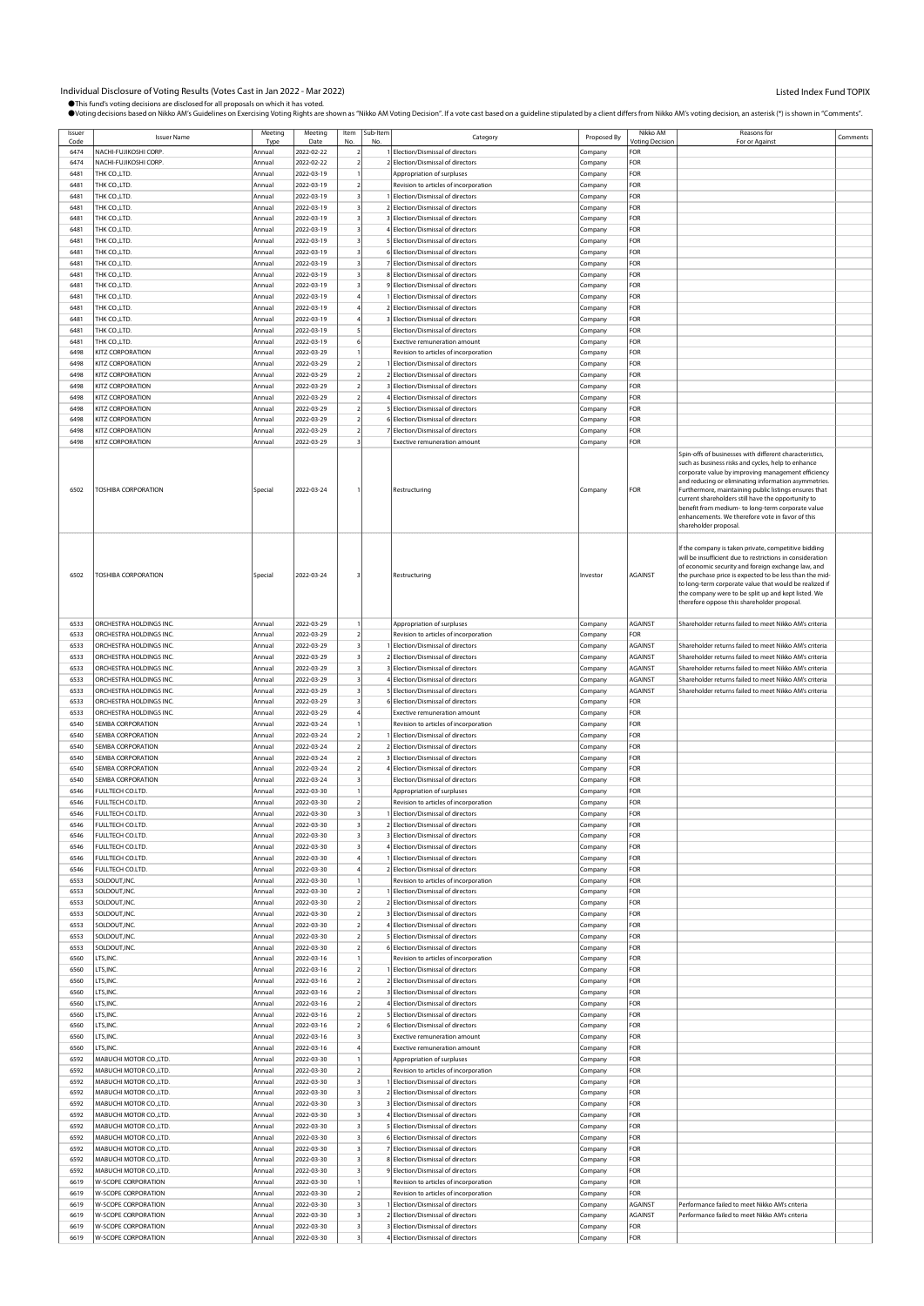| Issuer       | <b>Issuer Name</b>                                | Meeting            | Meeting                  | Item | Sub-Item                | Category                              | Proposed By         | Nikko AM               | Reasons for                                                                                                                                                                                                                                                                                                                                                                                                                                                                                                                                                                                                                                                                                                                                                                                                                                                                        | Comments |
|--------------|---------------------------------------------------|--------------------|--------------------------|------|-------------------------|---------------------------------------|---------------------|------------------------|------------------------------------------------------------------------------------------------------------------------------------------------------------------------------------------------------------------------------------------------------------------------------------------------------------------------------------------------------------------------------------------------------------------------------------------------------------------------------------------------------------------------------------------------------------------------------------------------------------------------------------------------------------------------------------------------------------------------------------------------------------------------------------------------------------------------------------------------------------------------------------|----------|
|              |                                                   | Typ                | Date                     | No   | No                      |                                       |                     | <b>/oting Decision</b> | For or Against                                                                                                                                                                                                                                                                                                                                                                                                                                                                                                                                                                                                                                                                                                                                                                                                                                                                     |          |
| 6474         | VACHI-FUJIKOSHI CORP.                             | Annual             | 2022-02-22               |      |                         | Election/Dismissal of directors       | Company             | 0R                     |                                                                                                                                                                                                                                                                                                                                                                                                                                                                                                                                                                                                                                                                                                                                                                                                                                                                                    |          |
| 6474         | NACHI-FUJIKOSHI CORP.                             | Annual             | 2022-02-22               |      | $\overline{\mathbf{2}}$ | Election/Dismissal of directors       | Company             | ЮR                     |                                                                                                                                                                                                                                                                                                                                                                                                                                                                                                                                                                                                                                                                                                                                                                                                                                                                                    |          |
| 648          | THK CO.,LTD.                                      | Annual             | 2022-03-19               |      |                         | Appropriation of surpluses            | Company             | FOR                    |                                                                                                                                                                                                                                                                                                                                                                                                                                                                                                                                                                                                                                                                                                                                                                                                                                                                                    |          |
| 6481         | THK CO.,LTD.                                      | Annual             | 2022-03-19               |      |                         |                                       |                     | OR-                    |                                                                                                                                                                                                                                                                                                                                                                                                                                                                                                                                                                                                                                                                                                                                                                                                                                                                                    |          |
|              |                                                   |                    |                          |      |                         | Revision to articles of incorporation | Company             |                        |                                                                                                                                                                                                                                                                                                                                                                                                                                                                                                                                                                                                                                                                                                                                                                                                                                                                                    |          |
| 648          | THK CO.,LTD.                                      | Annual             | 2022-03-19               |      |                         | Election/Dismissal of directors       | Company             | FOR                    |                                                                                                                                                                                                                                                                                                                                                                                                                                                                                                                                                                                                                                                                                                                                                                                                                                                                                    |          |
| 6481         | THK CO.,LTD.                                      | Annual             | 2022-03-19               |      |                         | Election/Dismissal of directors       | Company             | <b>OR</b>              |                                                                                                                                                                                                                                                                                                                                                                                                                                                                                                                                                                                                                                                                                                                                                                                                                                                                                    |          |
| 648          | THK CO.,LTD.                                      | Annual             | 2022-03-19               |      | 3                       | Election/Dismissal of directors       | Company             | <b>OR</b>              |                                                                                                                                                                                                                                                                                                                                                                                                                                                                                                                                                                                                                                                                                                                                                                                                                                                                                    |          |
| 648          | THK CO.,LTD.                                      | Annual             | 2022-03-19               |      |                         | Election/Dismissal of directors       | Company             | FOR                    |                                                                                                                                                                                                                                                                                                                                                                                                                                                                                                                                                                                                                                                                                                                                                                                                                                                                                    |          |
| 6481         | THK CO.,LTD.                                      | Annual             | 2022-03-19               |      |                         | Election/Dismissal of directors       |                     | FOR                    |                                                                                                                                                                                                                                                                                                                                                                                                                                                                                                                                                                                                                                                                                                                                                                                                                                                                                    |          |
|              |                                                   |                    |                          |      |                         |                                       | Company             |                        |                                                                                                                                                                                                                                                                                                                                                                                                                                                                                                                                                                                                                                                                                                                                                                                                                                                                                    |          |
| 648          | THK CO.,LTD.                                      | Annual             | 2022-03-19               |      | 6                       | Election/Dismissal of directors       | Company             | FOR                    |                                                                                                                                                                                                                                                                                                                                                                                                                                                                                                                                                                                                                                                                                                                                                                                                                                                                                    |          |
| 6481         | THK CO.,LTD.                                      | Annual             | 2022-03-19               |      |                         | Election/Dismissal of directors       | Company             | FOR                    |                                                                                                                                                                                                                                                                                                                                                                                                                                                                                                                                                                                                                                                                                                                                                                                                                                                                                    |          |
| 6481         | THK CO.,LTD.                                      | Annual             | 2022-03-19               |      |                         | Election/Dismissal of directors       | Company             | <b>OR</b>              |                                                                                                                                                                                                                                                                                                                                                                                                                                                                                                                                                                                                                                                                                                                                                                                                                                                                                    |          |
| 6481         | THK CO.,LTD.                                      | Annual             | 2022-03-19               |      | 9                       | Election/Dismissal of directors       | Company             | FOR                    |                                                                                                                                                                                                                                                                                                                                                                                                                                                                                                                                                                                                                                                                                                                                                                                                                                                                                    |          |
| 6481         | THK CO.,LTD.                                      | Annual             | 2022-03-19               |      |                         | Election/Dismissal of directors       |                     | <b>OR</b>              |                                                                                                                                                                                                                                                                                                                                                                                                                                                                                                                                                                                                                                                                                                                                                                                                                                                                                    |          |
|              |                                                   |                    |                          |      |                         |                                       | Company             |                        |                                                                                                                                                                                                                                                                                                                                                                                                                                                                                                                                                                                                                                                                                                                                                                                                                                                                                    |          |
| 648          | THK CO.,LTD.                                      | Annual             | 2022-03-19               |      | 2                       | Election/Dismissal of directors       | Company             | FOR                    |                                                                                                                                                                                                                                                                                                                                                                                                                                                                                                                                                                                                                                                                                                                                                                                                                                                                                    |          |
| 6481         | THK CO.,LTD.                                      | Annual             | 2022-03-19               |      |                         | Election/Dismissal of directors       | Company             | FOR                    |                                                                                                                                                                                                                                                                                                                                                                                                                                                                                                                                                                                                                                                                                                                                                                                                                                                                                    |          |
| 648          | THK CO.,LTD.                                      | Annual             | 2022-03-19               |      |                         | Election/Dismissal of directors       | Company             | <b>OR</b>              |                                                                                                                                                                                                                                                                                                                                                                                                                                                                                                                                                                                                                                                                                                                                                                                                                                                                                    |          |
| 6481         | THK CO.,LTD.                                      | Annual             | 2022-03-19               |      |                         | Exective remuneration amount          | Company             | FOR                    |                                                                                                                                                                                                                                                                                                                                                                                                                                                                                                                                                                                                                                                                                                                                                                                                                                                                                    |          |
| 6498         | KITZ CORPORATION                                  | Annual             | 2022-03-29               |      |                         | Revision to articles of incorporation | Company             | OR-                    |                                                                                                                                                                                                                                                                                                                                                                                                                                                                                                                                                                                                                                                                                                                                                                                                                                                                                    |          |
|              |                                                   |                    |                          |      |                         |                                       |                     |                        |                                                                                                                                                                                                                                                                                                                                                                                                                                                                                                                                                                                                                                                                                                                                                                                                                                                                                    |          |
| 6498         | KITZ CORPORATION                                  | Annual             | 2022-03-29               |      |                         | Election/Dismissal of directors       | Company             | FOR                    |                                                                                                                                                                                                                                                                                                                                                                                                                                                                                                                                                                                                                                                                                                                                                                                                                                                                                    |          |
| 6498         | <b>KITZ CORPORATION</b>                           | Annual             | 2022-03-29               |      |                         | Election/Dismissal of directors       | Company             | FOR                    |                                                                                                                                                                                                                                                                                                                                                                                                                                                                                                                                                                                                                                                                                                                                                                                                                                                                                    |          |
| 6498         | KITZ CORPORATION                                  | Annual             | 2022-03-29               |      |                         | Election/Dismissal of directors       | Company             | <b>OR</b>              |                                                                                                                                                                                                                                                                                                                                                                                                                                                                                                                                                                                                                                                                                                                                                                                                                                                                                    |          |
| 6498         | KITZ CORPORATION                                  | Annual             | 2022-03-29               |      |                         | Election/Dismissal of directors       | Company             | FOR                    |                                                                                                                                                                                                                                                                                                                                                                                                                                                                                                                                                                                                                                                                                                                                                                                                                                                                                    |          |
| 6498         | KITZ CORPORATION                                  | Annual             | 2022-03-29               |      |                         | Election/Dismissal of directors       | Company             | FOR                    |                                                                                                                                                                                                                                                                                                                                                                                                                                                                                                                                                                                                                                                                                                                                                                                                                                                                                    |          |
| 6498         | KITZ CORPORATION                                  | Annual             | 2022-03-29               |      |                         | Election/Dismissal of directors       |                     | FOR                    |                                                                                                                                                                                                                                                                                                                                                                                                                                                                                                                                                                                                                                                                                                                                                                                                                                                                                    |          |
|              |                                                   |                    |                          |      |                         |                                       | Company             |                        |                                                                                                                                                                                                                                                                                                                                                                                                                                                                                                                                                                                                                                                                                                                                                                                                                                                                                    |          |
| 6498         | <b>KITZ CORPORATION</b>                           | Annual             | 2022-03-29               |      |                         | Election/Dismissal of directors       | Company             | FOR                    |                                                                                                                                                                                                                                                                                                                                                                                                                                                                                                                                                                                                                                                                                                                                                                                                                                                                                    |          |
| 6498         | KITZ CORPORATION                                  | Annual             | 2022-03-29               |      |                         | Exective remuneration amount          | Company             | FOR                    |                                                                                                                                                                                                                                                                                                                                                                                                                                                                                                                                                                                                                                                                                                                                                                                                                                                                                    |          |
| 6502<br>6502 | <b>TOSHIBA CORPORATION</b><br>TOSHIBA CORPORATION | Special<br>Special | 2022-03-24<br>2022-03-24 | 3    |                         | Restructuring<br>Restructuring        | Company<br>Investor | FOR<br><b>AGAINST</b>  | Spin-offs of businesses with different characteristics.<br>such as business risks and cycles, help to enhance<br>corporate value by improving management efficiency<br>and reducing or eliminating information asymmetries.<br>Furthermore, maintaining public listings ensures that<br>current shareholders still have the opportunity to<br>benefit from medium- to long-term corporate value<br>enhancements. We therefore vote in favor of this<br>shareholder proposal.<br>If the company is taken private, competitive bidding<br>will be insufficient due to restrictions in consideration<br>of economic security and foreign exchange law, and<br>the purchase price is expected to be less than the mid-<br>to long-term corporate value that would be realized if<br>the company were to be split up and kept listed. We<br>therefore oppose this shareholder proposal. |          |
| 6533         | ORCHESTRA HOLDINGS INC.                           | Annual             | 2022-03-29               |      |                         | Appropriation of surpluses            |                     | <b>AGAINST</b>         | Shareholder returns failed to meet Nikko AM's criteria                                                                                                                                                                                                                                                                                                                                                                                                                                                                                                                                                                                                                                                                                                                                                                                                                             |          |
|              |                                                   |                    |                          |      |                         |                                       | Company             |                        |                                                                                                                                                                                                                                                                                                                                                                                                                                                                                                                                                                                                                                                                                                                                                                                                                                                                                    |          |
| 6533         | ORCHESTRA HOLDINGS INC.                           | Annual             | 2022-03-29               |      |                         | Revision to articles of incorporation | Company             | ЮR                     |                                                                                                                                                                                                                                                                                                                                                                                                                                                                                                                                                                                                                                                                                                                                                                                                                                                                                    |          |
| 6533         | ORCHESTRA HOLDINGS INC.                           | Annual             | 2022-03-29               |      |                         | Election/Dismissal of directors       | Company             | AGAINST                | Shareholder returns failed to meet Nikko AM's criteria                                                                                                                                                                                                                                                                                                                                                                                                                                                                                                                                                                                                                                                                                                                                                                                                                             |          |
| 6533         | ORCHESTRA HOLDINGS INC.                           | Annual             | 2022-03-29               |      | $\mathfrak{p}$          | Election/Dismissal of directors       | Company             | <b>AGAINST</b>         | Shareholder returns failed to meet Nikko AM's criteria                                                                                                                                                                                                                                                                                                                                                                                                                                                                                                                                                                                                                                                                                                                                                                                                                             |          |
| 6533         | ORCHESTRA HOLDINGS INC                            | Annual             | 2022-03-29               |      |                         | Election/Dismissal of directors       | Company             | <b>AGAINST</b>         | Shareholder returns failed to meet Nikko AM's criteria                                                                                                                                                                                                                                                                                                                                                                                                                                                                                                                                                                                                                                                                                                                                                                                                                             |          |
| 6533         | ORCHESTRA HOLDINGS INC.                           | Annual             | 2022-03-29               |      |                         | Election/Dismissal of directors       | Company             | <b>AGAINST</b>         | Shareholder returns failed to meet Nikko AM's criteria                                                                                                                                                                                                                                                                                                                                                                                                                                                                                                                                                                                                                                                                                                                                                                                                                             |          |
|              |                                                   |                    | 2022-03-29               |      |                         |                                       |                     | AGAINST                |                                                                                                                                                                                                                                                                                                                                                                                                                                                                                                                                                                                                                                                                                                                                                                                                                                                                                    |          |
| 6533         | ORCHESTRA HOLDINGS INC.                           | Annual             |                          |      |                         | Election/Dismissal of directors       | Company             |                        | Shareholder returns failed to meet Nikko AM's criteria                                                                                                                                                                                                                                                                                                                                                                                                                                                                                                                                                                                                                                                                                                                                                                                                                             |          |
| 6533         | ORCHESTRA HOLDINGS INC.                           | Annual             | 2022-03-29               |      |                         | Election/Dismissal of directors       | Company             | OR <sup>:</sup>        |                                                                                                                                                                                                                                                                                                                                                                                                                                                                                                                                                                                                                                                                                                                                                                                                                                                                                    |          |
| 6533         | ORCHESTRA HOLDINGS INC.                           | Annual             | 2022-03-29               |      |                         | <b>Exective remuneration amount</b>   | Company             | FOR                    |                                                                                                                                                                                                                                                                                                                                                                                                                                                                                                                                                                                                                                                                                                                                                                                                                                                                                    |          |
| 6540         | SEMBA CORPORATION                                 | Annual             | 2022-03-24               |      |                         | Revision to articles of incorporation | Company             | <b>OR</b>              |                                                                                                                                                                                                                                                                                                                                                                                                                                                                                                                                                                                                                                                                                                                                                                                                                                                                                    |          |
| 6540         | <b>SEMBA CORPORATION</b>                          | Annual             | 2022-03-24               |      |                         | Election/Dismissal of directors       | Company             | OR:                    |                                                                                                                                                                                                                                                                                                                                                                                                                                                                                                                                                                                                                                                                                                                                                                                                                                                                                    |          |
| 6540         | <b>SEMBA CORPORATION</b>                          | Annual             | 2022-03-24               |      |                         | Election/Dismissal of directors       |                     | FOR                    |                                                                                                                                                                                                                                                                                                                                                                                                                                                                                                                                                                                                                                                                                                                                                                                                                                                                                    |          |
|              |                                                   |                    |                          |      |                         |                                       | Company             |                        |                                                                                                                                                                                                                                                                                                                                                                                                                                                                                                                                                                                                                                                                                                                                                                                                                                                                                    |          |
| 6540         | SEMBA CORPORATION                                 | Annual             | 2022-03-24               |      |                         | Election/Dismissal of directors       | Company             | FOR                    |                                                                                                                                                                                                                                                                                                                                                                                                                                                                                                                                                                                                                                                                                                                                                                                                                                                                                    |          |
| 6540         | SEMBA CORPORATION                                 | Annual             | 2022-03-24               |      |                         | Election/Dismissal of directors       | Company             | FOR                    |                                                                                                                                                                                                                                                                                                                                                                                                                                                                                                                                                                                                                                                                                                                                                                                                                                                                                    |          |
| 6540         | <b>SEMBA CORPORATION</b>                          | Annual             | 2022-03-24               |      |                         | Election/Dismissal of directors       | Company             | <b>OR</b>              |                                                                                                                                                                                                                                                                                                                                                                                                                                                                                                                                                                                                                                                                                                                                                                                                                                                                                    |          |
| 6546         | ULLTECH CO.LTD.                                   | Annual             | 2022-03-30               |      |                         | Appropriation of surpluses            | Company             | FOR                    |                                                                                                                                                                                                                                                                                                                                                                                                                                                                                                                                                                                                                                                                                                                                                                                                                                                                                    |          |
| 6546         | FULLTECH CO.LTD.                                  | Annual             | 2022-03-30               |      |                         | Revision to articles of incorporation | Company             | FOR                    |                                                                                                                                                                                                                                                                                                                                                                                                                                                                                                                                                                                                                                                                                                                                                                                                                                                                                    |          |
|              |                                                   | Annual             |                          |      |                         |                                       |                     | FOR                    |                                                                                                                                                                                                                                                                                                                                                                                                                                                                                                                                                                                                                                                                                                                                                                                                                                                                                    |          |
| 6546         | FULLTECH CO.LTD.                                  |                    | 2022-03-30               |      |                         | Election/Dismissal of directors       | Company             |                        |                                                                                                                                                                                                                                                                                                                                                                                                                                                                                                                                                                                                                                                                                                                                                                                                                                                                                    |          |
| 6546         | FULLTECH CO.LTD.                                  | Annual             | 2022-03-30               |      | $\overline{\mathbf{2}}$ | Election/Dismissal of directors       | Company             | FOR                    |                                                                                                                                                                                                                                                                                                                                                                                                                                                                                                                                                                                                                                                                                                                                                                                                                                                                                    |          |
| 6546         | FULLTECH CO.LTD.                                  | Annual             | 2022-03-30               |      | 3                       | Election/Dismissal of directors       | Company             | <b>OR</b>              |                                                                                                                                                                                                                                                                                                                                                                                                                                                                                                                                                                                                                                                                                                                                                                                                                                                                                    |          |
| 6546         | FULLTECH CO.LTD.                                  | Annual             | 2022-03-30               |      |                         | Election/Dismissal of directors       | Company             | <b>OR</b>              |                                                                                                                                                                                                                                                                                                                                                                                                                                                                                                                                                                                                                                                                                                                                                                                                                                                                                    |          |
| 6546         | FULLTECH CO.LTD.                                  | Annual             | 2022-03-30               |      |                         | Election/Dismissal of directors       | Company             | FOR                    |                                                                                                                                                                                                                                                                                                                                                                                                                                                                                                                                                                                                                                                                                                                                                                                                                                                                                    |          |
| 6546         | FULLTECH CO.LTD.                                  | Annual             | 2022-03-30               |      |                         | Election/Dismissal of directors       | Company             | FOR                    |                                                                                                                                                                                                                                                                                                                                                                                                                                                                                                                                                                                                                                                                                                                                                                                                                                                                                    |          |
| 6553         | SOLDOUT, INC.                                     | Annual             | 2022-03-30               |      |                         | Revision to articles of incorporation | Company             | FOR                    |                                                                                                                                                                                                                                                                                                                                                                                                                                                                                                                                                                                                                                                                                                                                                                                                                                                                                    |          |
|              |                                                   |                    |                          |      |                         |                                       |                     |                        |                                                                                                                                                                                                                                                                                                                                                                                                                                                                                                                                                                                                                                                                                                                                                                                                                                                                                    |          |
| 6553         | SOLDOUT, INC.                                     | Annual             | 2022-03-30               |      |                         | Election/Dismissal of directors       | Company             | <b>OR</b>              |                                                                                                                                                                                                                                                                                                                                                                                                                                                                                                                                                                                                                                                                                                                                                                                                                                                                                    |          |
| 6553         | SOLDOUT, INC.                                     | Annual             | 2022-03-30               |      |                         | Election/Dismissal of directors       | Company             | FOR                    |                                                                                                                                                                                                                                                                                                                                                                                                                                                                                                                                                                                                                                                                                                                                                                                                                                                                                    |          |
| 6553         | SOLDOUT, INC.                                     | Annual             | 2022-03-30               |      |                         | Election/Dismissal of directors       | Company             | FOR                    |                                                                                                                                                                                                                                                                                                                                                                                                                                                                                                                                                                                                                                                                                                                                                                                                                                                                                    |          |
| 6553         | SOLDOUT, INC.                                     | Annual             | 2022-03-30               |      |                         | Election/Dismissal of directors       | Company             | FOR                    |                                                                                                                                                                                                                                                                                                                                                                                                                                                                                                                                                                                                                                                                                                                                                                                                                                                                                    |          |
| 6553         | SOLDOUT, INC.                                     | Annual             | 2022-03-30               |      |                         | Election/Dismissal of directors       | Company             | FOR                    |                                                                                                                                                                                                                                                                                                                                                                                                                                                                                                                                                                                                                                                                                                                                                                                                                                                                                    |          |
| 6553         | SOLDOUT, INC.                                     | Annual             | 2022-03-30               |      | 6                       | Election/Dismissal of directors       | Company             | <b>OR</b>              |                                                                                                                                                                                                                                                                                                                                                                                                                                                                                                                                                                                                                                                                                                                                                                                                                                                                                    |          |
| 6560         | LTS, INC.                                         | Annual             | 2022-03-16               |      |                         | Revision to articles of incorporation | Company             | FOR                    |                                                                                                                                                                                                                                                                                                                                                                                                                                                                                                                                                                                                                                                                                                                                                                                                                                                                                    |          |
|              |                                                   |                    |                          |      |                         |                                       |                     |                        |                                                                                                                                                                                                                                                                                                                                                                                                                                                                                                                                                                                                                                                                                                                                                                                                                                                                                    |          |
| 6560         | TS, INC.                                          | Annual             | 2022-03-16               |      |                         | Election/Dismissal of directors       | Company             | FOR                    |                                                                                                                                                                                                                                                                                                                                                                                                                                                                                                                                                                                                                                                                                                                                                                                                                                                                                    |          |
| 6560         | LTS, INC.                                         | Annual             | 2022-03-16               |      | 2                       | Election/Dismissal of directors       | Company             | FOR                    |                                                                                                                                                                                                                                                                                                                                                                                                                                                                                                                                                                                                                                                                                                                                                                                                                                                                                    |          |
| 6560         | LTS, INC.                                         | Annual             | 2022-03-16               |      | 3                       | Election/Dismissal of directors       | Company             | FOR                    |                                                                                                                                                                                                                                                                                                                                                                                                                                                                                                                                                                                                                                                                                                                                                                                                                                                                                    |          |
| 6560         | TS, INC.                                          | Annual             | 2022-03-16               |      |                         | Election/Dismissal of directors       | Company             | <b>OR</b>              |                                                                                                                                                                                                                                                                                                                                                                                                                                                                                                                                                                                                                                                                                                                                                                                                                                                                                    |          |
| 6560         | TS, INC.                                          | Annual             | 2022-03-16               |      |                         | Election/Dismissal of directors       | Company             | FOR                    |                                                                                                                                                                                                                                                                                                                                                                                                                                                                                                                                                                                                                                                                                                                                                                                                                                                                                    |          |
| 6560         | TS, INC.                                          | Annual             | 2022-03-16               |      | 6                       | Election/Dismissal of directors       | Company             | FOR                    |                                                                                                                                                                                                                                                                                                                                                                                                                                                                                                                                                                                                                                                                                                                                                                                                                                                                                    |          |
|              |                                                   |                    |                          |      |                         |                                       |                     | FOR                    |                                                                                                                                                                                                                                                                                                                                                                                                                                                                                                                                                                                                                                                                                                                                                                                                                                                                                    |          |
| 6560         | LTS, INC.                                         | Annual             | 2022-03-16               |      |                         | <b>Exective remuneration amount</b>   | Company             |                        |                                                                                                                                                                                                                                                                                                                                                                                                                                                                                                                                                                                                                                                                                                                                                                                                                                                                                    |          |
| 6560         | LTS, INC.                                         | Annual             | 2022-03-16               |      |                         | Exective remuneration amount          | Company             | FOR                    |                                                                                                                                                                                                                                                                                                                                                                                                                                                                                                                                                                                                                                                                                                                                                                                                                                                                                    |          |
| 6592         | MABUCHI MOTOR CO.,LTD.                            | Annual             | 2022-03-30               |      |                         | Appropriation of surpluses            | Company             | <b>OR</b>              |                                                                                                                                                                                                                                                                                                                                                                                                                                                                                                                                                                                                                                                                                                                                                                                                                                                                                    |          |
| 6592         | MABUCHI MOTOR CO., LTD.                           | Annual             | 2022-03-30               |      |                         | Revision to articles of incorporation | Company             | FOR                    |                                                                                                                                                                                                                                                                                                                                                                                                                                                                                                                                                                                                                                                                                                                                                                                                                                                                                    |          |
| 6592         | MABUCHI MOTOR CO.,LTD.                            | Annual             | 2022-03-30               |      |                         | Election/Dismissal of directors       | Company             | FOR                    |                                                                                                                                                                                                                                                                                                                                                                                                                                                                                                                                                                                                                                                                                                                                                                                                                                                                                    |          |
| 6592         |                                                   |                    |                          |      | 2                       |                                       |                     | FOR                    |                                                                                                                                                                                                                                                                                                                                                                                                                                                                                                                                                                                                                                                                                                                                                                                                                                                                                    |          |
|              | MABUCHI MOTOR CO., LTD.                           | Annual             | 2022-03-30               |      |                         | Election/Dismissal of directors       | Company             |                        |                                                                                                                                                                                                                                                                                                                                                                                                                                                                                                                                                                                                                                                                                                                                                                                                                                                                                    |          |
| 6592         | MABUCHI MOTOR CO., LTD.                           | Annual             | 2022-03-30               |      | 3                       | Election/Dismissal of directors       | Company             | FOR                    |                                                                                                                                                                                                                                                                                                                                                                                                                                                                                                                                                                                                                                                                                                                                                                                                                                                                                    |          |
| 6592         | MABUCHI MOTOR CO.,LTD.                            | Annual             | 2022-03-30               |      |                         | Election/Dismissal of directors       | Company             | <b>OR</b>              |                                                                                                                                                                                                                                                                                                                                                                                                                                                                                                                                                                                                                                                                                                                                                                                                                                                                                    |          |
| 6592         | MABUCHI MOTOR CO., LTD.                           | Annual             | 2022-03-30               |      |                         | Election/Dismissal of directors       | Company             | FOR                    |                                                                                                                                                                                                                                                                                                                                                                                                                                                                                                                                                                                                                                                                                                                                                                                                                                                                                    |          |
| 6592         | MABUCHI MOTOR CO.,LTD.                            | Annual             | 2022-03-30               |      |                         | Election/Dismissal of directors       | Company             | FOR                    |                                                                                                                                                                                                                                                                                                                                                                                                                                                                                                                                                                                                                                                                                                                                                                                                                                                                                    |          |
| 6592         | MABUCHI MOTOR CO.,LTD.                            | Annual             | 2022-03-30               |      |                         | Election/Dismissal of directors       | Company             | FOR                    |                                                                                                                                                                                                                                                                                                                                                                                                                                                                                                                                                                                                                                                                                                                                                                                                                                                                                    |          |
| 6592         |                                                   | Annual             | 2022-03-30               |      |                         | 8 Election/Dismissal of directors     |                     | FOR                    |                                                                                                                                                                                                                                                                                                                                                                                                                                                                                                                                                                                                                                                                                                                                                                                                                                                                                    |          |
|              | MABUCHI MOTOR CO., LTD.                           |                    |                          |      |                         |                                       | Company             |                        |                                                                                                                                                                                                                                                                                                                                                                                                                                                                                                                                                                                                                                                                                                                                                                                                                                                                                    |          |
| 6592         | MABUCHI MOTOR CO.,LTD.                            | Annual             | 2022-03-30               |      | 9                       | Election/Dismissal of directors       | Company             | OR <sup>:</sup>        |                                                                                                                                                                                                                                                                                                                                                                                                                                                                                                                                                                                                                                                                                                                                                                                                                                                                                    |          |
|              | <b>W-SCOPE CORPORATION</b>                        | Annual             | 2022-03-30               |      |                         | Revision to articles of incorporation | Company             | FOR                    |                                                                                                                                                                                                                                                                                                                                                                                                                                                                                                                                                                                                                                                                                                                                                                                                                                                                                    |          |
| 6619         |                                                   | Annual             | 2022-03-30               |      |                         | Revision to articles of incorporation | Company             | FOR                    |                                                                                                                                                                                                                                                                                                                                                                                                                                                                                                                                                                                                                                                                                                                                                                                                                                                                                    |          |
| 6619         | <b>W-SCOPE CORPORATION</b>                        |                    |                          |      |                         | Election/Dismissal of directors       | Company             | AGAINST                |                                                                                                                                                                                                                                                                                                                                                                                                                                                                                                                                                                                                                                                                                                                                                                                                                                                                                    |          |
| 6619         | <b>W-SCOPE CORPORATION</b>                        | Annual             | 2022-03-30               |      |                         |                                       |                     |                        | Performance failed to meet Nikko AM's criteria                                                                                                                                                                                                                                                                                                                                                                                                                                                                                                                                                                                                                                                                                                                                                                                                                                     |          |
| 6619         | <b>W-SCOPE CORPORATION</b>                        | Annual             |                          |      | $\mathcal{P}$           | Election/Dismissal of directors       |                     | AGAINST                | Performance failed to meet Nikko AM's criteria                                                                                                                                                                                                                                                                                                                                                                                                                                                                                                                                                                                                                                                                                                                                                                                                                                     |          |
| 6619         | <b>W-SCOPE CORPORATION</b>                        | Annual             | 2022-03-30<br>2022-03-30 |      | 3                       | Election/Dismissal of directors       | Company<br>Company  | OR                     |                                                                                                                                                                                                                                                                                                                                                                                                                                                                                                                                                                                                                                                                                                                                                                                                                                                                                    |          |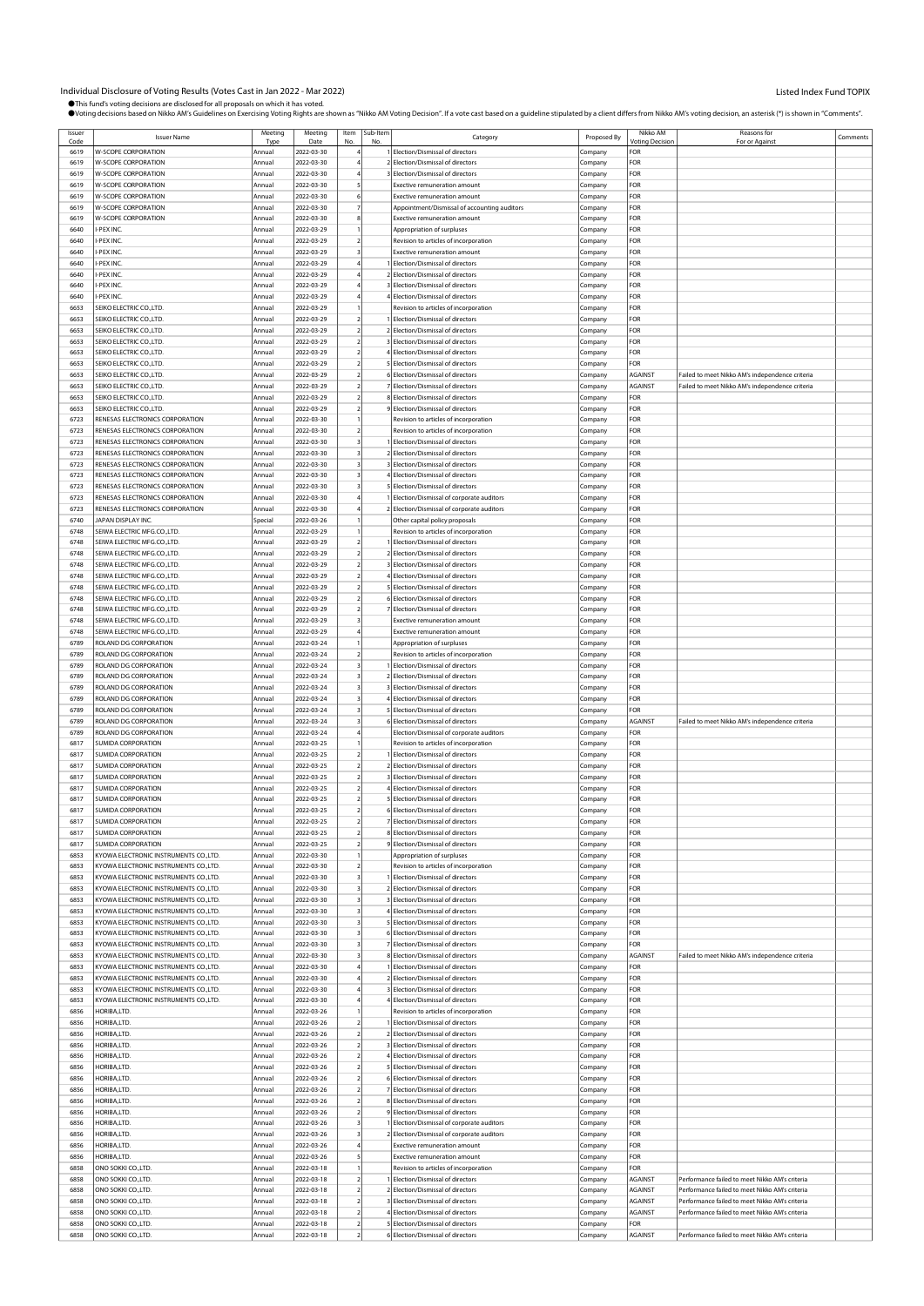| Issuer<br>Code | <b>Issuer Name</b>                                                             | Meeting<br>Type  | Meeting<br>Date          | Item<br>No. | Sub-Item<br>No. | Category                                                                      | Proposed By        | Nikko AM<br><b>Voting Decision</b> | Reasons for<br>For or Against                   | Comments |
|----------------|--------------------------------------------------------------------------------|------------------|--------------------------|-------------|-----------------|-------------------------------------------------------------------------------|--------------------|------------------------------------|-------------------------------------------------|----------|
| 6619           | <b>W-SCOPE CORPORATION</b>                                                     | Annual           | 2022-03-30               |             |                 | Election/Dismissal of directors                                               | Company            | FOR                                |                                                 |          |
| 6619           | <b>W-SCOPE CORPORATION</b>                                                     | Annual           | 2022-03-30               |             |                 | 2 Election/Dismissal of directors                                             | Company            | FOR                                |                                                 |          |
| 6619           | <b>W-SCOPE CORPORATION</b>                                                     | Annual           | 2022-03-30               |             |                 | 3 Election/Dismissal of directors                                             | Company            | FOR                                |                                                 |          |
| 6619           | W-SCOPE CORPORATION                                                            | Annual           | 2022-03-30               |             |                 | <b>Exective remuneration amount</b>                                           | Company            | FOR                                |                                                 |          |
| 6619           | <b>W-SCOPE CORPORATION</b>                                                     | Annual           | 2022-03-30               |             |                 | <b>Exective remuneration amount</b>                                           | Company            | <b>OR</b>                          |                                                 |          |
| 6619           | <b>W-SCOPE CORPORATION</b>                                                     | Annual           | 2022-03-30               |             |                 | Appointment/Dismissal of accounting auditors                                  | Company            | FOR                                |                                                 |          |
| 6619           | <b>W-SCOPE CORPORATION</b>                                                     | Annual           | 2022-03-30               |             |                 | xective remuneration amount                                                   | Company            | FOR                                |                                                 |          |
| 6640           | -PEX INC                                                                       | Annual           | 2022-03-29               |             |                 | Appropriation of surpluses                                                    | Company            | FOR                                |                                                 |          |
| 6640<br>6640   | -PEX INC.<br>-PEX INC.                                                         | Annual           | 2022-03-29               |             |                 | Revision to articles of incorporation                                         | Company            | FOR<br><b>OR</b>                   |                                                 |          |
| 6640           | -PEX INC                                                                       | Annual<br>Annual | 2022-03-29<br>2022-03-29 |             |                 | Exective remuneration amount<br>Election/Dismissal of directors               | Company<br>Company | FOR                                |                                                 |          |
| 6640           | -PEX INC.                                                                      | Annual           | 2022-03-29               |             |                 | 2 Election/Dismissal of directors                                             | Company            | FOR                                |                                                 |          |
| 6640           | -PEX INC.                                                                      | Annual           | 2022-03-29               |             |                 | Election/Dismissal of directors                                               | Company            | FOR                                |                                                 |          |
| 6640           | -PEX INC.                                                                      | Annual           | 2022-03-29               |             |                 | Election/Dismissal of directors                                               | Company            | FOR                                |                                                 |          |
| 6653           | SEIKO ELECTRIC CO.,LTD.                                                        | Annual           | 2022-03-29               |             |                 | Revision to articles of incorporation                                         | Company            | <b>OR</b>                          |                                                 |          |
| 6653           | SEIKO ELECTRIC CO.,LTD.                                                        | Annual           | 2022-03-29               |             |                 | Election/Dismissal of directors                                               | Company            | FOR                                |                                                 |          |
| 6653           | SEIKO ELECTRIC CO.,LTD.                                                        | Annual           | 2022-03-29               |             |                 | 2 Election/Dismissal of directors                                             | Company            | FOR                                |                                                 |          |
| 6653           | SEIKO ELECTRIC CO.,LTD.                                                        | Annual           | 2022-03-29               |             |                 | 3 Election/Dismissal of directors                                             | Company            | FOR                                |                                                 |          |
| 6653           | SEIKO ELECTRIC CO.,LTD.                                                        | Annual           | 2022-03-29               |             |                 | 4 Election/Dismissal of directors                                             | Company            | FOR                                |                                                 |          |
| 6653           | SEIKO ELECTRIC CO.,LTD.                                                        | Annual           | 2022-03-29               |             |                 | 5 Election/Dismissal of directors                                             | Company            | OR <sup>:</sup>                    |                                                 |          |
| 6653           | SEIKO ELECTRIC CO., LTD.                                                       | Annual           | 2022-03-29               |             |                 | 6 Election/Dismissal of directors                                             | Company            | <b>AGAINST</b>                     | Failed to meet Nikko AM's independence criteria |          |
| 6653<br>6653   | SEIKO ELECTRIC CO., LTD.                                                       | Annual           | 2022-03-29               |             |                 | 7 Election/Dismissal of directors                                             | Company            | <b>AGAINST</b>                     | Failed to meet Nikko AM's independence criteria |          |
| 6653           | SEIKO ELECTRIC CO.,LTD.<br>SEIKO ELECTRIC CO., LTD.                            | Annual<br>Annual | 2022-03-29<br>2022-03-29 |             |                 | Election/Dismissal of directors<br>9 Election/Dismissal of directors          | Company            | FOR<br>FOR                         |                                                 |          |
| 6723           | RENESAS ELECTRONICS CORPORATION                                                | Annual           | 2022-03-30               |             |                 | Revision to articles of incorporation                                         | Company<br>Company | <b>OR</b>                          |                                                 |          |
| 6723           | RENESAS ELECTRONICS CORPORATION                                                | Annual           | 2022-03-30               |             |                 | Revision to articles of incorporation                                         | Company            | FOR                                |                                                 |          |
| 6723           | RENESAS ELECTRONICS CORPORATION                                                | Annual           | 2022-03-30               |             |                 | Election/Dismissal of directors                                               | Company            | FOR                                |                                                 |          |
| 6723           | RENESAS ELECTRONICS CORPORATION                                                | Annual           | 2022-03-30               |             |                 | Election/Dismissal of directors                                               | Company            | FOR                                |                                                 |          |
| 6723           | RENESAS ELECTRONICS CORPORATION                                                | Annual           | 2022-03-30               |             |                 | 3 Election/Dismissal of directors                                             | Company            | FOR                                |                                                 |          |
| 6723           | RENESAS ELECTRONICS CORPORATION                                                | Annual           | 2022-03-30               |             |                 | Election/Dismissal of directors                                               | Company            | <b>OR</b>                          |                                                 |          |
| 6723           | RENESAS ELECTRONICS CORPORATION                                                | Annual           | 2022-03-30               |             |                 | Election/Dismissal of directors                                               | Company            | FOR                                |                                                 |          |
| 6723           | RENESAS ELECTRONICS CORPORATION                                                | Annual           | 2022-03-30               |             |                 | Election/Dismissal of corporate auditors                                      | Company            | FOR                                |                                                 |          |
| 6723           | RENESAS ELECTRONICS CORPORATION                                                | Annual           | 2022-03-30               |             |                 | Election/Dismissal of corporate auditors                                      | Company            | FOR                                |                                                 |          |
| 6740           | APAN DISPLAY INC.                                                              | Special          | 2022-03-26               |             |                 | Other capital policy proposals                                                | Company            | FOR                                |                                                 |          |
| 6748<br>6748   | SEIWA ELECTRIC MFG.CO.,LTD.                                                    | Annual           | 2022-03-29               |             |                 | Revision to articles of incorporation                                         | Company            | <b>OR</b>                          |                                                 |          |
| 6748           | SEIWA ELECTRIC MFG.CO.,LTD.<br>SEIWA ELECTRIC MFG.CO.,LTD.                     | Annual<br>Annual | 2022-03-29<br>2022-03-29 |             |                 | Election/Dismissal of directors<br>2 Election/Dismissal of directors          | Company<br>Company | FOR<br>FOR                         |                                                 |          |
| 6748           | SEIWA ELECTRIC MFG.CO.,LTD.                                                    | Annual           | 2022-03-29               |             |                 | Election/Dismissal of directors                                               | Company            | FOR                                |                                                 |          |
| 6748           | SEIWA ELECTRIC MFG.CO.,LTD.                                                    | Annual           | 2022-03-29               |             |                 | Election/Dismissal of directors                                               | Company            | FOR                                |                                                 |          |
| 6748           | SEIWA ELECTRIC MFG.CO.,LTD.                                                    | Annual           | 2022-03-29               |             |                 | Election/Dismissal of directors                                               | Company            | OR-                                |                                                 |          |
| 6748           | SEIWA ELECTRIC MFG.CO.,LTD.                                                    | Annual           | 2022-03-29               |             |                 | Election/Dismissal of directors                                               | Company            | FOR                                |                                                 |          |
| 6748           | SEIWA ELECTRIC MFG.CO.,LTD.                                                    | Annual           | 2022-03-29               |             |                 | Election/Dismissal of directors                                               | Company            | FOR                                |                                                 |          |
| 6748           | SEIWA ELECTRIC MFG.CO.,LTD.                                                    | Annual           | 2022-03-29               |             |                 | <b>Exective remuneration amount</b>                                           | Company            | FOR                                |                                                 |          |
| 6748           | SEIWA ELECTRIC MFG.CO.,LTD.                                                    | Annual           | 2022-03-29               |             |                 | <b>Exective remuneration amount</b>                                           | Company            | FOR                                |                                                 |          |
| 6789           | ROLAND DG CORPORATION                                                          | Annual           | 2022-03-24               |             |                 | Appropriation of surpluses                                                    | Company            | <b>OR</b>                          |                                                 |          |
| 6789           | ROLAND DG CORPORATION                                                          | Annual           | 2022-03-24               |             |                 | Revision to articles of incorporation                                         | Company            | FOR                                |                                                 |          |
| 6789           | ROLAND DG CORPORATION                                                          | Annual           | 2022-03-24               |             |                 | Election/Dismissal of directors                                               | Company            | OR:                                |                                                 |          |
| 6789<br>6789   | ROLAND DG CORPORATION                                                          | Annual           | 2022-03-24<br>2022-03-24 |             |                 | 2 Election/Dismissal of directors                                             | Company            | FOR<br>FOR                         |                                                 |          |
| 6789           | ROLAND DG CORPORATION<br>ROLAND DG CORPORATION                                 | Annual<br>Annual | 2022-03-24               |             |                 | 3 Election/Dismissal of directors<br>Election/Dismissal of directors          | Company<br>Company | OR <sup>:</sup>                    |                                                 |          |
| 6789           | ROLAND DG CORPORATION                                                          | Annual           | 2022-03-24               |             |                 | Election/Dismissal of directors                                               | Company            | FOR                                |                                                 |          |
| 6789           | ROLAND DG CORPORATION                                                          | Annual           | 2022-03-24               |             |                 | Election/Dismissal of directors                                               | Company            | AGAINST                            | Failed to meet Nikko AM's independence criteria |          |
| 6789           | ROLAND DG CORPORATION                                                          | Annual           | 2022-03-24               |             |                 | Election/Dismissal of corporate auditors                                      | Company            | FOR                                |                                                 |          |
| 6817           | SUMIDA CORPORATION                                                             | Annual           | 2022-03-25               |             |                 | Revision to articles of incorporation                                         | Company            | FOR                                |                                                 |          |
| 6817           | SUMIDA CORPORATION                                                             | Annual           | 2022-03-25               |             |                 | Election/Dismissal of directors                                               | Company            | <b>OR</b>                          |                                                 |          |
| 6817           | <b>SUMIDA CORPORATION</b>                                                      | Annual           | 2022-03-25               |             |                 | Election/Dismissal of directors                                               | Company            | FOR                                |                                                 |          |
| 6817           | <b>SUMIDA CORPORATION</b>                                                      | Annual           | 2022-03-25               |             |                 | Election/Dismissal of directors                                               | Company            | FOR                                |                                                 |          |
| 6817           | <b>SUMIDA CORPORATION</b>                                                      | Annual           | 2022-03-25               |             |                 | Election/Dismissal of directors                                               | Company            | FOR                                |                                                 |          |
| 6817           | <b>SUMIDA CORPORATION</b>                                                      | Annual           | 2022-03-25               |             |                 | 5 Election/Dismissal of directors                                             | Company            | FOR                                |                                                 |          |
| 6817           | SUMIDA CORPORATION<br><b>SUMIDA CORPORATION</b>                                | Annual           | 2022-03-25               | 2           |                 | 6 Election/Dismissal of directors                                             | .<br>Company       | FOR                                |                                                 |          |
| 6817           |                                                                                | Annual           | 2022-03-25               |             |                 | 7 Election/Dismissal of directors                                             | Company            | FOR                                |                                                 |          |
| 6817<br>6817   | <b>SUMIDA CORPORATION</b><br>SUMIDA CORPORATION                                | Annual<br>Annual | 2022-03-25<br>2022-03-25 |             |                 | 8 Election/Dismissal of directors<br>9 Election/Dismissal of directors        | Company<br>Company | FOR<br>FOR                         |                                                 |          |
| 6853           | KYOWA ELECTRONIC INSTRUMENTS CO.,LTD.                                          | Annual           | 2022-03-30               |             |                 | Appropriation of surpluses                                                    | Company            | FOR                                |                                                 |          |
| 6853           | KYOWA ELECTRONIC INSTRUMENTS CO.,LTD.                                          | Annual           | 2022-03-30               |             |                 | Revision to articles of incorporation                                         | Company            | FOR                                |                                                 |          |
| 6853           | KYOWA ELECTRONIC INSTRUMENTS CO.,LTD.                                          | Annual           | 2022-03-30               |             |                 | 1 Election/Dismissal of directors                                             | Company            | FOR                                |                                                 |          |
| 6853           | KYOWA ELECTRONIC INSTRUMENTS CO.,LTD.                                          | Annual           | 2022-03-30               |             |                 | 2 Election/Dismissal of directors                                             | Company            | FOR                                |                                                 |          |
| 6853           | KYOWA ELECTRONIC INSTRUMENTS CO.,LTD.                                          | Annual           | 2022-03-30               |             |                 | 3 Election/Dismissal of directors                                             | Company            | FOR                                |                                                 |          |
| 6853           | KYOWA ELECTRONIC INSTRUMENTS CO.,LTD.                                          | Annual           | 2022-03-30               |             |                 | 4 Election/Dismissal of directors                                             | Company            | FOR                                |                                                 |          |
| 6853           | KYOWA ELECTRONIC INSTRUMENTS CO.,LTD.                                          | Annual           | 2022-03-30               |             |                 | 5 Election/Dismissal of directors                                             | Company            | OR <sup>:</sup>                    |                                                 |          |
| 6853           | KYOWA ELECTRONIC INSTRUMENTS CO.,LTD.                                          | Annual           | 2022-03-30               |             |                 | 6 Election/Dismissal of directors                                             | Company            | FOR                                |                                                 |          |
| 6853           | (YOWA ELECTRONIC INSTRUMENTS CO.,LTD.                                          | Annual           | 2022-03-30               |             |                 | 7 Election/Dismissal of directors                                             | Company            | FOR                                |                                                 |          |
| 6853<br>6853   | KYOWA ELECTRONIC INSTRUMENTS CO.,LTD.<br>KYOWA ELECTRONIC INSTRUMENTS CO.,LTD. | Annual<br>Annual | 2022-03-30<br>2022-03-30 |             |                 | 8 Election/Dismissal of directors<br>Election/Dismissal of directors          | Company            | <b>AGAINST</b><br>FOR              | Failed to meet Nikko AM's independence criteria |          |
| 6853           | KYOWA ELECTRONIC INSTRUMENTS CO.,LTD.                                          | Annual           | 2022-03-30               |             |                 | 2 Election/Dismissal of directors                                             | Company<br>Company | FOR                                |                                                 |          |
| 6853           | KYOWA ELECTRONIC INSTRUMENTS CO., LTD.                                         | Annual           | 2022-03-30               |             |                 | 3 Election/Dismissal of directors                                             | Company            | FOR                                |                                                 |          |
| 6853           | (YOWA ELECTRONIC INSTRUMENTS CO.,LTD.                                          | Annual           | 2022-03-30               |             |                 | Election/Dismissal of directors                                               | Company            | FOR                                |                                                 |          |
| 6856           | <b>HORIBA,LTD.</b>                                                             | Annual           | 2022-03-26               |             |                 | Revision to articles of incorporation                                         | Company            | FOR                                |                                                 |          |
| 6856           | <b>HORIBA,LTD.</b>                                                             | Annual           | 2022-03-26               |             |                 | 1 Election/Dismissal of directors                                             | Company            | FOR                                |                                                 |          |
| 6856           | HORIBA,LTD.                                                                    | Annual           | 2022-03-26               |             |                 | 2 Election/Dismissal of directors                                             | Company            | OR-                                |                                                 |          |
| 6856           | HORIBA,LTD.                                                                    | Annual           | 2022-03-26               |             |                 | 3 Election/Dismissal of directors                                             | Company            | FOR                                |                                                 |          |
| 6856           | <b>HORIBA,LTD.</b>                                                             | Annual           | 2022-03-26               |             |                 | Election/Dismissal of directors                                               | Company            | FOR                                |                                                 |          |
| 6856           | <b>HORIBA,LTD.</b>                                                             | Annual           | 2022-03-26               |             |                 | 5 Election/Dismissal of directors                                             | Company            | FOR                                |                                                 |          |
| 6856           | HORIBA,LTD.                                                                    | Annual           | 2022-03-26               |             |                 | 6 Election/Dismissal of directors                                             | Company            | FOR                                |                                                 |          |
| 6856           | HORIBA,LTD.                                                                    | Annual           | 2022-03-26               |             |                 | 7 Election/Dismissal of directors                                             | Company            | FOR                                |                                                 |          |
| 6856           | HORIBA,LTD.                                                                    | Annual           | 2022-03-26               |             |                 | 8 Election/Dismissal of directors                                             | Company            | FOR                                |                                                 |          |
| 6856<br>6856   | <b>ORIBA,LTD.</b><br><b>HORIBA,LTD.</b>                                        | Annual<br>Annual | 2022-03-26<br>2022-03-26 |             |                 | 9 Election/Dismissal of directors<br>Election/Dismissal of corporate auditors | Company<br>Company | FOR<br>FOR                         |                                                 |          |
| 6856           | <b>HORIBA,LTD.</b>                                                             | Annual           | 2022-03-26               |             |                 | 2 Election/Dismissal of corporate auditors                                    | Company            | FOR                                |                                                 |          |
| 6856           | HORIBA,LTD.                                                                    | Annual           | 2022-03-26               |             |                 | <b>Exective remuneration amount</b>                                           | Company            | FOR                                |                                                 |          |
| 6856           | HORIBA,LTD.                                                                    | Annual           | 2022-03-26               |             |                 | <b>Exective remuneration amount</b>                                           | Company            | FOR                                |                                                 |          |
| 6858           | ONO SOKKI CO.,LTD.                                                             | Annual           | 2022-03-18               |             |                 | Revision to articles of incorporation                                         | Company            | FOR                                |                                                 |          |
| 6858           | ONO SOKKI CO., LTD.                                                            | Annual           | 2022-03-18               |             |                 | Election/Dismissal of directors                                               | Company            | <b>AGAINST</b>                     | Performance failed to meet Nikko AM's criteria  |          |
| 6858           | ONO SOKKI CO., LTD.                                                            | Annual           | 2022-03-18               |             |                 | 2 Election/Dismissal of directors                                             | Company            | <b>AGAINST</b>                     | Performance failed to meet Nikko AM's criteria  |          |
| 6858           | ONO SOKKI CO., LTD.                                                            | Annual           | 2022-03-18               |             |                 | 3 Election/Dismissal of directors                                             | Company            | AGAINST                            | Performance failed to meet Nikko AM's criteria  |          |
| 6858           | ONO SOKKI CO., LTD.                                                            | Annual           | 2022-03-18               |             |                 | 4 Election/Dismissal of directors                                             | Company            | <b>AGAINST</b>                     | Performance failed to meet Nikko AM's criteria  |          |
| 6858           | ONO SOKKI CO.,LTD.                                                             | Annual           | 2022-03-18               |             |                 | Election/Dismissal of directors                                               | Company            | ЮR                                 |                                                 |          |
| 6858           | ONO SOKKI CO., LTD.                                                            | Annual           | 2022-03-18               |             |                 | 6 Election/Dismissal of directors                                             | Company            | <b>AGAINST</b>                     | Performance failed to meet Nikko AM's criteria  |          |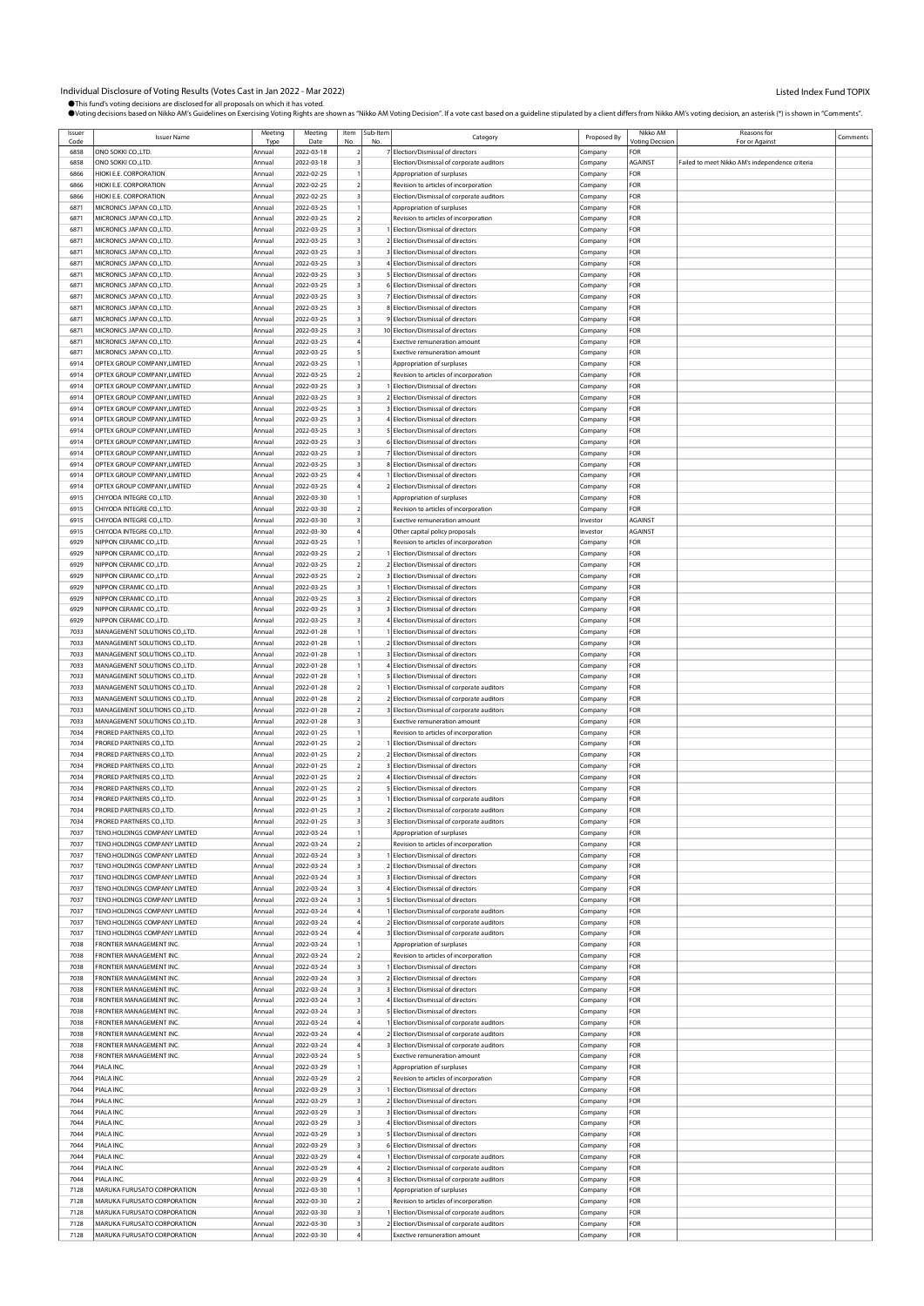| Issue | <b>Issuer Name</b>                   | Meetinc | Meeting    | Item | Sub-Item       | Category                                   | Proposed By | Nikko AM               | Reasons for                                     | Comments |
|-------|--------------------------------------|---------|------------|------|----------------|--------------------------------------------|-------------|------------------------|-------------------------------------------------|----------|
| Code  |                                      | Type    | Date       | No.  | Nο             |                                            |             | <b>Voting Decision</b> | For or Against                                  |          |
| 6858  | ONO SOKKI CO.,LTD.                   | Annual  | 2022-03-18 |      |                | 7 Election/Dismissal of directors          | Company     | FOR                    |                                                 |          |
| 6858  | ONO SOKKI CO.,LTD.                   | Annual  | 2022-03-18 |      |                | Election/Dismissal of corporate auditors   | Company     | AGAINST                | Failed to meet Nikko AM's independence criteria |          |
| 6866  | <b>HIOKI E.E. CORPORATION</b>        | Annual  | 2022-02-25 |      |                | Appropriation of surpluses                 | Company     | FOR                    |                                                 |          |
| 6866  | <b>HIOKI E.E. CORPORATION</b>        | Annual  | 2022-02-25 |      |                | Revision to articles of incorporation      | Company     | FOR                    |                                                 |          |
| 6866  | HIOKI E.E. CORPORATION               | Annual  | 2022-02-25 |      |                | Election/Dismissal of corporate auditors   | Company     | FOR                    |                                                 |          |
|       |                                      |         |            |      |                |                                            |             | FOR                    |                                                 |          |
| 6871  | MICRONICS JAPAN CO., LTD.            | Annual  | 2022-03-25 |      |                | Appropriation of surpluses                 | Company     |                        |                                                 |          |
| 6871  | MICRONICS JAPAN CO.,LTD.             | Annual  | 2022-03-25 |      |                | Revision to articles of incorporation      | Company     | FOR                    |                                                 |          |
| 6871  | <b>MICRONICS JAPAN CO.,LTD.</b>      | Annual  | 2022-03-25 | 3    |                | <b>Flection/Dismissal of directors</b>     | Company     | FOR                    |                                                 |          |
| 6871  | MICRONICS JAPAN CO.,LTD.             | Annual  | 2022-03-25 |      | $\mathcal{P}$  | Election/Dismissal of directors            | Company     | FOR                    |                                                 |          |
| 6871  | MICRONICS JAPAN CO.,LTD.             | Annual  | 2022-03-25 |      |                | Election/Dismissal of directors            | Company     | FOR                    |                                                 |          |
| 6871  | MICRONICS JAPAN CO., LTD.            | Annual  | 2022-03-25 |      |                | Election/Dismissal of directors            | Company     | FOR                    |                                                 |          |
|       |                                      |         |            |      |                |                                            |             |                        |                                                 |          |
| 6871  | MICRONICS JAPAN CO.,LTD.             | Annual  | 2022-03-25 | 3    |                | 5 Election/Dismissal of directors          | Company     | FOR                    |                                                 |          |
| 6871  | MICRONICS JAPAN CO.,LTD.             | Annual  | 2022-03-25 |      |                | Election/Dismissal of directors            | Company     | FOR                    |                                                 |          |
| 6871  | MICRONICS JAPAN CO.,LTD.             | Annual  | 2022-03-25 | 3    | $\overline{7}$ | Election/Dismissal of directors            | Company     | FOR                    |                                                 |          |
| 6871  | MICRONICS JAPAN CO.,LTD.             | Annual  | 2022-03-25 |      |                | Election/Dismissal of directors            | Company     | FOR                    |                                                 |          |
| 6871  | MICRONICS JAPAN CO., LTD.            | Annual  | 2022-03-25 |      |                | Election/Dismissal of directors            | Company     | FOR                    |                                                 |          |
| 6871  | MICRONICS JAPAN CO.,LTD.             | Annual  | 2022-03-25 |      |                | 10 Election/Dismissal of directors         |             | FOR                    |                                                 |          |
|       |                                      |         |            |      |                |                                            | Company     |                        |                                                 |          |
| 6871  | MICRONICS JAPAN CO.,LTD.             | Annual  | 2022-03-25 |      |                | <b>Exective remuneration amount</b>        | Company     | FOR                    |                                                 |          |
| 6871  | MICRONICS JAPAN CO.,LTD              | Annual  | 2022-03-25 |      |                | Exective remuneration amount               | Company     | FOR                    |                                                 |          |
| 6914  | OPTEX GROUP COMPANY, LIMITED         | Annual  | 2022-03-25 |      |                | Appropriation of surpluses                 | Company     | FOR                    |                                                 |          |
| 6914  | OPTEX GROUP COMPANY, LIMITED         | Annual  | 2022-03-25 |      |                | Revision to articles of incorporation      | Company     | FOR                    |                                                 |          |
| 6914  | OPTEX GROUP COMPANY, LIMITED         | Annual  | 2022-03-25 |      |                | 1 Election/Dismissal of directors          | Company     | FOR                    |                                                 |          |
| 6914  | OPTEX GROUP COMPANY.LIMITED          | Annual  | 2022-03-25 | 3    |                | Election/Dismissal of directors            | Company     | FOR                    |                                                 |          |
| 6914  | OPTEX GROUP COMPANY, LIMITED         | Annual  | 2022-03-25 | 3    |                | 3 Election/Dismissal of directors          |             | FOR                    |                                                 |          |
|       |                                      |         |            |      |                |                                            | Company     |                        |                                                 |          |
| 6914  | OPTEX GROUP COMPANY, LIMITED         | Annual  | 2022-03-25 |      |                | Election/Dismissal of directors            | Company     | FOR                    |                                                 |          |
| 6914  | OPTEX GROUP COMPANY, LIMITED         | Annual  | 2022-03-25 |      | 5              | Election/Dismissal of directors            | Company     | FOR                    |                                                 |          |
| 6914  | OPTEX GROUP COMPANY, LIMITED         | Annual  | 2022-03-25 | 3    |                | 6 Election/Dismissal of directors          | Company     | FOR                    |                                                 |          |
| 6914  | OPTEX GROUP COMPANY.LIMITED          | Annual  | 2022-03-25 |      |                | Election/Dismissal of directors            | Company     | FOR                    |                                                 |          |
| 6914  | OPTEX GROUP COMPANY, LIMITED         | Annual  | 2022-03-25 |      |                | 8 Election/Dismissal of directors          | Company     | FOR                    |                                                 |          |
|       |                                      |         |            |      |                |                                            |             |                        |                                                 |          |
| 6914  | OPTEX GROUP COMPANY, LIMITED         | Annual  | 2022-03-25 |      |                | Election/Dismissal of directors            | Company     | FOR                    |                                                 |          |
| 6914  | OPTEX GROUP COMPANY, LIMITED         | Annual  | 2022-03-25 |      | $\mathcal{P}$  | Election/Dismissal of directors            | Company     | FOR                    |                                                 |          |
| 6915  | CHIYODA INTEGRE CO., LTD.            | Annual  | 2022-03-30 |      |                | Appropriation of surpluses                 | Company     | FOR                    |                                                 |          |
| 6915  | CHIYODA INTEGRE CO.,LTD.             | Annual  | 2022-03-30 |      |                | Revision to articles of incorporation      | Company     | FOR                    |                                                 |          |
| 6915  | CHIYODA INTEGRE CO., LTD.            | Annual  | 2022-03-30 |      |                | Exective remuneration amount               | Investor    | <b>AGAINST</b>         |                                                 |          |
| 6915  | CHIYODA INTEGRE CO.,LTD.             | Annual  | 2022-03-30 |      |                | Other capital policy proposals             | Investor    | AGAINST                |                                                 |          |
| 6929  | NIPPON CERAMIC CO.,LTD.              | Annual  | 2022-03-25 |      |                | Revision to articles of incorporation      | Company     | FOR                    |                                                 |          |
|       |                                      |         |            |      |                |                                            |             |                        |                                                 |          |
| 6929  | NIPPON CERAMIC CO., LTD.             | Annual  | 2022-03-25 |      |                | Election/Dismissal of directors            | Company     | FOR                    |                                                 |          |
| 6929  | NIPPON CERAMIC CO.,LTD.              | Annual  | 2022-03-25 |      |                | Election/Dismissal of directors            | Company     | FOR                    |                                                 |          |
| 6929  | NIPPON CERAMIC CO.,LTD               | Annual  | 2022-03-25 |      |                | 3 Election/Dismissal of directors          | Company     | FOR                    |                                                 |          |
| 6929  | <b>NIPPON CERAMIC CO.,LTD.</b>       | Annual  | 2022-03-25 |      |                | Election/Dismissal of directors            | Company     | FOR                    |                                                 |          |
| 6929  | NIPPON CERAMIC CO., LTD.             | Annual  | 2022-03-25 |      | $\mathcal{P}$  | Election/Dismissal of directors            | Company     | FOR                    |                                                 |          |
| 6929  | NIPPON CERAMIC CO., LTD.             | Annual  | 2022-03-25 | 3    | $\mathbf{a}$   | Election/Dismissal of directors            | Company     | FOR                    |                                                 |          |
| 6929  | NIPPON CERAMIC CO.,LTD.              | Annual  | 2022-03-25 | 3    |                | Election/Dismissal of directors            | Company     | FOR                    |                                                 |          |
| 7033  | MANAGEMENT SOLUTIONS CO.,LTD.        | Annual  | 2022-01-28 |      |                | Election/Dismissal of directors            | Company     | FOR                    |                                                 |          |
| 7033  | <b>MANAGEMENT SOLUTIONS CO.,LTD.</b> | Annual  | 2022-01-28 |      |                | Election/Dismissal of directors            | Company     | FOR                    |                                                 |          |
| 7033  | MANAGEMENT SOLUTIONS CO.,LTD.        | Annual  | 2022-01-28 |      | 3              | Election/Dismissal of directors            | Company     | FOR                    |                                                 |          |
|       |                                      |         |            |      |                |                                            |             |                        |                                                 |          |
| 7033  | <b>MANAGEMENT SOLUTIONS CO.,LTD.</b> | Annual  | 2022-01-28 |      |                | Election/Dismissal of directors            | Company     | FOR                    |                                                 |          |
| 7033  | MANAGEMENT SOLUTIONS CO.,LTD.        | Annual  | 2022-01-28 |      |                | Election/Dismissal of directors            | Company     | FOR                    |                                                 |          |
| 7033  | MANAGEMENT SOLUTIONS CO.,LTD.        | Annual  | 2022-01-28 |      |                | Election/Dismissal of corporate auditors   | Company     | FOR                    |                                                 |          |
| 7033  | <b>MANAGEMENT SOLUTIONS CO.,LTD.</b> | Annual  | 2022-01-28 |      |                | Election/Dismissal of corporate auditors   | Company     | FOR                    |                                                 |          |
| 7033  | MANAGEMENT SOLUTIONS CO.,LTD.        | Annual  | 2022-01-28 |      | 3              | Election/Dismissal of corporate auditors   | Company     | FOR                    |                                                 |          |
| 7033  | <b>MANAGEMENT SOLUTIONS CO.,LTD.</b> | Annual  | 2022-01-28 |      |                | xective remuneration amount                | Company     | FOR                    |                                                 |          |
| 7034  | <b>PRORED PARTNERS CO.,LTD.</b>      | Annual  | 2022-01-25 |      |                | Revision to articles of incorporation      | Company     | FOR                    |                                                 |          |
| 7034  | PRORED PARTNERS CO., LTD.            | Annual  | 2022-01-25 |      |                | <b>Flection/Dismissal of directors</b>     | Company     | FOR                    |                                                 |          |
| 7034  | <b>PRORED PARTNERS CO.,LTD.</b>      | Annual  | 2022-01-25 |      |                | Election/Dismissal of directors            | Company     | FOR                    |                                                 |          |
| 7034  | PRORED PARTNERS CO., LTD.            | Annual  | 2022-01-25 |      | 3              | Election/Dismissal of directors            | Company     | FOR                    |                                                 |          |
| 7034  | PRORED PARTNERS CO., LTD.            | Annual  | 2022-01-25 |      |                | Election/Dismissal of directors            | Company     | FOR                    |                                                 |          |
| 7034  | PRORED PARTNERS CO.,LTD              | Annual  | 2022-01-25 |      |                | Election/Dismissal of directors            | Company     | FOR                    |                                                 |          |
|       |                                      |         |            |      |                |                                            |             |                        |                                                 |          |
| 7034  | PRORED PARTNERS CO., LTD.            | Annual  | 2022-01-25 | 3    |                | Election/Dismissal of corporate auditors   | Company     | FOR                    |                                                 |          |
| 7034  | PRORED PARTNERS CO., LTD.            | Annual  | 2022-01-25 |      | $\overline{2}$ | Election/Dismissal of corporate auditors   | Company     | FOR                    |                                                 |          |
| 7034  | PRORED PARTNERS CO.,LTD.             | Annual  | 2022-01-25 |      |                | 3 Election/Dismissal of corporate auditors | Company     | FOR                    |                                                 |          |
| 7037  | TENO.HOLDINGS COMPANY LIMITED        | Annual  | 2022-03-24 |      |                | Appropriation of surpluses                 | Company     | FOR                    |                                                 |          |
| 7037  | TENO.HOLDINGS COMPANY LIMITED        | Annual  | 2022-03-24 |      |                | Revision to articles of incorporation      | Company     | FOR                    |                                                 |          |
| 7037  | TENO.HOLDINGS COMPANY LIMITED        | Annual  | 2022-03-24 | 3    |                | 1 Election/Dismissal of directors          | Company     | FOR                    |                                                 |          |
| 7037  | TENO.HOLDINGS COMPANY LIMITED        | Annual  | 2022-03-24 |      |                | Election/Dismissal of directors            | Company     | FOR                    |                                                 |          |
| 7037  | TENO.HOLDINGS COMPANY LIMITED        | Annual  | 2022-03-24 |      |                | 3 Election/Dismissal of directors          | Company     | FOR                    |                                                 |          |
|       |                                      |         |            |      |                |                                            |             |                        |                                                 |          |
| 7037  | TENO.HOLDINGS COMPANY LIMITED        | Annual  | 2022-03-24 |      |                | 4 Election/Dismissal of directors          | Company     | FOR                    |                                                 |          |
| 7037  | TENO.HOLDINGS COMPANY LIMITED        | Annual  | 2022-03-24 | 3    |                | 5 Election/Dismissal of directors          | Company     | FOR                    |                                                 |          |
| 7037  | TENO.HOLDINGS COMPANY LIMITED        | Annual  | 2022-03-24 |      |                | Election/Dismissal of corporate auditors   | Company     | FOR                    |                                                 |          |
| 7037  | <b>FENO.HOLDINGS COMPANY LIMITED</b> | Annual  | 2022-03-24 |      |                | Election/Dismissal of corporate auditors   | Company     | FOR                    |                                                 |          |
| 7037  | TENO.HOLDINGS COMPANY LIMITED        | Annual  | 2022-03-24 |      |                | 3 Election/Dismissal of corporate auditors | Company     | FOR                    |                                                 |          |
| 7038  | RONTIER MANAGEMENT INC.              | Annual  | 2022-03-24 |      |                | Appropriation of surpluses                 | Company     | FOR                    |                                                 |          |
| 7038  | <b>FRONTIER MANAGEMENT INC</b>       | Annual  | 2022-03-24 |      |                | Revision to articles of incorporation      | Company     | FOR                    |                                                 |          |
| 7038  | FRONTIER MANAGEMENT INC.             |         |            |      |                | 1 Election/Dismissal of directors          |             | FOR                    |                                                 |          |
|       |                                      | Annual  | 2022-03-24 | 3    |                |                                            | Company     |                        |                                                 |          |
| 7038  | RONTIER MANAGEMENT INC.              | Annual  | 2022-03-24 |      | $\overline{2}$ | Election/Dismissal of directors            | Company     | FOR                    |                                                 |          |
| 7038  | RONTIER MANAGEMENT INC.              | Annual  | 2022-03-24 |      |                | 3 Election/Dismissal of directors          | Company     | FOR                    |                                                 |          |
| 7038  | <b>FRONTIER MANAGEMENT INC.</b>      | Annual  | 2022-03-24 |      |                | 4 Election/Dismissal of directors          | Company     | FOR                    |                                                 |          |
| 7038  | FRONTIER MANAGEMENT INC.             | Annual  | 2022-03-24 | 3    |                | 5 Election/Dismissal of directors          | Company     | FOR                    |                                                 |          |
| 7038  | FRONTIER MANAGEMENT INC.             | Annual  | 2022-03-24 |      |                | 1 Election/Dismissal of corporate auditors | Company     | FOR                    |                                                 |          |
| 7038  | <b>RONTIER MANAGEMENT INC.</b>       | Annual  | 2022-03-24 |      | $\overline{2}$ | Election/Dismissal of corporate auditors   | Company     | FOR                    |                                                 |          |
| 7038  | RONTIER MANAGEMENT INC.              | Annual  | 2022-03-24 |      |                | 3 Election/Dismissal of corporate auditors | Company     | FOR                    |                                                 |          |
| 7038  | RONTIER MANAGEMENT INC.              | Annual  | 2022-03-24 |      |                | Exective remuneration amount               | Company     | FOR                    |                                                 |          |
|       |                                      |         |            |      |                |                                            |             | FOR                    |                                                 |          |
| 7044  | PIALA INC.                           | Annual  | 2022-03-29 |      |                | Appropriation of surpluses                 | Company     |                        |                                                 |          |
| 7044  | PIALA INC.                           | Annual  | 2022-03-29 |      |                | Revision to articles of incorporation      | Company     | FOR                    |                                                 |          |
| 7044  | PIALA INC.                           | Annual  | 2022-03-29 |      |                | Election/Dismissal of directors            | Company     | FOR                    |                                                 |          |
| 7044  | PIALA INC.                           | Annual  | 2022-03-29 |      | $\overline{2}$ | Election/Dismissal of directors            | Company     | FOR                    |                                                 |          |
| 7044  | PIALA INC.                           | Annual  | 2022-03-29 |      |                | 3 Election/Dismissal of directors          | Company     | FOR                    |                                                 |          |
| 7044  | PIALA INC.                           | Annual  | 2022-03-29 | 3    |                | Election/Dismissal of directors            | Company     | FOR                    |                                                 |          |
| 7044  | PIALA INC.                           | Annual  | 2022-03-29 | 3    |                | 5 Election/Dismissal of directors          | Company     | FOR                    |                                                 |          |
| 7044  | PIALA INC.                           | Annual  | 2022-03-29 |      |                | Election/Dismissal of directors            | Company     | FOR                    |                                                 |          |
| 7044  | PIALA INC.                           | Annual  | 2022-03-29 |      |                | Election/Dismissal of corporate auditors   | Company     | FOR                    |                                                 |          |
| 7044  | PIALA INC.                           | Annual  | 2022-03-29 |      |                | 2 Election/Dismissal of corporate auditors | Company     | FOR                    |                                                 |          |
| 7044  | PIALA INC.                           | Annual  | 2022-03-29 |      | 3              | Election/Dismissal of corporate auditors   |             | FOR                    |                                                 |          |
| 7128  | MARUKA FURUSATO CORPORATION          |         | 2022-03-30 |      |                |                                            | Company     | FOR                    |                                                 |          |
|       |                                      | Annual  |            |      |                | Appropriation of surpluses                 | Company     |                        |                                                 |          |
| 7128  | MARUKA FURUSATO CORPORATION          | Annual  | 2022-03-30 |      |                | Revision to articles of incorporation      | Company     | FOR                    |                                                 |          |
| 7128  | MARUKA FURUSATO CORPORATION          | Annual  | 2022-03-30 |      |                | Election/Dismissal of corporate auditors   | Company     | FOR                    |                                                 |          |
| 7128  | MARUKA FURUSATO CORPORATION          | Annual  | 2022-03-30 |      | $\mathfrak{p}$ | Election/Dismissal of corporate auditors   | Company     | FOR                    |                                                 |          |
| 7128  | MARUKA FURUSATO CORPORATION          | Annual  | 2022-03-30 |      |                | Exective remuneration amount               | Company     | FOR                    |                                                 |          |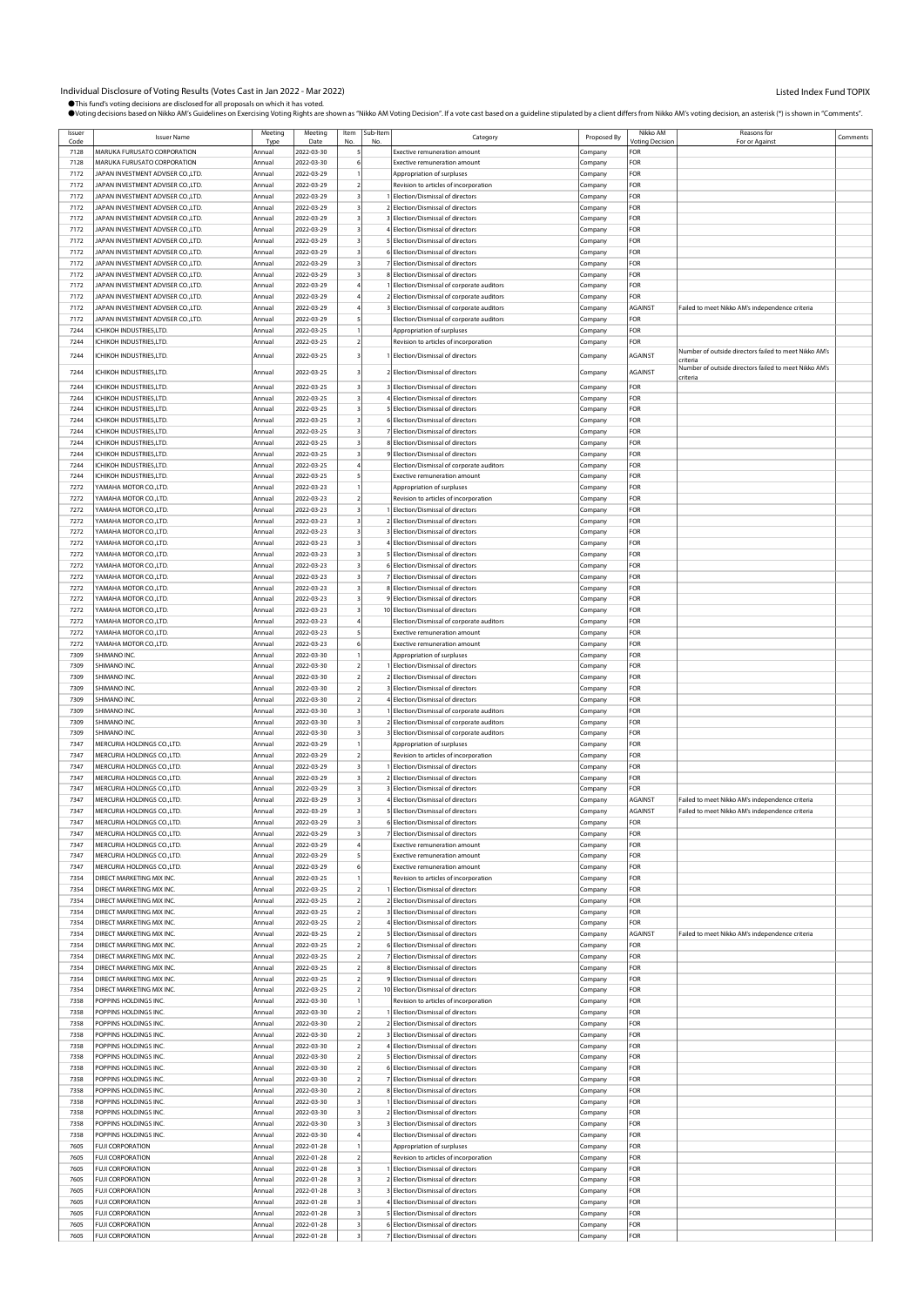| Issuer<br>Code | <b>Issuer Name</b>                                                           | Meeting<br>Type  | Meeting<br>Date          | Item<br>No. | Sub-Item<br>No | Category                                                                               | Proposed By        | Nikko AM<br><b>Voting Decision</b> | Reasons for<br>For or Against                                     | Comments |
|----------------|------------------------------------------------------------------------------|------------------|--------------------------|-------------|----------------|----------------------------------------------------------------------------------------|--------------------|------------------------------------|-------------------------------------------------------------------|----------|
| 7128           | MARUKA FURUSATO CORPORATION                                                  | Annual           | 2022-03-30               |             |                | Exective remuneration amount                                                           | Company            | FOR                                |                                                                   |          |
| 7128           | <b>MARUKA FURUSATO CORPORATION</b>                                           | Annual           | 2022-03-30               |             |                | xective remuneration amount                                                            | Company            | FOR                                |                                                                   |          |
| 7172           | <b>IAPAN INVESTMENT ADVISER CO.,LTD.</b>                                     | Annual           | 2022-03-29               |             |                | Appropriation of surpluses                                                             | Company            | FOR                                |                                                                   |          |
| 7172           | <b>IAPAN INVESTMENT ADVISER CO.,LTD.</b>                                     | Annual           | 2022-03-29               |             |                | Revision to articles of incorporation                                                  | Company            | FOR                                |                                                                   |          |
| 7172           | <b>IAPAN INVESTMENT ADVISER CO.,LTD.</b>                                     | Annual           | 2022-03-29               |             |                | Election/Dismissal of directors                                                        | Company            | FOR                                |                                                                   |          |
| 7172           | APAN INVESTMENT ADVISER CO.,LTD.                                             | Annual           | 2022-03-29               |             |                | 2 Election/Dismissal of directors                                                      | Company            | FOR                                |                                                                   |          |
| 7172           | APAN INVESTMENT ADVISER CO.,LTD.                                             | Annual           | 2022-03-29               |             |                | 3 Flection/Dismissal of directors                                                      | Company            | FOR                                |                                                                   |          |
| 7172           | <b>IAPAN INVESTMENT ADVISER CO.,LTD.</b>                                     | Annual           | 2022-03-29               |             |                | Election/Dismissal of directors                                                        | Company            | FOR                                |                                                                   |          |
| 7172<br>7172   | <b>IAPAN INVESTMENT ADVISER CO.,LTD.</b><br>APAN INVESTMENT ADVISER CO.,LTD. | Annual           | 2022-03-29<br>2022-03-29 |             |                | 5 Election/Dismissal of directors                                                      | Company            | FOR<br>FOR                         |                                                                   |          |
| 7172           | APAN INVESTMENT ADVISER CO.,LTD.                                             | Annual<br>Annual | 2022-03-29               |             |                | 6 Election/Dismissal of directors<br>7 Election/Dismissal of directors                 | Company            | FOR                                |                                                                   |          |
| 7172           | APAN INVESTMENT ADVISER CO.,LTD.                                             | Annual           | 2022-03-29               |             |                | 8 Election/Dismissal of directors                                                      | Company<br>Company | FOR                                |                                                                   |          |
| 7172           | APAN INVESTMENT ADVISER CO.,LTD.                                             | Annual           | 2022-03-29               |             |                | Election/Dismissal of corporate auditors                                               | Company            | FOR                                |                                                                   |          |
| 7172           | <b>IAPAN INVESTMENT ADVISER CO.,LTD.</b>                                     | Annual           | 2022-03-29               |             |                | 2 Election/Dismissal of corporate auditors                                             | Company            | FOR                                |                                                                   |          |
| 7172           | <b>IAPAN INVESTMENT ADVISER CO.,LTD.</b>                                     | Annual           | 2022-03-29               |             |                | 3 Election/Dismissal of corporate auditors                                             | Company            | AGAINST                            | Failed to meet Nikko AM's independence criteria                   |          |
| 7172           | APAN INVESTMENT ADVISER CO.,LTD.                                             | Annual           | 2022-03-29               |             |                | Election/Dismissal of corporate auditors                                               | Company            | FOR                                |                                                                   |          |
| 7244           | CHIKOH INDUSTRIES,LTD.                                                       | Annual           | 2022-03-25               |             |                | Appropriation of surpluses                                                             | Company            | FOR                                |                                                                   |          |
| 7244           | CHIKOH INDUSTRIES,LTD.                                                       | Annual           | 2022-03-25               |             |                | Revision to articles of incorporation                                                  | Company            | FOR                                |                                                                   |          |
| 7244           | CHIKOH INDUSTRIES,LTD.                                                       | Annual           | 2022-03-25               |             |                | 1 Election/Dismissal of directors                                                      | Company            | <b>AGAINST</b>                     | Number of outside directors failed to meet Nikko AM's             |          |
|                |                                                                              |                  |                          |             |                |                                                                                        |                    |                                    | criteria<br>Number of outside directors failed to meet Nikko AM's |          |
| 7244           | CHIKOH INDUSTRIES,LTD.                                                       | Annual           | 2022-03-25               |             |                | 2 Election/Dismissal of directors                                                      | Company            | <b>AGAINST</b>                     | criteria                                                          |          |
| 7244           | CHIKOH INDUSTRIES,LTD.                                                       | Annual           | 2022-03-25               |             |                | 3 Election/Dismissal of directors                                                      | Company            | FOR                                |                                                                   |          |
| 7244           | ICHIKOH INDUSTRIES,LTD.                                                      | Annual           | 2022-03-25               |             |                | 4 Election/Dismissal of directors                                                      | Company            | FOR                                |                                                                   |          |
| 7244           | CHIKOH INDUSTRIES,LTD.                                                       | Annual           | 2022-03-25               |             |                | Election/Dismissal of directors                                                        | Company            | FOR                                |                                                                   |          |
| 7244           | CHIKOH INDUSTRIES,LTD.                                                       | Annual           | 2022-03-25               |             |                | 6 Election/Dismissal of directors                                                      | Company            | FOR                                |                                                                   |          |
| 7244           | ICHIKOH INDUSTRIES,LTD.                                                      | Annual           | 2022-03-25               |             |                | 7 Election/Dismissal of directors                                                      | Company            | FOR                                |                                                                   |          |
| 7244           | CHIKOH INDUSTRIES.LTD.                                                       | Annual           | 2022-03-25               |             |                | 8 Election/Dismissal of directors                                                      | Company            | FOR                                |                                                                   |          |
| 7244           | ICHIKOH INDUSTRIES,LTD.                                                      | Annual           | 2022-03-25               |             |                | 9 Election/Dismissal of directors                                                      | Company            | FOR                                |                                                                   |          |
| 7244           | CHIKOH INDUSTRIES,LTD.                                                       | Annual           | 2022-03-25               |             |                | Election/Dismissal of corporate auditors<br><b>Exective remuneration amount</b>        | Company            | FOR<br>FOR                         |                                                                   |          |
| 7244<br>7272   | CHIKOH INDUSTRIES,LTD.<br>YAMAHA MOTOR CO.,LTD.                              | Annual<br>Annual | 2022-03-25<br>2022-03-23 |             |                | Appropriation of surpluses                                                             | Company<br>Company | FOR                                |                                                                   |          |
| 7272           | YAMAHA MOTOR CO.,LTD.                                                        | Annual           | 2022-03-23               |             |                | Revision to articles of incorporation                                                  | Company            | FOR                                |                                                                   |          |
| 7272           | <b>CAMAHA MOTOR CO.,LTD.</b>                                                 | Annual           | 2022-03-23               |             |                | 1 Election/Dismissal of directors                                                      | Company            | FOR                                |                                                                   |          |
| 7272           | YAMAHA MOTOR CO.,LTD.                                                        | Annual           | 2022-03-23               |             |                | Election/Dismissal of directors                                                        | Company            | FOR                                |                                                                   |          |
| 7272           | YAMAHA MOTOR CO.,LTD.                                                        | Annual           | 2022-03-23               |             |                | 3 Election/Dismissal of directors                                                      | Company            | FOR                                |                                                                   |          |
| 7272           | YAMAHA MOTOR CO.,LTD.                                                        | Annual           | 2022-03-23               |             |                | 4 Election/Dismissal of directors                                                      | Company            | FOR                                |                                                                   |          |
| 7272           | YAMAHA MOTOR CO.,LTD.                                                        | Annual           | 2022-03-23               |             |                | 5 Election/Dismissal of directors                                                      | Company            | FOR                                |                                                                   |          |
| 7272           | <b>AMAHA MOTOR CO.,LTD.</b>                                                  | Annual           | 2022-03-23               |             |                | 6 Election/Dismissal of directors                                                      | Company            | FOR                                |                                                                   |          |
| 7272           | YAMAHA MOTOR CO.,LTD.                                                        | Annual           | 2022-03-23               |             |                | 7 Election/Dismissal of directors                                                      | Company            | FOR                                |                                                                   |          |
| 7272           | YAMAHA MOTOR CO.,LTD.                                                        | Annual           | 2022-03-23               |             |                | 8 Election/Dismissal of directors                                                      | Company            | FOR                                |                                                                   |          |
| 7272           | YAMAHA MOTOR CO.,LTD.                                                        | Annual           | 2022-03-23               |             |                | 9 Election/Dismissal of directors                                                      | Company            | FOR                                |                                                                   |          |
| 7272           | YAMAHA MOTOR CO.,LTD.                                                        | Annual           | 2022-03-23               |             |                | 10 Election/Dismissal of directors                                                     | Company            | FOR                                |                                                                   |          |
| 7272           | <b>AMAHA MOTOR CO.,LTD.</b>                                                  | Annual           | 2022-03-23               |             |                | Election/Dismissal of corporate auditors                                               | Company            | FOR                                |                                                                   |          |
| 7272           | <b>AMAHA MOTOR CO.,LTD.</b>                                                  | Annual           | 2022-03-23               |             |                | Exective remuneration amount                                                           | Company            | FOR                                |                                                                   |          |
| 7272           | YAMAHA MOTOR CO.,LTD.                                                        | Annual           | 2022-03-23               |             |                | <b>Exective remuneration amount</b>                                                    | Company            | FOR                                |                                                                   |          |
| 7309           | SHIMANO INC.                                                                 | Annual           | 2022-03-30               |             |                | Appropriation of surpluses                                                             | Company            | FOR                                |                                                                   |          |
| 7309           | SHIMANO INC.                                                                 | Annual           | 2022-03-30               |             |                | Election/Dismissal of directors                                                        | Company            | FOR                                |                                                                   |          |
| 7309           | SHIMANO INC.                                                                 | Annual           | 2022-03-30               |             |                | 2 Election/Dismissal of directors                                                      | Company            | FOR                                |                                                                   |          |
| 7309           | SHIMANO INC.                                                                 | Annual           | 2022-03-30               |             |                | Election/Dismissal of directors                                                        | Company            | FOR                                |                                                                   |          |
| 7309           | SHIMANO INC.                                                                 | Annual           | 2022-03-30               |             |                | Election/Dismissal of directors                                                        | Company            | FOR                                |                                                                   |          |
| 7309<br>7309   | SHIMANO INC.<br>SHIMANO INC.                                                 | Annual           | 2022-03-30               |             |                | Election/Dismissal of corporate auditors                                               | Company            | FOR<br>FOR                         |                                                                   |          |
| 7309           | SHIMANO INC.                                                                 | Annual<br>Annual | 2022-03-30<br>2022-03-30 |             |                | Election/Dismissal of corporate auditors<br>3 Election/Dismissal of corporate auditors | Company            | FOR                                |                                                                   |          |
| 7347           | MERCURIA HOLDINGS CO.,LTD.                                                   | Annual           | 2022-03-29               |             |                | Appropriation of surpluses                                                             | Company<br>Company | FOR                                |                                                                   |          |
| 7347           | MERCURIA HOLDINGS CO., LTD.                                                  | Annual           | 2022-03-29               |             |                | Revision to articles of incorporation                                                  | Company            | FOR                                |                                                                   |          |
| 7347           | MERCURIA HOLDINGS CO.,LTD.                                                   | Annual           | 2022-03-29               |             |                | Election/Dismissal of directors                                                        | Company            | FOR                                |                                                                   |          |
| 7347           | MERCURIA HOLDINGS CO.,LTD.                                                   | Annual           | 2022-03-29               |             |                | Election/Dismissal of directors                                                        | Company            | FOR                                |                                                                   |          |
| 7347           | MERCURIA HOLDINGS CO.,LTD                                                    | Annual           | 2022-03-29               |             |                | 3 Election/Dismissal of directors                                                      | Company            | FOR                                |                                                                   |          |
| 7347           | MERCURIA HOLDINGS CO., LTD.                                                  | Annual           | 2022-03-29               |             |                | Election/Dismissal of directors                                                        | Company            | <b>AGAINST</b>                     | Failed to meet Nikko AM's independence criteria                   |          |
| 7347           | MERCURIA HOLDINGS CO., LTD                                                   | Annual           | 2022-03-29               |             |                | Election/Dismissal of director                                                         | Company            | <b>AGAINST</b>                     | Failed to meet Nikko AM's independence criteria                   |          |
| 7347           | MERCURIA HOLDINGS CO., LTD.                                                  | Annual           | 2022-03-29               |             |                | 6 Election/Dismissal of directors                                                      | Company            | FOR                                |                                                                   |          |
| 7347           | MERCURIA HOLDINGS CO., LTD.                                                  | Annual           | 2022-03-29               |             |                | 7 Election/Dismissal of directors                                                      | Company            | FOR                                |                                                                   |          |
| 7347           | MERCURIA HOLDINGS CO., LTD.                                                  | Annual           | 2022-03-29               |             |                | <b>Exective remuneration amount</b>                                                    | Company            | FOR                                |                                                                   |          |
| 7347           | MERCURIA HOLDINGS CO., LTD.                                                  | Annual           | 2022-03-29               |             |                | <b>Exective remuneration amount</b>                                                    | Company            | FOR                                |                                                                   |          |
| 7347           | MERCURIA HOLDINGS CO., LTD.                                                  | Annual           | 2022-03-29               |             |                | Exective remuneration amount                                                           | Company            | FOR                                |                                                                   |          |
| 7354           | DIRECT MARKETING MIX INC.                                                    | Annual           | 2022-03-25               |             |                | Revision to articles of incorporation                                                  | Company            | FOR                                |                                                                   |          |
| 7354<br>7354   | DIRECT MARKETING MIX INC.<br>DIRECT MARKETING MIX INC.                       | Annual           | 2022-03-25<br>2022-03-25 |             |                | Election/Dismissal of directors<br>2 Election/Dismissal of directors                   | Company            | FOR<br>FOR                         |                                                                   |          |
| 7354           | DIRECT MARKETING MIX INC.                                                    | Annual<br>Annual | 2022-03-25               |             |                | 3 Election/Dismissal of directors                                                      | Company<br>Company | FOR                                |                                                                   |          |
| 7354           | DIRECT MARKETING MIX INC.                                                    | Annual           | 2022-03-25               |             |                | 4 Election/Dismissal of directors                                                      | Company            | FOR                                |                                                                   |          |
| 7354           | DIRECT MARKETING MIX INC.                                                    | Annual           | 2022-03-25               |             |                | 5 Election/Dismissal of directors                                                      | Company            | <b>AGAINST</b>                     | Failed to meet Nikko AM's independence criteria                   |          |
| 7354           | DIRECT MARKETING MIX INC.                                                    | Annual           | 2022-03-25               |             |                | 6 Election/Dismissal of directors                                                      | Company            | FOR                                |                                                                   |          |
| 7354           | DIRECT MARKETING MIX INC.                                                    | Annual           | 2022-03-25               |             |                | 7 Election/Dismissal of directors                                                      | Company            | FOR                                |                                                                   |          |
| 7354           | DIRECT MARKETING MIX INC.                                                    | Annual           | 2022-03-25               |             |                | 8 Election/Dismissal of directors                                                      | Company            | FOR                                |                                                                   |          |
| 7354           | DIRECT MARKETING MIX INC.                                                    | Annual           | 2022-03-25               |             |                | 9 Election/Dismissal of directors                                                      | Company            | FOR                                |                                                                   |          |
| 7354           | DIRECT MARKETING MIX INC.                                                    | Annual           | 2022-03-25               |             |                | 10 Election/Dismissal of directors                                                     | Company            | FOR                                |                                                                   |          |
| 7358           | POPPINS HOLDINGS INC.                                                        | Annual           | 2022-03-30               |             |                | Revision to articles of incorporation                                                  | Company            | FOR                                |                                                                   |          |
| 7358           | POPPINS HOLDINGS INC.                                                        | Annual           | 2022-03-30               |             |                | 1 Election/Dismissal of directors                                                      | Company            | FOR                                |                                                                   |          |
| 7358           | POPPINS HOLDINGS INC.                                                        | Annual           | 2022-03-30               |             |                | 2 Election/Dismissal of directors                                                      | Company            | FOR                                |                                                                   |          |
| 7358           | POPPINS HOLDINGS INC.                                                        | Annual           | 2022-03-30               |             |                | 3 Election/Dismissal of directors                                                      | Company            | FOR                                |                                                                   |          |
| 7358           | POPPINS HOLDINGS INC.                                                        | Annual           | 2022-03-30               |             |                | 4 Election/Dismissal of directors                                                      | Company            | FOR                                |                                                                   |          |
| 7358           | POPPINS HOLDINGS INC.                                                        | Annual           | 2022-03-30               |             |                | 5 Election/Dismissal of directors                                                      | Company            | FOR                                |                                                                   |          |
| 7358<br>7358   | POPPINS HOLDINGS INC.<br>POPPINS HOLDINGS INC.                               | Annual           | 2022-03-30<br>2022-03-30 |             |                | 6 Election/Dismissal of directors<br>7 Election/Dismissal of directors                 | Company            | FOR<br>FOR                         |                                                                   |          |
| 7358           | POPPINS HOLDINGS INC.                                                        | Annual           | 2022-03-30               |             |                | 8 Election/Dismissal of directors                                                      | Company            | FOR                                |                                                                   |          |
| 7358           | POPPINS HOLDINGS INC.                                                        | Annual<br>Annual | 2022-03-30               |             |                | Election/Dismissal of directors                                                        | Company<br>Company | FOR                                |                                                                   |          |
| 7358           | POPPINS HOLDINGS INC.                                                        | Annual           | 2022-03-30               |             |                | Election/Dismissal of directors                                                        | Company            | FOR                                |                                                                   |          |
| 7358           | POPPINS HOLDINGS INC.                                                        | Annual           | 2022-03-30               |             |                | 3 Election/Dismissal of directors                                                      | Company            | FOR                                |                                                                   |          |
| 7358           | POPPINS HOLDINGS INC.                                                        | Annual           | 2022-03-30               |             |                | Election/Dismissal of directors                                                        | Company            | FOR                                |                                                                   |          |
| 7605           | <b>FUJI CORPORATION</b>                                                      | Annual           | 2022-01-28               |             |                | Appropriation of surpluses                                                             | Company            | FOR                                |                                                                   |          |
| 7605           | UJI CORPORATION                                                              | Annual           | 2022-01-28               |             |                | Revision to articles of incorporation                                                  | Company            | FOR                                |                                                                   |          |
| 7605           | <b>FUJI CORPORATION</b>                                                      | Annual           | 2022-01-28               |             |                | Election/Dismissal of directors                                                        | Company            | FOR                                |                                                                   |          |
| 7605           | <b>FUJI CORPORATION</b>                                                      | Annual           | 2022-01-28               |             |                | 2 Election/Dismissal of directors                                                      | Company            | FOR                                |                                                                   |          |
| 7605           | <b>FUJI CORPORATION</b>                                                      | Annual           | 2022-01-28               |             |                | 3 Election/Dismissal of directors                                                      | Company            | FOR                                |                                                                   |          |
| 7605           | <b>UJI CORPORATION</b>                                                       | Annual           | 2022-01-28               |             |                | 4 Election/Dismissal of directors                                                      | Company            | FOR                                |                                                                   |          |
| 7605           | UJI CORPORATION                                                              | Annual           | 2022-01-28               |             |                | 5 Election/Dismissal of directors                                                      | Company            | FOR                                |                                                                   |          |
| 7605           | <b>FUJI CORPORATION</b>                                                      | Annual           | 2022-01-28               |             |                | 6 Election/Dismissal of directors                                                      | Company            | FOR                                |                                                                   |          |
| 7605           | <b>FUJI CORPORATION</b>                                                      | Annual           | 2022-01-28               |             |                | 7 Election/Dismissal of directors                                                      | Company            | FOR                                |                                                                   |          |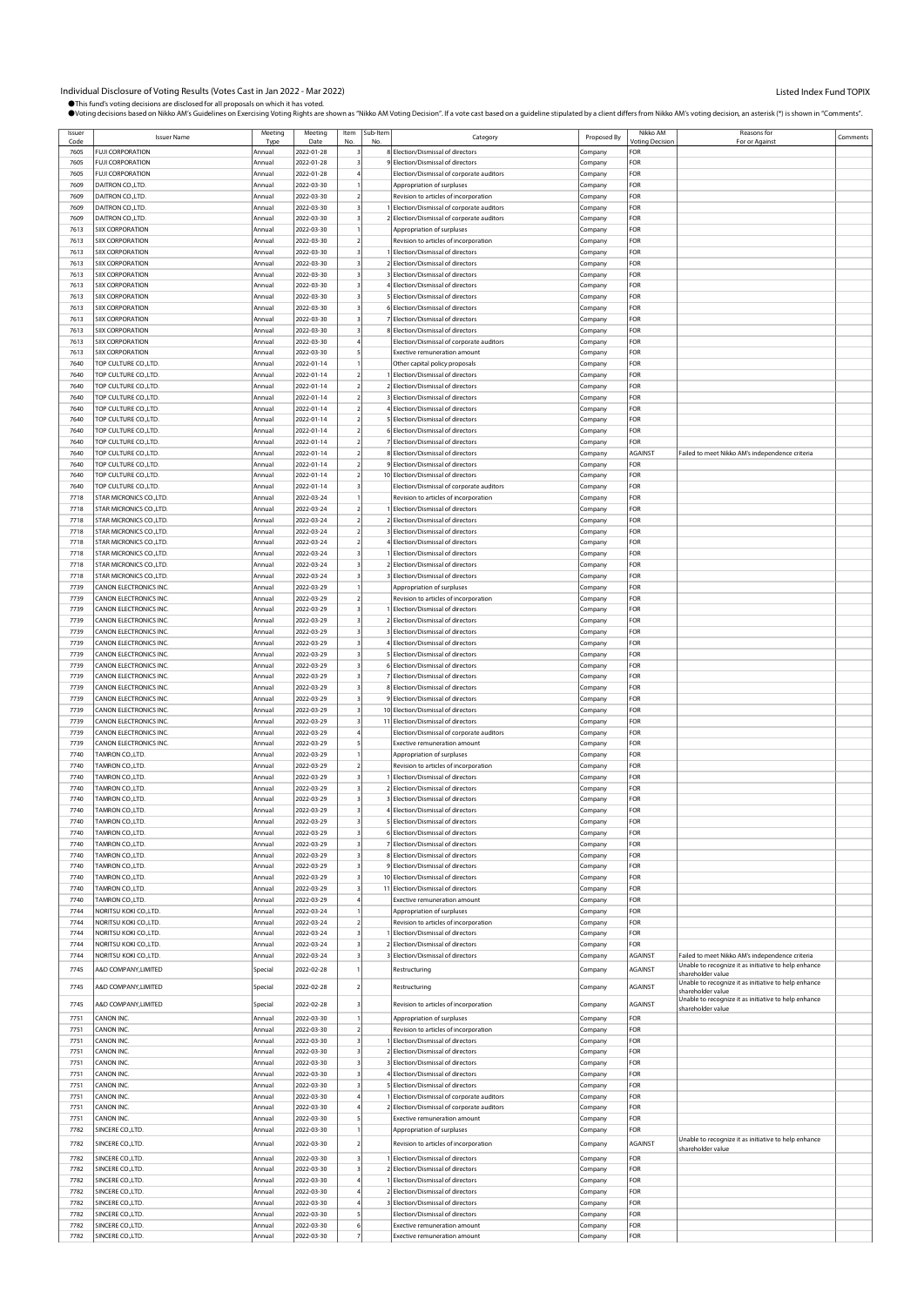| Issuer       | <b>Issuer Name</b>                                 | Meeting          | Meeting                  | Item | Sub-Item | Category                                                                   | Proposed By        | Nikko AM                      | Reasons for<br>For or Against                                                                           | Comments |
|--------------|----------------------------------------------------|------------------|--------------------------|------|----------|----------------------------------------------------------------------------|--------------------|-------------------------------|---------------------------------------------------------------------------------------------------------|----------|
| Code<br>7605 | <b>FUJI CORPORATION</b>                            | Type<br>Annual   | Date<br>2022-01-28       | No.  | No.      | 8 Election/Dismissal of directors                                          | Company            | <b>Voting Decision</b><br>FOR |                                                                                                         |          |
| 7605         | <b>FUJI CORPORATION</b>                            | Annual           | 2022-01-28               |      |          | 9 Election/Dismissal of directors                                          | Company            | FOR                           |                                                                                                         |          |
| 7605         | <b>FUJI CORPORATION</b>                            | Annual           | 2022-01-28               |      |          | Election/Dismissal of corporate auditors                                   | Company            | FOR                           |                                                                                                         |          |
| 7609         | DAITRON CO., LTD.                                  | Annual           | 2022-03-30               |      |          |                                                                            |                    | FOR                           |                                                                                                         |          |
| 7609         | DAITRON CO., LTD.                                  | Annual           | 2022-03-30               |      |          | Appropriation of surpluses<br>Revision to articles of incorporation        | Company            | FOR                           |                                                                                                         |          |
| 7609         | DAITRON CO., LTD.                                  | Annual           | 2022-03-30               |      |          | 1 Election/Dismissal of corporate auditors                                 | Company<br>Company | FOR                           |                                                                                                         |          |
| 7609         | DAITRON CO.,LTD.                                   | Annual           | 2022-03-30               |      |          | 2 Election/Dismissal of corporate auditors                                 | Company            | FOR                           |                                                                                                         |          |
| 7613         | SIIX CORPORATION                                   | Annual           | 2022-03-30               |      |          | Appropriation of surpluses                                                 | Company            | FOR                           |                                                                                                         |          |
| 7613         | <b>SIIX CORPORATION</b>                            | Annual           | 2022-03-30               |      |          |                                                                            |                    | FOR                           |                                                                                                         |          |
| 7613         | <b>SIIX CORPORATION</b>                            | Annual           | 2022-03-30               |      |          | Revision to articles of incorporation<br>1 Election/Dismissal of directors | Company            | FOR                           |                                                                                                         |          |
| 7613         | <b>SIIX CORPORATION</b>                            | Annual           | 2022-03-30               |      |          | 2 Election/Dismissal of directors                                          | Company<br>Company | FOR                           |                                                                                                         |          |
|              |                                                    |                  | 2022-03-30               |      |          |                                                                            |                    |                               |                                                                                                         |          |
| 7613         | <b>SIIX CORPORATION</b>                            | Annual           |                          |      |          | 3 Election/Dismissal of directors<br>4 Election/Dismissal of directors     | Company            | FOR                           |                                                                                                         |          |
| 7613         | <b>SIIX CORPORATION</b><br><b>SIIX CORPORATION</b> | Annual           | 2022-03-30               |      |          | 5 Election/Dismissal of directors                                          | Company            | FOR                           |                                                                                                         |          |
| 7613         |                                                    | Annual           | 2022-03-30               |      |          |                                                                            | Company            | FOR                           |                                                                                                         |          |
| 7613         | <b>SIIX CORPORATION</b>                            | Annual           | 2022-03-30               |      |          | 6 Election/Dismissal of directors                                          | Company            | FOR                           |                                                                                                         |          |
| 7613         | <b>SIIX CORPORATION</b>                            | Annual           | 2022-03-30               |      |          | 7 Election/Dismissal of directors                                          | Company            | FOR                           |                                                                                                         |          |
| 7613         | <b>SIIX CORPORATION</b>                            | Annual           | 2022-03-30               |      |          | 8 Election/Dismissal of directors                                          | Company            | FOR                           |                                                                                                         |          |
| 7613         | <b>SIIX CORPORATION</b>                            | Annual           | 2022-03-30               |      |          | Election/Dismissal of corporate auditors                                   | Company            | FOR                           |                                                                                                         |          |
| 7613         | SIIX CORPORATION                                   | Annual           | 2022-03-30               |      |          | Exective remuneration amount                                               | Company            | FOR                           |                                                                                                         |          |
| 7640         | TOP CULTURE CO.,LTD.                               | Annual           | 2022-01-14               |      |          | Other capital policy proposals                                             | Company            | FOR                           |                                                                                                         |          |
| 7640         | TOP CULTURE CO.,LTD.                               | Annual           | 2022-01-14               |      |          | 1 Election/Dismissal of directors                                          | Company            | FOR                           |                                                                                                         |          |
| 7640         | TOP CULTURE CO.,LTD.                               | Annual           | 2022-01-14               |      |          | 2 Election/Dismissal of directors                                          | Company            | FOR                           |                                                                                                         |          |
| 7640         | TOP CULTURE CO.,LTD.                               | Annual           | 2022-01-14               |      |          | 3 Election/Dismissal of directors                                          | Company            | FOR                           |                                                                                                         |          |
| 7640         | TOP CULTURE CO.,LTD.                               | Annual           | 2022-01-14               |      |          | 4 Election/Dismissal of directors                                          | Company            | FOR                           |                                                                                                         |          |
| 7640         | TOP CULTURE CO.,LTD.                               | Annual           | 2022-01-14               |      |          | 5 Election/Dismissal of directors                                          | Company            | FOR                           |                                                                                                         |          |
| 7640         | TOP CULTURE CO.,LTD.                               | Annual           | 2022-01-14               |      |          | 6 Election/Dismissal of directors                                          | Company            | FOR                           |                                                                                                         |          |
| 7640         | TOP CULTURE CO.,LTD.                               | Annual           | 2022-01-14               |      |          | 7 Election/Dismissal of directors                                          | Company            | FOR                           |                                                                                                         |          |
| 7640         | TOP CULTURE CO.,LTD.                               | Annual           | 2022-01-14               |      |          | 8 Election/Dismissal of directors                                          | Company            | AGAINST                       | Failed to meet Nikko AM's independence criteria                                                         |          |
| 7640         | top culture co.,LTD.                               | Annual           | 2022-01-14               |      |          | 9 Election/Dismissal of directors                                          | Company            | FOR                           |                                                                                                         |          |
| 7640         | TOP CULTURE CO.,LTD.                               | Annual           | 2022-01-14               |      |          | 10 Election/Dismissal of directors                                         | Company            | FOR                           |                                                                                                         |          |
| 7640         | TOP CULTURE CO.,LTD.                               | Annual           | 2022-01-14               |      |          | Election/Dismissal of corporate auditors                                   | Company            | FOR                           |                                                                                                         |          |
| 7718         | STAR MICRONICS CO., LTD.                           | Annual           | 2022-03-24               |      |          | Revision to articles of incorporation                                      | Company            | FOR                           |                                                                                                         |          |
| 7718         | STAR MICRONICS CO., LTD.                           | Annual           | 2022-03-24               |      |          | 1 Election/Dismissal of directors                                          | Company            | FOR                           |                                                                                                         |          |
| 7718         | STAR MICRONICS CO., LTD.                           | Annual           | 2022-03-24               |      |          | 2 Election/Dismissal of directors                                          | Company            | FOR                           |                                                                                                         |          |
| 7718         | STAR MICRONICS CO., LTD.                           | Annual           | 2022-03-24               |      |          | 3 Election/Dismissal of directors                                          | Company            | FOR                           |                                                                                                         |          |
| 7718         | STAR MICRONICS CO., LTD.                           | Annual           | 2022-03-24               |      |          | 4 Election/Dismissal of directors                                          | Company            | FOR                           |                                                                                                         |          |
| 7718         | STAR MICRONICS CO., LTD.                           | Annual           | 2022-03-24               |      |          | 1 Election/Dismissal of directors                                          | Company            | FOR                           |                                                                                                         |          |
| 7718         | STAR MICRONICS CO., LTD.                           | Annual           | 2022-03-24               |      |          | 2 Election/Dismissal of directors                                          | Company            | FOR                           |                                                                                                         |          |
| 7718         | STAR MICRONICS CO., LTD.                           | Annual           | 2022-03-24               |      |          | 3 Election/Dismissal of directors                                          | Company            | FOR                           |                                                                                                         |          |
| 7739         | CANON ELECTRONICS INC.                             | Annual           | 2022-03-29               |      |          | Appropriation of surpluses                                                 | Company            | FOR                           |                                                                                                         |          |
| 7739         | CANON ELECTRONICS INC.                             | Annual           | 2022-03-29               |      |          | Revision to articles of incorporation                                      | Company            | FOR                           |                                                                                                         |          |
| 7739         | CANON ELECTRONICS INC.                             | Annual           | 2022-03-29               |      |          | 1 Election/Dismissal of directors                                          | Company            | FOR                           |                                                                                                         |          |
| 7739         | CANON ELECTRONICS INC.                             | Annual           | 2022-03-29               |      |          | 2 Election/Dismissal of directors                                          | Company            | FOR                           |                                                                                                         |          |
| 7739         | CANON ELECTRONICS INC.                             | Annual           | 2022-03-29               |      |          | 3 Election/Dismissal of directors                                          | Company            | FOR                           |                                                                                                         |          |
| 7739         | CANON ELECTRONICS INC.                             | Annual           | 2022-03-29               |      |          | 4 Election/Dismissal of directors                                          | Company            | FOR                           |                                                                                                         |          |
| 7739         | CANON ELECTRONICS INC.                             | Annual           | 2022-03-29               |      |          | 5 Election/Dismissal of directors                                          | Company            | FOR                           |                                                                                                         |          |
| 7739         | <b>LANON ELECTRONICS INC.</b>                      | Annual           | 2022-03-29               |      |          | 6 Election/Dismissal of directors                                          | Company            | FOR                           |                                                                                                         |          |
| 7739         | CANON ELECTRONICS INC.                             | Annual           | 2022-03-29               |      |          | 7 Election/Dismissal of directors                                          | Company            | FOR                           |                                                                                                         |          |
| 7739         | CANON ELECTRONICS INC.                             | Annual           | 2022-03-29               |      |          | 8 Election/Dismissal of directors                                          | Company            | FOR                           |                                                                                                         |          |
| 7739         | CANON ELECTRONICS INC.                             | Annual           | 2022-03-29               |      |          | 9 Election/Dismissal of directors                                          | Company            | FOR                           |                                                                                                         |          |
| 7739         | CANON ELECTRONICS INC.                             | Annual           | 2022-03-29               |      |          | 10 Election/Dismissal of directors                                         | Company            | FOR                           |                                                                                                         |          |
| 7739         | <b>LANON ELECTRONICS INC.</b>                      | Annual           | 2022-03-29               |      |          | 11 Election/Dismissal of directors                                         | Company            | FOR                           |                                                                                                         |          |
| 7739         | CANON ELECTRONICS INC.                             | Annual           | 2022-03-29               |      |          | Election/Dismissal of corporate auditors                                   | Company            | FOR                           |                                                                                                         |          |
| 7739         | CANON ELECTRONICS INC.                             | Annual           | 2022-03-29               |      |          | Exective remuneration amount                                               | Company            | FOR                           |                                                                                                         |          |
| 7740         | TAMRON CO.,LTD.                                    | Annual           | 2022-03-29               |      |          | Appropriation of surpluses                                                 | Company            | FOR                           |                                                                                                         |          |
| 7740         | TAMRON CO.,LTD.                                    | Annual           | 2022-03-29               |      |          | Revision to articles of incorporation                                      | Company            | FOR                           |                                                                                                         |          |
| 7740         | AMRON CO.,LTD.                                     | Annual           | 2022-03-29               |      |          | Election/Dismissal of directors                                            | Company            | FOR                           |                                                                                                         |          |
| 7740         | AMRON CO.,LTD.                                     | Annual           | 2022-03-29               |      |          | 2 Election/Dismissal of directors                                          | Company            | FOR                           |                                                                                                         |          |
| 7740         | TAMRON CO.,LTD.                                    | Annual           | 2022-03-29               |      |          | 3 Election/Dismissal of directors                                          | Company            | FOR                           |                                                                                                         |          |
| 7740         | TAMRON CO.,LTD.                                    | Annual           | 2022-03-29               |      |          | 4 Election/Dismissal of directors                                          | Company            | FOR                           |                                                                                                         |          |
| 7740         | TAMRON CO.,LTD.                                    | Annual           | 2022-03-29               |      |          | 5 Election/Dismissal of directors                                          | Company            | FOR                           |                                                                                                         |          |
| 7740         | AMRON CO., LTD.                                    | Annual           | 2022-03-29               |      |          | 6 Election/Dismissal of directors                                          | Company            | FOR                           |                                                                                                         |          |
| 7740         | TAMRON CO.,LTD.                                    | Annual           | 2022-03-29               |      |          | 7 Election/Dismissal of directors                                          | Company            | FOR                           |                                                                                                         |          |
| 7740         | TAMRON CO.,LTD.                                    | Annual           | 2022-03-29               |      |          | 8 Election/Dismissal of directors                                          | Company            | FOR                           |                                                                                                         |          |
| 7740         | TAMRON CO.,LTD.                                    | Annual           | 2022-03-29               |      |          | 9 Election/Dismissal of directors                                          | Company            | FOR                           |                                                                                                         |          |
| 7740         | TAMRON CO.,LTD.                                    |                  | 2022-03-29               |      |          | 10 Election/Dismissal of directors                                         |                    | FOR                           |                                                                                                         |          |
| 7740         | AMRON CO.,LTD.                                     | Annual<br>Annual | 2022-03-29               |      |          | 11 Election/Dismissal of directors                                         | Company<br>Company | FOR                           |                                                                                                         |          |
| 7740         | TAMRON CO.,LTD.                                    | Annual           | 2022-03-29               |      |          | <b>Exective remuneration amount</b>                                        | Company            | FOR                           |                                                                                                         |          |
| 7744         | NORITSU KOKI CO., LTD.                             | Annual           | 2022-03-24               |      |          |                                                                            |                    | FOR                           |                                                                                                         |          |
| 7744         | NORITSU KOKI CO.,LTD.                              | Annual           | 2022-03-24               |      |          | Appropriation of surpluses<br>Revision to articles of incorporation        | Company            | FOR                           |                                                                                                         |          |
| 7744         | NORITSU KOKI CO., LTD.                             | Annual           | 2022-03-24               |      |          | 1 Election/Dismissal of directors                                          | Company<br>Company | FOR                           |                                                                                                         |          |
|              |                                                    |                  |                          |      |          |                                                                            |                    |                               |                                                                                                         |          |
| 7744         | NORITSU KOKI CO.,LTD.                              | Annual           | 2022-03-24<br>2022-03-24 |      |          | 2 Election/Dismissal of directors<br>3 Election/Dismissal of directors     | Company            | FOR<br>AGAINST                |                                                                                                         |          |
| 7744         | NORITSU KOKI CO., LTD.                             | Annual           |                          |      |          |                                                                            | Company            |                               | Failed to meet Nikko AM's independence criteria<br>Unable to recognize it as initiative to help enhance |          |
| 7745         | A&D COMPANY,LIMITED                                | Special          | 2022-02-28               |      |          | Restructuring                                                              | Company            | AGAINST                       | shareholder value                                                                                       |          |
| 7745         | A&D COMPANY.LIMITED                                | Special          | 2022-02-28               |      |          | Restructuring                                                              | Company            | <b>AGAINST</b>                | Unable to recognize it as initiative to help enhance                                                    |          |
|              |                                                    |                  |                          |      |          |                                                                            |                    |                               | shareholder value                                                                                       |          |
| 7745         | A&D COMPANY,LIMITED                                | Special          | 2022-02-28               |      |          | Revision to articles of incorporation                                      | Company            | <b>AGAINST</b>                | Unable to recognize it as initiative to help enhance<br>shareholder value                               |          |
| 7751         | CANON INC.                                         | Annual           | 2022-03-30               |      |          | Appropriation of surpluses                                                 | Company            | FOR                           |                                                                                                         |          |
| 7751         | CANON INC.                                         | Annual           | 2022-03-30               |      |          | Revision to articles of incorporation                                      | Company            | FOR                           |                                                                                                         |          |
| 7751         | CANON INC.                                         | Annual           | 2022-03-30               |      |          | 1 Election/Dismissal of directors                                          | Company            | FOR                           |                                                                                                         |          |
| 7751         | CANON INC.                                         | Annual           | 2022-03-30               |      |          | 2 Election/Dismissal of directors                                          | Company            | FOR                           |                                                                                                         |          |
| 7751         | CANON INC.                                         | Annual           | 2022-03-30               |      |          | 3 Election/Dismissal of directors                                          | Company            | FOR                           |                                                                                                         |          |
| 7751         | CANON INC.                                         | Annual           | 2022-03-30               |      |          | 4 Election/Dismissal of directors                                          | Company            | FOR                           |                                                                                                         |          |
| 7751         | CANON INC.                                         | Annual           | 2022-03-30               |      |          | 5 Election/Dismissal of directors                                          | Company            | FOR                           |                                                                                                         |          |
| 7751         | CANON INC.                                         | Annual           | 2022-03-30               |      |          | 1 Election/Dismissal of corporate auditors                                 | Company            | FOR                           |                                                                                                         |          |
| 7751         | CANON INC.                                         | Annual           | 2022-03-30               |      |          | 2 Election/Dismissal of corporate auditors                                 | Company            | FOR                           |                                                                                                         |          |
| 7751         | CANON INC.                                         | Annual           | 2022-03-30               |      |          | Exective remuneration amount                                               | Company            | FOR                           |                                                                                                         |          |
| 7782         | SINCERE CO., LTD.                                  | Annual           | 2022-03-30               |      |          | Appropriation of surpluses                                                 | Company            | FOR                           |                                                                                                         |          |
|              |                                                    |                  |                          |      |          |                                                                            |                    |                               | Unable to recognize it as initiative to help enhance                                                    |          |
| 7782         | SINCERE CO.,LTD.                                   | Annual           | 2022-03-30               |      |          | Revision to articles of incorporation                                      | Company            | AGAINST                       | shareholder value                                                                                       |          |
| 7782         | SINCERE CO.,LTD.                                   | Annual           | 2022-03-30               |      |          | 1 Election/Dismissal of directors                                          | Company            | FOR                           |                                                                                                         |          |
| 7782         | SINCERE CO., LTD.                                  | Annual           | 2022-03-30               |      |          | 2 Election/Dismissal of directors                                          | Company            | FOR                           |                                                                                                         |          |
| 7782         | SINCERE CO., LTD.                                  | Annual           | 2022-03-30               |      |          | 1 Election/Dismissal of directors                                          | Company            | FOR                           |                                                                                                         |          |
| 7782         | SINCERE CO., LTD.                                  | Annual           | 2022-03-30               |      |          | 2 Election/Dismissal of directors                                          | Company            | FOR                           |                                                                                                         |          |
| 7782         | SINCERE CO., LTD.                                  | Annual           | 2022-03-30               |      |          | 3 Election/Dismissal of directors                                          | Company            | FOR                           |                                                                                                         |          |
| 7782         | SINCERE CO., LTD.                                  | Annual           | 2022-03-30               |      |          | Election/Dismissal of directors                                            | Company            | FOR                           |                                                                                                         |          |
| 7782         | SINCERE CO., LTD.                                  | Annual           | 2022-03-30               |      |          | Exective remuneration amount                                               | Company            | FOR                           |                                                                                                         |          |
| 7782         | SINCERE CO., LTD.                                  | Annual           | 2022-03-30               |      |          | Exective remuneration amount                                               | Company            | FOR                           |                                                                                                         |          |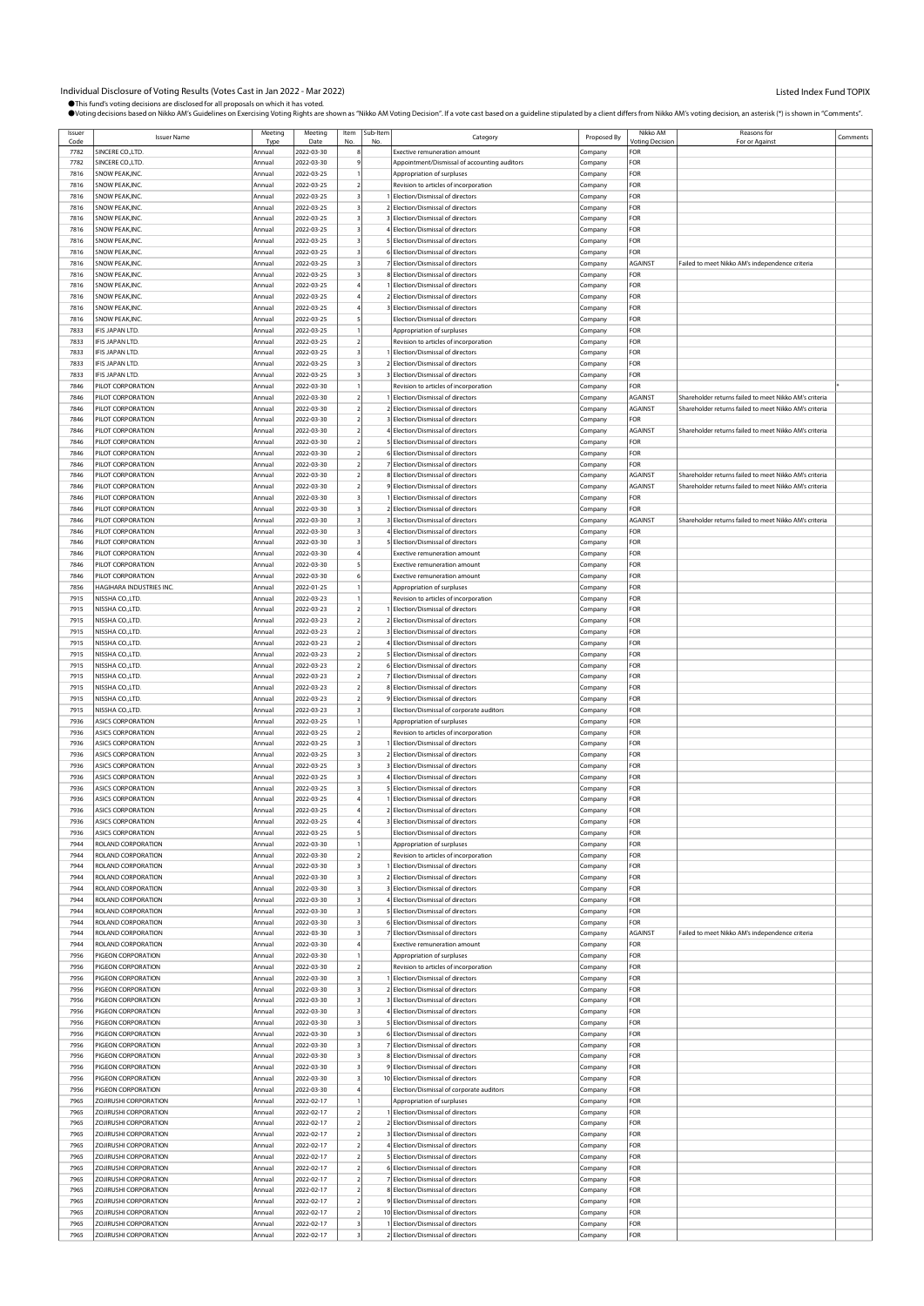| Issuer<br>Code | <b>Issuer Name</b>                            | Meeting<br>Type  | Meeting<br>Date          | Item<br>N <sub>o</sub> | Sub-Item<br>No | Category                                                               | Proposed By        | Nikko AM<br>Votina Decision | Reasons for<br>For or Against                          | Comments |
|----------------|-----------------------------------------------|------------------|--------------------------|------------------------|----------------|------------------------------------------------------------------------|--------------------|-----------------------------|--------------------------------------------------------|----------|
| 7782           | SINCERE CO., LTD.                             | Annual           | 2022-03-30               |                        |                | Exective remuneration amount                                           | Company            | FOR                         |                                                        |          |
| 7782           | SINCERE CO., LTD.                             | Annual           | 2022-03-30               |                        |                | Appointment/Dismissal of accounting auditors                           | Company            | <b>OR</b>                   |                                                        |          |
| 7816           | SNOW PEAK, INC.                               | Annual           | 2022-03-25               |                        |                | Appropriation of surpluses                                             | Company            | FOR                         |                                                        |          |
| 7816           | SNOW PEAK, INC.                               | Annual           | 2022-03-25               |                        |                | Revision to articles of incorporation                                  | Company            | OR:                         |                                                        |          |
| 7816           | SNOW PEAK, INC                                | Annual           | 2022-03-25               |                        |                | Election/Dismissal of directors                                        | Company            | FOR                         |                                                        |          |
| 7816           | SNOW PEAK, INC.                               | Annual           | 2022-03-25               |                        |                | 2 Election/Dismissal of directors                                      | Company            | FOR                         |                                                        |          |
| 7816           | <b>SNOW PEAK.INC</b>                          | Annual           | 2022-03-25               |                        |                | 3 Election/Dismissal of directors                                      | Company            | FOR                         |                                                        |          |
| 7816           | SNOW PEAK, INC.                               | Annual           | 2022-03-25               |                        |                | 4 Election/Dismissal of directors                                      | Company            | FOR                         |                                                        |          |
| 7816           | SNOW PEAK, INC.                               | Annual           | 2022-03-25               |                        |                | Election/Dismissal of directors                                        | Company            | ЮR                          |                                                        |          |
| 7816           | SNOW PEAK, INC                                | Annual           | 2022-03-25               |                        |                | 6 Election/Dismissal of directors                                      | Company            | FOR                         |                                                        |          |
| 7816           | SNOW PEAK, INC.                               | Annual           | 2022-03-25               |                        |                | 7 Election/Dismissal of directors                                      | Company            | Against                     | Failed to meet Nikko AM's independence criteria        |          |
| 7816           | <b>SNOW PEAK.INC</b>                          | Annual           | 2022-03-25               |                        |                | 8 Election/Dismissal of directors                                      | Company            | FOR                         |                                                        |          |
| 7816           | <b>SNOW PEAK.INC</b>                          | Annual           | 2022-03-25               |                        |                | 1 Election/Dismissal of directors                                      | Company            | FOR                         |                                                        |          |
| 7816           | SNOW PEAK, INC.                               | Annual           | 2022-03-25               |                        |                | Election/Dismissal of directors                                        | Company            | ЮR                          |                                                        |          |
| 7816           | SNOW PEAK, INC                                | Annual           | 2022-03-25               |                        |                | 3 Election/Dismissal of directors                                      | Company            | FOR                         |                                                        |          |
| 7816           | SNOW PEAK, INC.                               | Annual           | 2022-03-25               |                        |                | Election/Dismissal of directors                                        | Company            | FOR                         |                                                        |          |
| 7833           | IFIS JAPAN LTD.                               | Annual           | 2022-03-25               |                        |                | Appropriation of surpluses                                             | Company            | FOR                         |                                                        |          |
| 7833           | IFIS JAPAN LTD.<br>IFIS JAPAN LTD.            | Annual           | 2022-03-25<br>2022-03-25 |                        |                | Revision to articles of incorporation                                  | Company            | FOR<br>OR:                  |                                                        |          |
| 7833<br>7833   | IFIS JAPAN LTD.                               | Annual<br>Annual | 2022-03-25               |                        |                | Election/Dismissal of directors<br>2 Election/Dismissal of directors   | Company<br>Company | FOR                         |                                                        |          |
| 7833           | <b>IFIS JAPAN LTD</b>                         | Annual           | 2022-03-25               |                        |                | 3 Election/Dismissal of directors                                      | Company            | FOR                         |                                                        |          |
| 7846           | PILOT CORPORATION                             | Annual           | 2022-03-30               |                        |                | Revision to articles of incorporation                                  | Company            | FOR                         |                                                        |          |
| 7846           | PILOT CORPORATION                             | Annual           | 2022-03-30               |                        |                | 1 Election/Dismissal of directors                                      | Company            | <b>AGAINST</b>              | Shareholder returns failed to meet Nikko AM's criteria |          |
| 7846           | PILOT CORPORATION                             | Annual           | 2022-03-30               |                        |                | Election/Dismissal of directors                                        | Company            | AGAINST                     | Shareholder returns failed to meet Nikko AM's criteria |          |
| 7846           | PILOT CORPORATION                             | Annual           | 2022-03-30               |                        |                | 3 Election/Dismissal of directors                                      | Company            | FOR                         |                                                        |          |
| 7846           | PILOT CORPORATION                             | Annual           | 2022-03-30               |                        |                | 4 Election/Dismissal of directors                                      | Company            | AGAINST                     | Shareholder returns failed to meet Nikko AM's criteria |          |
| 7846           | PILOT CORPORATION                             | Annual           | 2022-03-30               |                        |                | <b>Election/Dismissal of directors</b>                                 | Company            | <b>OR</b>                   |                                                        |          |
| 7846           | PILOT CORPORATION                             | Annual           | 2022-03-30               |                        |                | 6 Election/Dismissal of directors                                      | Company            | FOR                         |                                                        |          |
| 7846           | PILOT CORPORATION                             | Annual           | 2022-03-30               |                        |                | Election/Dismissal of directors                                        | Company            | <b>OR</b>                   |                                                        |          |
| 7846           | PILOT CORPORATION                             | Annual           | 2022-03-30               |                        |                | 8 Election/Dismissal of directors                                      | Company            | Against                     | Shareholder returns failed to meet Nikko AM's criteria |          |
| 7846           | PILOT CORPORATION                             | Annual           | 2022-03-30               |                        |                | 9 Election/Dismissal of directors                                      | Company            | AGAINST                     | Shareholder returns failed to meet Nikko AM's criteria |          |
| 7846           | PILOT CORPORATION                             | Annual           | 2022-03-30               |                        |                | <b>Election/Dismissal of directors</b>                                 | Company            | FOR                         |                                                        |          |
| 7846           | PILOT CORPORATION                             | Annual           | 2022-03-30               |                        |                | 2 Election/Dismissal of directors                                      | Company            | FOR                         |                                                        |          |
| 7846           | PILOT CORPORATION                             | Annual           | 2022-03-30               |                        |                | Election/Dismissal of directors                                        | Company            | AGAINST                     | Shareholder returns failed to meet Nikko AM's criteria |          |
| 7846           | PILOT CORPORATION                             | Annual           | 2022-03-30               |                        |                | 4 Election/Dismissal of directors                                      | Company            | FOR                         |                                                        |          |
| 7846           | PILOT CORPORATION                             | Annual           | 2022-03-30               |                        |                | 5 Election/Dismissal of directors                                      | Company            | FOR                         |                                                        |          |
| 7846           | PILOT CORPORATION                             | Annual           | 2022-03-30               |                        |                | Exective remuneration amount                                           | Company            | FOR                         |                                                        |          |
| 7846           | PILOT CORPORATION                             | Annual           | 2022-03-30               |                        |                | <b>Exective remuneration amount</b>                                    | Company            | FOR                         |                                                        |          |
| 7846           | PILOT CORPORATION                             | Annual           | 2022-03-30               |                        |                | xective remuneration amount                                            | Company            | ЮR                          |                                                        |          |
| 7856           | HAGIHARA INDUSTRIES INC.                      | Annual           | 2022-01-25               |                        |                | Appropriation of surpluses                                             | Company            | FOR                         |                                                        |          |
| 7915           | NISSHA CO., LTD.                              | Annual           | 2022-03-23               |                        |                | Revision to articles of incorporation                                  | Company            | FOR                         |                                                        |          |
| 7915           | NISSHA CO.,LTD.                               | Annual           | 2022-03-23               |                        |                | Election/Dismissal of directors                                        | Company            | FOR                         |                                                        |          |
| 7915           | NISSHA CO.,LTD.                               | Annual           | 2022-03-23               |                        |                | 2 Election/Dismissal of directors                                      | Company            | FOR                         |                                                        |          |
| 7915           | NISSHA CO.,LTD.                               | Annual           | 2022-03-23               |                        |                | Election/Dismissal of directors                                        | Company            | FOR                         |                                                        |          |
| 7915           | NISSHA CO., LTD.                              | Annual           | 2022-03-23               |                        |                | 4 Election/Dismissal of directors                                      | Company            | FOR                         |                                                        |          |
| 7915           | NISSHA CO., LTD.                              | Annual           | 2022-03-23               |                        |                | 5 Election/Dismissal of directors                                      | Company            | FOR                         |                                                        |          |
| 7915           | NISSHA CO., LTD.                              | Annual           | 2022-03-23               |                        |                | 6 Election/Dismissal of directors                                      | Company            | FOR                         |                                                        |          |
| 7915           | NISSHA CO., LTD.                              | Annual           | 2022-03-23               |                        |                | 7 Election/Dismissal of directors                                      | Company            | FOR                         |                                                        |          |
| 7915           | NISSHA CO.,LTD.                               | Annual           | 2022-03-23               |                        |                | Election/Dismissal of directors                                        | Company            | ЮR                          |                                                        |          |
| 7915           | NISSHA CO., LTD.                              | Annual           | 2022-03-23<br>2022-03-23 |                        |                | 9 Election/Dismissal of directors                                      | Company            | FOR<br>FOR                  |                                                        |          |
| 7915<br>7936   | NISSHA CO., LTD.                              | Annual           |                          |                        |                | Election/Dismissal of corporate auditors                               | Company            | FOR                         |                                                        |          |
| 7936           | ASICS CORPORATION<br><b>ASICS CORPORATION</b> | Annual<br>Annual | 2022-03-25<br>2022-03-25 |                        |                | Appropriation of surpluses<br>Revision to articles of incorporation    | Company            | FOR                         |                                                        |          |
| 7936           | ASICS CORPORATION                             | Annual           | 2022-03-25               |                        |                | Election/Dismissal of directors                                        | Company<br>Company | OR:                         |                                                        |          |
| 7936           | ASICS CORPORATION                             | Annual           | 2022-03-25               |                        |                | 2 Election/Dismissal of directors                                      | Company            | FOR                         |                                                        |          |
| 7936           | ASICS CORPORATION                             | Annual           | 2022-03-25               |                        |                | 3 Election/Dismissal of directors                                      | Company            | FOR                         |                                                        |          |
| 7936           | <b>ASICS CORPORATION</b>                      | Annual           | 2022-03-25               |                        |                | 4 Election/Dismissal of directors                                      | Company            | FOR                         |                                                        |          |
| 7936           | <b>ASICS CORPORATION</b>                      | Annual           | 2022-03-25               |                        |                | 5 Election/Dismissal of directors                                      | Company            | FOR                         |                                                        |          |
| 7936           | ASICS CORPORATION                             | Annual           | 2022-03-25               |                        |                | Election/Dismissal of directors                                        | Company            | <b>OR</b>                   |                                                        |          |
| 7936           | <b>ASICS CORPORATION</b>                      | Annual           | 2022-03-25               |                        |                | Election/Dismissal of director:                                        | <b>Company</b>     | OR:                         |                                                        |          |
| 7936           | ASICS CORPORATION                             | Annual           | 2022-03-25               |                        |                | 3 Election/Dismissal of directors                                      | Company            | FOR                         |                                                        |          |
| 7936           | <b>ASICS CORPORATION</b>                      | Annual           | 2022-03-25               |                        |                | Election/Dismissal of directors                                        | Company            | FOR                         |                                                        |          |
| 7944           | ROLAND CORPORATION                            | Annual           | 2022-03-30               |                        |                | Appropriation of surpluses                                             | Company            | FOR                         |                                                        |          |
| 7944           | ROLAND CORPORATION                            | Annual           | 2022-03-30               |                        |                | Revision to articles of incorporation                                  | Company            | FOR                         |                                                        |          |
| 7944           | ROLAND CORPORATION                            | Annual           | 2022-03-30               |                        |                | 1 Election/Dismissal of directors                                      | Company            | FOR                         |                                                        |          |
| 7944           | ROLAND CORPORATION                            | Annual           | 2022-03-30               |                        |                | 2 Election/Dismissal of directors                                      | Company            | FOR                         |                                                        |          |
| 7944           | ROLAND CORPORATION                            | Annual           | 2022-03-30               |                        |                | 3 Election/Dismissal of directors                                      | Company            | FOR                         |                                                        |          |
| 7944           | ROLAND CORPORATION                            | Annual           | 2022-03-30               |                        |                | 4 Election/Dismissal of directors                                      | Company            | FOR                         |                                                        |          |
| 7944           | ROLAND CORPORATION                            | Annual           | 2022-03-30               |                        |                | Election/Dismissal of directors                                        | Company            | FOR                         |                                                        |          |
| 7944           | ROLAND CORPORATION                            | Annual           | 2022-03-30               |                        |                | 6 Election/Dismissal of directors                                      | Company            | FOR                         |                                                        |          |
| 7944           | ROLAND CORPORATION                            | Annual           | 2022-03-30               |                        |                | 7 Election/Dismissal of directors                                      | Company            | AGAINST                     | Failed to meet Nikko AM's independence criteria        |          |
| 7944           | ROLAND CORPORATION                            | Annual           | 2022-03-30               |                        |                | <b>Exective remuneration amount</b>                                    | Company            | FOR                         |                                                        |          |
| 7956           | PIGEON CORPORATION                            | Annual           | 2022-03-30               |                        |                | Appropriation of surpluses                                             | Company            | FOR                         |                                                        |          |
| 7956           | PIGEON CORPORATION                            | Annual           | 2022-03-30               |                        |                | Revision to articles of incorporation                                  | Company            | FOR                         |                                                        |          |
| 7956           | PIGEON CORPORATION                            | Annual           | 2022-03-30               |                        |                | 1 Election/Dismissal of directors                                      | Company            | FOR                         |                                                        |          |
| 7956<br>7956   | PIGEON CORPORATION<br>PIGEON CORPORATION      | Annual           | 2022-03-30<br>2022-03-30 |                        |                | 2 Election/Dismissal of directors                                      | Company            | FOR<br>FOR                  |                                                        |          |
| 7956           | PIGEON CORPORATION                            | Annual<br>Annual | 2022-03-30               |                        |                | 3 Election/Dismissal of directors<br>4 Election/Dismissal of directors | Company            | FOR                         |                                                        |          |
| 7956           | PIGEON CORPORATION                            | Annual           | 2022-03-30               |                        |                | Election/Dismissal of directors                                        | Company<br>Company | OR:                         |                                                        |          |
| 7956           | PIGEON CORPORATION                            | Annual           | 2022-03-30               |                        |                | 6 Election/Dismissal of directors                                      | Company            | FOR                         |                                                        |          |
| 7956           | PIGEON CORPORATION                            | Annual           | 2022-03-30               |                        |                | 7 Election/Dismissal of directors                                      | Company            | FOR                         |                                                        |          |
| 7956           | PIGEON CORPORATION                            | Annual           | 2022-03-30               |                        |                | 8 Election/Dismissal of directors                                      | Company            | FOR                         |                                                        |          |
| 7956           | PIGEON CORPORATION                            | Annual           | 2022-03-30               |                        |                | 9 Election/Dismissal of directors                                      | Company            | FOR                         |                                                        |          |
| 7956           | PIGEON CORPORATION                            | Annual           | 2022-03-30               |                        |                | 10 Election/Dismissal of directors                                     | Company            | FOR                         |                                                        |          |
| 7956           | PIGEON CORPORATION                            | Annual           | 2022-03-30               |                        |                | Election/Dismissal of corporate auditors                               | Company            | FOR                         |                                                        |          |
| 7965           | ZOJIRUSHI CORPORATION                         | Annual           | 2022-02-17               |                        |                | Appropriation of surpluses                                             | Company            | FOR                         |                                                        |          |
| 7965           | ZOJIRUSHI CORPORATION                         | Annual           | 2022-02-17               |                        |                | 1 Election/Dismissal of directors                                      | Company            | FOR                         |                                                        |          |
| 7965           | ZOJIRUSHI CORPORATION                         | Annual           | 2022-02-17               |                        |                | 2 Election/Dismissal of directors                                      | Company            | FOR                         |                                                        |          |
| 7965           | ZOJIRUSHI CORPORATION                         | Annual           | 2022-02-17               |                        |                | Election/Dismissal of directors                                        | Company            | FOR                         |                                                        |          |
| 7965           | ZOJIRUSHI CORPORATION                         | Annual           | 2022-02-17               |                        |                | 4 Election/Dismissal of directors                                      | Company            | FOR                         |                                                        |          |
| 7965           | ZOJIRUSHI CORPORATION                         | Annual           | 2022-02-17               |                        |                | 5 Election/Dismissal of directors                                      | Company            | FOR                         |                                                        |          |
| 7965           | ZOJIRUSHI CORPORATION                         | Annual           | 2022-02-17               |                        |                | 6 Election/Dismissal of directors                                      | Company            | FOR                         |                                                        |          |
| 7965           | ZOJIRUSHI CORPORATION                         | Annual           | 2022-02-17               |                        |                | 7 Election/Dismissal of directors                                      | Company            | FOR                         |                                                        |          |
| 7965           | ZOJIRUSHI CORPORATION                         | Annual           | 2022-02-17               |                        |                | 8 Election/Dismissal of directors                                      | Company            | FOR                         |                                                        |          |
| 7965           | ZOJIRUSHI CORPORATION                         | Annual           | 2022-02-17               |                        |                | 9 Election/Dismissal of directors                                      | Company            | FOR                         |                                                        |          |
| 7965           | ZOJIRUSHI CORPORATION                         | Annual           | 2022-02-17               |                        |                | 10 Election/Dismissal of directors                                     | Company            | FOR                         |                                                        |          |
| 7965           | ZOJIRUSHI CORPORATION                         | Annual           | 2022-02-17               |                        |                | 1 Election/Dismissal of directors                                      | Company            | FOR                         |                                                        |          |
| 7965           | ZOJIRUSHI CORPORATION                         | Annual           | 2022-02-17               |                        |                | 2 Election/Dismissal of directors                                      | Company            | FOR                         |                                                        |          |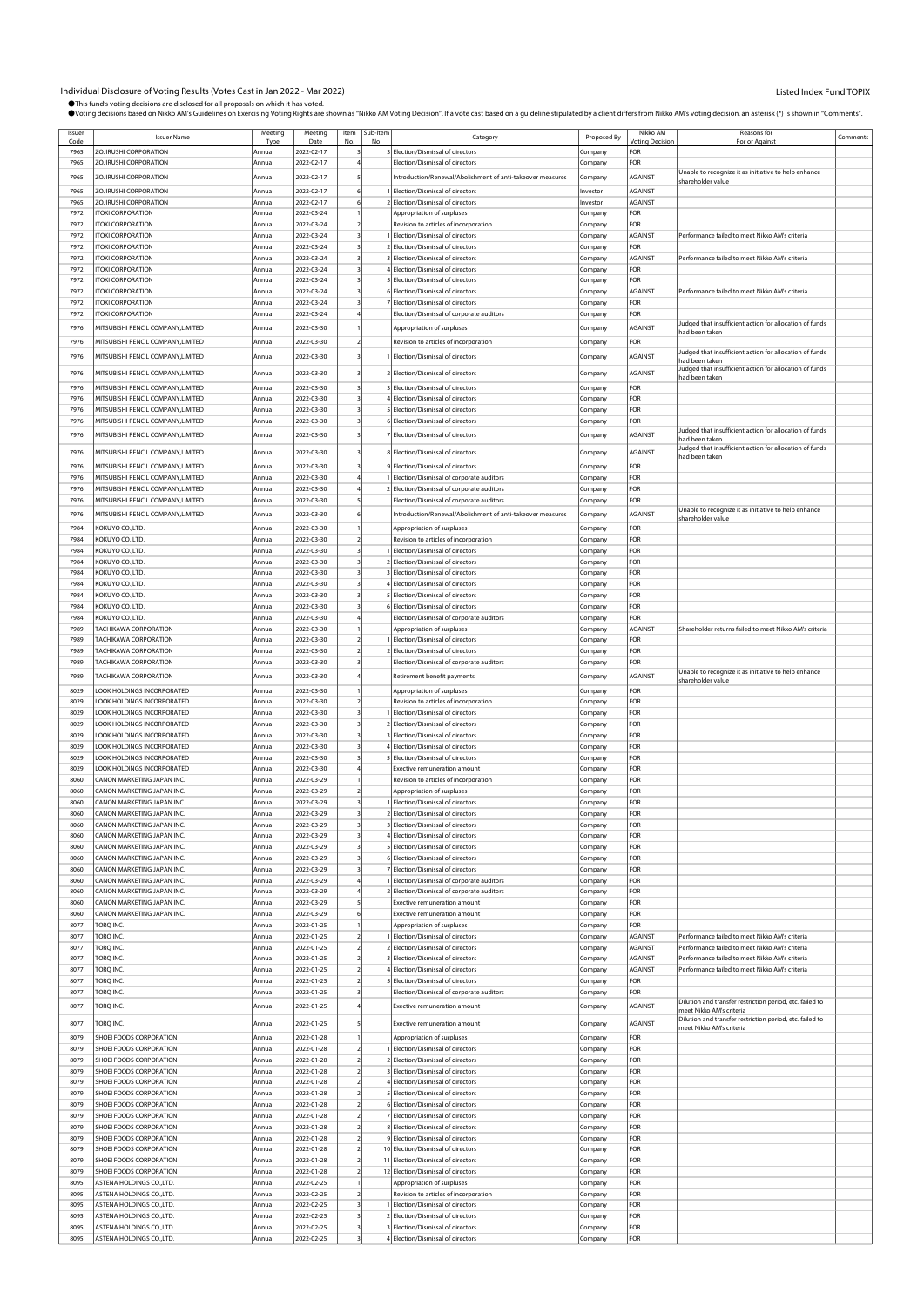| Issuer | <b>Issuer Name</b>                 | Meeting | Meeting    |     | Item Sub-Item  | Category                                                      | Proposed By | Nikko AM               | Reasons for                                                               | Comments |
|--------|------------------------------------|---------|------------|-----|----------------|---------------------------------------------------------------|-------------|------------------------|---------------------------------------------------------------------------|----------|
| Code   |                                    | Type    | Date       | No. | No             |                                                               |             | <b>Voting Decision</b> | For or Against                                                            |          |
| 7965   | ZOJIRUSHI CORPORATION              | Annual  | 2022-02-17 |     |                | 3 Election/Dismissal of directors                             | Company     | FOR                    |                                                                           |          |
| 7965   | ZOJIRUSHI CORPORATION              | Annual  | 2022-02-17 |     |                | lection/Dismissal of directors                                | Company     | FOR                    |                                                                           |          |
|        |                                    |         |            |     |                |                                                               |             |                        | Jnable to recognize it as initiative to help enhance                      |          |
| 7965   | ZOJIRUSHI CORPORATION              | Annual  | 2022-02-17 |     |                | ntroduction/Renewal/Abolishment of anti-takeover measures     | Company     | <b>AGAINST</b>         | shareholder value                                                         |          |
| 7965   | ZOJIRUSHI CORPORATION              | Annual  | 2022-02-17 |     |                | Election/Dismissal of directors                               | Investor    | AGAINST                |                                                                           |          |
| 7965   | ZOJIRUSHI CORPORATION              | Annual  | 2022-02-17 |     |                | Election/Dismissal of directors                               | Investor    | <b>AGAINST</b>         |                                                                           |          |
| 7972   | <b>ITOKI CORPORATION</b>           | Annual  | 2022-03-24 |     |                | Appropriation of surpluses                                    | Company     | FOR                    |                                                                           |          |
|        |                                    |         |            |     |                |                                                               |             |                        |                                                                           |          |
| 7972   | TOKI CORPORATION                   | Annual  | 2022-03-24 |     |                | Revision to articles of incorporation                         | Company     | FOR                    |                                                                           |          |
| 7972   | <b>ITOKI CORPORATION</b>           | Annual  | 2022-03-24 |     |                | 1 Election/Dismissal of directors                             | Company     | AGAINST                | Performance failed to meet Nikko AM's criteria                            |          |
| 7972   | <b>TOKI CORPORATION</b>            | Annual  | 2022-03-24 |     |                | <b>Election/Dismissal of directors</b>                        | Company     | FOR                    |                                                                           |          |
| 7972   | TOKI CORPORATION                   | Annual  | 2022-03-24 |     |                | Election/Dismissal of directors                               | Company     | <b>AGAINST</b>         | Performance failed to meet Nikko AM's criteria                            |          |
| 7972   | <b>ITOKI CORPORATION</b>           | Annual  | 2022-03-24 |     |                | Election/Dismissal of directors                               | Company     | FOR                    |                                                                           |          |
| 7972   | TOKI CORPORATION                   | Annual  | 2022-03-24 |     |                | Election/Dismissal of directors                               | Company     | FOR                    |                                                                           |          |
| 7972   | <b>ITOKI CORPORATION</b>           | Annual  |            |     | 6              | Election/Dismissal of directors                               |             | AGAINST                | Performance failed to meet Nikko AM's criteria                            |          |
|        |                                    |         | 2022-03-24 |     |                |                                                               | Company     |                        |                                                                           |          |
| 7972   | <b>TOKI CORPORATION</b>            | Annual  | 2022-03-24 |     |                | Election/Dismissal of directors                               | Company     | FOR                    |                                                                           |          |
| 7972   | <b>ITOKI CORPORATION</b>           | Annual  | 2022-03-24 |     |                | Election/Dismissal of corporate auditors                      | Company     | FOR                    |                                                                           |          |
| 7976   | MITSUBISHI PENCIL COMPANY,LIMITED  | Annual  | 2022-03-30 |     |                | Appropriation of surpluses                                    | Company     | <b>AGAINST</b>         | Judged that insufficient action for allocation of funds                   |          |
|        |                                    |         |            |     |                |                                                               |             |                        | had been taken                                                            |          |
| 7976   | MITSUBISHI PENCIL COMPANY,LIMITED  | Annual  | 2022-03-30 |     |                | Revision to articles of incorporation                         | Company     | FOR                    |                                                                           |          |
| 7976   | MITSUBISHI PENCIL COMPANY, LIMITED | Annual  | 2022-03-30 |     |                | 1 Election/Dismissal of directors                             | Company     | <b>AGAINST</b>         | Judged that insufficient action for allocation of funds<br>had been taken |          |
|        |                                    |         |            |     |                |                                                               |             |                        | Judged that insufficient action for allocation of funds                   |          |
| 7976   | MITSUBISHI PENCIL COMPANY,LIMITED  | Annual  | 2022-03-30 |     |                | 2 Election/Dismissal of directors                             | Company     | AGAINST                | had been taken                                                            |          |
| 7976   | MITSUBISHI PENCIL COMPANY,LIMITED  | Annual  | 2022-03-30 |     |                | 3 Election/Dismissal of directors                             | Company     | FOR                    |                                                                           |          |
| 7976   | MITSUBISHI PENCIL COMPANY, LIMITED | Annual  | 2022-03-30 |     |                | Election/Dismissal of directors                               | Company     | FOR                    |                                                                           |          |
| 7976   | MITSUBISHI PENCIL COMPANY,LIMITED  | Annual  | 2022-03-30 |     |                | Election/Dismissal of directors                               |             | FOR                    |                                                                           |          |
|        |                                    |         |            |     |                |                                                               | Company     |                        |                                                                           |          |
| 7976   | MITSUBISHI PENCIL COMPANY,LIMITED  | Annual  | 2022-03-30 |     |                | 6 Flection/Dismissal of directors                             | Company     | FOR                    |                                                                           |          |
| 7976   | MITSUBISHI PENCIL COMPANY,LIMITED  | Annual  | 2022-03-30 |     |                | 7 Election/Dismissal of directors                             | Company     | AGAINST                | Judged that insufficient action for allocation of funds<br>had been taken |          |
|        |                                    |         |            |     |                |                                                               |             |                        | Judged that insufficient action for allocation of funds                   |          |
| 7976   | MITSUBISHI PENCIL COMPANY,LIMITED  | Annual  | 2022-03-30 |     |                | 8 Election/Dismissal of directors                             | Company     | <b>AGAINST</b>         | had been taken                                                            |          |
| 7976   | MITSUBISHI PENCIL COMPANY,LIMITED  | Annual  | 2022-03-30 |     |                | 9 Election/Dismissal of directors                             | Company     | FOR                    |                                                                           |          |
| 7976   | MITSUBISHI PENCIL COMPANY, LIMITED | Annual  | 2022-03-30 |     |                | 1 Election/Dismissal of corporate auditors                    | Company     | FOR                    |                                                                           |          |
| 7976   | MITSUBISHI PENCIL COMPANY,LIMITED  | Annual  | 2022-03-30 |     |                | 2 Election/Dismissal of corporate auditors                    |             | FOR                    |                                                                           |          |
|        |                                    |         |            |     |                |                                                               | Company     |                        |                                                                           |          |
| 7976   | MITSUBISHI PENCIL COMPANY, LIMITED | Annual  | 2022-03-30 |     |                | Election/Dismissal of corporate auditors                      | Company     | FOR                    |                                                                           |          |
| 7976   | MITSUBISHI PENCIL COMPANY, LIMITED | Annual  | 2022-03-30 |     |                | Introduction/Renewal/Abolishment of anti-takeover measures    | Company     | AGAINST                | Unable to recognize it as initiative to help enhance                      |          |
| 7984   | KOKUYO CO.,LTD.                    |         | 2022-03-30 |     |                | Appropriation of surpluses                                    |             | FOR                    | shareholder value                                                         |          |
|        |                                    | Annual  |            |     |                |                                                               | Company     |                        |                                                                           |          |
| 7984   | KOKUYO CO.,LTD.                    | Annual  | 2022-03-30 |     |                | Revision to articles of incorporation                         | Company     | FOR                    |                                                                           |          |
| 7984   | KOKUYO CO.,LTD.                    | Annual  | 2022-03-30 |     |                | 1 Election/Dismissal of directors                             | Company     | FOR                    |                                                                           |          |
| 7984   | KOKUYO CO.,LTD.                    | Annual  | 2022-03-30 |     |                | 2 Election/Dismissal of directors                             | Company     | FOR                    |                                                                           |          |
| 7984   | KOKUYO CO.,LTD.                    | Annual  | 2022-03-30 |     |                | Election/Dismissal of directors                               | Company     | FOR                    |                                                                           |          |
| 7984   | KOKUYO CO.,LTD.                    | Annual  | 2022-03-30 |     |                | 4 Election/Dismissal of directors                             | Company     | FOR                    |                                                                           |          |
| 7984   | KOKUYO CO.,LTD.                    | Annual  | 2022-03-30 |     |                | Election/Dismissal of directors                               | Company     | FOR                    |                                                                           |          |
| 7984   | KOKUYO CO.,LTD.                    | Annual  | 2022-03-30 |     |                | 6 Election/Dismissal of directors                             | Company     | FOR                    |                                                                           |          |
| 7984   | KOKUYO CO.,LTD.                    | Annual  | 2022-03-30 |     |                | lection/Dismissal of corporate auditors                       | Company     | FOR                    |                                                                           |          |
| 7989   | TACHIKAWA CORPORATION              | Annual  | 2022-03-30 |     |                |                                                               |             | AGAINST                | Shareholder returns failed to meet Nikko AM's criteria                    |          |
| 7989   | TACHIKAWA CORPORATION              |         | 2022-03-30 |     |                | Appropriation of surpluses<br>Election/Dismissal of directors | Company     | FOR                    |                                                                           |          |
|        |                                    | Annual  |            |     |                |                                                               | Company     |                        |                                                                           |          |
| 7989   | <b>ACHIKAWA CORPORATION</b>        | Annual  | 2022-03-30 |     |                | Election/Dismissal of directors                               | Company     | FOR                    |                                                                           |          |
| 7989   | TACHIKAWA CORPORATION              | Annual  | 2022-03-30 |     |                | Election/Dismissal of corporate auditors                      | Company     | FOR                    |                                                                           |          |
| 7989   | TACHIKAWA CORPORATION              | Annual  | 2022-03-30 |     |                | Retirement benefit payments                                   | Company     | AGAINST                | Unable to recognize it as initiative to help enhance<br>shareholder value |          |
| 8029   | LOOK HOLDINGS INCORPORATED         | Annual  | 2022-03-30 |     |                | Appropriation of surpluses                                    | Company     | FOR                    |                                                                           |          |
| 8029   | LOOK HOLDINGS INCORPORATED         | Annual  | 2022-03-30 |     |                | Revision to articles of incorporation                         |             | FOR                    |                                                                           |          |
|        |                                    |         |            |     |                |                                                               | Company     |                        |                                                                           |          |
| 8029   | LOOK HOLDINGS INCORPORATED         | Annual  | 2022-03-30 |     |                | Election/Dismissal of directors                               | Company     | FOR                    |                                                                           |          |
| 8029   | LOOK HOLDINGS INCORPORATED         | Annual  | 2022-03-30 |     |                | Election/Dismissal of directors                               | Company     | FOR                    |                                                                           |          |
| 8029   | LOOK HOLDINGS INCORPORATED         | Annual  | 2022-03-30 |     | 3              | Election/Dismissal of directors                               | Company     | OR <sup>:</sup>        |                                                                           |          |
| 8029   | <b>LOOK HOLDINGS INCORPORATED</b>  | Annual  | 2022-03-30 |     |                | Election/Dismissal of directors                               | Company     | FOR                    |                                                                           |          |
| 8029   | LOOK HOLDINGS INCORPORATED         | Annual  | 2022-03-30 |     |                | Election/Dismissal of directors                               | Company     | FOR                    |                                                                           |          |
| 8029   | LOOK HOLDINGS INCORPORATED         | Annual  | 2022-03-30 |     |                | xective remuneration amount                                   | Company     | FOR                    |                                                                           |          |
| 8060   | CANON MARKETING JAPAN INC.         | Annual  | 2022-03-29 |     |                | Revision to articles of incorporation                         | Company     | FOR                    |                                                                           |          |
| 8060   | CANON MARKETING JAPAN INC.         | Annual  | 2022-03-29 |     |                | Appropriation of surpluses                                    | Company     | FOR                    |                                                                           |          |
| 8060   | CANON MARKETING JAPAN INC.         | Annual  | 2022-03-29 |     |                | Election/Dismissal of directors                               | Company     | FOR                    |                                                                           |          |
|        |                                    |         |            |     |                |                                                               |             |                        |                                                                           |          |
| 8060   | ANON MARKETING JAPAN INC.          | nnual   | 022-03-29  |     |                | Election/Dismissal of directors                               | ompany      | ОR                     |                                                                           |          |
| 8060   | CANON MARKETING JAPAN INC.         | Annual  | 2022-03-29 |     |                | Election/Dismissal of directors                               | Company     | FOR                    |                                                                           |          |
| 8060   | CANON MARKETING JAPAN INC.         | Annual  | 2022-03-29 |     |                | Election/Dismissal of directors                               | Company     | FOR                    |                                                                           |          |
| 8060   | CANON MARKETING JAPAN INC.         | Annual  | 2022-03-29 |     |                | Election/Dismissal of directors                               | Company     | <b>OR</b>              |                                                                           |          |
| 8060   | CANON MARKETING JAPAN INC.         | Annual  | 2022-03-29 |     |                | 6 Election/Dismissal of directors                             | Company     | FOR                    |                                                                           |          |
| 8060   | CANON MARKETING JAPAN INC.         | Annual  | 2022-03-29 |     |                | 7 Election/Dismissal of directors                             | Company     | FOR                    |                                                                           |          |
| 8060   | CANON MARKETING JAPAN INC.         | Annual  | 2022-03-29 |     |                | 1 Election/Dismissal of corporate auditors                    | Company     | FOR                    |                                                                           |          |
| 8060   | CANON MARKETING JAPAN INC.         | Annual  |            |     |                | 2 Election/Dismissal of corporate auditors                    |             | FOR                    |                                                                           |          |
|        |                                    |         | 2022-03-29 |     |                |                                                               | Company     |                        |                                                                           |          |
| 8060   | CANON MARKETING JAPAN INC.         | Annual  | 2022-03-29 |     |                | <b>Exective remuneration amount</b>                           | Company     | FOR                    |                                                                           |          |
| 8060   | CANON MARKETING JAPAN INC.         | Annual  | 2022-03-29 |     |                | Exective remuneration amount                                  | Company     | FOR                    |                                                                           |          |
| 8077   | torq inc.                          | Annual  | 2022-01-25 |     |                | Appropriation of surpluses                                    | Company     | FOR                    |                                                                           |          |
| 8077   | TORQ INC.                          | Annual  | 2022-01-25 |     |                | Election/Dismissal of directors                               | Company     | AGAINST                | Performance failed to meet Nikko AM's criteria                            |          |
| 8077   | torq inc.                          | Annual  | 2022-01-25 |     |                | Election/Dismissal of directors                               | Company     | <b>AGAINST</b>         | Performance failed to meet Nikko AM's criteria                            |          |
| 8077   | Torq Inc.                          | Annual  | 2022-01-25 |     | $\mathbf{3}$   | Election/Dismissal of directors                               | Company     | <b>AGAINST</b>         | Performance failed to meet Nikko AM's criteria                            |          |
| 8077   | TORQ INC.                          | Annual  | 2022-01-25 |     |                | 4 Election/Dismissal of directors                             | Company     | <b>AGAINST</b>         | Performance failed to meet Nikko AM's criteria                            |          |
| 8077   | torq inc.                          | Annual  | 2022-01-25 |     |                | Election/Dismissal of directors                               | Company     | FOR                    |                                                                           |          |
| 8077   | torq inc.                          | Annual  | 2022-01-25 |     |                | Election/Dismissal of corporate auditors                      | Company     | FOR                    |                                                                           |          |
|        |                                    |         |            |     |                |                                                               |             |                        | Dilution and transfer restriction period, etc. failed to                  |          |
| 8077   | TORQ INC.                          | Annual  | 2022-01-25 |     |                | Exective remuneration amount                                  | Company     | AGAINST                | neet Nikko AM's criteria                                                  |          |
| 8077   | TORQ INC.                          | Annual  | 2022-01-25 |     |                | Exective remuneration amount                                  | Company     | <b>AGAINST</b>         | Dilution and transfer restriction period, etc. failed to                  |          |
|        |                                    |         |            |     |                |                                                               |             |                        | meet Nikko AM's criteria                                                  |          |
| 8079   | SHOEI FOODS CORPORATION            | Annual  | 2022-01-28 |     |                | Appropriation of surpluses                                    | Company     | FOR                    |                                                                           |          |
| 8079   | SHOEI FOODS CORPORATION            | Annual  | 2022-01-28 |     |                | 1 Election/Dismissal of directors                             | Company     | FOR                    |                                                                           |          |
| 8079   | SHOEI FOODS CORPORATION            | Annual  | 2022-01-28 |     |                | 2 Election/Dismissal of directors                             | Company     | FOR                    |                                                                           |          |
| 8079   | SHOEI FOODS CORPORATION            | Annual  | 2022-01-28 |     |                | 3 Election/Dismissal of directors                             | Company     | FOR                    |                                                                           |          |
| 8079   | SHOEI FOODS CORPORATION            | Annual  | 2022-01-28 |     |                | Election/Dismissal of directors                               | Company     | FOR                    |                                                                           |          |
| 8079   | SHOEI FOODS CORPORATION            | Annual  | 2022-01-28 |     |                | Election/Dismissal of directors                               | Company     | FOR                    |                                                                           |          |
| 8079   | SHOEI FOODS CORPORATION            | Annual  | 2022-01-28 |     |                | 6 Election/Dismissal of directors                             | Company     | FOR                    |                                                                           |          |
| 8079   | SHOEI FOODS CORPORATION            | Annual  | 2022-01-28 |     |                | 7 Election/Dismissal of directors                             | Company     | FOR                    |                                                                           |          |
| 8079   | SHOEI FOODS CORPORATION            | Annual  | 2022-01-28 |     |                | 8 Election/Dismissal of directors                             |             | FOR                    |                                                                           |          |
|        |                                    |         |            |     |                |                                                               | Company     |                        |                                                                           |          |
| 8079   | SHOEI FOODS CORPORATION            | Annual  | 2022-01-28 |     |                | 9 Election/Dismissal of directors                             | Company     | FOR                    |                                                                           |          |
| 8079   | SHOEI FOODS CORPORATION            | Annual  | 2022-01-28 |     |                | 10 Election/Dismissal of directors                            | Company     | <b>OR</b>              |                                                                           |          |
| 8079   | SHOEI FOODS CORPORATION            | Annual  | 2022-01-28 |     |                | 11 Election/Dismissal of directors                            | Company     | FOR                    |                                                                           |          |
| 8079   | SHOEI FOODS CORPORATION            | Annual  | 2022-01-28 |     |                | 12 Election/Dismissal of directors                            | Company     | FOR                    |                                                                           |          |
| 8095   | ASTENA HOLDINGS CO., LTD.          | Annual  | 2022-02-25 |     |                | Appropriation of surpluses                                    | Company     | FOR                    |                                                                           |          |
| 8095   | ASTENA HOLDINGS CO., LTD.          | Annual  | 2022-02-25 |     |                | Revision to articles of incorporation                         | Company     | FOR                    |                                                                           |          |
| 8095   | ASTENA HOLDINGS CO.,LTD.           | Annual  | 2022-02-25 |     |                | Election/Dismissal of directors                               | Company     | OR <sup>:</sup>        |                                                                           |          |
| 8095   | ASTENA HOLDINGS CO., LTD.          | Annual  | 2022-02-25 |     | $\overline{2}$ | Election/Dismissal of directors                               | Company     | FOR                    |                                                                           |          |
| 8095   | ASTENA HOLDINGS CO., LTD.          | Annual  | 2022-02-25 |     |                | 3 Election/Dismissal of directors                             | Company     | FOR                    |                                                                           |          |
| 8095   | ASTENA HOLDINGS CO., LTD.          | Annual  | 2022-02-25 |     |                | Election/Dismissal of directors                               | Company     | FOR                    |                                                                           |          |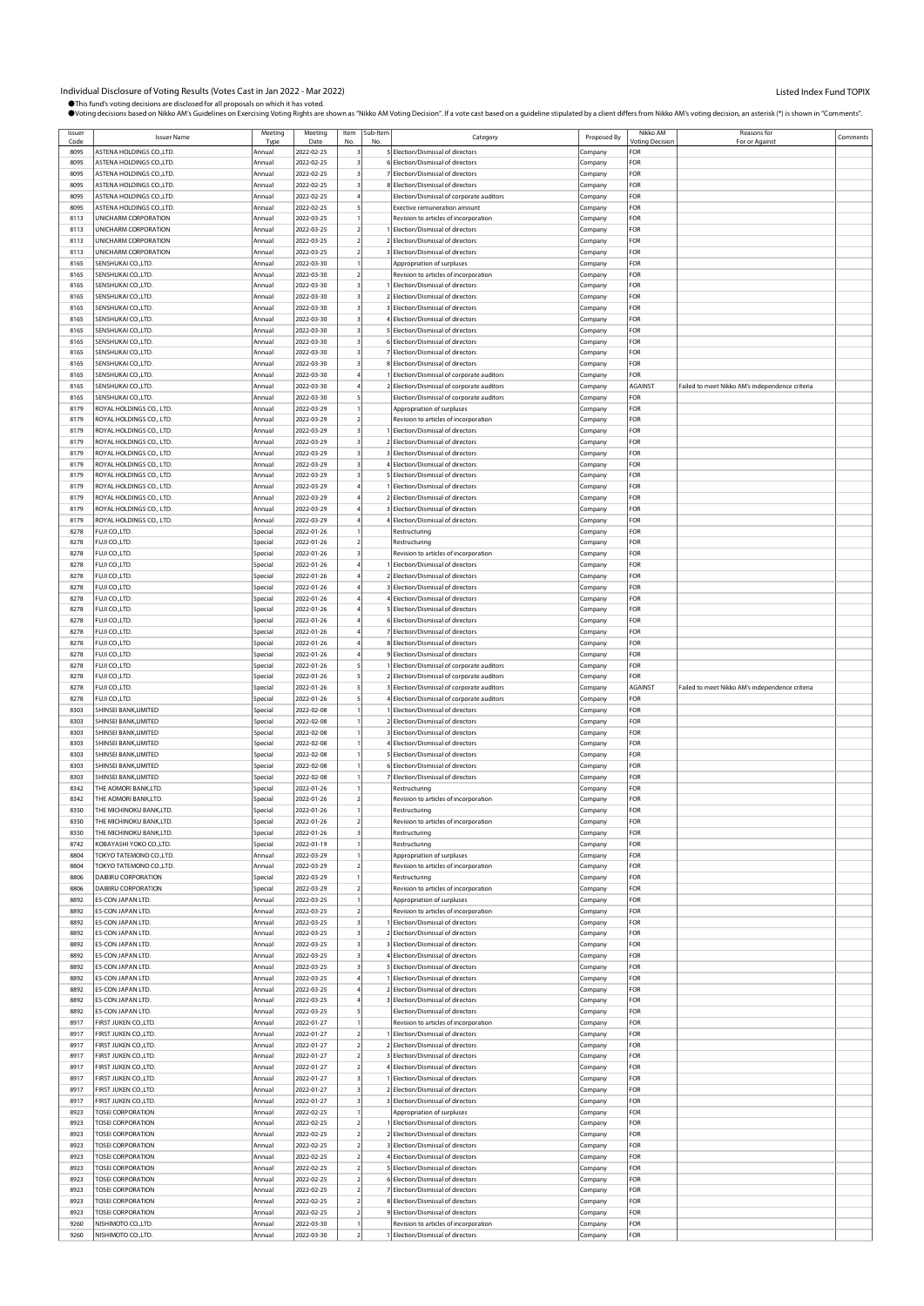●This fund's voting decisions are disclosed for all proposals on which it has voted.<br>●Voting decisions based on Nikko AM's Guidelines on Exercising Voting Rights are .<br>"m as "Nikko AM Voting Decision". If a vote cast based on a guideline stipulated by a client differs from Nikko AM's voting decision, an asterisk (\*) is shown in "Comments".

| Issuer       | <b>Issuer Name</b>                                     | Meeting<br>Type    | Meeting<br>Date          | Item<br>No | Sub-Item<br>No | Category                                                                                 | Proposed By        | Nikko AM<br><b>/oting Decisio</b> | Reasons for<br>For or Against                   | Comments |
|--------------|--------------------------------------------------------|--------------------|--------------------------|------------|----------------|------------------------------------------------------------------------------------------|--------------------|-----------------------------------|-------------------------------------------------|----------|
| 8095         | ASTENA HOLDINGS CO.,LTD.                               | Annual             | 2022-02-25               |            |                | 5 Election/Dismissal of directors                                                        | Company            | FOR                               |                                                 |          |
| 8095         | ASTENA HOLDINGS CO.,LTD.                               | Annual             | 2022-02-25               |            |                | 6 Election/Dismissal of directors                                                        | Company            | FOR                               |                                                 |          |
| 8095<br>8095 | ASTENA HOLDINGS CO., LTD.<br>ASTENA HOLDINGS CO., LTD. | Annual<br>Annual   | 2022-02-25<br>2022-02-25 |            |                | 7 Election/Dismissal of directors<br>8 Election/Dismissal of directors                   | Company            | FOR<br>FOR                        |                                                 |          |
| 8095         | ASTENA HOLDINGS CO., LTD.                              | Annual             | 2022-02-25               |            |                | Election/Dismissal of corporate auditors                                                 | Company<br>Company | FOR                               |                                                 |          |
| 8095         | ASTENA HOLDINGS CO.,LTD.                               | Annual             | 2022-02-25               |            |                | <b>Exective remuneration amount</b>                                                      | Company            | FOR                               |                                                 |          |
| 8113         | UNICHARM CORPORATION                                   | Annual             | 2022-03-25               |            |                | Revision to articles of incorporation                                                    | Company            | FOR                               |                                                 |          |
| 8113         | UNICHARM CORPORATION                                   | Annual             | 2022-03-25               |            |                | Election/Dismissal of directors                                                          | Company            | FOR                               |                                                 |          |
| 8113<br>8113 | UNICHARM CORPORATION<br>UNICHARM CORPORATION           | Annual<br>Annual   | 2022-03-25<br>2022-03-25 |            |                | 2 Election/Dismissal of directors<br>3 Election/Dismissal of directors                   | Company<br>Company | FOR<br>FOR                        |                                                 |          |
| 8165         | SENSHUKAI CO.,LTD.                                     | Annual             | 2022-03-30               |            |                | Appropriation of surpluses                                                               | Company            | FOR                               |                                                 |          |
| 8165         | SENSHUKAI CO.,LTD.                                     | Annual             | 2022-03-30               |            |                | Revision to articles of incorporation                                                    | Company            | FOR                               |                                                 |          |
| 8165         | SENSHUKAI CO.,LTD.                                     | Annual             | 2022-03-30               |            |                | Election/Dismissal of directors                                                          | Company            | FOR                               |                                                 |          |
| 8165         | SENSHUKAI CO.,LTD.                                     | Annual             | 2022-03-30               |            |                | 2 Election/Dismissal of directors                                                        | Company            | FOR                               |                                                 |          |
| 8165         | SENSHUKAI CO.,LTD.                                     | Annual             | 2022-03-30               |            |                | 3 Election/Dismissal of directors<br>Election/Dismissal of directors                     | Company            | OR-<br>OR-                        |                                                 |          |
| 8165<br>8165 | SENSHUKAI CO.,LTD.<br>SENSHUKAI CO.,LTD.               | Annual<br>Annual   | 2022-03-30<br>2022-03-30 |            |                | 5 Election/Dismissal of directors                                                        | Company<br>Company | FOR                               |                                                 |          |
| 8165         | SENSHUKAI CO.,LTD.                                     | Annual             | 2022-03-30               |            |                | 6 Election/Dismissal of directors                                                        | Company            | FOR                               |                                                 |          |
| 8165         | SENSHUKAI CO.,LTD.                                     | Annual             | 2022-03-30               |            |                | 7 Election/Dismissal of directors                                                        | Company            | OR-                               |                                                 |          |
| 8165         | SENSHUKAI CO.,LTD.                                     | Annual             | 2022-03-30               |            |                | 8 Election/Dismissal of directors                                                        | Company            | FOR                               |                                                 |          |
| 8165         | SENSHUKAI CO.,LTD.                                     | Annual             | 2022-03-30               |            |                | Election/Dismissal of corporate auditors                                                 | Company            | FOR                               |                                                 |          |
| 8165<br>8165 | SENSHUKAI CO.,LTD.<br>SENSHUKAI CO.,LTD.               | Annual<br>Annual   | 2022-03-30<br>2022-03-30 |            |                | 2 Election/Dismissal of corporate auditors<br>Election/Dismissal of corporate auditors   | Company<br>Company | AGAINST<br>FOR                    | Failed to meet Nikko AM's independence criteria |          |
| 8179         | ROYAL HOLDINGS CO., LTD.                               | Annual             | 2022-03-29               |            |                | Appropriation of surpluses                                                               | Company            | FOR                               |                                                 |          |
| 8179         | ROYAL HOLDINGS CO., LTD.                               | Annual             | 2022-03-29               |            |                | Revision to articles of incorporation                                                    | Company            | FOR                               |                                                 |          |
| 8179         | ROYAL HOLDINGS CO., LTD.                               | Annual             | 2022-03-29               |            |                | Election/Dismissal of directors                                                          | Company            | OR-                               |                                                 |          |
| 8179         | ROYAL HOLDINGS CO., LTD.                               | Annual             | 2022-03-29               |            |                | 2 Election/Dismissal of directors                                                        | Company            | FOR                               |                                                 |          |
| 8179         | ROYAL HOLDINGS CO., LTD.                               | Annual             | 2022-03-29               |            |                | Election/Dismissal of directors                                                          | Company            | OR-                               |                                                 |          |
| 8179<br>8179 | ROYAL HOLDINGS CO., LTD.<br>ROYAL HOLDINGS CO., LTD.   | Annual<br>Annual   | 2022-03-29<br>2022-03-29 |            |                | 4 Election/Dismissal of directors<br>5 Election/Dismissal of directors                   | Company<br>Company | OR-<br>FOR                        |                                                 |          |
| 8179         | ROYAL HOLDINGS CO., LTD.                               | Annual             | 2022-03-29               |            |                | Election/Dismissal of directors                                                          | Company            | OR-                               |                                                 |          |
| 8179         | ROYAL HOLDINGS CO., LTD.                               | Annual             | 2022-03-29               |            |                | 2 Election/Dismissal of directors                                                        | Company            | FOR                               |                                                 |          |
| 8179         | ROYAL HOLDINGS CO., LTD.                               | Annual             | 2022-03-29               |            |                | Election/Dismissal of directors                                                          | Company            | OR-                               |                                                 |          |
| 8179<br>8278 | ROYAL HOLDINGS CO., LTD.<br>FUJI CO.,LTD.              | Annual             | 2022-03-29               |            |                | 4 Election/Dismissal of directors                                                        | Company            | OR-<br>FOR                        |                                                 |          |
| 8278         | FUJI CO.,LTD.                                          | Special<br>Special | 2022-01-26<br>2022-01-26 |            |                | Restructuring<br>Restructuring                                                           | Company<br>Company | FOR                               |                                                 |          |
| 8278         | FUJI CO.,LTD.                                          | Special            | 2022-01-26               |            |                | Revision to articles of incorporation                                                    | Company            | FOR                               |                                                 |          |
| 8278         | FUJI CO.,LTD.                                          | Special            | 2022-01-26               |            |                | Election/Dismissal of directors                                                          | Company            | FOR                               |                                                 |          |
| 8278         | FUJI CO.,LTD.                                          | Special            | 2022-01-26               |            |                | 2 Election/Dismissal of directors                                                        | Company            | FOR                               |                                                 |          |
| 8278         | FUJI CO.,LTD.                                          | Special            | 2022-01-26               |            |                | 3 Election/Dismissal of directors                                                        | Company            | FOR                               |                                                 |          |
| 8278<br>8278 | FUJI CO.,LTD.<br>FUJI CO.,LTD.                         | Special<br>Special | 2022-01-26<br>2022-01-26 |            |                | Election/Dismissal of directors<br>5 Election/Dismissal of directors                     | Company            | FOR<br>FOR                        |                                                 |          |
| 8278         | FUJI CO.,LTD.                                          | Special            | 2022-01-26               |            |                | 6 Election/Dismissal of directors                                                        | Company<br>Company | FOR                               |                                                 |          |
| 8278         | FUJI CO.,LTD.                                          | Special            | 2022-01-26               |            |                | 7 Election/Dismissal of directors                                                        | Company            | FOR                               |                                                 |          |
| 8278         | FUJI CO.,LTD.                                          | Special            | 2022-01-26               |            |                | 8 Election/Dismissal of directors                                                        | Company            | FOR                               |                                                 |          |
| 8278         | FUJI CO.,LTD.                                          | Special            | 2022-01-26               |            |                | 9 Election/Dismissal of directors                                                        | Company            | FOR                               |                                                 |          |
| 8278         | FUJI CO.,LTD.                                          | Special            | 2022-01-26               |            |                | 1 Election/Dismissal of corporate auditors                                               | Company            | FOR                               |                                                 |          |
| 8278         | FUJI CO.,LTD.                                          | Special            | 2022-01-26               |            |                | 2 Election/Dismissal of corporate auditors                                               | Company            | FOR                               |                                                 |          |
|              |                                                        |                    |                          |            |                |                                                                                          |                    |                                   |                                                 |          |
| 8278<br>8278 | FUJI CO.,LTD.<br>FUJI CO.,LTD.                         | Special<br>Special | 2022-01-26<br>2022-01-26 |            |                | 3 Election/Dismissal of corporate auditors<br>4 Election/Dismissal of corporate auditors | Company<br>Company | AGAINST<br>FOR                    | Failed to meet Nikko AM's independence criteria |          |
| 8303         | SHINSEI BANK,LIMITED                                   | Special            | 2022-02-08               |            |                | Election/Dismissal of directors                                                          | Company            | FOR                               |                                                 |          |
| 8303         | SHINSEI BANK,LIMITED                                   | Special            | 2022-02-08               |            |                | 2 Election/Dismissal of directors                                                        | Company            | FOR                               |                                                 |          |
| 8303         | SHINSEI BANK,LIMITED                                   | Special            | 2022-02-08               |            |                | 3 Election/Dismissal of directors                                                        | Company            | FOR                               |                                                 |          |
| 8303         | SHINSEI BANK,LIMITED                                   | Special            | 2022-02-08               |            |                | 4 Election/Dismissal of directors                                                        | Company            | FOR                               |                                                 |          |
| 8303<br>8303 | SHINSEI BANK, LIMITED<br>SHINSEI BANK,LIMITED          | Special<br>Special | 2022-02-08<br>2022-02-08 |            |                | 5 Election/Dismissal of directors<br>Election/Dismissal of directors                     | Company<br>Company | FOR<br>FOR                        |                                                 |          |
| 8303         | SHINSEI BANK,LIMITED                                   | Special            | 2022-02-08               |            |                | 7 Election/Dismissal of directors                                                        | Company            | FOR                               |                                                 |          |
| 8342         | THE AOMORI BANK,LTD.                                   | Special            | 2022-01-26               |            |                | Restructuring                                                                            | Company            | FOR                               |                                                 |          |
| 8342         | THE AOMORI BANK, LTD.                                  | Special            | 2022-01-26               |            |                | Revision to articles of incorporation                                                    | Company            | FOR                               |                                                 |          |
| 8350         | HE MICHINOKU BANK IT                                   |                    | 2022-01-26               |            |                | Restructuring                                                                            |                    | OR                                |                                                 |          |
| 8350<br>8350 | THE MICHINOKU BANK,LTD.<br>THE MICHINOKU BANK,LTD.     | Special<br>Special | 2022-01-26<br>2022-01-26 |            |                | Revision to articles of incorporation<br>Restructuring                                   | Company<br>Company | FOR<br>FOR                        |                                                 |          |
| 8742         | KOBAYASHI YOKO CO.,LTD.                                | Special            | 2022-01-19               |            |                | Restructuring                                                                            | Company            | FOR                               |                                                 |          |
| 8804         | TOKYO TATEMONO CO.,LTD.                                | Annual             | 2022-03-29               |            |                | Appropriation of surpluses                                                               | Company            | FOR                               |                                                 |          |
| 8804         | TOKYO TATEMONO CO.,LTD.                                | Annual             | 2022-03-29               |            |                | Revision to articles of incorporation                                                    | Company            | FOR                               |                                                 |          |
| 8806         | DAIBIRU CORPORATION                                    | Special            | 2022-03-29               |            |                | Restructuring                                                                            | Company            | FOR                               |                                                 |          |
| 8806<br>8892 | DAIBIRU CORPORATION<br>ES-CON JAPAN LTD.               | Special<br>Annual  | 2022-03-29<br>2022-03-25 |            |                | Revision to articles of incorporation<br>Appropriation of surpluses                      | Company<br>Company | FOR<br>FOR                        |                                                 |          |
| 8892         | ES-CON JAPAN LTD.                                      | Annual             | 2022-03-25               |            |                | Revision to articles of incorporation                                                    | Company            | FOR                               |                                                 |          |
| 8892         | ES-CON JAPAN LTD.                                      | Annual             | 2022-03-25               |            |                | 1 Election/Dismissal of directors                                                        | Company            | FOR                               |                                                 |          |
| 8892         | ES-CON JAPAN LTD.                                      | Annual             | 2022-03-25               |            |                | 2 Election/Dismissal of directors                                                        | Company            | FOR                               |                                                 |          |
| 8892         | ES-CON JAPAN LTD.                                      | Annual             | 2022-03-25               |            |                | 3 Election/Dismissal of directors                                                        | Company            | FOR                               |                                                 |          |
| 8892<br>8892 | ES-CON JAPAN LTD.<br>ES-CON JAPAN LTD.                 | Annual<br>Annual   | 2022-03-25<br>2022-03-25 |            |                | 4 Election/Dismissal of directors<br>5 Election/Dismissal of directors                   | Company<br>Company | FOR<br>FOR                        |                                                 |          |
| 8892         | ES-CON JAPAN LTD.                                      | Annual             | 2022-03-25               |            |                | 1 Election/Dismissal of directors                                                        | Company            | FOR                               |                                                 |          |
| 8892         | ES-CON JAPAN LTD.                                      | Annual             | 2022-03-25               |            |                | 2 Election/Dismissal of directors                                                        | Company            | FOR                               |                                                 |          |
| 8892         | ES-CON JAPAN LTD.                                      | Annual             | 2022-03-25               |            |                | 3 Election/Dismissal of directors                                                        | Company            | FOR                               |                                                 |          |
| 8892<br>8917 | ES-CON JAPAN LTD.                                      | Annual             | 2022-03-25               |            |                | Election/Dismissal of directors                                                          | Company            | FOR                               |                                                 |          |
| 8917         | FIRST JUKEN CO., LTD.<br>FIRST JUKEN CO., LTD.         | Annual<br>Annual   | 2022-01-27<br>2022-01-27 |            |                | Revision to articles of incorporation<br>1 Election/Dismissal of directors               | Company<br>Company | FOR<br>FOR                        |                                                 |          |
| 8917         | FIRST JUKEN CO.,LTD.                                   | Annual             | 2022-01-27               |            |                | 2 Election/Dismissal of directors                                                        | Company            | FOR                               |                                                 |          |
| 8917         | FIRST JUKEN CO.,LTD.                                   | Annual             | 2022-01-27               |            |                | 3 Election/Dismissal of directors                                                        | Company            | FOR                               |                                                 |          |
| 8917         | FIRST JUKEN CO.,LTD.                                   | Annual             | 2022-01-27               |            |                | 4 Election/Dismissal of directors                                                        | Company            | FOR                               |                                                 |          |
| 8917         | FIRST JUKEN CO., LTD.                                  | Annual             | 2022-01-27               |            |                | Election/Dismissal of directors                                                          | Company            | FOR                               |                                                 |          |
| 8917<br>8917 | FIRST JUKEN CO., LTD.<br>FIRST JUKEN CO., LTD.         | Annual<br>Annual   | 2022-01-27<br>2022-01-27 |            |                | 2 Election/Dismissal of directors<br>3 Election/Dismissal of directors                   | Company            | FOR<br>FOR                        |                                                 |          |
| 8923         | <b>TOSEI CORPORATION</b>                               | Annual             | 2022-02-25               |            |                | Appropriation of surpluses                                                               | Company<br>Company | FOR                               |                                                 |          |
| 8923         | TOSEI CORPORATION                                      | Annual             | 2022-02-25               |            |                | Election/Dismissal of directors                                                          | Company            | FOR                               |                                                 |          |
| 8923         | TOSEI CORPORATION                                      | Annual             | 2022-02-25               |            |                | 2 Election/Dismissal of directors                                                        | Company            | FOR                               |                                                 |          |
| 8923         | <b>TOSEI CORPORATION</b>                               | Annual             | 2022-02-25               |            |                | 3 Election/Dismissal of directors                                                        | Company            | FOR                               |                                                 |          |
| 8923<br>8923 | <b>TOSEI CORPORATION</b>                               | Annual             | 2022-02-25               |            |                | 4 Election/Dismissal of directors                                                        | Company            | FOR                               |                                                 |          |
| 8923         | <b>TOSEI CORPORATION</b><br>TOSEI CORPORATION          | Annual<br>Annual   | 2022-02-25<br>2022-02-25 |            |                | 5 Election/Dismissal of directors<br>6 Election/Dismissal of directors                   | Company<br>Company | FOR<br>FOR                        |                                                 |          |
| 8923         | TOSEI CORPORATION                                      | Annual             | 2022-02-25               |            |                | 7 Election/Dismissal of directors                                                        | Company            | FOR                               |                                                 |          |
| 8923         | <b>TOSEI CORPORATION</b>                               | Annual             | 2022-02-25               |            |                | 8 Election/Dismissal of directors                                                        | Company            | FOR                               |                                                 |          |
| 8923         | <b>TOSEI CORPORATION</b>                               | Annual             | 2022-02-25               |            |                | 9 Election/Dismissal of directors                                                        | Company            | FOR                               |                                                 |          |
| 9260<br>9260 | NISHIMOTO CO.,LTD.<br>NISHIMOTO CO., LTD.              | Annual<br>Annual   | 2022-03-30<br>2022-03-30 |            |                | Revision to articles of incorporation<br>Election/Dismissal of directors                 | Company<br>Company | FOR<br>FOR                        |                                                 |          |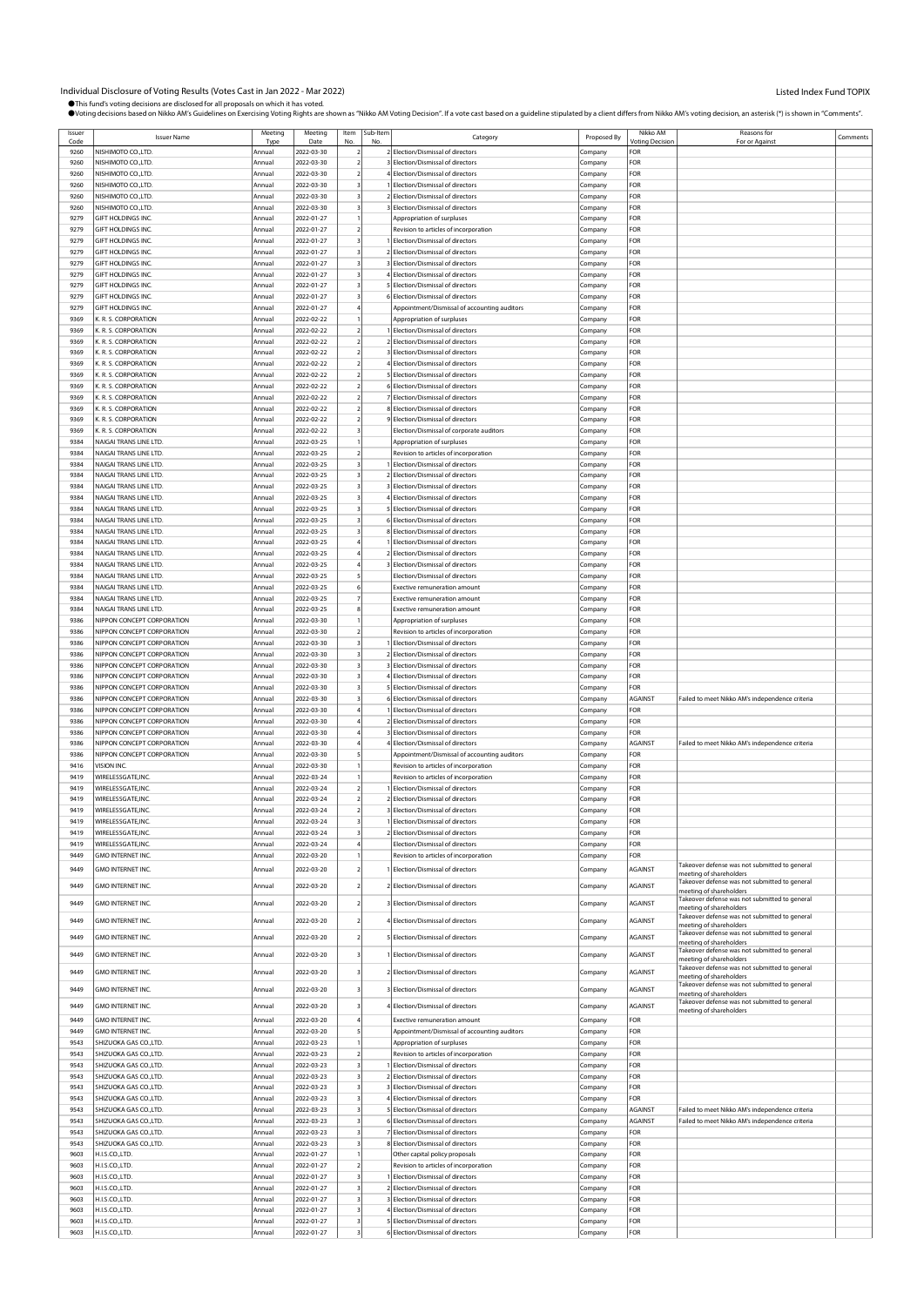●This fund's voting decisions are disclosed for all proposals on which it has voted.<br>●Voting decisions based on Nikko AM's Guidelines on Exercising Voting Rights are s n as "Nikko AM Voting Decision". If a vote cast based on a guideline stipulated by a client differs from Nikko AM's voting decision, an asterisk (\*) is shown in "Comments"

Issuer Ssuer | Meeting<br>Code | Issuer Name | Meeting<br>Type | Type ייביייי<br>Type **Meeting** Date<br>Date<br>2022-03-30 Item No. Sub-Item b-Item<br>No. No. Category Category Proposed By Nikko AM Voting De Reasons for<br>
For or Against Comments external participation of the company annual and the company and the company and the company FOR Company FOR Company 9260 NISHIMOTO CO.,LTD. **Annual 2022-03-30** 2 3 Election/Dismissal of directors Company FOR 9260 NISHIMOTO CO.,LTD. Annual 2022-03-30 2 4 Election/Dismissal of directors Company 9260 NISHIMOTO CO.,LTD. Annual 2022-03-30 3 1 Election/Dismissal of directors Company FOR<br>9260 NISHIMOTO CO.,LTD. Annual 2022-03-30 3 2 Election/Dismissal of directors Company FOR 9260 NISHIMOTO CO.,LTD. Annual 2022-03-30 3 2 Election/Dismissal of directors Company FOR 9260 NISHIMOTO CO.,LTD. Annual 2022-03-30 3 3 Election/Dismissal of directors Company FOR 9279 GIFT HOLDINGS INC. COMPANY CONTROLLER ANNUAL 2022-01-27 1 Appropriation of surpluses Company FOR<br>9279 GIFT HOLDINGS INC. COMPANY Annual 2022-01-27 2 Revision to articles of incorporation Company FOR external and 2022-01-27 Gift Holdings Incorporation Company For Company Company FOR Revision to articles of incorporation Company FOR Revision Company  $\sim$ 9279 GIFT HOLDINGS INC. COMPANY COMPANY Annual 2022-01-27 3 1 Election/Dismissal of directors Company FOR 9279 GIFT HOLDINGS INC. Annual 2022-01-27 3 2 Election/Dismissal of directors Company FOR 9279 GIFT HOLDINGS INC. **Annual 2022-01-27** 3 3 Election/Dismissal of directors Company FOR 9279 GIFT HOLDINGS INC. Company Annual 2022-01-27 3 4 Election/Dismissal of directors Company 9279 GIFT HOLDINGS INC. **Annual 2022-01-27 3** 5 Election/Dismissal of directors **Company** FOR 9279 GIFT HOLDINGS INC.<br>9279 GIFT HOLDINGS INC. Annual 2022-01-27 3 6 Election/Dismissal of directors Company FOR<br>9279 GIFT HOLDINGS INC. Annual 2022-01-27 4 Appointment/Dismissal of accounting auditors Company FOR 9279 GIFT HOLDINGS INC. Annual 2022-01-27 4 Appointment/Dismissal of accounting auditors Company FOR 9369 K. R. S. CORPORATION COMPANY COMPANY Annual 2022-02-22 1 Appropriation of surpluses Company FOR<br>9369 K. R. S. CORPORATION Company FOR Annual 2022-02-22 2 1 Election/Dismissal of directors Company FOR extion/Dismissal of directors Company FOR 9369 K. R. S. CORPORATION Annual 2022-02-22 2 2 Election/Dismissal of directors Company FOR Election/Dismissal of directors Company For the Company Formula 2023-02-22 2 3 Election/Dismissal of directors 9369 K. R. S. CORPORATION **Annual 2022-02-22** 2 4 Election/Dismissal of directors Company FOR 9369 K. R. S. CORPORATION COMPARTION COMPANY Annual 2022-02-22 3 5 Election/Dismissal of directors Company FOR 9369 K. R. S. CORPORATION **Annual** 2022-02-22 2 6 Election/Dismissal of directors Company FOR 9369 K. R. S. CORPORATION **Annual 2022-02-22** 2 7 Election/Dismissal of directors Company FOR<br>0260 K. B. S. CORPORATION Annual 2003-02-22 2 8 Election/Dismissal of directors Company Company FOR 9369 K. R. S. CORPORATION **Annual 2022-02-22 2 3 Election/Dismissal of directors** Company FOR 9369 K. R. S. CORPORATION Company CORPORATION COMPANY COMPANY COMPANY Annual 2022-02-22 2 9 Election/Dismissal of directors Company FOR<br>9369 K. R. S. CORPORATION Company FOR Annual 2022-02-22 3 Election/Dismissal of corpor extending the 12022-02-22 3 Election/Dismissal of corporate auditors Company 9384 NAIGAI TRANS LINE LTD. Annual 2022-03-25 1 Appropriation of surpluses Company FOR 9384 NAIGAI TRANS LINE LTD.<br>9384 NAIGAI TRANS LINE LTD. Annual 2022-03-25 2 Revision to articles of incorporation Company FOR<br>9384 NAIGAI TRANS LINE LTD. Annual 2002-03-25 3 1 Florition/Dismissal of directors extion/Dismissal of directors Company For Company Company For Company FOR TRANS LINE Company FOR TRANS LINE COMPANY FOR TRANS LINE COMPANY FOR TRANS LINE COMPANY FOR TRANS LINE COMPANY FOR TRANS LINE COMPANY FOR TRANS LINE 9384 NAIGAI TRANS LINE LTD.<br>9384 NAIGAI TRANS LINE LTD. Annual 2022-03-25 3 3 2 Election/Dismissal of directors Company FOR 9384 NAIGAI TRANS LINE LTD. Annual 2022-03-25 3 3 Election/Dismissal of directors Company FOR 9384 NAIGAI TRANS LINE LTD. Annual 2022-03-25 3 4 Election/Dismissal of directors Company FOR 9384 NAIGAI TRANS LINE LTD. Annual 2022-03-25 3 5 Election/Dismissal of directors Company FOR 9384 NAIGAI TRANS LINE LTD. Annual 2022-03-25 3 6 Election/Dismissal of directors Company FOR 9384 NAIGAI TRANS LINE LTD. Annual 2022-03-25 3 8 Election/Dismissal of directors Company FOR 9384 NAIGAI TRANS LINE LTD. Annual 2022-03-25 4 1 Election/Dismissal of directors Company FOR 9384 NAIGAI TRANS LINE LTD. Annual 2022-03-25 4 2 Election/Dismissal of directors Company FOR 9384 NAIGAI TRANS LINE LTD. Annual 2022-03-25 4 3 Election/Dismissal of directors Company FOR 9384 NAIGAI TRANS LINE LTD.<br>9384 NAIGAI TRANS I NEI TD. Annual 2022-03-25 5 Election/Dismissal of directors Company FOR<br>9384 NAIGAI TRANS I NEI TD. Annual 2022-03-25 6 Exective remuneration amount Company FOR Exective remuneration amount Company FOR 9384 NAIGAI TRANS LINE LTD. Annual 2022-03-25 7 Exective remuneration amount Company FOR<br>9384 NAIGAI TRANS LINE LTD. Annual 2022-03-25 8 Exective remuneration amount Company FOR 9384 NAIGAI TRANS LINE LTD. Annual 2022-03-25 8 Exective remuneration amount Company 9386 NIPPON CONCEPT CORPORATION <br>9386 NIPPON CONCEPT CORPORATION Annual 2022-03-30 2 Revision to articles of incorporation Company FOR exision to articles of incorporation annual 2022-03-30 2 Revision to articles of incorporation Company 9386 |NIPPON CONCEPT CORPORATION | Annual |2022-03-30 | 3 1 |Election/Dismissal of directors | Company |FOR 9386 NIPPON CONCEPT CORPORATION Annual 2022-03-30 3 2 Election/Dismissal of directors Company FOR 9386 NIPPON CONCEPT CORPORATION Annual 2022-03-30 3 3 Election/Dismissal of directors Company FOR 9386 NIPPON CONCEPT CORPORATION <br>9386 NIPPON CONCEPT CORPORATION Annual 2022-03-30 3 S Election/Dismissal of directors Company FOR 938686 NIPPON CONCEPT CONCEPT CONCEPT COMPANY FOR COMPANY FOR COMPANY FOR ANNUAL 2023-03-30 3 5 COMPANY FOR ANNUAL 2023-03-30 3  $\sim$  COMPANY FOR ANNUAL 2023-03-30 3  $\sim$  COMPANY FOR ANNUAL 2023-03-30 3  $\sim$  COMPANY FOR ANN 9386 NIPPON CONCEPT CORPORATION Annual 2022-03-30 3 6 Election/Dismissal of directors Company AGAINST Failed to meet Nikko AM's independence criteria 9386 NIPPON CONCEPT CORPORATION Annual 2022-03-30 4 1 Election/Dismissal of directors Company FOR 9386 NIPPON CONCEPT CORPORATION Annual 2022-03-30 4 2 Election/Dismissal of directors Company FOR 9386 NIPPON CONCEPT CORPORATION Annual 2022-03-30 4 3 Election/Dismissal of directors Company FOR<br>9386 NIPPON CONCEPT CORPORATION Annual 2022-03-30 4 4 Floriton/Dismissal of directors Company AGAINS 9386 NIPPON CONCEPT CORPORATION Annual 2022-03-30 4 4 Election/Dismissal of directors Company AGAINST Failed to meet Nikko AM's independence criteria 9386 NIPPON CONCEPT CORPORATION Annual 2022-03-30 5 Appointment/Dismissal of accounting auditors Company FOR 9416 VISION INC. **Annual 2022-03-30** 1 Revision to articles of incorporation Company 9419 WIRELESSGATE,INC. Annual 2022-03-24 1 Revision to articles of incorporation Company FOR nual 2022-03-24 2 1 Election/Dismissal of directors Company 9419 WIRELESSGATE,INC. Annual 2022-03-24 2 2 Election/Dismissal of directors Company FOR 9419 WIRELESSGATE,INC. Annual 2022-03-24 2 3 Election/Dismissal of directors Company FOR Election/Dismissal of directors **Company FOR** external annual 2022-03-24 3 2 Election/Dismissal of directors Company FOR<br>9419 WIRELESSGATE,INC. Annual 2022-03-24 4 Election/Dismissal of directors Company FOR essence and the state of the state of the state of the state of the state of the state of the state of the state of the state of the state of the state of the state of the state of the state of the state of the state of th 9449 GMO INTERNET INC. **Annual 2022-03-20** 1 Revision to articles of incorporation Company FOR 449 GMO INTERNET INC.<br>449 GMO INTERNET INC. Annual 2022-03-20 2 2 Election/Dismissal of directors Company AGAINST Takeover defense was not submitted to general<br>449 GMO INTERNET INC. Annual 2022-03-20 2 Election/Dismissal o meeting of shareholders<br>neeting of shareholders<br>akeover defense was not submitted to general 9449 GMO INTERNET INC. COMPOUND Annual 2022-03-20 2 4 Election/Dismissal of directors Company AGAINST Takeover defense was not submitted to general ment of shareholders<br>mg of shareholders<br>wer defense was not submitted to general 9449 GMO INTERNET INC. COMPRESS THE MODEL Annual 2022-03-20 2 5 Election/Dismissal of directors Company AGAINST Takeover defense was not submitted to general meeting of shareholders<br>
9449 GMO INTERNET INC. Annual 2022-03-20 3 1 Election/Dismissal of directors Company AGAINST Takeover defense was not submitted to general meeting of shareholders<br>9449 GMO INTERNET INC. Annual 2022-03-20 3 2 Election/Dismissal of directors Company AGAINST Takeover defense was not submitted to general meeting of shareholders<br>9449 GMO INTERNET INC. Annual 2022-03-20 3 3 Election/Dismissal of directors Company AGAINST Takeover defense was not submitted to general eting of shareholders<br>
9449 GMO INTERNET INC. Annual 2022-03-20 3 4 Election/Dismissal of directors Company AGAINST Takeover defense was not submitted to general<br>
Annual 2022-03-20 3 4 Election/Dismissal of directors Compa 9449 GMO INTERNET INC. COMPANY COMPANY Annual 2022-03-20 4 Exective remuneration amount Company FOR 9449 GMO INTERNET INC. **Annual 2022-03-20** 5 Appointment/Dismissal of accounting auditors Company FOR 9543 SHIZUOKA GAS CO.,LTD. Annual 2022-03-23 1 Appropriation of surpluses Company FOR exision to articles of incorporation existence co., La Company FOR Revision Company FOR Revision Company FOR Revision Company FOR Revision Company FOR Revision Company FOR Revision Company FOR Revision Company FOR Revision 9543 SHIZUOKA GAS CO.,LTD. Annual 2022-03-23 3 1 Election/Dismissal of directors Company FOR 9543 SHIZUOKA GAS CO.,LTD. **Annual 2022-03-23** 3 2 Election/Dismissal of directors Company FOR 9543 SHIZUOKA GAS CO.,LTD. Annual 2022-03-23 3 3 Election/Dismissal of directors Company FOR 9543 SHIZUOKA GAS CO.,LTD. Annual 2022-03-23 3 4 Election/Dismissal of directors Company FOR 9543 SHIZUOKA GAS CO.,LTD. Annual 2022-03-23 3 5 Election/Dismissal of directors Company AGAINST Failed to meet Nikko AM's independence criteria 9543 SHIZUOKA GAS CO.,LTD. 2002-03-23 Annual 2022-03-23 3 6 Election/Dismissal of directors Company AGAINST Failed to meet Nikko AM's independence criteria 9543 SHIZUOKA GAS CO.,LTD. **Annual** 2022-03-23 3 7 Election/Dismissal of directors Company FOR 9543 SHIZUOKA GAS CO.,LTD. Annual 2022-03-23 3 8 Election/Dismissal of directors Company FOR 9603 H.I.S.CO.,LTD. Company FOR Annual 2022-01-27 1 Other capital policy proposals Company FOR<br>9603 HLISCO LTD Annual 2002-01-27 2 Bevision to attribus of incorporation Company FOR 9603 H.I.S.CO.,LTD. Annual 2022-01-27 2 Revision to articles of incorporation Company FOR 9603 H.I.S.CO.,LTD. Annual 2022-01-27 3 1 Election/Dismissal of directors Company FOR 9603 H.I.S.CO.,LTD. Company FOR Annual 2022-01-27 3 2 Election/Dismissal of directors Company FOR 9603 H.I.S.CO.,LTD. Annual 2022-01-27 3 3 Election/Dismissal of directors Company FOR nual 2022-01-27 3 4 Election/Dismissal of directors Company FOR 9603 H.I.S.CO.,LTD. Annual 2022-01-27 3 5 Election/Dismissal of directors Company FOR extendity and the extendion of Election/Dismissal of directors company company FOR Company FOR Company FOR Company FOR Company FOR Company FOR Company FOR Company FOR Company FOR Company FOR Company FOR Company FOR Company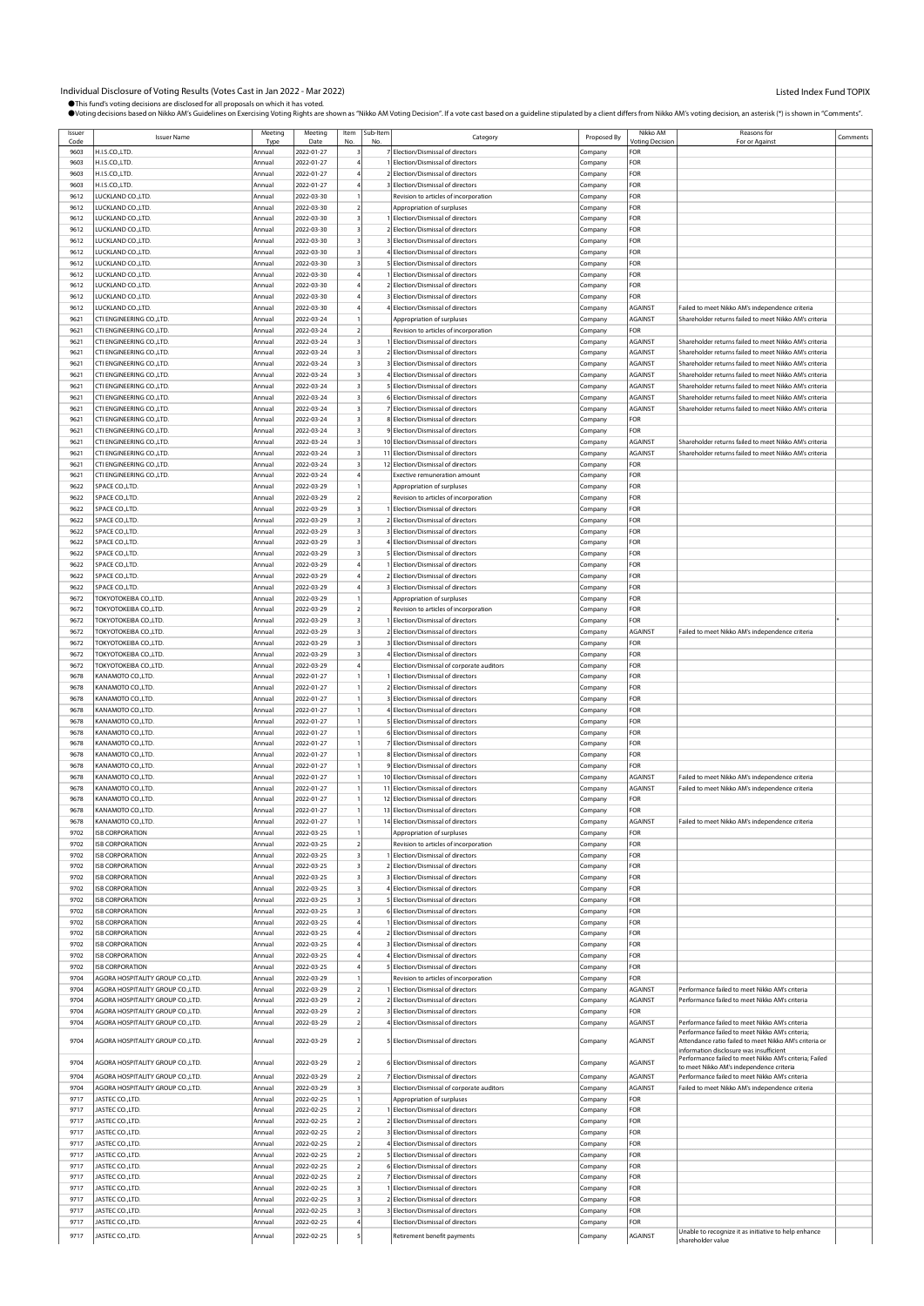|                |                                                        |                  |                          |                |                     | . QUISIONS DASED ON INIKIO AND SOLUCIONS ON SOLUCIONS ON DATING AND THE SUCKER'S TOWER AND NOTIFIES ON THE SUCK ON MOTHER ON A SUCK CAST DASED ON A QUIDENTE SUPULATED SIDE SITE ON HIRES HOW IT SHOWS IN SYSTEMS (") IS SHOWN |                    |                                           |                                                                                                                  |          |
|----------------|--------------------------------------------------------|------------------|--------------------------|----------------|---------------------|--------------------------------------------------------------------------------------------------------------------------------------------------------------------------------------------------------------------------------|--------------------|-------------------------------------------|------------------------------------------------------------------------------------------------------------------|----------|
| Issuer<br>Code | <b>Issuer Name</b>                                     | Meeting<br>Type  | Meeting<br>Date          | No.            | Item Sub-Item<br>No | Category                                                                                                                                                                                                                       | Proposed By        | Nikko AM<br><b><i>Intina Decision</i></b> | Reasons for<br>For or Against                                                                                    | Comments |
| 9603           | H.I.S.CO.,LTD.                                         | Annual           | 2022-01-27               |                |                     | 7 Election/Dismissal of directors                                                                                                                                                                                              | Company            | FOR                                       |                                                                                                                  |          |
| 9603           | H.I.S.CO.,LTD.                                         | Annual           | 2022-01-27               |                |                     | 1 Election/Dismissal of directors                                                                                                                                                                                              | Company            | FOR                                       |                                                                                                                  |          |
| 9603           | H.I.S.CO.,LTD.                                         | Annual           | 2022-01-27               |                | $\overline{2}$      | Election/Dismissal of directors                                                                                                                                                                                                | Company            | FOR                                       |                                                                                                                  |          |
| 9603           | H.I.S.CO.,LTD.                                         | Annual           | 2022-01-27               |                |                     | 3 Election/Dismissal of directors                                                                                                                                                                                              | Company            | FOR                                       |                                                                                                                  |          |
| 9612<br>9612   | LUCKLAND CO.,LTD<br>LUCKLAND CO.,LTD.                  | Annual<br>Annual | 2022-03-30<br>2022-03-30 |                |                     | Revision to articles of incorporation<br>Appropriation of surpluses                                                                                                                                                            | Company<br>Company | FOR<br>FOR                                |                                                                                                                  |          |
| 9612           | LUCKLAND CO.,LTD.                                      | Annual           | 2022-03-30               |                |                     | 1 Election/Dismissal of directors                                                                                                                                                                                              | Company            | FOR                                       |                                                                                                                  |          |
| 9612           | LUCKLAND CO.,LTD.                                      | Annual           | 2022-03-30               |                | $\overline{2}$      | Election/Dismissal of directors                                                                                                                                                                                                | Company            | FOR                                       |                                                                                                                  |          |
| 9612           | LUCKLAND CO.,LTD.                                      | Annual           | 2022-03-30               |                |                     | 3 Election/Dismissal of directors                                                                                                                                                                                              | Company            | FOR                                       |                                                                                                                  |          |
| 9612           | LUCKLAND CO.,LTD.                                      | Annual           | 2022-03-30               |                |                     | 4 Election/Dismissal of directors                                                                                                                                                                                              | Company            | FOR                                       |                                                                                                                  |          |
| 9612           | LUCKLAND CO.,LTD.                                      | Annual           | 2022-03-30               |                |                     | 5 Election/Dismissal of directors                                                                                                                                                                                              | Company            | FOR                                       |                                                                                                                  |          |
| 9612           | LUCKLAND CO.,LTD.                                      | Annual           | 2022-03-30               |                |                     | 1 Election/Dismissal of directors                                                                                                                                                                                              | Company            | FOR                                       |                                                                                                                  |          |
| 9612           | LUCKLAND CO.,LTD.                                      | Annual           | 2022-03-30               |                | $\mathcal{P}$       | Election/Dismissal of directors                                                                                                                                                                                                | Company            | FOR                                       |                                                                                                                  |          |
| 9612<br>9612   | LUCKLAND CO.,LTD.<br>LUCKLAND CO.,LTD.                 | Annual<br>Annual | 2022-03-30<br>2022-03-30 |                |                     | 3 Election/Dismissal of directors<br>4 Election/Dismissal of directors                                                                                                                                                         | Company            | FOR<br>AGAINST                            | Failed to meet Nikko AM's independence criteria                                                                  |          |
| 962            | CTI ENGINEERING CO., LTD.                              | Annual           | 2022-03-24               |                |                     | Appropriation of surpluses                                                                                                                                                                                                     | Company<br>Company | <b>AGAINST</b>                            | Shareholder returns failed to meet Nikko AM's criteria                                                           |          |
| 962            | CTI ENGINEERING CO., LTD.                              | Annual           | 2022-03-24               |                |                     | Revision to articles of incorporation                                                                                                                                                                                          | Company            | FOR                                       |                                                                                                                  |          |
| 9621           | CTI ENGINEERING CO., LTD.                              | Annual           | 2022-03-24               |                |                     | Election/Dismissal of directors                                                                                                                                                                                                | Company            | <b>AGAINST</b>                            | Shareholder returns failed to meet Nikko AM's criteria                                                           |          |
| 9621           | CTI ENGINEERING CO., LTD.                              | Annual           | 2022-03-24               |                |                     | 2 Election/Dismissal of directors                                                                                                                                                                                              | Company            | AGAINST                                   | Shareholder returns failed to meet Nikko AM's criteria                                                           |          |
| 9621           | CTI ENGINEERING CO., LTD.                              | Annual           | 2022-03-24               |                |                     | 3 Election/Dismissal of directors                                                                                                                                                                                              | Company            | AGAINST                                   | Shareholder returns failed to meet Nikko AM's criteria                                                           |          |
| 962            | CTI ENGINEERING CO., LTD.                              | Annual           | 2022-03-24               |                |                     | Election/Dismissal of directors                                                                                                                                                                                                | Company            | AGAINST                                   | Shareholder returns failed to meet Nikko AM's criteria                                                           |          |
| 962            | CTI ENGINEERING CO., LTD.                              | Annual           | 2022-03-24               |                |                     | 5 Election/Dismissal of directors                                                                                                                                                                                              | Company            | AGAINST                                   | Shareholder returns failed to meet Nikko AM's criteria                                                           |          |
| 9621<br>9621   | CTI ENGINEERING CO., LTD.<br>CTI ENGINEERING CO., LTD. | Annual<br>Annual | 2022-03-24<br>2022-03-24 | 3              |                     | 6 Election/Dismissal of directors<br>7 Election/Dismissal of directors                                                                                                                                                         | Company<br>Company | <b>AGAINST</b><br><b>AGAINST</b>          | Shareholder returns failed to meet Nikko AM's criteria<br>Shareholder returns failed to meet Nikko AM's criteria |          |
| 9621           | CTI ENGINEERING CO., LTD.                              | Annual           | 2022-03-24               |                |                     | 8 Election/Dismissal of directors                                                                                                                                                                                              | Company            | FOR                                       |                                                                                                                  |          |
| 962            | CTI ENGINEERING CO., LTD.                              | Annual           | 2022-03-24               |                |                     | Election/Dismissal of directors                                                                                                                                                                                                | Company            | FOR                                       |                                                                                                                  |          |
| 962            | CTI ENGINEERING CO., LTD.                              | Annual           | 2022-03-24               |                |                     | 10 Election/Dismissal of directors                                                                                                                                                                                             | Company            | AGAINST                                   | Shareholder returns failed to meet Nikko AM's criteria                                                           |          |
| 9621           | CTI ENGINEERING CO., LTD.                              | Annual           | 2022-03-24               |                |                     | 11 Election/Dismissal of directors                                                                                                                                                                                             | Company            | <b>AGAINST</b>                            | Shareholder returns failed to meet Nikko AM's criteria                                                           |          |
| 9621           | CTI ENGINEERING CO., LTD.                              | Annual           | 2022-03-24               |                |                     | 12 Election/Dismissal of directors                                                                                                                                                                                             | Company            | FOR                                       |                                                                                                                  |          |
| 9621           | CTI ENGINEERING CO., LTD.                              | Annual           | 2022-03-24               |                |                     | xective remuneration amount                                                                                                                                                                                                    | Company            | FOR                                       |                                                                                                                  |          |
| 9622<br>9622   | SPACE CO., LTD.<br>SPACE CO., LTD.                     | Annual<br>Annual | 2022-03-29<br>2022-03-29 |                |                     | Appropriation of surpluses<br>Revision to articles of incorporation                                                                                                                                                            | Company            | FOR<br>FOR                                |                                                                                                                  |          |
| 9622           | SPACE CO.,LTD.                                         | Annual           | 2022-03-29               |                |                     | Election/Dismissal of directors                                                                                                                                                                                                | Company<br>Company | FOR                                       |                                                                                                                  |          |
| 9622           | SPACE CO., LTD                                         | Annual           | 2022-03-29               |                |                     | 2 Election/Dismissal of directors                                                                                                                                                                                              | Company            | FOR                                       |                                                                                                                  |          |
| 9622           | SPACE CO., LTD.                                        | Annual           | 2022-03-29               |                |                     | 3 Election/Dismissal of directors                                                                                                                                                                                              | Company            | FOR                                       |                                                                                                                  |          |
| 9622           | SPACE CO.,LTD.                                         | Annual           | 2022-03-29               |                |                     | Election/Dismissal of directors                                                                                                                                                                                                | Company            | FOR                                       |                                                                                                                  |          |
| 9622           | SPACE CO.,LTD.                                         | Annual           | 2022-03-29               |                |                     | 5 Election/Dismissal of directors                                                                                                                                                                                              | Company            | FOR                                       |                                                                                                                  |          |
| 9622           | SPACE CO., LTD.                                        | Annual           | 2022-03-29               |                |                     | Election/Dismissal of directors                                                                                                                                                                                                | Company            | FOR                                       |                                                                                                                  |          |
| 9622           | SPACE CO., LTD                                         | Annual           | 2022-03-29               |                |                     | 2 Election/Dismissal of directors                                                                                                                                                                                              | Company            | FOR                                       |                                                                                                                  |          |
| 9622<br>9672   | SPACE CO.,LTD.<br>TOKYOTOKEIBA CO.,LTD.                | Annual<br>Annual | 2022-03-29<br>2022-03-29 |                |                     | 3 Election/Dismissal of directors<br>Appropriation of surpluses                                                                                                                                                                | Company<br>Company | FOR<br>FOR                                |                                                                                                                  |          |
| 9672           | TOKYOTOKEIBA CO.,LTD.                                  | Annual           | 2022-03-29               |                |                     | Revision to articles of incorporation                                                                                                                                                                                          | Company            | FOR                                       |                                                                                                                  |          |
| 9672           | TOKYOTOKEIBA CO.,LTD.                                  | Annual           | 2022-03-29               |                |                     | Election/Dismissal of directors                                                                                                                                                                                                | Company            | FOR                                       |                                                                                                                  |          |
| 9672           | TOKYOTOKEIBA CO.,LTD.                                  | Annual           | 2022-03-29               |                |                     | 2 Election/Dismissal of directors                                                                                                                                                                                              | Company            | AGAINST                                   | Failed to meet Nikko AM's independence criteria                                                                  |          |
| 9672           | TOKYOTOKEIBA CO.,LTD.                                  | Annual           | 2022-03-29               |                |                     | 3 Election/Dismissal of directors                                                                                                                                                                                              | Company            | FOR                                       |                                                                                                                  |          |
| 9672           | TOKYOTOKEIBA CO.,LTD.                                  | Annual           | 2022-03-29               |                |                     | 4 Election/Dismissal of directors                                                                                                                                                                                              | Company            | FOR                                       |                                                                                                                  |          |
| 9672           | TOKYOTOKEIBA CO.,LTD.                                  | Annual           | 2022-03-29               |                |                     | Election/Dismissal of corporate auditors                                                                                                                                                                                       | Company            | FOR                                       |                                                                                                                  |          |
| 9678<br>9678   | KANAMOTO CO.,LTD.<br>KANAMOTO CO.,LTD.                 | Annual<br>Annual | 2022-01-27<br>2022-01-27 |                |                     | Election/Dismissal of directors<br>2 Election/Dismissal of directors                                                                                                                                                           | Company<br>Company | FOR<br>FOR                                |                                                                                                                  |          |
| 9678           | (ANAMOTO CO.,LTD.                                      | Annual           | 2022-01-27               |                |                     | 3 Election/Dismissal of directors                                                                                                                                                                                              | Company            | FOR                                       |                                                                                                                  |          |
| 9678           | KANAMOTO CO.,LTD.                                      | Annual           | 2022-01-27               |                |                     | 4 Election/Dismissal of directors                                                                                                                                                                                              | Company            | FOR                                       |                                                                                                                  |          |
| 9678           | KANAMOTO CO.,LTD.                                      | Annual           | 2022-01-27               |                |                     | 5 Election/Dismissal of directors                                                                                                                                                                                              | Company            | FOR                                       |                                                                                                                  |          |
| 9678           | (ANAMOTO CO.,LTD.                                      | Annual           | 2022-01-27               |                |                     | 6 Election/Dismissal of directors                                                                                                                                                                                              | Company            | FOR                                       |                                                                                                                  |          |
| 9678           | KANAMOTO CO.,LTD.                                      | Annual           | 2022-01-27               |                |                     | 7 Election/Dismissal of directors                                                                                                                                                                                              | Company            | FOR                                       |                                                                                                                  |          |
| 9678           | (ANAMOTO CO.,LTD.                                      | Annual           | 2022-01-27               |                |                     | 8 Election/Dismissal of directors<br>Election/Dismissal of directors                                                                                                                                                           | Company            | FOR<br>FOR                                |                                                                                                                  |          |
| 9678<br>9678   | KANAMOTO CO.,LTD.<br>KANAMOTO CO.,LTD.                 | Annual<br>Annual | 2022-01-27<br>2022-01-27 |                |                     | 10 Election/Dismissal of directors                                                                                                                                                                                             | Company            | AGAINST                                   |                                                                                                                  |          |
| 9678           | KANAMOTO CO.,LTD.                                      | Annual           | 2022-01-27               |                | 11                  | Election/Dismissal of directors                                                                                                                                                                                                | Company<br>Company | <b>AGAINST</b>                            | Failed to meet Nikko AM's independence criteria<br>Failed to meet Nikko AM's independence criteria               |          |
| 9678           | KANAMOTO CO.,LTD                                       | Annual           | 2022-01-27               |                |                     | 12 Election/Dismissal of directors                                                                                                                                                                                             | Company            | FOR                                       |                                                                                                                  |          |
| 9678           | ANAMOTO CO.,LTD.                                       |                  | $022 - 01 - 2$           |                | 12                  | lection/Dismissal of directors                                                                                                                                                                                                 | ompany             |                                           |                                                                                                                  |          |
| 9678           | KANAMOTO CO.,LTD.                                      | Annual           | 2022-01-27               |                |                     | 14 Election/Dismissal of directors                                                                                                                                                                                             | Company            | AGAINST                                   | Failed to meet Nikko AM's independence criteria                                                                  |          |
| 9702           | <b>ISB CORPORATION</b>                                 | Annual           | 2022-03-25               |                |                     | Appropriation of surpluses                                                                                                                                                                                                     | Company            | FOR                                       |                                                                                                                  |          |
| 9702           | <b>ISB CORPORATION</b><br><b>ISB CORPORATION</b>       | Annual           | 2022-03-25<br>2022-03-25 |                |                     | Revision to articles of incorporation                                                                                                                                                                                          | Company            | FOR<br>FOR                                |                                                                                                                  |          |
| 9702<br>9702   | <b>ISB CORPORATION</b>                                 | Annual<br>Annual | 2022-03-25               |                |                     | 1 Election/Dismissal of directors<br>2 Election/Dismissal of directors                                                                                                                                                         | Company            | FOR                                       |                                                                                                                  |          |
| 9702           | <b>ISB CORPORATION</b>                                 | Annual           | 2022-03-25               |                |                     | 3 Election/Dismissal of directors                                                                                                                                                                                              | Company<br>Company | FOR                                       |                                                                                                                  |          |
| 9702           | <b>ISB CORPORATION</b>                                 | Annual           | 2022-03-25               |                |                     | 4 Election/Dismissal of directors                                                                                                                                                                                              | Company            | FOR                                       |                                                                                                                  |          |
| 9702           | <b>ISB CORPORATION</b>                                 | Annual           | 2022-03-25               | 3              |                     | 5 Election/Dismissal of directors                                                                                                                                                                                              | Company            | FOR                                       |                                                                                                                  |          |
| 9702           | <b>ISB CORPORATION</b>                                 | Annual           | 2022-03-25               |                |                     | 6 Election/Dismissal of directors                                                                                                                                                                                              | Company            | FOR                                       |                                                                                                                  |          |
| 9702           | <b>ISB CORPORATION</b>                                 | Annual           | 2022-03-25               |                |                     | 1 Election/Dismissal of directors                                                                                                                                                                                              | Company            | FOR                                       |                                                                                                                  |          |
| 9702<br>9702   | <b>ISB CORPORATION</b>                                 | Annual           | 2022-03-25               |                |                     | 2 Election/Dismissal of directors                                                                                                                                                                                              | Company            | FOR<br>FOR                                |                                                                                                                  |          |
| 9702           | <b>ISB CORPORATION</b><br><b>ISB CORPORATION</b>       | Annual<br>Annual | 2022-03-25<br>2022-03-25 |                |                     | 3 Election/Dismissal of directors<br>4 Election/Dismissal of directors                                                                                                                                                         | Company<br>Company | OR-                                       |                                                                                                                  |          |
| 9702           | <b>ISB CORPORATION</b>                                 | Annual           | 2022-03-25               |                |                     | 5 Election/Dismissal of directors                                                                                                                                                                                              | Company            | FOR                                       |                                                                                                                  |          |
| 9704           | AGORA HOSPITALITY GROUP CO.,LTD.                       | Annual           | 2022-03-29               |                |                     | Revision to articles of incorporation                                                                                                                                                                                          | Company            | FOR                                       |                                                                                                                  |          |
| 9704           | AGORA HOSPITALITY GROUP CO., LTD.                      | Annual           | 2022-03-29               |                |                     | 1 Election/Dismissal of directors                                                                                                                                                                                              | Company            | AGAINST                                   | Performance failed to meet Nikko AM's criteria                                                                   |          |
| 9704           | AGORA HOSPITALITY GROUP CO.,LTD.                       | Annual           | 2022-03-29               |                |                     | 2 Election/Dismissal of directors                                                                                                                                                                                              | Company            | AGAINST                                   | Performance failed to meet Nikko AM's criteria                                                                   |          |
| 9704           | AGORA HOSPITALITY GROUP CO.,LTD.                       | Annual           | 2022-03-29               | $\overline{2}$ |                     | 3 Election/Dismissal of directors                                                                                                                                                                                              | Company            | FOR                                       |                                                                                                                  |          |
| 9704           | AGORA HOSPITALITY GROUP CO., LTD.                      | Annual           | 2022-03-29               |                |                     | 4 Election/Dismissal of directors                                                                                                                                                                                              | Company            | AGAINST                                   | Performance failed to meet Nikko AM's criteria<br>Performance failed to meet Nikko AM's criteria:                |          |
| 9704           | AGORA HOSPITALITY GROUP CO.,LTD.                       | Annual           | 2022-03-29               | 2              |                     | 5 Election/Dismissal of directors                                                                                                                                                                                              | Company            | <b>AGAINST</b>                            | Attendance ratio failed to meet Nikko AM's criteria or                                                           |          |
|                |                                                        |                  |                          |                |                     |                                                                                                                                                                                                                                |                    |                                           | information disclosure was insufficient<br>Performance failed to meet Nikko AM's criteria; Failed                |          |
| 9704           | AGORA HOSPITALITY GROUP CO.,LTD.                       | Annual           | 2022-03-29               | 2              |                     | 6 Election/Dismissal of directors                                                                                                                                                                                              | Company            | AGAINST                                   | to meet Nikko AM's independence criteria                                                                         |          |
| 9704           | AGORA HOSPITALITY GROUP CO., LTD.                      | Annual           | 2022-03-29               |                |                     | 7 Election/Dismissal of directors                                                                                                                                                                                              | Company            | AGAINST                                   | Performance failed to meet Nikko AM's criteria                                                                   |          |
| 9704           | AGORA HOSPITALITY GROUP CO., LTD.                      | Annual           | 2022-03-29               |                |                     | Election/Dismissal of corporate auditors                                                                                                                                                                                       | Company            | AGAINST                                   | Failed to meet Nikko AM's independence criteria                                                                  |          |
| 9717           | JASTEC CO.,LTD.                                        | Annual           | 2022-02-25               |                |                     | Appropriation of surpluses                                                                                                                                                                                                     | Company            | FOR<br>FOR                                |                                                                                                                  |          |
| 9717<br>9717   | JASTEC CO.,LTD.<br>JASTEC CO.,LTD.                     | Annual<br>Annual | 2022-02-25<br>2022-02-25 |                |                     | Election/Dismissal of directors<br>2 Election/Dismissal of directors                                                                                                                                                           | Company<br>Company | FOR                                       |                                                                                                                  |          |
| 9717           | JASTEC CO.,LTD.                                        | Annual           | 2022-02-25               |                |                     | 3 Election/Dismissal of directors                                                                                                                                                                                              | Company            | FOR                                       |                                                                                                                  |          |
| 9717           | JASTEC CO.,LTD.                                        | Annual           | 2022-02-25               |                |                     | 4 Election/Dismissal of directors                                                                                                                                                                                              | Company            | FOR                                       |                                                                                                                  |          |
| 9717           | JASTEC CO.,LTD.                                        | Annual           | 2022-02-25               |                |                     | 5 Election/Dismissal of directors                                                                                                                                                                                              | Company            | FOR                                       |                                                                                                                  |          |
| 9717           | JASTEC CO.,LTD.                                        | Annual           | 2022-02-25               |                |                     | 6 Election/Dismissal of directors                                                                                                                                                                                              | Company            | FOR                                       |                                                                                                                  |          |
| 9717           | JASTEC CO.,LTD.                                        | Annual           | 2022-02-25               |                |                     | 7 Election/Dismissal of directors                                                                                                                                                                                              | Company            | FOR                                       |                                                                                                                  |          |
| 9717<br>9717   | JASTEC CO.,LTD.<br>JASTEC CO.,LTD.                     | Annual<br>Annual | 2022-02-25<br>2022-02-25 |                |                     | Election/Dismissal of directors<br>2 Election/Dismissal of directors                                                                                                                                                           | Company<br>Company | FOR<br>FOR                                |                                                                                                                  |          |
| 9717           | JASTEC CO.,LTD.                                        | Annual           | 2022-02-25               |                |                     | 3 Election/Dismissal of directors                                                                                                                                                                                              | Company            | FOR                                       |                                                                                                                  |          |
| 9717           | JASTEC CO.,LTD.                                        | Annual           | 2022-02-25               |                |                     | Election/Dismissal of directors                                                                                                                                                                                                | Company            | FOR                                       |                                                                                                                  |          |
| 9717           | JASTEC CO.,LTD.                                        | Annual           | 2022-02-25               |                |                     | Retirement benefit payments                                                                                                                                                                                                    | Company            | AGAINST                                   | Unable to recognize it as initiative to help enhance                                                             |          |
|                |                                                        |                  |                          |                |                     |                                                                                                                                                                                                                                |                    |                                           | shareholder value                                                                                                |          |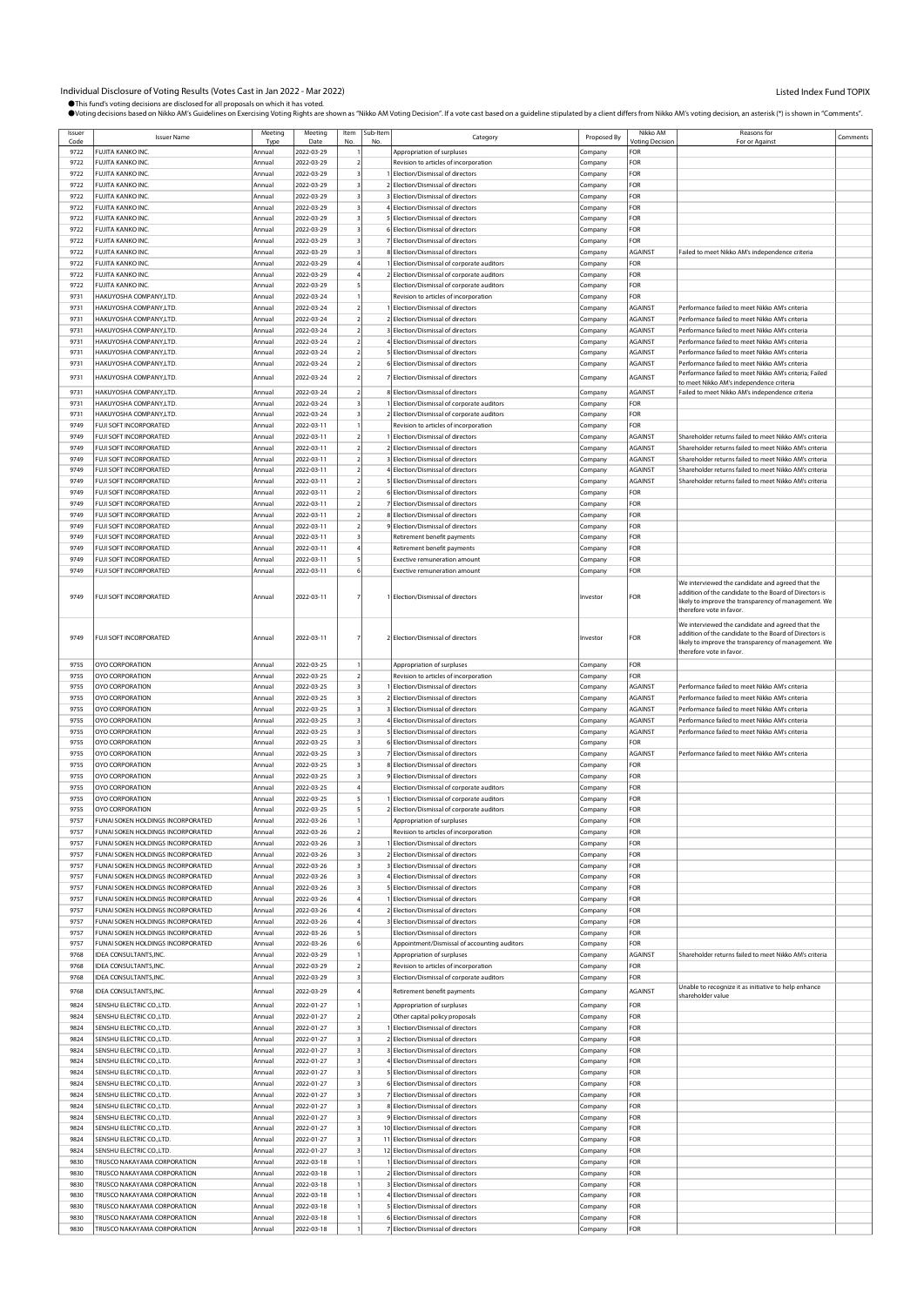| Issuer | <b>Issuer Name</b>                 | Meeting | Meeting    | Item | Sub-Item       | Category                                     | Proposed By | Nikko AM        | Reasons for                                                                                                                                                       | Comments |
|--------|------------------------------------|---------|------------|------|----------------|----------------------------------------------|-------------|-----------------|-------------------------------------------------------------------------------------------------------------------------------------------------------------------|----------|
| Code   |                                    | Type    | Date       | No.  | No.            |                                              |             | oting Decisio   | For or Against                                                                                                                                                    |          |
| 9722   | UJITA KANKO INC.                   | Annual  | 2022-03-29 |      |                | Appropriation of surpluses                   | Company     | OR <sup>:</sup> |                                                                                                                                                                   |          |
| 9722   | FUJITA KANKO INC.                  | Annual  | 2022-03-29 |      |                | Revision to articles of incorporation        | Company     | <b>OR</b>       |                                                                                                                                                                   |          |
| 9722   | <b>UJITA KANKO INC</b>             | Annual  | 2022-03-29 |      |                | Election/Dismissal of directors              | Company     | <b>OR</b>       |                                                                                                                                                                   |          |
| 9722   | <b>UJITA KANKO INC</b>             | Annual  | 2022-03-29 |      |                | Election/Dismissal of directors              | Company     | <b>OR</b>       |                                                                                                                                                                   |          |
| 9722   | UJITA KANKO INC.                   | Annual  | 2022-03-29 |      |                | Election/Dismissal of directors              | Company     | FOR             |                                                                                                                                                                   |          |
|        |                                    |         |            |      |                | Election/Dismissal of directors              |             | FOR             |                                                                                                                                                                   |          |
| 9722   | UJITA KANKO INC.                   | Annual  | 2022-03-29 |      |                |                                              | Company     |                 |                                                                                                                                                                   |          |
| 9722   | <b>FUJITA KANKO INC.</b>           | Annual  | 2022-03-29 |      |                | Election/Dismissal of directors              | Company     | FOR             |                                                                                                                                                                   |          |
| 9722   | <b>UJITA KANKO INC</b>             | Annual  | 2022-03-29 |      |                | Election/Dismissal of directors              | Company     | OR <sup>:</sup> |                                                                                                                                                                   |          |
| 9722   | <b>UJITA KANKO INC</b>             | Annual  | 2022-03-29 |      |                | Election/Dismissal of directors              | Company     | FOR             |                                                                                                                                                                   |          |
| 9722   | UJITA KANKO INC.                   | Annual  | 2022-03-29 |      |                | Election/Dismissal of directors              | Company     | AGAINST         | Failed to meet Nikko AM's independence criteria                                                                                                                   |          |
| 9722   | FUJITA KANKO INC.                  | Annual  | 2022-03-29 |      |                | Election/Dismissal of corporate auditors     | Company     | <b>OR</b>       |                                                                                                                                                                   |          |
|        |                                    |         |            |      |                |                                              |             |                 |                                                                                                                                                                   |          |
| 9722   | FUJITA KANKO INC.                  | Annual  | 2022-03-29 |      |                | Election/Dismissal of corporate auditors     | Company     | FOR             |                                                                                                                                                                   |          |
| 9722   | <b>UJITA KANKO INC</b>             | Annual  | 2022-03-29 |      |                | Election/Dismissal of corporate auditors     | Company     | <b>OR</b>       |                                                                                                                                                                   |          |
| 9731   | <b>HAKUYOSHA COMPANY,LTD.</b>      | Annual  | 2022-03-24 |      |                | Revision to articles of incorporation        | Company     | <b>OR</b>       |                                                                                                                                                                   |          |
| 9731   | HAKUYOSHA COMPANY,LTD.             | Annual  | 2022-03-24 |      |                | Election/Dismissal of directors              | Company     | <b>AGAINST</b>  | Performance failed to meet Nikko AM's criteria                                                                                                                    |          |
| 9731   | HAKUYOSHA COMPANY,LTD.             | Annual  | 2022-03-24 |      |                | Election/Dismissal of directors              | Company     | <b>AGAINST</b>  | Performance failed to meet Nikko AM's criteria                                                                                                                    |          |
| 9731   | HAKUYOSHA COMPANY,LTD.             | Annual  | 2022-03-24 |      | 3              | Election/Dismissal of directors              | Company     | <b>AGAINST</b>  | Performance failed to meet Nikko AM's criteria                                                                                                                    |          |
|        |                                    |         | 2022-03-24 |      |                |                                              |             |                 |                                                                                                                                                                   |          |
| 9731   | <b>HAKUYOSHA COMPANY,LTD.</b>      | Annual  |            |      |                | Election/Dismissal of directors              | Company     | <b>AGAINST</b>  | Performance failed to meet Nikko AM's criteria                                                                                                                    |          |
| 9731   | HAKUYOSHA COMPANY,LTD.             | Annual  | 2022-03-24 |      |                | Election/Dismissal of directors              | Company     | <b>AGAINST</b>  | Performance failed to meet Nikko AM's criteria                                                                                                                    |          |
| 9731   | HAKUYOSHA COMPANY,LTD.             | Annual  | 2022-03-24 |      |                | Election/Dismissal of directors              | Company     | AGAINST         | Performance failed to meet Nikko AM's criteria                                                                                                                    |          |
| 9731   | HAKUYOSHA COMPANY,LTD.             | Annual  | 2022-03-24 |      |                | Election/Dismissal of directors              | Iompany     | AGAINST         | Performance failed to meet Nikko AM's criteria; Failed                                                                                                            |          |
|        |                                    |         |            |      |                |                                              |             |                 | o meet Nikko AM's independence criteria                                                                                                                           |          |
| 9731   | HAKUYOSHA COMPANY,LTD.             | Annual  | 2022-03-24 |      |                | Election/Dismissal of directors              | Company     | <b>AGAINST</b>  | Failed to meet Nikko AM's independence criteria                                                                                                                   |          |
| 9731   | HAKUYOSHA COMPANY,LTD.             | Annual  | 2022-03-24 |      |                | Election/Dismissal of corporate auditors     | Company     | OR.             |                                                                                                                                                                   |          |
| 9731   | HAKUYOSHA COMPANY,LTD.             | Annual  | 2022-03-24 |      |                | 2 Election/Dismissal of corporate auditors   | Company     | FOR             |                                                                                                                                                                   |          |
| 9749   | UJI SOFT INCORPORATED              | Annual  | 2022-03-11 |      |                | Revision to articles of incorporation        | Company     | <b>OR</b>       |                                                                                                                                                                   |          |
| 9749   | UJI SOFT INCORPORATED              | Annual  | 2022-03-11 |      |                | Election/Dismissal of directors              | Company     | AGAINST         | Shareholder returns failed to meet Nikko AM's criteria                                                                                                            |          |
|        |                                    |         |            |      |                |                                              |             |                 |                                                                                                                                                                   |          |
| 9749   | UJI SOFT INCORPORATED              | Annual  | 2022-03-11 |      | $\overline{2}$ | Election/Dismissal of directors              | Company     | <b>AGAINST</b>  | Shareholder returns failed to meet Nikko AM's criteria                                                                                                            |          |
| 9749   | UJI SOFT INCORPORATED              | Annual  | 2022-03-11 |      |                | Election/Dismissal of directors              | Company     | <b>AGAINST</b>  | Shareholder returns failed to meet Nikko AM's criteria                                                                                                            |          |
| 9749   | FUJI SOFT INCORPORATED             | Annual  | 2022-03-11 |      |                | Election/Dismissal of directors              | Company     | AGAINST         | Shareholder returns failed to meet Nikko AM's criteria                                                                                                            |          |
| 9749   | UJI SOFT INCORPORATED              | Annual  | 2022-03-11 |      |                | <b>Election/Dismissal of directors</b>       | Company     | <b>AGAINST</b>  | Shareholder returns failed to meet Nikko AM's criteria                                                                                                            |          |
| 9749   | UJI SOFT INCORPORATED              | Annual  | 2022-03-11 |      |                | Election/Dismissal of directors              | Company     | FOR             |                                                                                                                                                                   |          |
|        |                                    |         |            |      |                |                                              |             |                 |                                                                                                                                                                   |          |
| 9749   | UJI SOFT INCORPORATED              | Annual  | 2022-03-11 |      |                | Election/Dismissal of directors              | Company     | FOR             |                                                                                                                                                                   |          |
| 9749   | UJI SOFT INCORPORATED              | Annual  | 2022-03-11 |      |                | Election/Dismissal of directors              | Company     | ЮR              |                                                                                                                                                                   |          |
| 9749   | FUJI SOFT INCORPORATED             | Annual  | 2022-03-11 |      |                | 9 Election/Dismissal of directors            | Company     | FOR             |                                                                                                                                                                   |          |
| 9749   | UJI SOFT INCORPORATED              | Annual  | 2022-03-11 |      |                | Retirement benefit payments                  | Company     | <b>OR</b>       |                                                                                                                                                                   |          |
| 9749   | UJI SOFT INCORPORATED              | Annual  | 2022-03-11 |      |                | Retirement benefit payments                  | Company     | FOR             |                                                                                                                                                                   |          |
| 9749   | UJI SOFT INCORPORATED              | Annual  | 2022-03-11 |      |                | <b>Exective remuneration amount</b>          | Company     | <b>OR</b>       |                                                                                                                                                                   |          |
|        |                                    |         |            |      |                |                                              |             |                 |                                                                                                                                                                   |          |
| 9749   | UJI SOFT INCORPORATED              | Annual  | 2022-03-11 |      |                | <b>Exective remuneration amount</b>          | Company     | FOR             |                                                                                                                                                                   |          |
| 9749   | UJI SOFT INCORPORATED              | Annual  | 2022-03-11 |      |                | Election/Dismissal of directors              | nvestor     | FOR             | We interviewed the candidate and agreed that the<br>addition of the candidate to the Board of Directors is<br>ikely to improve the transparency of management. We |          |
|        |                                    |         |            |      |                |                                              |             |                 | therefore vote in favor.<br>We interviewed the candidate and agreed that the                                                                                      |          |
| 9749   | UJI SOFT INCORPORATED              | Annual  | 2022-03-11 |      |                | 2 Election/Dismissal of directors            | nvestor     | FOR             | addition of the candidate to the Board of Directors is<br>likely to improve the transparency of management. We<br>therefore vote in favor                         |          |
|        |                                    |         |            |      |                |                                              |             |                 |                                                                                                                                                                   |          |
| 9755   | OYO CORPORATION                    | Annual  | 2022-03-25 |      |                | Appropriation of surpluses                   | Company     | FOR             |                                                                                                                                                                   |          |
| 9755   | OYO CORPORATION                    | Annual  | 2022-03-25 |      |                | Revision to articles of incorporation        | Company     | ЮR              |                                                                                                                                                                   |          |
| 9755   | OYO CORPORATION                    | Annual  | 2022-03-25 |      |                | Election/Dismissal of directors              | Company     | AGAINST         | Performance failed to meet Nikko AM's criteria                                                                                                                    |          |
| 9755   | OYO CORPORATION                    | Annual  | 2022-03-25 |      | 2              | Election/Dismissal of directors              | Company     | <b>AGAINST</b>  | Performance failed to meet Nikko AM's criteria                                                                                                                    |          |
| 9755   | OYO CORPORATION                    | Annual  | 2022-03-25 |      |                | Election/Dismissal of directors              | Company     | <b>AGAINST</b>  | Performance failed to meet Nikko AM's criteria                                                                                                                    |          |
| 9755   | OYO CORPORATION                    | Annual  | 2022-03-25 |      |                | Election/Dismissal of directors              | Company     | <b>AGAINST</b>  | Performance failed to meet Nikko AM's criteria                                                                                                                    |          |
| 9755   | OYO CORPORATION                    | Annual  | 2022-03-25 |      |                | Election/Dismissal of directors              |             | <b>AGAINST</b>  | Performance failed to meet Nikko AM's criteria                                                                                                                    |          |
|        |                                    |         |            |      |                |                                              | Iompany     |                 |                                                                                                                                                                   |          |
| 9755   | OYO CORPORATION                    | Annual  | 2022-03-25 |      |                | Election/Dismissal of directors              | Company     | OR:             |                                                                                                                                                                   |          |
| 9755   | OYO CORPORATION                    | Annual  | 2022-03-25 |      |                | Election/Dismissal of directors              | Company     | <b>AGAINST</b>  | Performance failed to meet Nikko AM's criteria                                                                                                                    |          |
| 9755   | OYO CORPORATION                    | Annual  | 2022-03-25 |      |                | Election/Dismissal of directors              | Company     | OR              |                                                                                                                                                                   |          |
| 9755   | OYO CORPORATION                    | Annual  | 2022-03-25 |      |                | Election/Dismissal of directors              | Company     | <b>OR</b>       |                                                                                                                                                                   |          |
| 9755   | OYO CORPORATION                    | Annual  | 2022-03-25 |      |                | Election/Dismissal of corporate auditors     | Iompany     | FOR             |                                                                                                                                                                   |          |
| 9755   | OYO CORPORATION                    | Annual  | 2022-03-25 |      |                | Election/Dismissal of corporate auditors     | Company     | OR              |                                                                                                                                                                   |          |
| 9755   | OYO CORPORATION                    | Annual  | 2022-03-25 |      |                | 2 Election/Dismissal of corporate auditors   |             | FOR             |                                                                                                                                                                   |          |
|        |                                    |         |            |      |                |                                              | Company     |                 |                                                                                                                                                                   |          |
| 9757   | FUNAI SOKEN HOLDINGS INCORPORATED  | Annual  | 2022-03-26 |      |                | Appropriation of surpluses                   | Company     | FOR             |                                                                                                                                                                   |          |
| 9757   | FUNAI SOKEN HOLDINGS INCORPORATED  | Annual  | 2022-03-26 |      |                | Revision to articles of incorporation        | Company     | FOR             |                                                                                                                                                                   |          |
| 9757   | UNAI SOKEN HOLDINGS INCORPORATED   | Annual  | 2022-03-26 |      |                | Election/Dismissal of directors              | Company     | OR <sup>:</sup> |                                                                                                                                                                   |          |
| 9757   | UNAI SOKEN HOLDINGS INCORPORATED   | Annual  | 2022-03-26 |      |                | Election/Dismissal of directors              | Company     | <b>OR</b>       |                                                                                                                                                                   |          |
| 9757   | FUNAI SOKEN HOLDINGS INCORPORATED  | Annual  | 2022-03-26 |      |                | Election/Dismissal of directors              | Company     | FOR             |                                                                                                                                                                   |          |
| 9757   | FUNAI SOKEN HOLDINGS INCORPORATED  | Annual  | 2022-03-26 |      |                | Election/Dismissal of directors              | Company     | <b>OR</b>       |                                                                                                                                                                   |          |
| 9757   | FUNAI SOKEN HOLDINGS INCORPORATED  | Annual  | 2022-03-26 |      |                | Election/Dismissal of directors              | Company     | FOR             |                                                                                                                                                                   |          |
|        |                                    |         |            |      |                |                                              |             |                 |                                                                                                                                                                   |          |
| 9757   | UNAI SOKEN HOLDINGS INCORPORATED   | Annual  | 2022-03-26 |      |                | Election/Dismissal of directors              | Company     | FOR             |                                                                                                                                                                   |          |
| 9757   | UNAI SOKEN HOLDINGS INCORPORATED   | Annual  | 2022-03-26 |      |                | Election/Dismissal of directors              | Company     | <b>OR</b>       |                                                                                                                                                                   |          |
| 9757   | FUNAI SOKEN HOLDINGS INCORPORATED  | Annual  | 2022-03-26 |      |                | Election/Dismissal of directors              | Company     | FOR             |                                                                                                                                                                   |          |
| 9757   | UNAI SOKEN HOLDINGS INCORPORATED   | Annual  | 2022-03-26 |      |                | Election/Dismissal of directors              | Company     | OR-             |                                                                                                                                                                   |          |
| 9757   | FUNAI SOKEN HOLDINGS INCORPORATED  | Annual  | 2022-03-26 |      |                | Appointment/Dismissal of accounting auditors | Company     | FOR             |                                                                                                                                                                   |          |
| 9768   | DEA CONSULTANTS, INC.              | Annual  | 2022-03-29 |      |                | Appropriation of surpluses                   | Company     | <b>AGAINST</b>  | Shareholder returns failed to meet Nikko AM's criteria                                                                                                            |          |
|        | IDEA CONSULTANTS, INC.             |         |            |      |                |                                              |             |                 |                                                                                                                                                                   |          |
| 9768   |                                    | Annual  | 2022-03-29 |      |                | Revision to articles of incorporation        | Company     | ЮR<br>FOR       |                                                                                                                                                                   |          |
| 9768   | IDEA CONSULTANTS, INC.             | Annual  | 2022-03-29 |      |                | Election/Dismissal of corporate auditors     | Company     |                 |                                                                                                                                                                   |          |
| 9768   | IDEA CONSULTANTS, INC.             | Annual  | 2022-03-29 |      |                | Retirement benefit payments                  | Company     | <b>AGAINST</b>  | Unable to recognize it as initiative to help enhance                                                                                                              |          |
|        | SENSHU ELECTRIC CO.,LTD.           |         |            |      |                | Appropriation of surpluses                   |             |                 | shareholder value                                                                                                                                                 |          |
| 9824   |                                    | Annual  | 2022-01-27 |      |                |                                              | Company     | FOR             |                                                                                                                                                                   |          |
| 9824   | SENSHU ELECTRIC CO.,LTD.           | Annual  | 2022-01-27 |      |                | Other capital policy proposals               | Company     | OR-             |                                                                                                                                                                   |          |
| 9824   | SENSHU ELECTRIC CO., LTD.          | Annual  | 2022-01-27 |      |                | Election/Dismissal of directors              | Company     | FOR             |                                                                                                                                                                   |          |
| 9824   | SENSHU ELECTRIC CO.,LTD.           | Annual  | 2022-01-27 |      |                | Election/Dismissal of directors              | Company     | FOR             |                                                                                                                                                                   |          |
| 9824   | SENSHU ELECTRIC CO.,LTD.           | Annual  | 2022-01-27 |      |                | Election/Dismissal of directors              | Company     | <b>OR</b>       |                                                                                                                                                                   |          |
| 9824   | SENSHU ELECTRIC CO., LTD.          | Annual  | 2022-01-27 |      |                | Election/Dismissal of directors              | Company     | FOR             |                                                                                                                                                                   |          |
|        |                                    |         |            |      |                | Election/Dismissal of directors              |             | OR-             |                                                                                                                                                                   |          |
| 9824   | SENSHU ELECTRIC CO.,LTD.           | Annual  | 2022-01-27 |      |                |                                              | Company     |                 |                                                                                                                                                                   |          |
| 9824   | SENSHU ELECTRIC CO., LTD.          | Annual  | 2022-01-27 |      |                | 6 Election/Dismissal of directors            | Company     | FOR             |                                                                                                                                                                   |          |
| 9824   | SENSHU ELECTRIC CO.,LTD.           | Annual  | 2022-01-27 |      |                | Election/Dismissal of directors              | Company     | FOR             |                                                                                                                                                                   |          |
| 9824   | SENSHU ELECTRIC CO.,LTD.           | Annual  | 2022-01-27 |      |                | Election/Dismissal of directors              | Company     | ЮR              |                                                                                                                                                                   |          |
| 9824   | SENSHU ELECTRIC CO.,LTD.           | Annual  | 2022-01-27 |      |                | Election/Dismissal of directors              | Company     | FOR             |                                                                                                                                                                   |          |
| 9824   | SENSHU ELECTRIC CO.,LTD.           | Annual  | 2022-01-27 |      |                | 10 Election/Dismissal of directors           | Company     | OR-             |                                                                                                                                                                   |          |
| 9824   | SENSHU ELECTRIC CO., LTD.          | Annual  | 2022-01-27 |      | 11             | Election/Dismissal of directors              | Company     | FOR             |                                                                                                                                                                   |          |
| 9824   | SENSHU ELECTRIC CO.,LTD.           | Annual  | 2022-01-27 |      | 12             | Election/Dismissal of directors              | Company     | <b>OR</b>       |                                                                                                                                                                   |          |
| 9830   |                                    |         |            |      |                |                                              |             | OR-             |                                                                                                                                                                   |          |
|        | <b>FRUSCO NAKAYAMA CORPORATION</b> | Annual  | 2022-03-18 |      |                | Election/Dismissal of directors              | Company     |                 |                                                                                                                                                                   |          |
| 9830   | TRUSCO NAKAYAMA CORPORATION        | Annual  | 2022-03-18 |      | $\overline{2}$ | Election/Dismissal of directors              | Company     | FOR             |                                                                                                                                                                   |          |
| 9830   | TRUSCO NAKAYAMA CORPORATION        | Annual  | 2022-03-18 |      |                | Election/Dismissal of directors              | Company     | OR-             |                                                                                                                                                                   |          |
| 9830   | TRUSCO NAKAYAMA CORPORATION        | Annual  | 2022-03-18 |      |                | Election/Dismissal of directors              | Company     | FOR             |                                                                                                                                                                   |          |
| 9830   | <b>FRUSCO NAKAYAMA CORPORATION</b> | Annual  | 2022-03-18 |      |                | Election/Dismissal of directors              | Company     | <b>OR</b>       |                                                                                                                                                                   |          |
| 9830   | TRUSCO NAKAYAMA CORPORATION        | Annual  | 2022-03-18 |      |                | Election/Dismissal of directors              | Company     | FOR             |                                                                                                                                                                   |          |
| 9830   | TRUSCO NAKAYAMA CORPORATION        | Annua   | 2022-03-18 |      |                | Election/Dismissal of directors              |             | OR              |                                                                                                                                                                   |          |